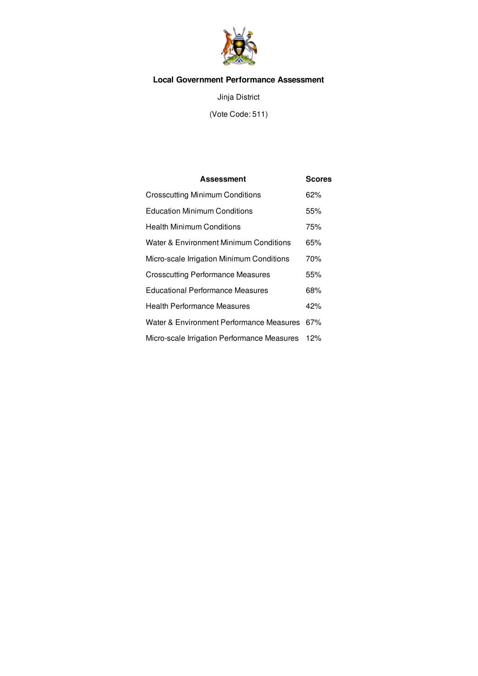

# **Local Government Performance Assessment**

Jinja District

(Vote Code: 511)

| <b>Assessment</b>                           | <b>Scores</b> |
|---------------------------------------------|---------------|
| <b>Crosscutting Minimum Conditions</b>      | 62%           |
| <b>Education Minimum Conditions</b>         | 55%           |
| <b>Health Minimum Conditions</b>            | 75%           |
| Water & Environment Minimum Conditions      | 65%           |
| Micro-scale Irrigation Minimum Conditions   | 70%           |
| <b>Crosscutting Performance Measures</b>    | 55%           |
| <b>Educational Performance Measures</b>     | 68%           |
| <b>Health Performance Measures</b>          | 42%           |
| Water & Environment Performance Measures    | 67%           |
| Micro-scale Irrigation Performance Measures | 12%           |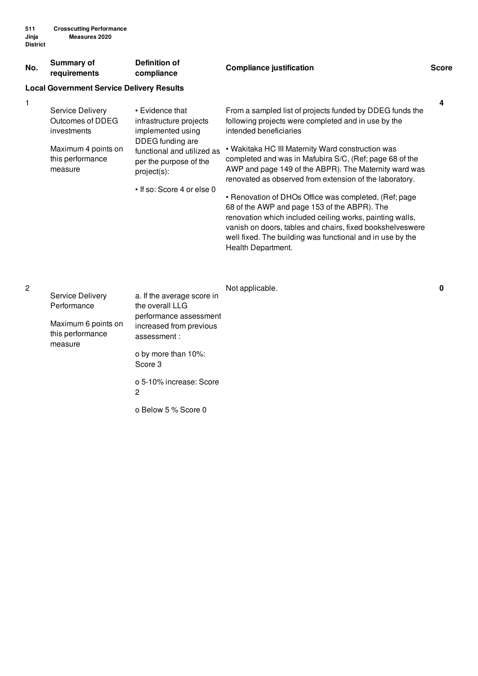| No. | Summary of<br>requirements                                                                                | Definition of<br>compliance                                                                                                                                                              | <b>Compliance justification</b>                                                                                                                                                                                                                                                                                                                                                                                                                                                                                                                                                                                                                                                                    | <b>Score</b> |
|-----|-----------------------------------------------------------------------------------------------------------|------------------------------------------------------------------------------------------------------------------------------------------------------------------------------------------|----------------------------------------------------------------------------------------------------------------------------------------------------------------------------------------------------------------------------------------------------------------------------------------------------------------------------------------------------------------------------------------------------------------------------------------------------------------------------------------------------------------------------------------------------------------------------------------------------------------------------------------------------------------------------------------------------|--------------|
|     | <b>Local Government Service Delivery Results</b>                                                          |                                                                                                                                                                                          |                                                                                                                                                                                                                                                                                                                                                                                                                                                                                                                                                                                                                                                                                                    |              |
| 1   | Service Delivery<br>Outcomes of DDEG<br>investments<br>Maximum 4 points on<br>this performance<br>measure | • Evidence that<br>infrastructure projects<br>implemented using<br>DDEG funding are<br>functional and utilized as<br>per the purpose of the<br>project(s):<br>• If so: Score 4 or else 0 | From a sampled list of projects funded by DDEG funds the<br>following projects were completed and in use by the<br>intended beneficiaries<br>• Wakitaka HC III Maternity Ward construction was<br>completed and was in Mafubira S/C, (Ref; page 68 of the<br>AWP and page 149 of the ABPR). The Maternity ward was<br>renovated as observed from extension of the laboratory.<br>• Renovation of DHOs Office was completed, (Ref; page<br>68 of the AWP and page 153 of the ABPR). The<br>renovation which included ceiling works, painting walls,<br>vanish on doors, tables and chairs, fixed bookshelveswere<br>well fixed. The building was functional and in use by the<br>Health Department. | 4            |

|                                 |                                               | Not applicable. | 0 |
|---------------------------------|-----------------------------------------------|-----------------|---|
| Service Delivery<br>Performance | a. If the average score in<br>the overall LLG |                 |   |
|                                 | performance assessment                        |                 |   |
| Maximum 6 points on             | increased from previous                       |                 |   |
| this performance<br>measure     | assessment:                                   |                 |   |
|                                 | o by more than 10%:                           |                 |   |
|                                 | Score 3                                       |                 |   |
|                                 | o 5-10% increase: Score                       |                 |   |
|                                 | 2                                             |                 |   |
|                                 |                                               |                 |   |

o Below 5 % Score 0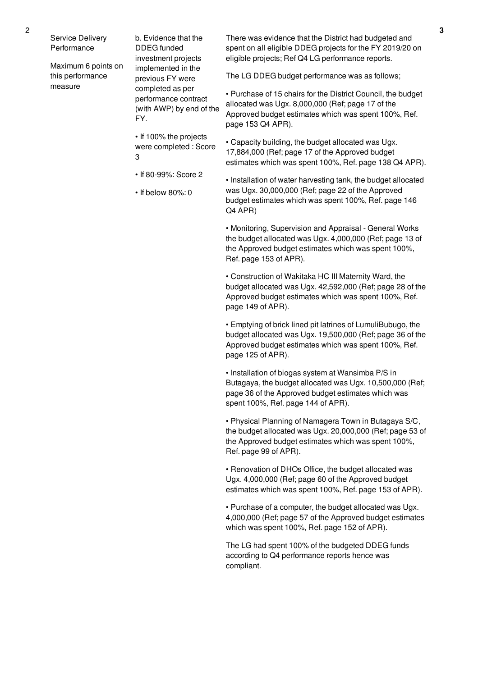Service Delivery Performance

Maximum 6 points on this performance measure

b. Evidence that the DDEG funded investment projects implemented in the previous FY were completed as per performance contract (with AWP) by end of the FY.

• If 100% the projects were completed : Score 3

• If 80-99%: Score 2

• If below 80%: 0

There was evidence that the District had budgeted and spent on all eligible DDEG projects for the FY 2019/20 on eligible projects; Ref Q4 LG performance reports.

The LG DDEG budget performance was as follows;

• Purchase of 15 chairs for the District Council, the budget allocated was Ugx. 8,000,000 (Ref; page 17 of the Approved budget estimates which was spent 100%, Ref. page 153 Q4 APR).

• Capacity building, the budget allocated was Ugx. 17,884,000 (Ref; page 17 of the Approved budget estimates which was spent 100%, Ref. page 138 Q4 APR).

• Installation of water harvesting tank, the budget allocated was Ugx. 30,000,000 (Ref; page 22 of the Approved budget estimates which was spent 100%, Ref. page 146 Q4 APR)

• Monitoring, Supervision and Appraisal - General Works the budget allocated was Ugx. 4,000,000 (Ref; page 13 of the Approved budget estimates which was spent 100%, Ref. page 153 of APR).

• Construction of Wakitaka HC III Maternity Ward, the budget allocated was Ugx. 42,592,000 (Ref; page 28 of the Approved budget estimates which was spent 100%, Ref. page 149 of APR).

• Emptying of brick lined pit latrines of LumuliBubugo, the budget allocated was Ugx. 19,500,000 (Ref; page 36 of the Approved budget estimates which was spent 100%, Ref. page 125 of APR).

• Installation of biogas system at Wansimba P/S in Butagaya, the budget allocated was Ugx. 10,500,000 (Ref; page 36 of the Approved budget estimates which was spent 100%, Ref. page 144 of APR).

• Physical Planning of Namagera Town in Butagaya S/C, the budget allocated was Ugx. 20,000,000 (Ref; page 53 of the Approved budget estimates which was spent 100%, Ref. page 99 of APR).

• Renovation of DHOs Office, the budget allocated was Ugx. 4,000,000 (Ref; page 60 of the Approved budget estimates which was spent 100%, Ref. page 153 of APR).

• Purchase of a computer, the budget allocated was Ugx. 4,000,000 (Ref; page 57 of the Approved budget estimates which was spent 100%, Ref. page 152 of APR).

The LG had spent 100% of the budgeted DDEG funds according to Q4 performance reports hence was compliant.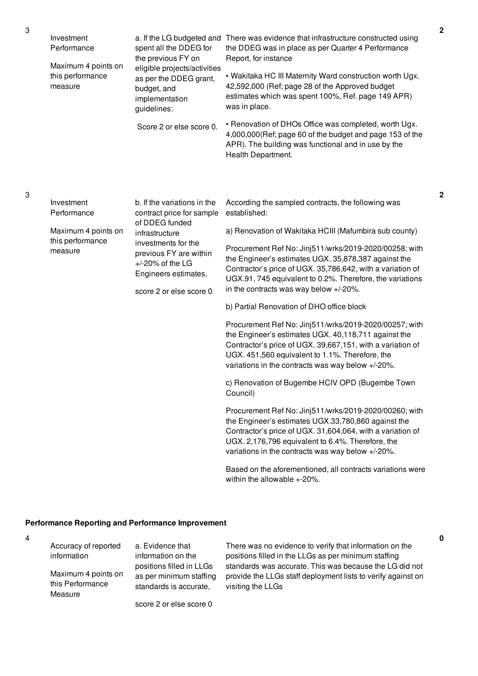| Investment<br>Performance<br>Maximum 4 points on<br>this performance<br>measure | spent all the DDEG for<br>the previous FY on<br>eligible projects/activities<br>as per the DDEG grant,<br>budget, and<br>implementation<br>guidelines:<br>Score 2 or else score 0.                                      | a. If the LG budgeted and There was evidence that infrastructure constructed using<br>the DDEG was in place as per Quarter 4 Performance<br>Report, for instance<br>. Wakitaka HC III Maternity Ward construction worth Ugx.<br>42,592,000 (Ref; page 28 of the Approved budget<br>estimates which was spent 100%, Ref. page 149 APR)<br>was in place.<br>• Renovation of DHOs Office was completed, worth Ugx.<br>4,000,000(Ref; page 60 of the budget and page 153 of the<br>APR). The building was functional and in use by the<br>Health Department.                                                                                                                                                                                                                                                                                                                                                                                                                                                                                                                                                                                                                                                      |
|---------------------------------------------------------------------------------|-------------------------------------------------------------------------------------------------------------------------------------------------------------------------------------------------------------------------|---------------------------------------------------------------------------------------------------------------------------------------------------------------------------------------------------------------------------------------------------------------------------------------------------------------------------------------------------------------------------------------------------------------------------------------------------------------------------------------------------------------------------------------------------------------------------------------------------------------------------------------------------------------------------------------------------------------------------------------------------------------------------------------------------------------------------------------------------------------------------------------------------------------------------------------------------------------------------------------------------------------------------------------------------------------------------------------------------------------------------------------------------------------------------------------------------------------|
| Investment<br>Performance<br>Maximum 4 points on<br>this performance<br>measure | b. If the variations in the<br>contract price for sample<br>of DDEG funded<br>infrastructure<br>investments for the<br>previous FY are within<br>$+/-20\%$ of the LG<br>Engineers estimates,<br>score 2 or else score 0 | According the sampled contracts, the following was<br>established:<br>a) Renovation of Wakitaka HCIII (Mafumbira sub county)<br>Procurement Ref No: Jinj511/wrks/2019-2020/00258; with<br>the Engineer's estimates UGX. 35,878,387 against the<br>Contractor's price of UGX. 35,786,642, with a variation of<br>UGX.91, 745 equivalent to 0.2%. Therefore, the variations<br>in the contracts was way below +/-20%.<br>b) Partial Renovation of DHO office block<br>Procurement Ref No: Jinj511/wrks/2019-2020/00257; with<br>the Engineer's estimates UGX. 40,118,711 against the<br>Contractor's price of UGX. 39,667,151, with a variation of<br>UGX. 451,560 equivalent to 1.1%. Therefore, the<br>variations in the contracts was way below +/-20%.<br>c) Renovation of Bugembe HCIV OPD (Bugembe Town<br>Council)<br>Procurement Ref No: Jinj511/wrks/2019-2020/00260; with<br>the Engineer's estimates UGX.33,780,860 against the<br>Contractor's price of UGX. 31,604,064, with a variation of<br>UGX. 2,176,796 equivalent to 6.4%. Therefore, the<br>variations in the contracts was way below +/-20%.<br>Based on the aforementioned, all contracts variations were<br>within the allowable +-20%. |

# **Performance Reporting and Performance Improvement**

| ł<br>۰<br>۰ |  |
|-------------|--|
|             |  |

| Accuracy of reported                               | a. Evidence that                                                              |  |
|----------------------------------------------------|-------------------------------------------------------------------------------|--|
| information                                        | information on the                                                            |  |
| Maximum 4 points on<br>this Performance<br>Measure | positions filled in LLGs<br>as per minimum staffing<br>standards is accurate, |  |
|                                                    | score 2 or else score 0                                                       |  |

There was no evidence to verify that information on the positions filled in the LLGs as per minimum staffing standards was accurate. This was because the LG did not provide the LLGs staff deployment lists to verify against on visiting the LLGs

3

**0**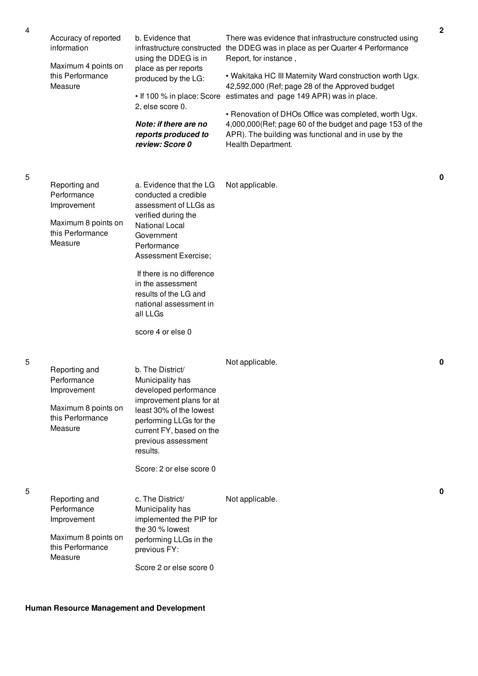| Accuracy of reported<br>information<br>Maximum 4 points on<br>this Performance                    | b. Evidence that<br>infrastructure constructed<br>using the DDEG is in<br>place as per reports<br>produced by the LG:                                                                                                                                                                                               | There was evidence that infrastructure constructed using<br>the DDEG was in place as per Quarter 4 Performance<br>Report, for instance,<br>. Wakitaka HC III Maternity Ward construction worth Ugx.                                                                                            | 2 |
|---------------------------------------------------------------------------------------------------|---------------------------------------------------------------------------------------------------------------------------------------------------------------------------------------------------------------------------------------------------------------------------------------------------------------------|------------------------------------------------------------------------------------------------------------------------------------------------------------------------------------------------------------------------------------------------------------------------------------------------|---|
| Measure                                                                                           | • If 100 % in place: Score<br>2, else score 0.<br>Note: if there are no<br>reports produced to<br>review: Score 0                                                                                                                                                                                                   | 42,592,000 (Ref; page 28 of the Approved budget<br>estimates and page 149 APR) was in place.<br>• Renovation of DHOs Office was completed, worth Ugx.<br>4,000,000(Ref; page 60 of the budget and page 153 of the<br>APR). The building was functional and in use by the<br>Health Department. |   |
| Reporting and<br>Performance<br>Improvement<br>Maximum 8 points on<br>this Performance<br>Measure | a. Evidence that the LG<br>conducted a credible<br>assessment of LLGs as<br>verified during the<br><b>National Local</b><br>Government<br>Performance<br>Assessment Exercise;<br>If there is no difference<br>in the assessment<br>results of the LG and<br>national assessment in<br>all LLGs<br>score 4 or else 0 | Not applicable.                                                                                                                                                                                                                                                                                | 0 |
| Reporting and<br>Performance<br>Improvement<br>Maximum 8 points on<br>this Performance<br>Measure | b. The District/<br>Municipality has<br>developed performance<br>improvement plans for at<br>least 30% of the lowest<br>performing LLGs for the<br>current FY, based on the<br>previous assessment<br>results.<br>Score: 2 or else score 0                                                                          | Not applicable.                                                                                                                                                                                                                                                                                | 0 |
| Reporting and<br>Performance<br>Improvement<br>Maximum 8 points on<br>this Performance<br>Measure | c. The District/<br>Municipality has<br>implemented the PIP for<br>the 30 % lowest<br>performing LLGs in the<br>previous FY:<br>Score 2 or else score 0                                                                                                                                                             | Not applicable.                                                                                                                                                                                                                                                                                | 0 |

5

5

# **Human Resource Management and Development**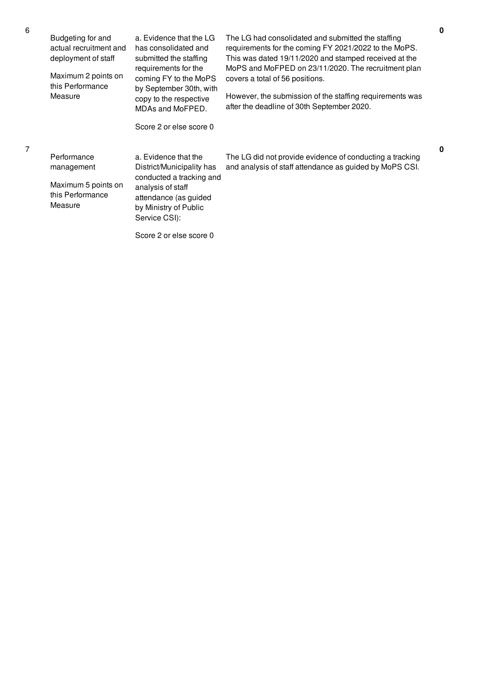| Budgeting for and<br>actual recruitment and<br>deployment of staff<br>Maximum 2 points on<br>this Performance<br>Measure | a. Evidence that the LG<br>has consolidated and<br>submitted the staffing<br>requirements for the<br>coming FY to the MoPS<br>by September 30th, with<br>copy to the respective<br>MDAs and MoFPED.<br>Score 2 or else score 0 | The LG had consolidated and submitted the staffing<br>requirements for the coming FY 2021/2022 to the MoPS.<br>This was dated 19/11/2020 and stamped received at the<br>MoPS and MoFPED on 23/11/2020. The recruitment plan<br>covers a total of 56 positions.<br>However, the submission of the staffing requirements was<br>after the deadline of 30th September 2020. |
|--------------------------------------------------------------------------------------------------------------------------|--------------------------------------------------------------------------------------------------------------------------------------------------------------------------------------------------------------------------------|--------------------------------------------------------------------------------------------------------------------------------------------------------------------------------------------------------------------------------------------------------------------------------------------------------------------------------------------------------------------------|
| Performance<br>management<br>Maximum 5 points on<br>this Performance<br>Measure                                          | a. Evidence that the<br>District/Municipality has<br>conducted a tracking and<br>analysis of staff<br>attendance (as guided<br>by Ministry of Public<br>Service CSI):                                                          | The LG did not provide evidence of conducting a tracking<br>and analysis of staff attendance as guided by MoPS CSI.                                                                                                                                                                                                                                                      |

Score 2 or else score 0

6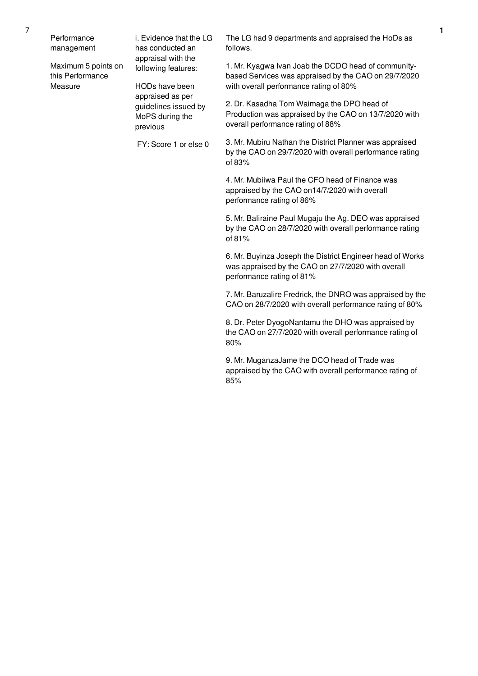Performance management

Maximum 5 points on this Performance Measure

i. Evidence that the LG has conducted an appraisal with the following features:

HODs have been appraised as per guidelines issued by MoPS during the previous

FY: Score 1 or else 0

The LG had 9 departments and appraised the HoDs as follows.

1. Mr. Kyagwa Ivan Joab the DCDO head of communitybased Services was appraised by the CAO on 29/7/2020 with overall performance rating of 80%

2. Dr. Kasadha Tom Waimaga the DPO head of Production was appraised by the CAO on 13/7/2020 with overall performance rating of 88%

3. Mr. Mubiru Nathan the District Planner was appraised by the CAO on 29/7/2020 with overall performance rating of 83%

4. Mr. Mubiiwa Paul the CFO head of Finance was appraised by the CAO on14/7/2020 with overall performance rating of 86%

5. Mr. Baliraine Paul Mugaju the Ag. DEO was appraised by the CAO on 28/7/2020 with overall performance rating of 81%

6. Mr. Buyinza Joseph the District Engineer head of Works was appraised by the CAO on 27/7/2020 with overall performance rating of 81%

7. Mr. Baruzalire Fredrick, the DNRO was appraised by the CAO on 28/7/2020 with overall performance rating of 80%

8. Dr. Peter DyogoNantamu the DHO was appraised by the CAO on 27/7/2020 with overall performance rating of 80%

9. Mr. MuganzaJame the DCO head of Trade was appraised by the CAO with overall performance rating of 85%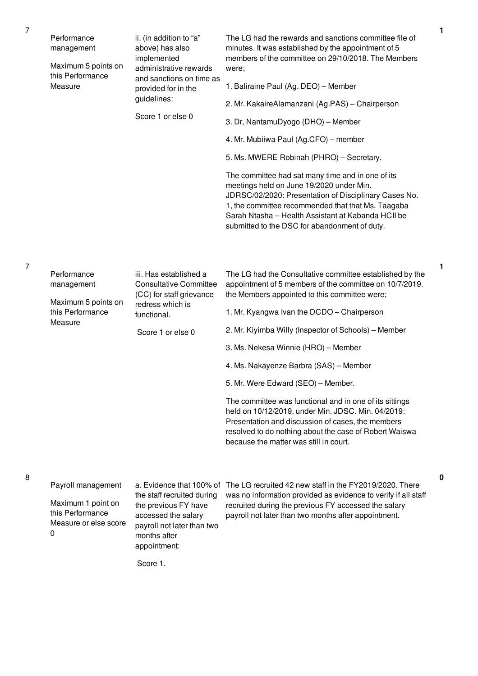|  | Performance<br>management<br>Maximum 5 points on                                           | ii. (in addition to "a"<br>above) has also<br>implemented<br>administrative rewards                                                                                 | The LG had the rewards and sanctions committee file of<br>minutes. It was established by the appointment of 5<br>members of the committee on 29/10/2018. The Members<br>were;                                                                                                                                       |
|--|--------------------------------------------------------------------------------------------|---------------------------------------------------------------------------------------------------------------------------------------------------------------------|---------------------------------------------------------------------------------------------------------------------------------------------------------------------------------------------------------------------------------------------------------------------------------------------------------------------|
|  | this Performance<br>Measure                                                                | and sanctions on time as<br>provided for in the<br>guidelines:<br>Score 1 or else 0                                                                                 | 1. Baliraine Paul (Ag. DEO) - Member                                                                                                                                                                                                                                                                                |
|  |                                                                                            |                                                                                                                                                                     | 2. Mr. KakaireAlamanzani (Ag.PAS) - Chairperson                                                                                                                                                                                                                                                                     |
|  |                                                                                            |                                                                                                                                                                     | 3. Dr, NantamuDyogo (DHO) - Member                                                                                                                                                                                                                                                                                  |
|  |                                                                                            |                                                                                                                                                                     | 4. Mr. Mubiiwa Paul (Ag.CFO) – member                                                                                                                                                                                                                                                                               |
|  |                                                                                            |                                                                                                                                                                     | 5. Ms. MWERE Robinah (PHRO) - Secretary.                                                                                                                                                                                                                                                                            |
|  |                                                                                            |                                                                                                                                                                     | The committee had sat many time and in one of its<br>meetings held on June 19/2020 under Min.<br>JDRSC/02/2020: Presentation of Disciplinary Cases No.<br>1, the committee recommended that that Ms. Taagaba<br>Sarah Ntasha - Health Assistant at Kabanda HCII be<br>submitted to the DSC for abandonment of duty. |
|  |                                                                                            |                                                                                                                                                                     |                                                                                                                                                                                                                                                                                                                     |
|  | Performance<br>management<br>Maximum 5 points on                                           | iii. Has established a<br><b>Consultative Committee</b><br>(CC) for staff grievance                                                                                 | The LG had the Consultative committee established by the<br>appointment of 5 members of the committee on 10/7/2019.<br>the Members appointed to this committee were;                                                                                                                                                |
|  | this Performance<br>Measure                                                                | redress which is<br>functional.<br>Score 1 or else 0                                                                                                                | 1. Mr. Kyangwa Ivan the DCDO - Chairperson                                                                                                                                                                                                                                                                          |
|  |                                                                                            |                                                                                                                                                                     | 2. Mr. Kiyimba Willy (Inspector of Schools) - Member                                                                                                                                                                                                                                                                |
|  |                                                                                            |                                                                                                                                                                     | 3. Ms. Nekesa Winnie (HRO) - Member                                                                                                                                                                                                                                                                                 |
|  |                                                                                            |                                                                                                                                                                     | 4. Ms. Nakayenze Barbra (SAS) - Member                                                                                                                                                                                                                                                                              |
|  |                                                                                            |                                                                                                                                                                     | 5. Mr. Were Edward (SEO) - Member.                                                                                                                                                                                                                                                                                  |
|  |                                                                                            |                                                                                                                                                                     | The committee was functional and in one of its sittings<br>held on 10/12/2019, under Min. JDSC. Min. 04/2019:<br>Presentation and discussion of cases, the members<br>resolved to do nothing about the case of Robert Waiswa<br>because the matter was still in court.                                              |
|  |                                                                                            |                                                                                                                                                                     |                                                                                                                                                                                                                                                                                                                     |
|  | Payroll management<br>Maximum 1 point on<br>this Performance<br>Measure or else score<br>0 | a. Evidence that 100% of<br>the staff recruited during<br>the previous FY have<br>accessed the salary<br>payroll not later than two<br>months after<br>appointment: | The LG recruited 42 new staff in the FY2019/2020. There<br>was no information provided as evidence to verify if all staff<br>recruited during the previous FY accessed the salary<br>payroll not later than two months after appointment.                                                                           |
|  |                                                                                            | Score 1.                                                                                                                                                            |                                                                                                                                                                                                                                                                                                                     |

**1**

**0**

7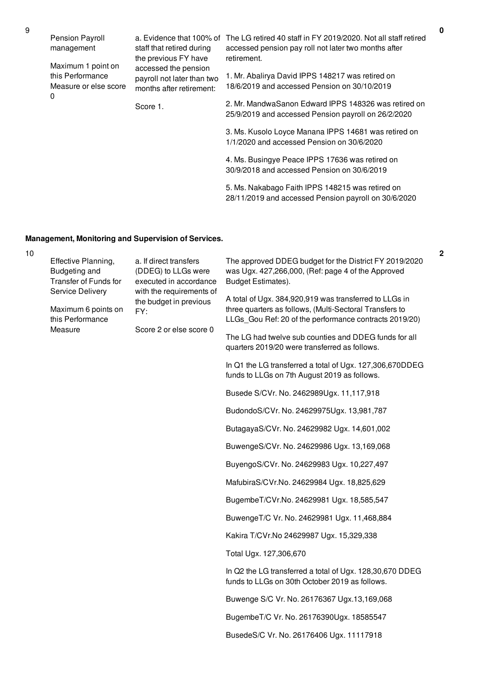| Pension Payroll<br>management                                   | staff that retired during<br>the previous FY have                              | a. Evidence that 100% of The LG retired 40 staff in FY 2019/2020. Not all staff retired<br>accessed pension pay roll not later two months after<br>retirement. |
|-----------------------------------------------------------------|--------------------------------------------------------------------------------|----------------------------------------------------------------------------------------------------------------------------------------------------------------|
| Maximum 1 point on<br>this Performance<br>Measure or else score | accessed the pension<br>payroll not later than two<br>months after retirement: | 1. Mr. Abalirya David IPPS 148217 was retired on<br>18/6/2019 and accessed Pension on 30/10/2019                                                               |
| 0                                                               | Score 1.                                                                       | 2. Mr. MandwaSanon Edward IPPS 148326 was retired on<br>25/9/2019 and accessed Pension payroll on 26/2/2020                                                    |
|                                                                 |                                                                                | 3. Ms. Kusolo Loyce Manana IPPS 14681 was retired on<br>1/1/2020 and accessed Pension on 30/6/2020                                                             |
|                                                                 |                                                                                | 4. Ms. Busingye Peace IPPS 17636 was retired on<br>30/9/2018 and accessed Pension on 30/6/2019                                                                 |
|                                                                 |                                                                                | 5. Ms. Nakabago Faith IPPS 148215 was retired on                                                                                                               |

28/11/2019 and accessed Pension payroll on 30/6/2020

# **Management, Monitoring and Supervision of Services.**

|  | Effective Planning,<br><b>Budgeting and</b><br>Transfer of Funds for<br>with the requirements of<br>Service Delivery<br>Maximum 6 points on<br>FY:<br>this Performance<br>Measure | a. If direct transfers<br>(DDEG) to LLGs were<br>executed in accordance | The approved DDEG budget for the District FY 2019/2020<br>was Ugx. 427,266,000, (Ref: page 4 of the Approved<br>Budget Estimates).                                          |
|--|-----------------------------------------------------------------------------------------------------------------------------------------------------------------------------------|-------------------------------------------------------------------------|-----------------------------------------------------------------------------------------------------------------------------------------------------------------------------|
|  |                                                                                                                                                                                   | the budget in previous<br>Score 2 or else score 0                       | A total of Ugx. 384,920,919 was transferred to LLGs in<br>three quarters as follows, (Multi-Sectoral Transfers to<br>LLGs_Gou Ref: 20 of the performance contracts 2019/20) |
|  |                                                                                                                                                                                   |                                                                         | The LG had twelve sub counties and DDEG funds for all<br>quarters 2019/20 were transferred as follows.                                                                      |
|  |                                                                                                                                                                                   |                                                                         | In Q1 the LG transferred a total of Ugx. 127,306,670DDEG<br>funds to LLGs on 7th August 2019 as follows.                                                                    |
|  |                                                                                                                                                                                   |                                                                         | Busede S/CVr. No. 2462989Ugx. 11,117,918                                                                                                                                    |
|  |                                                                                                                                                                                   |                                                                         | BudondoS/CVr. No. 24629975Ugx. 13,981,787                                                                                                                                   |
|  |                                                                                                                                                                                   |                                                                         | ButagayaS/CVr. No. 24629982 Ugx. 14,601,002                                                                                                                                 |
|  |                                                                                                                                                                                   |                                                                         | BuwengeS/CVr. No. 24629986 Ugx. 13,169,068                                                                                                                                  |
|  |                                                                                                                                                                                   |                                                                         | BuyengoS/CVr. No. 24629983 Ugx. 10,227,497                                                                                                                                  |
|  |                                                                                                                                                                                   |                                                                         | MafubiraS/CVr.No. 24629984 Ugx. 18,825,629                                                                                                                                  |
|  |                                                                                                                                                                                   |                                                                         | BugembeT/CVr.No. 24629981 Ugx. 18,585,547                                                                                                                                   |
|  |                                                                                                                                                                                   |                                                                         | BuwengeT/C Vr. No. 24629981 Ugx. 11,468,884                                                                                                                                 |
|  |                                                                                                                                                                                   |                                                                         | Kakira T/CVr.No 24629987 Ugx. 15,329,338                                                                                                                                    |
|  |                                                                                                                                                                                   |                                                                         | Total Ugx. 127,306,670                                                                                                                                                      |
|  |                                                                                                                                                                                   |                                                                         | In Q2 the LG transferred a total of Ugx. 128,30,670 DDEG<br>funds to LLGs on 30th October 2019 as follows.                                                                  |
|  |                                                                                                                                                                                   |                                                                         | Buwenge S/C Vr. No. 26176367 Ugx.13,169,068                                                                                                                                 |
|  |                                                                                                                                                                                   |                                                                         | BugembeT/C Vr. No. 26176390Ugx. 18585547                                                                                                                                    |
|  |                                                                                                                                                                                   |                                                                         | BusedeS/C Vr. No. 26176406 Ugx. 11117918                                                                                                                                    |

10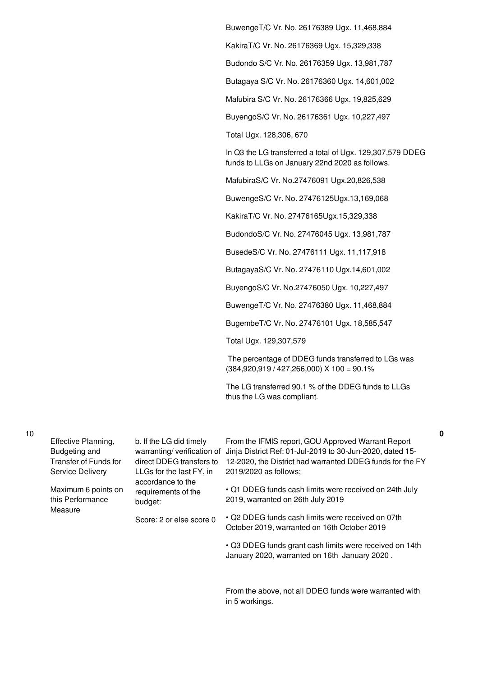BuwengeT/C Vr. No. 26176389 Ugx. 11,468,884 KakiraT/C Vr. No. 26176369 Ugx. 15,329,338 Budondo S/C Vr. No. 26176359 Ugx. 13,981,787 Butagaya S/C Vr. No. 26176360 Ugx. 14,601,002 Mafubira S/C Vr. No. 26176366 Ugx. 19,825,629 BuyengoS/C Vr. No. 26176361 Ugx. 10,227,497 Total Ugx. 128,306, 670 In Q3 the LG transferred a total of Ugx. 129,307,579 DDEG funds to LLGs on January 22nd 2020 as follows. MafubiraS/C Vr. No.27476091 Ugx.20,826,538 BuwengeS/C Vr. No. 27476125Ugx.13,169,068 KakiraT/C Vr. No. 27476165Ugx.15,329,338 BudondoS/C Vr. No. 27476045 Ugx. 13,981,787 BusedeS/C Vr. No. 27476111 Ugx. 11,117,918 ButagayaS/C Vr. No. 27476110 Ugx.14,601,002 BuyengoS/C Vr. No.27476050 Ugx. 10,227,497 BuwengeT/C Vr. No. 27476380 Ugx. 11,468,884 BugembeT/C Vr. No. 27476101 Ugx. 18,585,547 Total Ugx. 129,307,579 The percentage of DDEG funds transferred to LGs was  $(384,920,919 / 427,266,000)$  X  $100 = 90.1%$ The LG transferred 90.1 % of the DDEG funds to LLGs thus the LG was compliant.

| × | ٧<br>I<br>I<br>٠<br>۰. |  |
|---|------------------------|--|
|   |                        |  |

|  | Effective Planning,<br>Budgeting and<br>Transfer of Funds for<br>Service Delivery | b. If the LG did timely<br>warranting/verification of<br>direct DDEG transfers to<br>LLGs for the last FY, in | From the IFMIS report, GOU Approved Warrant Report<br>Jinja District Ref: 01-Jul-2019 to 30-Jun-2020, dated 15-<br>12-2020, the District had warranted DDEG funds for the FY<br>2019/2020 as follows; |
|--|-----------------------------------------------------------------------------------|---------------------------------------------------------------------------------------------------------------|-------------------------------------------------------------------------------------------------------------------------------------------------------------------------------------------------------|
|  | Maximum 6 points on<br>this Performance                                           | accordance to the<br>requirements of the<br>budget:                                                           | • Q1 DDEG funds cash limits were received on 24th July<br>2019, warranted on 26th July 2019                                                                                                           |
|  | Measure                                                                           | Score: 2 or else score 0                                                                                      | • Q2 DDEG funds cash limits were received on 07th<br>October 2019, warranted on 16th October 2019                                                                                                     |
|  |                                                                                   |                                                                                                               | • Q3 DDEG funds grant cash limits were received on 14th<br>January 2020, warranted on 16th January 2020.                                                                                              |
|  |                                                                                   |                                                                                                               |                                                                                                                                                                                                       |

From the above, not all DDEG funds were warranted with in 5 workings.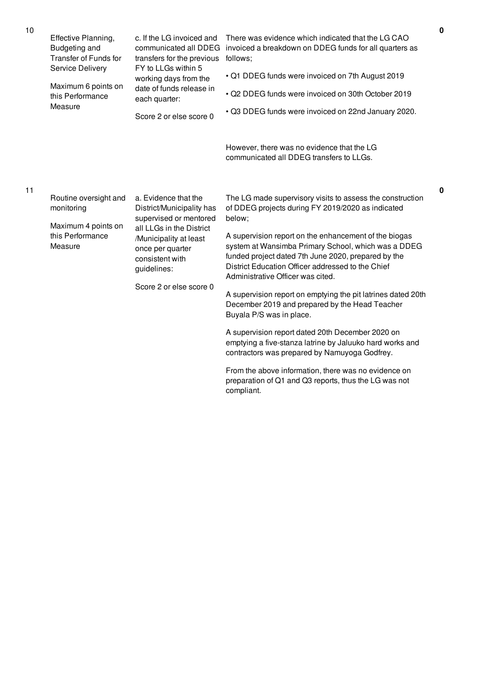| Effective Planning,<br><b>Budgeting and</b><br><b>Transfer of Funds for</b><br>Service Delivery | c. If the LG invoiced and<br>communicated all DDEG<br>transfers for the previous<br>FY to LLGs within 5                             | There was evidence which indicated that the LG CAO<br>invoiced a breakdown on DDEG funds for all quarters as<br>follows;                                                                                                                                      |
|-------------------------------------------------------------------------------------------------|-------------------------------------------------------------------------------------------------------------------------------------|---------------------------------------------------------------------------------------------------------------------------------------------------------------------------------------------------------------------------------------------------------------|
|                                                                                                 | working days from the<br>date of funds release in<br>each quarter:                                                                  | • Q1 DDEG funds were invoiced on 7th August 2019                                                                                                                                                                                                              |
| Maximum 6 points on<br>this Performance                                                         |                                                                                                                                     | · Q2 DDEG funds were invoiced on 30th October 2019                                                                                                                                                                                                            |
| Measure                                                                                         | Score 2 or else score 0                                                                                                             | • Q3 DDEG funds were invoiced on 22nd January 2020.                                                                                                                                                                                                           |
|                                                                                                 |                                                                                                                                     | However, there was no evidence that the LG<br>communicated all DDEG transfers to LLGs.                                                                                                                                                                        |
| Routine oversight and<br>monitoring                                                             | a. Evidence that the<br>District/Municipality has<br>supervised or mentored                                                         | The LG made supervisory visits to assess the construction<br>of DDEG projects during FY 2019/2020 as indicated<br>below;                                                                                                                                      |
| Maximum 4 points on<br>this Performance<br>Measure                                              | all LLGs in the District<br>/Municipality at least<br>once per quarter<br>consistent with<br>guidelines:<br>Score 2 or else score 0 | A supervision report on the enhancement of the biogas<br>system at Wansimba Primary School, which was a DDEG<br>funded project dated 7th June 2020, prepared by the<br>District Education Officer addressed to the Chief<br>Administrative Officer was cited. |
|                                                                                                 |                                                                                                                                     | A supervision report on emptying the pit latrines dated 20th<br>December 2019 and prepared by the Head Teacher<br>Buyala P/S was in place.                                                                                                                    |
|                                                                                                 |                                                                                                                                     | A supervision report dated 20th December 2020 on<br>emptying a five-stanza latrine by Jaluuko hard works and<br>contractors was prepared by Namuyoga Godfrey.                                                                                                 |
|                                                                                                 |                                                                                                                                     | From the above information, there was no evidence on<br>preparation of Q1 and Q3 reports, thus the LG was not<br>compliant.                                                                                                                                   |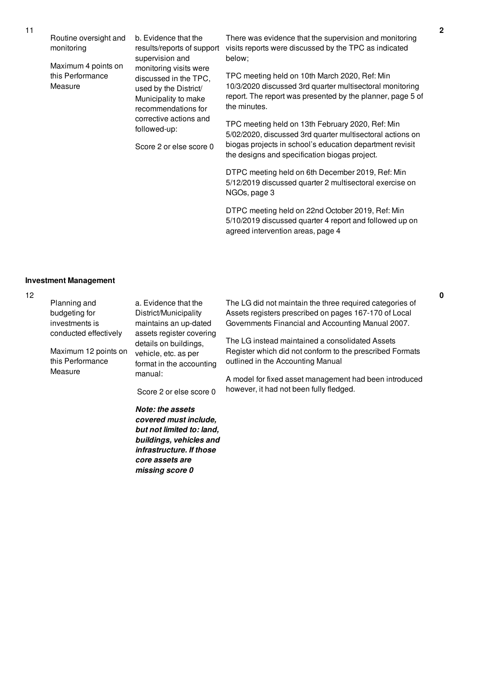Routine oversight and monitoring

Maximum 4 points on this Performance Measure

b. Evidence that the results/reports of support supervision and monitoring visits were discussed in the TPC, used by the District/ Municipality to make recommendations for corrective actions and followed-up:

Score 2 or else score 0

*infrastructure. If those core assets are missing score 0*

There was evidence that the supervision and monitoring visits reports were discussed by the TPC as indicated below;

TPC meeting held on 10th March 2020, Ref: Min 10/3/2020 discussed 3rd quarter multisectoral monitoring report. The report was presented by the planner, page 5 of the minutes.

TPC meeting held on 13th February 2020, Ref: Min 5/02/2020, discussed 3rd quarter multisectoral actions on biogas projects in school's education department revisit the designs and specification biogas project.

DTPC meeting held on 6th December 2019, Ref: Min 5/12/2019 discussed quarter 2 multisectoral exercise on NGOs, page 3

DTPC meeting held on 22nd October 2019, Ref: Min 5/10/2019 discussed quarter 4 report and followed up on agreed intervention areas, page 4

### **Investment Management**

| Planning and                                  | a. Evidence that the                                                                                     | The LG did not maintain the three required categories of                                                    |
|-----------------------------------------------|----------------------------------------------------------------------------------------------------------|-------------------------------------------------------------------------------------------------------------|
| budgeting for                                 | District/Municipality                                                                                    | Assets registers prescribed on pages 167-170 of Local                                                       |
| investments is                                | maintains an up-dated                                                                                    | Governments Financial and Accounting Manual 2007.                                                           |
| conducted effectively<br>Maximum 12 points on | assets register covering<br>details on buildings,<br>vehicle, etc. as per                                | The LG instead maintained a consolidated Assets<br>Register which did not conform to the prescribed Formats |
| this Performance                              | format in the accounting                                                                                 | outlined in the Accounting Manual                                                                           |
| Measure                                       | manual:                                                                                                  | A model for fixed asset management had been introduced                                                      |
|                                               | Score 2 or else score 0                                                                                  | however, it had not been fully fledged.                                                                     |
|                                               | <b>Note: the assets</b><br>covered must include,<br>but not limited to: land,<br>buildings, vehicles and |                                                                                                             |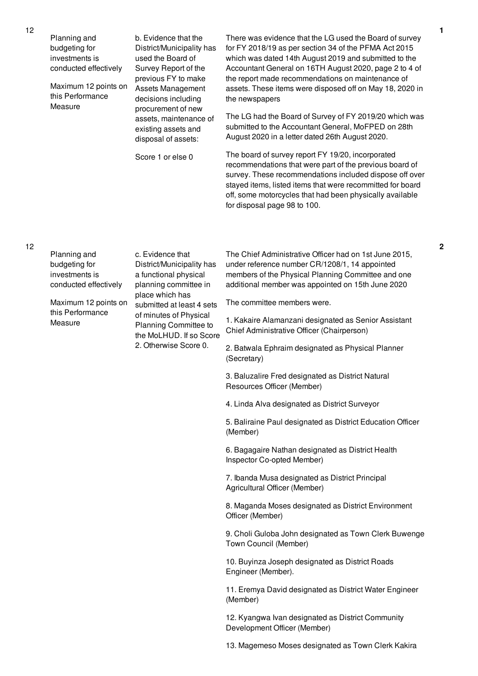| Planning and<br>budgeting for<br>investments is<br>conducted effectively<br>Maximum 12 points on<br>this Performance | b. Evidence that the<br>District/Municipality has<br>used the Board of<br>Survey Report of the<br>previous FY to make<br><b>Assets Management</b><br>decisions including<br>procurement of new<br>assets, maintenance of<br>existing assets and<br>disposal of assets: | There was evidence that the LG used the Board of survey<br>for FY 2018/19 as per section 34 of the PFMA Act 2015<br>which was dated 14th August 2019 and submitted to the<br>Accountant General on 16TH August 2020, page 2 to 4 of<br>the report made recommendations on maintenance of<br>assets. These items were disposed off on May 18, 2020 in<br>the newspapers |
|----------------------------------------------------------------------------------------------------------------------|------------------------------------------------------------------------------------------------------------------------------------------------------------------------------------------------------------------------------------------------------------------------|------------------------------------------------------------------------------------------------------------------------------------------------------------------------------------------------------------------------------------------------------------------------------------------------------------------------------------------------------------------------|
| Measure                                                                                                              |                                                                                                                                                                                                                                                                        | The LG had the Board of Survey of FY 2019/20 which was<br>submitted to the Accountant General, MoFPED on 28th<br>August 2020 in a letter dated 26th August 2020.                                                                                                                                                                                                       |
|                                                                                                                      | Score 1 or else 0                                                                                                                                                                                                                                                      | The board of survey report FY 19/20, incorporated<br>recommendations that were part of the previous board of<br>survey. These recommendations included dispose off over<br>stayed items, listed items that were recommitted for board<br>off, some motorcycles that had been physically available<br>for disposal page 98 to 100.                                      |
| Planning and<br>budgeting for<br>investments is<br>conducted effectively                                             | c. Evidence that<br>District/Municipality has<br>a functional physical<br>planning committee in                                                                                                                                                                        | The Chief Administrative Officer had on 1st June 2015,<br>under reference number CR/1208/1, 14 appointed<br>members of the Physical Planning Committee and one<br>additional member was appointed on 15th June 2020                                                                                                                                                    |
| Maximum 12 points on                                                                                                 | place which has<br>submitted at least 4 sets<br>of minutes of Physical<br>Planning Committee to<br>the MoLHUD. If so Score<br>2. Otherwise Score 0.                                                                                                                    | The committee members were.                                                                                                                                                                                                                                                                                                                                            |
| this Performance<br>Measure                                                                                          |                                                                                                                                                                                                                                                                        | 1. Kakaire Alamanzani designated as Senior Assistant<br>Chief Administrative Officer (Chairperson)                                                                                                                                                                                                                                                                     |
|                                                                                                                      |                                                                                                                                                                                                                                                                        | 2. Batwala Ephraim designated as Physical Planner<br>(Secretary)                                                                                                                                                                                                                                                                                                       |
|                                                                                                                      |                                                                                                                                                                                                                                                                        | 3. Baluzalire Fred designated as District Natural<br>Resources Officer (Member)                                                                                                                                                                                                                                                                                        |
|                                                                                                                      |                                                                                                                                                                                                                                                                        | 4. Linda Alva designated as District Surveyor                                                                                                                                                                                                                                                                                                                          |
|                                                                                                                      |                                                                                                                                                                                                                                                                        | 5. Baliraine Paul designated as District Education Officer<br>(Member)                                                                                                                                                                                                                                                                                                 |
|                                                                                                                      |                                                                                                                                                                                                                                                                        | 6. Bagagaire Nathan designated as District Health<br>Inspector Co-opted Member)                                                                                                                                                                                                                                                                                        |
|                                                                                                                      |                                                                                                                                                                                                                                                                        | 7. Ibanda Musa designated as District Principal<br>Agricultural Officer (Member)                                                                                                                                                                                                                                                                                       |
|                                                                                                                      |                                                                                                                                                                                                                                                                        | 8. Maganda Moses designated as District Environment<br>Officer (Member)                                                                                                                                                                                                                                                                                                |
|                                                                                                                      |                                                                                                                                                                                                                                                                        | 9. Choli Guloba John designated as Town Clerk Buwenge<br>Town Council (Member)                                                                                                                                                                                                                                                                                         |

10. Buyinza Joseph designated as District Roads Engineer (Member).

11. Eremya David designated as District Water Engineer (Member)

12. Kyangwa Ivan designated as District Community Development Officer (Member)

13. Magemeso Moses designated as Town Clerk Kakira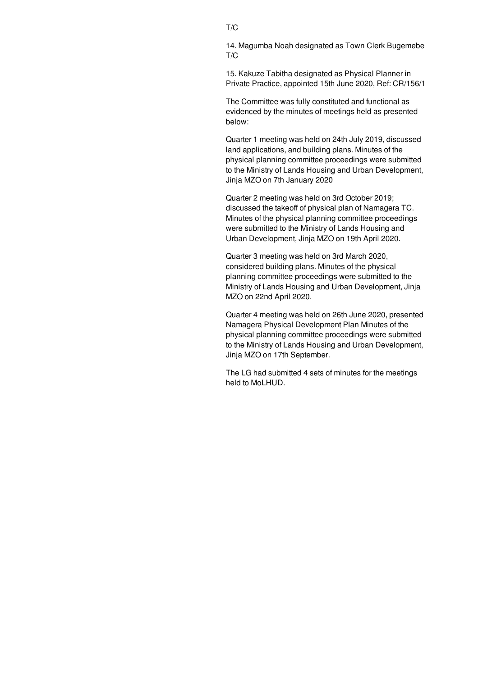14. Magumba Noah designated as Town Clerk Bugemebe T/C

15. Kakuze Tabitha designated as Physical Planner in Private Practice, appointed 15th June 2020, Ref: CR/156/1

The Committee was fully constituted and functional as evidenced by the minutes of meetings held as presented below:

Quarter 1 meeting was held on 24th July 2019, discussed land applications, and building plans. Minutes of the physical planning committee proceedings were submitted to the Ministry of Lands Housing and Urban Development, Jinja MZO on 7th January 2020

Quarter 2 meeting was held on 3rd October 2019; discussed the takeoff of physical plan of Namagera TC. Minutes of the physical planning committee proceedings were submitted to the Ministry of Lands Housing and Urban Development, Jinja MZO on 19th April 2020.

Quarter 3 meeting was held on 3rd March 2020, considered building plans. Minutes of the physical planning committee proceedings were submitted to the Ministry of Lands Housing and Urban Development, Jinja MZO on 22nd April 2020.

Quarter 4 meeting was held on 26th June 2020, presented Namagera Physical Development Plan Minutes of the physical planning committee proceedings were submitted to the Ministry of Lands Housing and Urban Development, Jinja MZO on 17th September.

The LG had submitted 4 sets of minutes for the meetings held to MoLHUD.

## T/C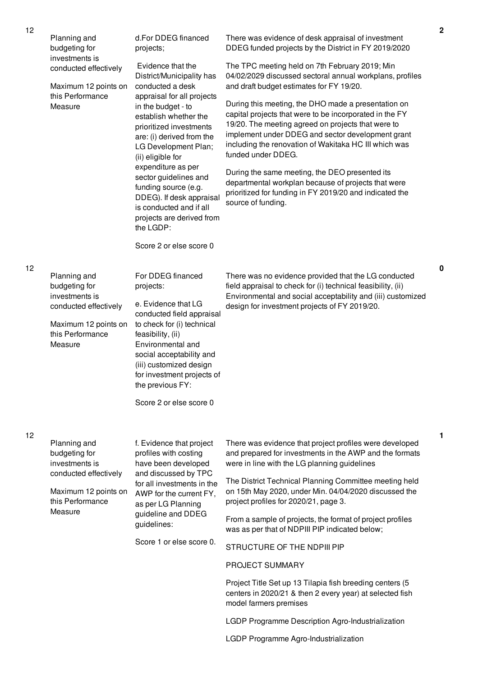|    | Planning and<br>budgeting for                                                                                                   | d.For DDEG financed<br>projects;                                                                                                                                                                                                                                                               | There was evidence of desk appraisal of investment<br>DDEG funded projects by the District in FY 2019/2020                                                                                                                                                                                                                                                                                                                                                                   |
|----|---------------------------------------------------------------------------------------------------------------------------------|------------------------------------------------------------------------------------------------------------------------------------------------------------------------------------------------------------------------------------------------------------------------------------------------|------------------------------------------------------------------------------------------------------------------------------------------------------------------------------------------------------------------------------------------------------------------------------------------------------------------------------------------------------------------------------------------------------------------------------------------------------------------------------|
|    | investments is<br>conducted effectively<br>Maximum 12 points on<br>this Performance                                             | Evidence that the<br>District/Municipality has<br>conducted a desk<br>appraisal for all projects                                                                                                                                                                                               | The TPC meeting held on 7th February 2019; Min<br>04/02/2029 discussed sectoral annual workplans, profiles<br>and draft budget estimates for FY 19/20.                                                                                                                                                                                                                                                                                                                       |
|    | Measure                                                                                                                         | in the budget - to<br>establish whether the<br>prioritized investments<br>are: (i) derived from the<br>LG Development Plan;<br>(ii) eligible for<br>expenditure as per<br>sector guidelines and<br>funding source (e.g.<br>DDEG). If desk appraisal                                            | During this meeting, the DHO made a presentation on<br>capital projects that were to be incorporated in the FY<br>19/20. The meeting agreed on projects that were to<br>implement under DDEG and sector development grant<br>including the renovation of Wakitaka HC III which was<br>funded under DDEG.<br>During the same meeting, the DEO presented its<br>departmental workplan because of projects that were<br>prioritized for funding in FY 2019/20 and indicated the |
|    |                                                                                                                                 | is conducted and if all<br>projects are derived from<br>the LGDP:                                                                                                                                                                                                                              | source of funding.                                                                                                                                                                                                                                                                                                                                                                                                                                                           |
|    |                                                                                                                                 | Score 2 or else score 0                                                                                                                                                                                                                                                                        |                                                                                                                                                                                                                                                                                                                                                                                                                                                                              |
| 12 | Planning and<br>budgeting for<br>investments is<br>conducted effectively<br>Maximum 12 points on<br>this Performance<br>Measure | For DDEG financed<br>projects:<br>e. Evidence that LG<br>conducted field appraisal<br>to check for (i) technical<br>feasibility, (ii)<br>Environmental and<br>social acceptability and<br>(iii) customized design<br>for investment projects of<br>the previous FY:<br>Score 2 or else score 0 | There was no evidence provided that the LG conducted<br>field appraisal to check for (i) technical feasibility, (ii)<br>Environmental and social acceptability and (iii) customized<br>design for investment projects of FY 2019/20.                                                                                                                                                                                                                                         |
| 12 | Planning and<br>budgeting for<br>investments is<br>conducted effectively                                                        | f. Evidence that project<br>profiles with costing<br>have been developed<br>and discussed by TPC                                                                                                                                                                                               | There was evidence that project profiles were developed<br>and prepared for investments in the AWP and the formats<br>were in line with the LG planning guidelines                                                                                                                                                                                                                                                                                                           |
|    | Maximum 12 points on<br>this Performance<br>Measure                                                                             | for all investments in the<br>AWP for the current FY,<br>as per LG Planning<br>guideline and DDEG<br>guidelines:                                                                                                                                                                               | The District Technical Planning Committee meeting held<br>on 15th May 2020, under Min. 04/04/2020 discussed the<br>project profiles for 2020/21, page 3.                                                                                                                                                                                                                                                                                                                     |
|    |                                                                                                                                 |                                                                                                                                                                                                                                                                                                | From a sample of projects, the format of project profiles<br>was as per that of NDPIII PIP indicated below;                                                                                                                                                                                                                                                                                                                                                                  |
|    |                                                                                                                                 | Score 1 or else score 0.                                                                                                                                                                                                                                                                       | STRUCTURE OF THE NDPIII PIP                                                                                                                                                                                                                                                                                                                                                                                                                                                  |
|    |                                                                                                                                 |                                                                                                                                                                                                                                                                                                | PROJECT SUMMARY                                                                                                                                                                                                                                                                                                                                                                                                                                                              |
|    |                                                                                                                                 |                                                                                                                                                                                                                                                                                                | Project Title Set up 13 Tilapia fish breeding centers (5<br>centers in 2020/21 & then 2 every year) at selected fish<br>model farmers premises                                                                                                                                                                                                                                                                                                                               |
|    |                                                                                                                                 |                                                                                                                                                                                                                                                                                                | LGDP Programme Description Agro-Industrialization                                                                                                                                                                                                                                                                                                                                                                                                                            |
|    |                                                                                                                                 |                                                                                                                                                                                                                                                                                                | LGDP Programme Agro-Industrialization                                                                                                                                                                                                                                                                                                                                                                                                                                        |

**1**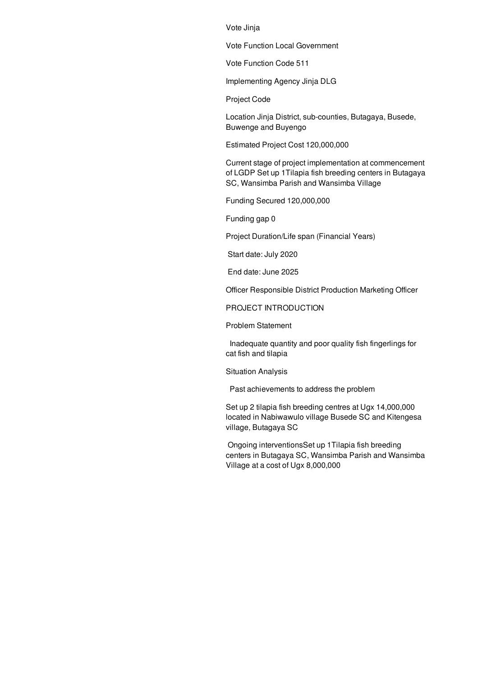Vote Jinja

Vote Function Local Government

Vote Function Code 511

Implementing Agency Jinja DLG

Project Code

Location Jinja District, sub-counties, Butagaya, Busede, Buwenge and Buyengo

Estimated Project Cost 120,000,000

Current stage of project implementation at commencement of LGDP Set up 1Tilapia fish breeding centers in Butagaya SC, Wansimba Parish and Wansimba Village

Funding Secured 120,000,000

Funding gap 0

Project Duration/Life span (Financial Years)

Start date: July 2020

End date: June 2025

Officer Responsible District Production Marketing Officer

PROJECT INTRODUCTION

Problem Statement

Inadequate quantity and poor quality fish fingerlings for cat fish and tilapia

Situation Analysis

Past achievements to address the problem

Set up 2 tilapia fish breeding centres at Ugx 14,000,000 located in Nabiwawulo village Busede SC and Kitengesa village, Butagaya SC

Ongoing interventionsSet up 1Tilapia fish breeding centers in Butagaya SC, Wansimba Parish and Wansimba Village at a cost of Ugx 8,000,000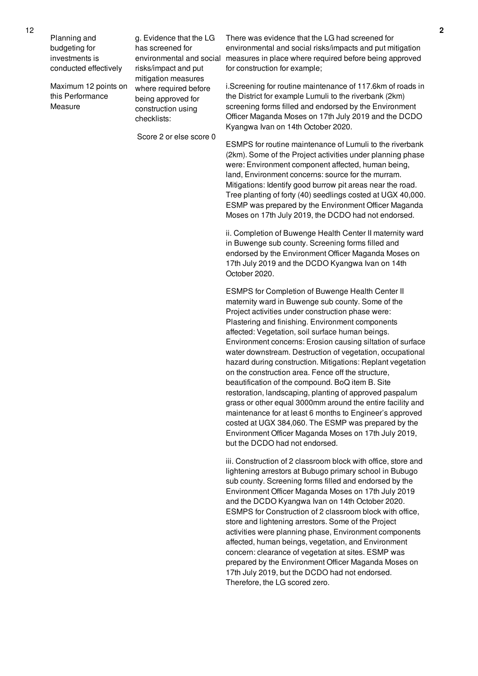Planning and budgeting for investments is conducted effectively

Maximum 12 points on this Performance Measure

g. Evidence that the LG has screened for environmental and social risks/impact and put mitigation measures where required before being approved for construction using checklists:

Score 2 or else score 0

There was evidence that the LG had screened for environmental and social risks/impacts and put mitigation measures in place where required before being approved for construction for example;

i.Screening for routine maintenance of 117.6km of roads in the District for example Lumuli to the riverbank (2km) screening forms filled and endorsed by the Environment Officer Maganda Moses on 17th July 2019 and the DCDO Kyangwa Ivan on 14th October 2020.

ESMPS for routine maintenance of Lumuli to the riverbank (2km). Some of the Project activities under planning phase were: Environment component affected, human being, land, Environment concerns: source for the murram. Mitigations: Identify good burrow pit areas near the road. Tree planting of forty (40) seedlings costed at UGX 40,000. ESMP was prepared by the Environment Officer Maganda Moses on 17th July 2019, the DCDO had not endorsed.

ii. Completion of Buwenge Health Center II maternity ward in Buwenge sub county. Screening forms filled and endorsed by the Environment Officer Maganda Moses on 17th July 2019 and the DCDO Kyangwa Ivan on 14th October 2020.

ESMPS for Completion of Buwenge Health Center II maternity ward in Buwenge sub county. Some of the Project activities under construction phase were: Plastering and finishing. Environment components affected: Vegetation, soil surface human beings. Environment concerns: Erosion causing siltation of surface water downstream. Destruction of vegetation, occupational hazard during construction. Mitigations: Replant vegetation on the construction area. Fence off the structure, beautification of the compound. BoQ item B. Site restoration, landscaping, planting of approved paspalum grass or other equal 3000mm around the entire facility and maintenance for at least 6 months to Engineer's approved costed at UGX 384,060. The ESMP was prepared by the Environment Officer Maganda Moses on 17th July 2019, but the DCDO had not endorsed.

iii. Construction of 2 classroom block with office, store and lightening arrestors at Bubugo primary school in Bubugo sub county. Screening forms filled and endorsed by the Environment Officer Maganda Moses on 17th July 2019 and the DCDO Kyangwa Ivan on 14th October 2020. ESMPS for Construction of 2 classroom block with office, store and lightening arrestors. Some of the Project activities were planning phase, Environment components affected, human beings, vegetation, and Environment concern: clearance of vegetation at sites. ESMP was prepared by the Environment Officer Maganda Moses on 17th July 2019, but the DCDO had not endorsed. Therefore, the LG scored zero.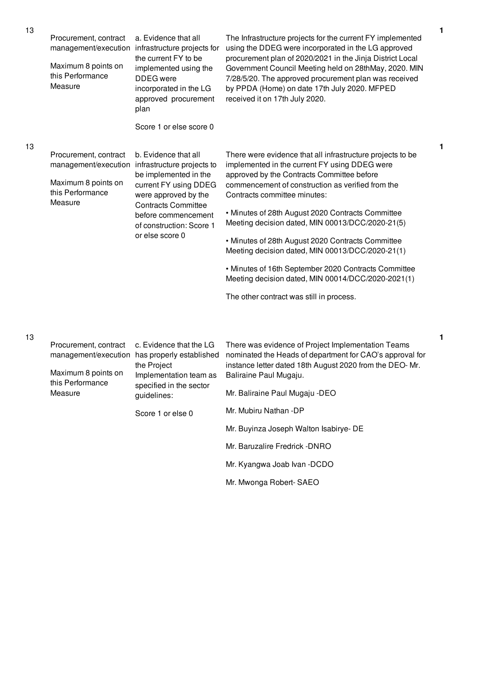| 13 | Procurement, contract<br>Maximum 8 points on<br>this Performance<br>Measure                         | a. Evidence that all<br>management/execution infrastructure projects for<br>the current FY to be<br>implemented using the<br><b>DDEG</b> were<br>incorporated in the LG<br>approved procurement<br>plan<br>Score 1 or else score 0                    | The Infrastructure projects for the current FY implemented<br>using the DDEG were incorporated in the LG approved<br>procurement plan of 2020/2021 in the Jinja District Local<br>Government Council Meeting held on 28thMay, 2020. MIN<br>7/28/5/20. The approved procurement plan was received<br>by PPDA (Home) on date 17th July 2020. MFPED<br>received it on 17th July 2020.                                                                                                                                                                                                                                         |
|----|-----------------------------------------------------------------------------------------------------|-------------------------------------------------------------------------------------------------------------------------------------------------------------------------------------------------------------------------------------------------------|----------------------------------------------------------------------------------------------------------------------------------------------------------------------------------------------------------------------------------------------------------------------------------------------------------------------------------------------------------------------------------------------------------------------------------------------------------------------------------------------------------------------------------------------------------------------------------------------------------------------------|
| 13 | Procurement, contract<br>Maximum 8 points on<br>this Performance<br>Measure                         | b. Evidence that all<br>management/execution infrastructure projects to<br>be implemented in the<br>current FY using DDEG<br>were approved by the<br><b>Contracts Committee</b><br>before commencement<br>of construction: Score 1<br>or else score 0 | There were evidence that all infrastructure projects to be<br>implemented in the current FY using DDEG were<br>approved by the Contracts Committee before<br>commencement of construction as verified from the<br>Contracts committee minutes:<br>• Minutes of 28th August 2020 Contracts Committee<br>Meeting decision dated, MIN 00013/DCC/2020-21(5)<br>• Minutes of 28th August 2020 Contracts Committee<br>Meeting decision dated, MIN 00013/DCC/2020-21(1)<br>• Minutes of 16th September 2020 Contracts Committee<br>Meeting decision dated, MIN 00014/DCC/2020-2021(1)<br>The other contract was still in process. |
| 13 | Procurement, contract<br>management/execution<br>Maximum 8 points on<br>this Performance<br>Measure | c. Evidence that the LG<br>has properly established<br>the Project<br>Implementation team as<br>specified in the sector<br>guidelines:<br>Score 1 or else 0                                                                                           | There was evidence of Project Implementation Teams<br>nominated the Heads of department for CAO's approval for<br>instance letter dated 18th August 2020 from the DEO-Mr.<br>Baliraine Paul Mugaju.<br>Mr. Baliraine Paul Mugaju -DEO<br>Mr. Mubiru Nathan -DP<br>Mr. Buyinza Joseph Walton Isabirye- DE<br>Mr. Baruzalire Fredrick -DNRO                                                                                                                                                                                                                                                                                  |

Mr. Kyangwa Joab Ivan -DCDO

**1**

**1**

**1**

Mr. Mwonga Robert- SAEO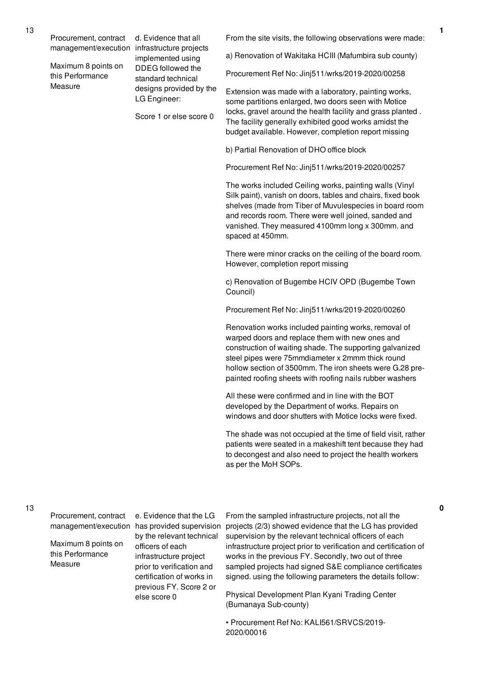Procurement, contract management/execution infrastructure projects

Maximum 8 points on this Performance Measure

d. Evidence that all implemented using DDEG followed the standard technical designs provided by the LG Engineer:

Score 1 or else score 0

From the site visits, the following observations were made:

a) Renovation of Wakitaka HCIII (Mafumbira sub county)

Procurement Ref No: Jinj511/wrks/2019-2020/00258

Extension was made with a laboratory, painting works, some partitions enlarged, two doors seen with Motice locks, gravel around the health facility and grass planted . The facility generally exhibited good works amidst the budget available. However, completion report missing

b) Partial Renovation of DHO office block

Procurement Ref No: Jinj511/wrks/2019-2020/00257

The works included Ceiling works, painting walls (Vinyl Silk paint), vanish on doors, tables and chairs, fixed book shelves (made from Tiber of Muvulespecies in board room and records room. There were well joined, sanded and vanished. They measured 4100mm long x 300mm. and spaced at 450mm.

There were minor cracks on the ceiling of the board room. However, completion report missing

c) Renovation of Bugembe HCIV OPD (Bugembe Town Council)

Procurement Ref No: Jinj511/wrks/2019-2020/00260

Renovation works included painting works, removal of warped doors and replace them with new ones and construction of waiting shade. The supporting galvanized steel pipes were 75mmdiameter x 2mmm thick round hollow section of 3500mm. The iron sheets were G.28 prepainted roofing sheets with roofing nails rubber washers

All these were confirmed and in line with the BOT developed by the Department of works. Repairs on windows and door shutters with Motice locks were fixed.

The shade was not occupied at the time of field visit, rather patients were seated in a makeshift tent because they had to decongest and also need to project the health workers as per the MoH SOPs.

Procurement, contract

13

Maximum 8 points on this Performance **Measure** 

e. Evidence that the LG by the relevant technical officers of each infrastructure project prior to verification and certification of works in previous FY. Score 2 or else score 0

management/execution has provided supervision projects (2/3) showed evidence that the LG has provided From the sampled infrastructure projects, not all the supervision by the relevant technical officers of each infrastructure project prior to verification and certification of works in the previous FY. Secondly, two out of three sampled projects had signed S&E compliance certificates signed. using the following parameters the details follow:

> Physical Development Plan Kyani Trading Center (Bumanaya Sub-county)

• Procurement Ref No: KALI561/SRVCS/2019- 2020/00016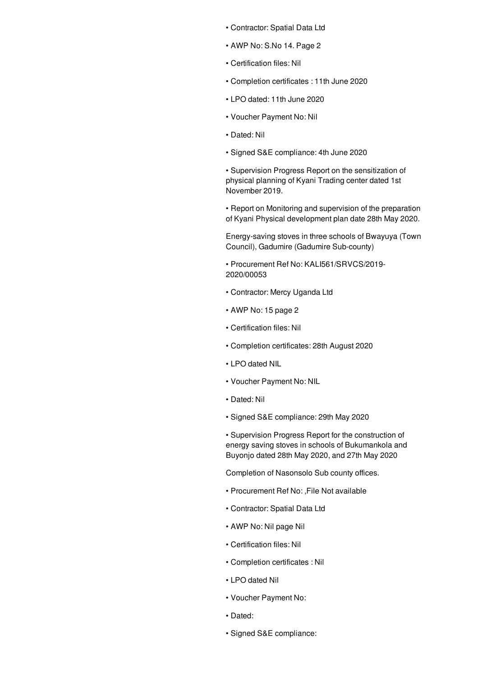- Contractor: Spatial Data Ltd
- AWP No: S.No 14. Page 2
- Certification files: Nil
- Completion certificates : 11th June 2020
- LPO dated: 11th June 2020
- Voucher Payment No: Nil
- Dated: Nil
- Signed S&E compliance: 4th June 2020

• Supervision Progress Report on the sensitization of physical planning of Kyani Trading center dated 1st November 2019.

• Report on Monitoring and supervision of the preparation of Kyani Physical development plan date 28th May 2020.

Energy-saving stoves in three schools of Bwayuya (Town Council), Gadumire (Gadumire Sub-county)

• Procurement Ref No: KALI561/SRVCS/2019- 2020/00053

- Contractor: Mercy Uganda Ltd
- AWP No: 15 page 2
- Certification files: Nil
- Completion certificates: 28th August 2020
- LPO dated NIL
- Voucher Payment No: NIL
- Dated: Nil
- Signed S&E compliance: 29th May 2020

• Supervision Progress Report for the construction of energy saving stoves in schools of Bukumankola and Buyonjo dated 28th May 2020, and 27th May 2020

Completion of Nasonsolo Sub county offices.

- Procurement Ref No: ,File Not available
- Contractor: Spatial Data Ltd
- AWP No: Nil page Nil
- Certification files: Nil
- Completion certificates : Nil
- LPO dated Nil
- Voucher Payment No:
- Dated:
- Signed S&E compliance: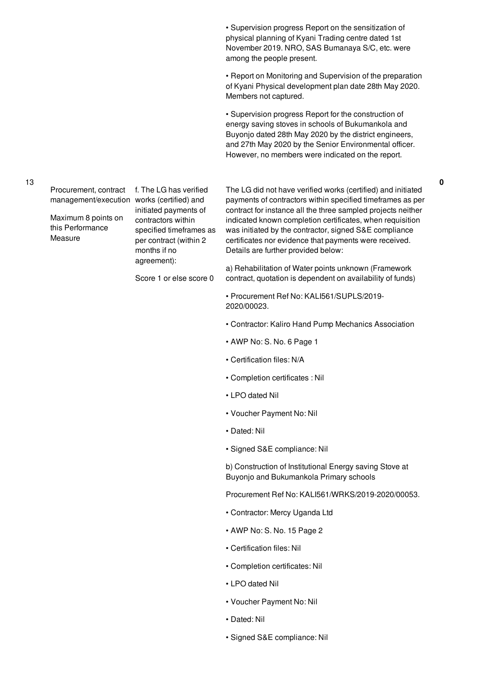• Supervision progress Report on the sensitization of physical planning of Kyani Trading centre dated 1st November 2019. NRO, SAS Bumanaya S/C, etc. were among the people present.

• Report on Monitoring and Supervision of the preparation of Kyani Physical development plan date 28th May 2020. Members not captured.

• Supervision progress Report for the construction of energy saving stoves in schools of Bukumankola and Buyonjo dated 28th May 2020 by the district engineers, and 27th May 2020 by the Senior Environmental officer. However, no members were indicated on the report.

**0**

Procurement, contract

Maximum 8 points on this Performance Measure

management/execution works (certified) and f. The LG has verified initiated payments of contractors within specified timeframes as per contract (within 2 months if no agreement):

Score 1 or else score 0

The LG did not have verified works (certified) and initiated payments of contractors within specified timeframes as per contract for instance all the three sampled projects neither indicated known completion certificates, when requisition was initiated by the contractor, signed S&E compliance certificates nor evidence that payments were received. Details are further provided below:

a) Rehabilitation of Water points unknown (Framework contract, quotation is dependent on availability of funds)

• Procurement Ref No: KALI561/SUPLS/2019- 2020/00023.

- Contractor: Kaliro Hand Pump Mechanics Association
- AWP No: S. No. 6 Page 1
- Certification files: N/A
- Completion certificates : Nil
- LPO dated Nil
- Voucher Payment No: Nil
- Dated: Nil
- Signed S&E compliance: Nil

b) Construction of Institutional Energy saving Stove at Buyonjo and Bukumankola Primary schools

Procurement Ref No: KALI561/WRKS/2019-2020/00053.

- Contractor: Mercy Uganda Ltd
- AWP No: S. No. 15 Page 2
- Certification files: Nil
- Completion certificates: Nil
- LPO dated Nil
- Voucher Payment No: Nil
- Dated: Nil
- Signed S&E compliance: Nil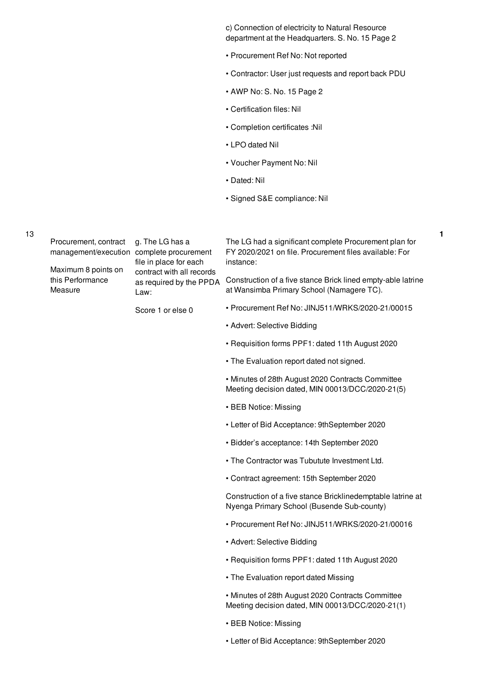c) Connection of electricity to Natural Resource department at the Headquarters. S. No. 15 Page 2

- Procurement Ref No: Not reported
- Contractor: User just requests and report back PDU

- AWP No: S. No. 15 Page 2
- Certification files: Nil
- Completion certificates :Nil
- LPO dated Nil
- Voucher Payment No: Nil
- Dated: Nil
- Signed S&E compliance: Nil

| 13 | Procurement, contract<br>management/execution complete procurement | g. The LG has a<br>file in place for each<br>contract with all records<br>as required by the PPDA<br>Law: | The LG had a significant complete Procurement plan for<br>FY 2020/2021 on file. Procurement files available: For<br>instance: |
|----|--------------------------------------------------------------------|-----------------------------------------------------------------------------------------------------------|-------------------------------------------------------------------------------------------------------------------------------|
|    | Maximum 8 points on<br>this Performance<br>Measure                 |                                                                                                           | Construction of a five stance Brick lined empty-able latrine<br>at Wansimba Primary School (Namagere TC).                     |
|    |                                                                    | Score 1 or else 0                                                                                         | • Procurement Ref No: JINJ511/WRKS/2020-21/00015                                                                              |
|    |                                                                    |                                                                                                           | • Advert: Selective Bidding                                                                                                   |
|    |                                                                    |                                                                                                           | • Requisition forms PPF1: dated 11th August 2020                                                                              |
|    |                                                                    |                                                                                                           | • The Evaluation report dated not signed.                                                                                     |
|    |                                                                    |                                                                                                           | • Minutes of 28th August 2020 Contracts Committee<br>Meeting decision dated, MIN 00013/DCC/2020-21(5)                         |
|    |                                                                    |                                                                                                           | • BEB Notice: Missing                                                                                                         |
|    |                                                                    |                                                                                                           | • Letter of Bid Acceptance: 9thSeptember 2020                                                                                 |
|    |                                                                    |                                                                                                           | • Bidder's acceptance: 14th September 2020                                                                                    |
|    |                                                                    |                                                                                                           | . The Contractor was Tubutute Investment Ltd.                                                                                 |
|    |                                                                    |                                                                                                           | • Contract agreement: 15th September 2020                                                                                     |
|    |                                                                    |                                                                                                           | Construction of a five stance Bricklinedemptable latrine at<br>Nyenga Primary School (Busende Sub-county)                     |
|    |                                                                    |                                                                                                           | • Procurement Ref No: JINJ511/WRKS/2020-21/00016                                                                              |
|    |                                                                    |                                                                                                           | • Advert: Selective Bidding                                                                                                   |
|    |                                                                    |                                                                                                           | • Requisition forms PPF1: dated 11th August 2020                                                                              |
|    |                                                                    |                                                                                                           | • The Evaluation report dated Missing                                                                                         |
|    |                                                                    |                                                                                                           | • Minutes of 28th August 2020 Contracts Committee<br>Meeting decision dated, MIN 00013/DCC/2020-21(1)                         |
|    |                                                                    |                                                                                                           | • BEB Notice: Missing                                                                                                         |
|    |                                                                    |                                                                                                           | • Letter of Bid Acceptance: 9thSeptember 2020                                                                                 |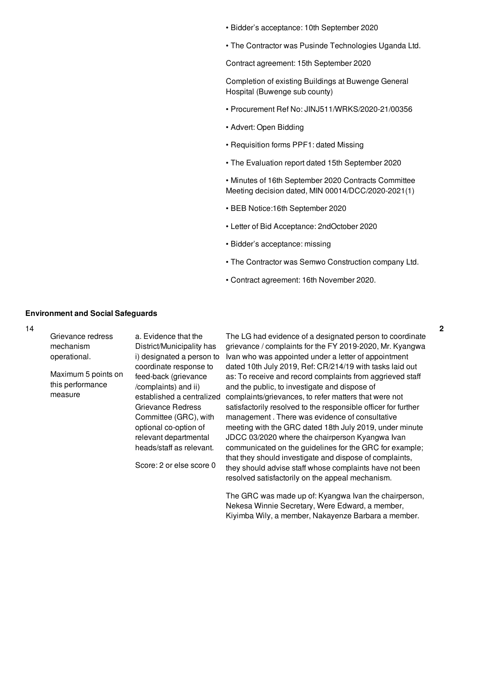- Bidder's acceptance: 10th September 2020
- The Contractor was Pusinde Technologies Uganda Ltd.

Contract agreement: 15th September 2020

Completion of existing Buildings at Buwenge General Hospital (Buwenge sub county)

- Procurement Ref No: JINJ511/WRKS/2020-21/00356
- Advert: Open Bidding
- Requisition forms PPF1: dated Missing
- The Evaluation report dated 15th September 2020

• Minutes of 16th September 2020 Contracts Committee Meeting decision dated, MIN 00014/DCC/2020-2021(1)

- BEB Notice:16th September 2020
- Letter of Bid Acceptance: 2ndOctober 2020
- Bidder's acceptance: missing
- The Contractor was Semwo Construction company Ltd.

**2**

• Contract agreement: 16th November 2020.

#### **Environment and Social Safeguards**

14

| Grievance redress<br>mechanism<br>operational.     | a. Evidence that the<br>District/Municipality has<br>i) designated a person to                                                                                                                                                                              | The LG had evidence of a designated person to coordinate<br>grievance / complaints for the FY 2019-2020, Mr. Kyangwa<br>Ivan who was appointed under a letter of appointment                                                                                                                                                                                                                                                                                                                                                                                                                                                                                                                           |
|----------------------------------------------------|-------------------------------------------------------------------------------------------------------------------------------------------------------------------------------------------------------------------------------------------------------------|--------------------------------------------------------------------------------------------------------------------------------------------------------------------------------------------------------------------------------------------------------------------------------------------------------------------------------------------------------------------------------------------------------------------------------------------------------------------------------------------------------------------------------------------------------------------------------------------------------------------------------------------------------------------------------------------------------|
| Maximum 5 points on<br>this performance<br>measure | coordinate response to<br>feed-back (grievance<br>/complaints) and ii)<br>established a centralized<br>Grievance Redress<br>Committee (GRC), with<br>optional co-option of<br>relevant departmental<br>heads/staff as relevant.<br>Score: 2 or else score 0 | dated 10th July 2019, Ref: CR/214/19 with tasks laid out<br>as: To receive and record complaints from aggrieved staff<br>and the public, to investigate and dispose of<br>complaints/grievances, to refer matters that were not<br>satisfactorily resolved to the responsible officer for further<br>management. There was evidence of consultative<br>meeting with the GRC dated 18th July 2019, under minute<br>JDCC 03/2020 where the chairperson Kyangwa Ivan<br>communicated on the guidelines for the GRC for example;<br>that they should investigate and dispose of complaints,<br>they should advise staff whose complaints have not been<br>resolved satisfactorily on the appeal mechanism. |
|                                                    |                                                                                                                                                                                                                                                             | The GRC was made up of: Kyangwa Ivan the chairperson,                                                                                                                                                                                                                                                                                                                                                                                                                                                                                                                                                                                                                                                  |

airperson, Nekesa Winnie Secretary, Were Edward, a member, Kiyimba Wily, a member, Nakayenze Barbara a member.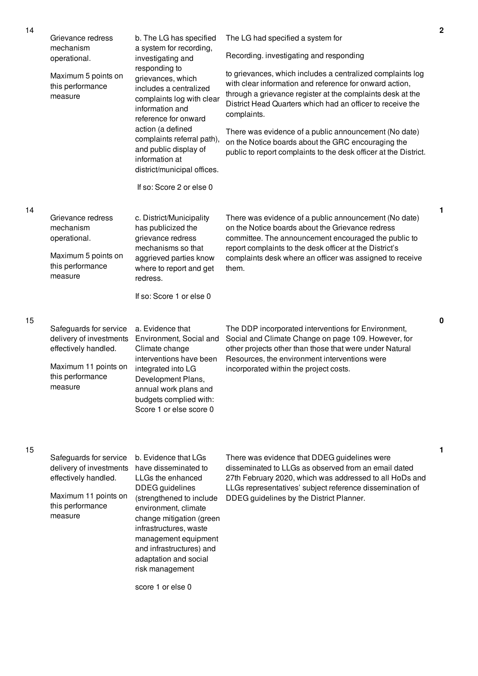| 14 | Grievance redress<br>mechanism<br>operational.<br>Maximum 5 points on<br>this performance<br>measure                             | b. The LG has specified<br>a system for recording,<br>investigating and<br>responding to<br>grievances, which<br>includes a centralized<br>complaints log with clear<br>information and<br>reference for onward<br>action (a defined<br>complaints referral path),<br>and public display of<br>information at<br>district/municipal offices.<br>If so: Score 2 or else 0 | The LG had specified a system for<br>Recording. investigating and responding<br>to grievances, which includes a centralized complaints log<br>with clear information and reference for onward action,<br>through a grievance register at the complaints desk at the<br>District Head Quarters which had an officer to receive the<br>complaints.<br>There was evidence of a public announcement (No date)<br>on the Notice boards about the GRC encouraging the<br>public to report complaints to the desk officer at the District. |
|----|----------------------------------------------------------------------------------------------------------------------------------|--------------------------------------------------------------------------------------------------------------------------------------------------------------------------------------------------------------------------------------------------------------------------------------------------------------------------------------------------------------------------|-------------------------------------------------------------------------------------------------------------------------------------------------------------------------------------------------------------------------------------------------------------------------------------------------------------------------------------------------------------------------------------------------------------------------------------------------------------------------------------------------------------------------------------|
| 14 | Grievance redress<br>mechanism<br>operational.<br>Maximum 5 points on<br>this performance<br>measure                             | c. District/Municipality<br>has publicized the<br>grievance redress<br>mechanisms so that<br>aggrieved parties know<br>where to report and get<br>redress.<br>If so: Score 1 or else 0                                                                                                                                                                                   | There was evidence of a public announcement (No date)<br>on the Notice boards about the Grievance redress<br>committee. The announcement encouraged the public to<br>report complaints to the desk officer at the District's<br>complaints desk where an officer was assigned to receive<br>them.                                                                                                                                                                                                                                   |
| 15 | Safeguards for service<br>delivery of investments<br>effectively handled.<br>Maximum 11 points on<br>this performance<br>measure | a. Evidence that<br>Environment, Social and<br>Climate change<br>interventions have been<br>integrated into LG<br>Development Plans,<br>annual work plans and<br>budgets complied with:<br>Score 1 or else score 0                                                                                                                                                       | The DDP incorporated interventions for Environment,<br>Social and Climate Change on page 109. However, for<br>other projects other than those that were under Natural<br>Resources, the environment interventions were<br>incorporated within the project costs.                                                                                                                                                                                                                                                                    |
| 15 | Safeguards for service<br>delivery of investments<br>effectively handled.<br>Maximum 11 points on<br>this performance<br>measure | b. Evidence that LGs<br>have disseminated to<br>LLGs the enhanced<br><b>DDEG</b> guidelines<br>(strengthened to include<br>environment, climate<br>change mitigation (green<br>infrastructures, waste<br>management equipment<br>and infrastructures) and<br>adaptation and social                                                                                       | There was evidence that DDEG guidelines were<br>disseminated to LLGs as observed from an email dated<br>27th February 2020, which was addressed to all HoDs and<br>LLGs representatives' subject reference dissemination of<br>DDEG guidelines by the District Planner.                                                                                                                                                                                                                                                             |

score 1 or else 0

risk management

**1**

**0**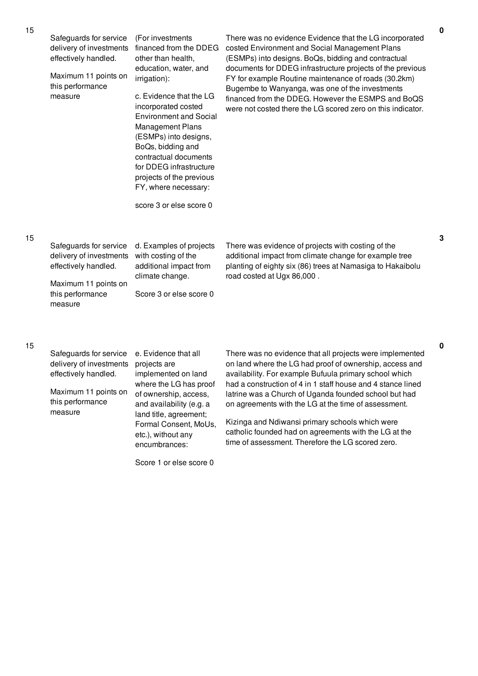| 15 | Safeguards for service<br>delivery of investments<br>effectively handled.<br>Maximum 11 points on<br>this performance<br>measure | (For investments<br>financed from the DDEG<br>other than health,<br>education, water, and<br>irrigation):<br>c. Evidence that the LG<br>incorporated costed<br><b>Environment and Social</b><br><b>Management Plans</b><br>(ESMPs) into designs,<br>BoQs, bidding and<br>contractual documents<br>for DDEG infrastructure<br>projects of the previous<br>FY, where necessary:<br>score 3 or else score 0 | There was no evidence Evidence that the LG incorporated<br>costed Environment and Social Management Plans<br>(ESMPs) into designs. BoQs, bidding and contractual<br>documents for DDEG infrastructure projects of the previous<br>FY for example Routine maintenance of roads (30.2km)<br>Bugembe to Wanyanga, was one of the investments<br>financed from the DDEG. However the ESMPS and BoQS<br>were not costed there the LG scored zero on this indicator. |
|----|----------------------------------------------------------------------------------------------------------------------------------|----------------------------------------------------------------------------------------------------------------------------------------------------------------------------------------------------------------------------------------------------------------------------------------------------------------------------------------------------------------------------------------------------------|----------------------------------------------------------------------------------------------------------------------------------------------------------------------------------------------------------------------------------------------------------------------------------------------------------------------------------------------------------------------------------------------------------------------------------------------------------------|
| 15 | Safeguards for service<br>delivery of investments<br>effectively handled.<br>Maximum 11 points on<br>this performance<br>measure | d. Examples of projects<br>with costing of the<br>additional impact from<br>climate change.<br>Score 3 or else score 0                                                                                                                                                                                                                                                                                   | There was evidence of projects with costing of the<br>additional impact from climate change for example tree<br>planting of eighty six (86) trees at Namasiga to Hakaibolu<br>road costed at Ugx 86,000.                                                                                                                                                                                                                                                       |
| 15 | Safeguards for service<br>delivery of investments<br>effectively handled.                                                        | e. Evidence that all<br>projects are<br>implemented on land                                                                                                                                                                                                                                                                                                                                              | There was no evidence that all projects were implemented<br>on land where the LG had proof of ownership, access and<br>availability. For example Bufuula primary school which                                                                                                                                                                                                                                                                                  |

Maximum 11 points on this performance measure

implemented on land where the LG has proof of ownership, access, and availability (e.g. a land title, agreement; Formal Consent, MoUs, etc.), without any encumbrances:

Score 1 or else score 0

availability. For example Bufuula primary school which had a construction of 4 in 1 staff house and 4 stance lined latrine was a Church of Uganda founded school but had on agreements with the LG at the time of assessment.

**0**

**3**

**0**

Kizinga and Ndiwansi primary schools which were catholic founded had on agreements with the LG at the time of assessment. Therefore the LG scored zero.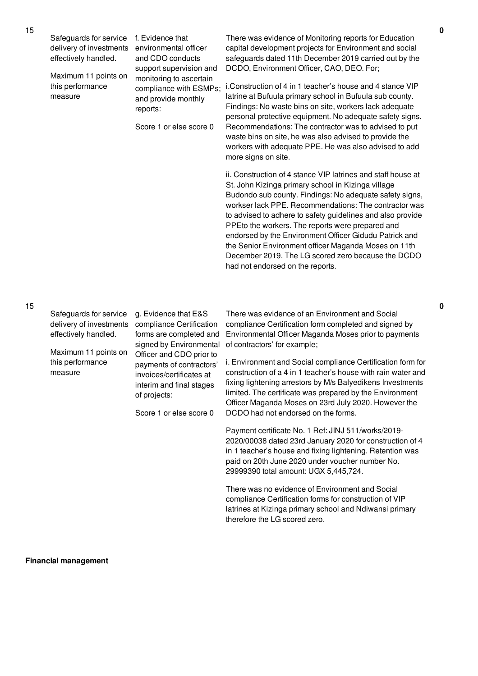| Safeguards for service<br>delivery of investments<br>effectively handled.<br>Maximum 11 points on<br>this performance<br>measure | f. Evidence that<br>environmental officer<br>and CDO conducts<br>support supervision and<br>monitoring to ascertain<br>compliance with ESMPs;<br>and provide monthly<br>reports:<br>Score 1 or else score 0                                                       | There was evidence of Monitoring reports for Education<br>capital development projects for Environment and social<br>safeguards dated 11th December 2019 carried out by the<br>DCDO, Environment Officer, CAO, DEO. For;<br>i.Construction of 4 in 1 teacher's house and 4 stance VIP<br>latrine at Bufuula primary school in Bufuula sub county.<br>Findings: No waste bins on site, workers lack adequate<br>personal protective equipment. No adequate safety signs.<br>Recommendations: The contractor was to advised to put<br>waste bins on site, he was also advised to provide the<br>workers with adequate PPE. He was also advised to add<br>more signs on site.                                                                                                                                                                                                                                                                                                                                    |
|----------------------------------------------------------------------------------------------------------------------------------|-------------------------------------------------------------------------------------------------------------------------------------------------------------------------------------------------------------------------------------------------------------------|---------------------------------------------------------------------------------------------------------------------------------------------------------------------------------------------------------------------------------------------------------------------------------------------------------------------------------------------------------------------------------------------------------------------------------------------------------------------------------------------------------------------------------------------------------------------------------------------------------------------------------------------------------------------------------------------------------------------------------------------------------------------------------------------------------------------------------------------------------------------------------------------------------------------------------------------------------------------------------------------------------------|
|                                                                                                                                  |                                                                                                                                                                                                                                                                   | ii. Construction of 4 stance VIP latrines and staff house at<br>St. John Kizinga primary school in Kizinga village<br>Budondo sub county. Findings: No adequate safety signs,<br>workser lack PPE. Recommendations: The contractor was<br>to advised to adhere to safety guidelines and also provide<br>PPEto the workers. The reports were prepared and<br>endorsed by the Environment Officer Gidudu Patrick and<br>the Senior Environment officer Maganda Moses on 11th<br>December 2019. The LG scored zero because the DCDO<br>had not endorsed on the reports.                                                                                                                                                                                                                                                                                                                                                                                                                                          |
| Safeguards for service<br>delivery of investments<br>effectively handled.<br>Maximum 11 points on<br>this performance<br>measure | g. Evidence that E&S<br>compliance Certification<br>forms are completed and<br>signed by Environmental<br>Officer and CDO prior to<br>payments of contractors'<br>invoices/certificates at<br>interim and final stages<br>of projects:<br>Score 1 or else score 0 | There was evidence of an Environment and Social<br>compliance Certification form completed and signed by<br>Environmental Officer Maganda Moses prior to payments<br>of contractors' for example;<br>i. Environment and Social compliance Certification form for<br>construction of a 4 in 1 teacher's house with rain water and<br>fixing lightening arrestors by M/s Balyedikens Investments<br>limited. The certificate was prepared by the Environment<br>Officer Maganda Moses on 23rd July 2020. However the<br>DCDO had not endorsed on the forms.<br>Payment certificate No. 1 Ref: JINJ 511/works/2019-<br>2020/00038 dated 23rd January 2020 for construction of 4<br>in 1 teacher's house and fixing lightening. Retention was<br>paid on 20th June 2020 under voucher number No.<br>29999390 total amount: UGX 5,445,724.<br>There was no evidence of Environment and Social<br>compliance Certification forms for construction of VIP<br>latrines at Kizinga primary school and Ndiwansi primary |

therefore the LG scored zero.

**Financial management**

15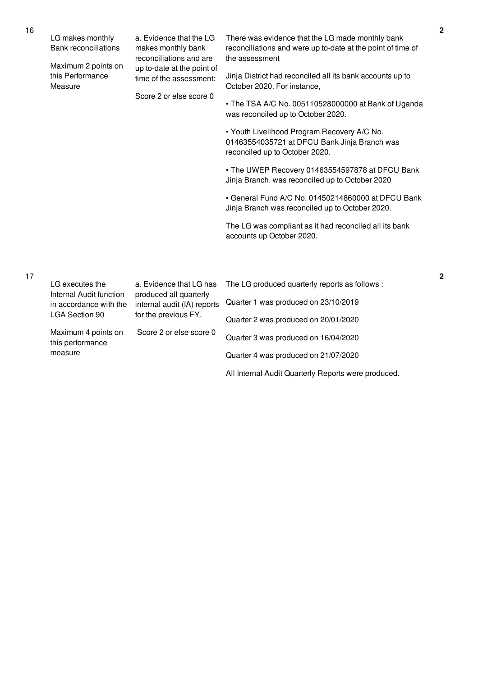| $\overline{1}$ | LG makes monthly<br><b>Bank reconciliations</b>    | a. Evidence that the LG<br>makes monthly bank<br>reconciliations and are         | There was evidence that the LG made monthly bank<br>reconciliations and were up to-date at the point of time of<br>the assessment |
|----------------|----------------------------------------------------|----------------------------------------------------------------------------------|-----------------------------------------------------------------------------------------------------------------------------------|
|                | Maximum 2 points on<br>this Performance<br>Measure | up to-date at the point of<br>time of the assessment:<br>Score 2 or else score 0 | Jinja District had reconciled all its bank accounts up to<br>October 2020. For instance,                                          |
|                |                                                    |                                                                                  | • The TSA A/C No. 005110528000000 at Bank of Uganda<br>was reconciled up to October 2020.                                         |
|                |                                                    |                                                                                  | • Youth Livelihood Program Recovery A/C No.<br>01463554035721 at DFCU Bank Jinja Branch was<br>reconciled up to October 2020.     |
|                |                                                    |                                                                                  | • The UWEP Recovery 01463554597878 at DFCU Bank<br>Jinja Branch. was reconciled up to October 2020                                |
|                |                                                    |                                                                                  | • General Fund A/C No. 01450214860000 at DFCU Bank<br>Jinja Branch was reconciled up to October 2020.                             |
|                |                                                    |                                                                                  | The LG was compliant as it had reconciled all its bank<br>accounts up October 2020.                                               |
|                |                                                    |                                                                                  |                                                                                                                                   |
| 17             | LG executes the<br>Internal Audit function         | a. Evidence that LG has<br>produced all quarterly                                | The LG produced quarterly reports as follows :                                                                                    |
|                | in accordance with the<br><b>LGA Section 90</b>    | internal audit (IA) reports<br>for the previous FY.                              | Quarter 1 was produced on 23/10/2019                                                                                              |
|                |                                                    |                                                                                  | Quarter 2 was produced on 20/01/2020                                                                                              |
|                | Maximum 4 points on<br>this performance<br>measure | Score 2 or else score 0                                                          | Quarter 3 was produced on 16/04/2020                                                                                              |
|                |                                                    |                                                                                  | Quarter 4 was produced on 21/07/2020                                                                                              |
|                |                                                    |                                                                                  | All Internal Audit Quarterly Reports were produced.                                                                               |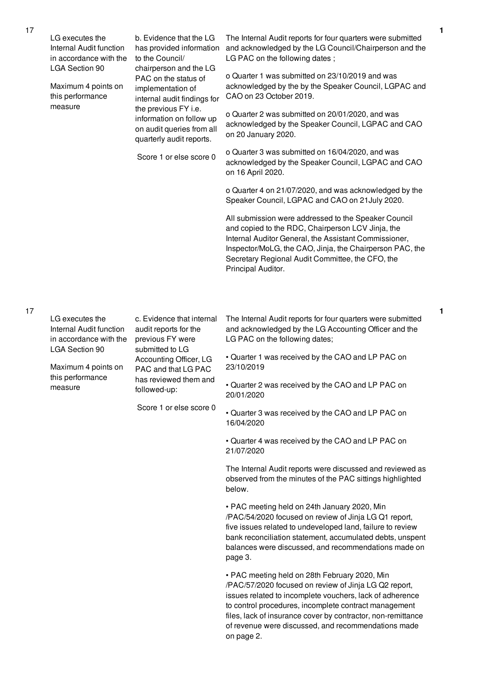|  | LG executes the<br>Internal Audit function<br>in accordance with the<br><b>LGA Section 90</b> | b. Evidence that the LG<br>has provided information<br>to the Council/<br>chairperson and the LG                                                                                                                 | The Internal Audit reports for four quarters were submitted<br>and acknowledged by the LG Council/Chairperson and the<br>LG PAC on the following dates;                                                                                                                                                  |
|--|-----------------------------------------------------------------------------------------------|------------------------------------------------------------------------------------------------------------------------------------------------------------------------------------------------------------------|----------------------------------------------------------------------------------------------------------------------------------------------------------------------------------------------------------------------------------------------------------------------------------------------------------|
|  | Maximum 4 points on<br>this performance<br>measure                                            | PAC on the status of<br>implementation of<br>internal audit findings for<br>the previous FY i.e.<br>information on follow up<br>on audit queries from all<br>quarterly audit reports.<br>Score 1 or else score 0 | o Quarter 1 was submitted on 23/10/2019 and was<br>acknowledged by the by the Speaker Council, LGPAC and<br>CAO on 23 October 2019.                                                                                                                                                                      |
|  |                                                                                               |                                                                                                                                                                                                                  | o Quarter 2 was submitted on 20/01/2020, and was<br>acknowledged by the Speaker Council, LGPAC and CAO<br>on 20 January 2020.                                                                                                                                                                            |
|  |                                                                                               |                                                                                                                                                                                                                  | o Quarter 3 was submitted on 16/04/2020, and was<br>acknowledged by the Speaker Council, LGPAC and CAO<br>on 16 April 2020.                                                                                                                                                                              |
|  |                                                                                               |                                                                                                                                                                                                                  | o Quarter 4 on 21/07/2020, and was acknowledged by the<br>Speaker Council, LGPAC and CAO on 21 July 2020.                                                                                                                                                                                                |
|  |                                                                                               |                                                                                                                                                                                                                  | All submission were addressed to the Speaker Council<br>and copied to the RDC, Chairperson LCV Jinja, the<br>Internal Auditor General, the Assistant Commissioner,<br>Inspector/MoLG, the CAO, Jinja, the Chairperson PAC, the<br>Secretary Regional Audit Committee, the CFO, the<br>Principal Auditor. |
|  | LG executes the<br>Internal Audit function<br>in accordance with the<br>LGA Section 90        | c. Evidence that internal<br>audit reports for the<br>previous FY were<br>submitted to LG<br>Accounting Officer, LG<br>PAC and that LG PAC<br>has reviewed them and<br>followed-up:<br>Score 1 or else score 0   | The Internal Audit reports for four quarters were submitted<br>and acknowledged by the LG Accounting Officer and the<br>LG PAC on the following dates;                                                                                                                                                   |
|  | Maximum 4 points on<br>this performance<br>measure                                            |                                                                                                                                                                                                                  | • Quarter 1 was received by the CAO and LP PAC on<br>23/10/2019                                                                                                                                                                                                                                          |
|  |                                                                                               |                                                                                                                                                                                                                  | Quarter 2 was received by the CAO and LP PAC on<br>20/01/2020                                                                                                                                                                                                                                            |
|  |                                                                                               |                                                                                                                                                                                                                  | • Quarter 3 was received by the CAO and LP PAC on<br>16/04/2020                                                                                                                                                                                                                                          |
|  |                                                                                               |                                                                                                                                                                                                                  | • Quarter 4 was received by the CAO and LP PAC on<br>21/07/2020                                                                                                                                                                                                                                          |
|  |                                                                                               |                                                                                                                                                                                                                  | The Internal Audit reports were discussed and reviewed as<br>observed from the minutes of the PAC sittings highlighted<br>below.                                                                                                                                                                         |
|  |                                                                                               |                                                                                                                                                                                                                  | • PAC meeting held on 24th January 2020, Min<br>/PAC/54/2020 focused on review of Jinja LG Q1 report,                                                                                                                                                                                                    |

/PAC/54/2020 focused on review of Jinja LG Q1 report, five issues related to undeveloped land, failure to review bank reconciliation statement, accumulated debts, unspent balances were discussed, and recommendations made on page 3.

**1**

**1**

• PAC meeting held on 28th February 2020, Min /PAC/57/2020 focused on review of Jinja LG Q2 report, issues related to incomplete vouchers, lack of adherence to control procedures, incomplete contract management files, lack of insurance cover by contractor, non-remittance of revenue were discussed, and recommendations made on page 2.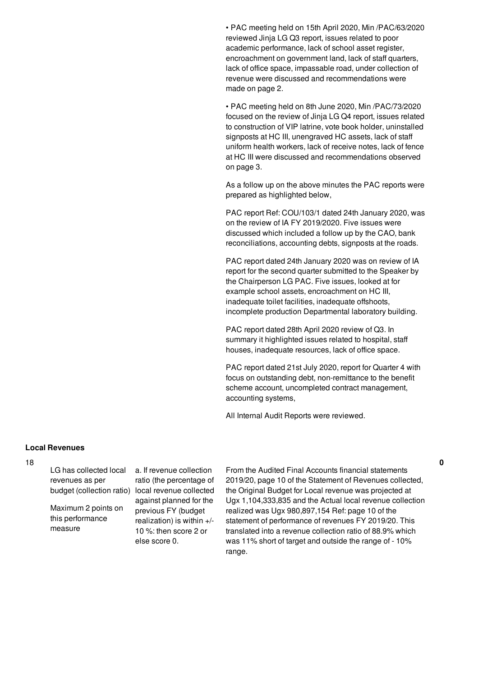• PAC meeting held on 15th April 2020, Min /PAC/63/2020 reviewed Jinja LG Q3 report, issues related to poor academic performance, lack of school asset register, encroachment on government land, lack of staff quarters, lack of office space, impassable road, under collection of revenue were discussed and recommendations were made on page 2.

• PAC meeting held on 8th June 2020, Min /PAC/73/2020 focused on the review of Jinja LG Q4 report, issues related to construction of VIP latrine, vote book holder, uninstalled signposts at HC III, unengraved HC assets, lack of staff uniform health workers, lack of receive notes, lack of fence at HC III were discussed and recommendations observed on page 3.

As a follow up on the above minutes the PAC reports were prepared as highlighted below,

PAC report Ref: COU/103/1 dated 24th January 2020, was on the review of IA FY 2019/2020. Five issues were discussed which included a follow up by the CAO, bank reconciliations, accounting debts, signposts at the roads.

PAC report dated 24th January 2020 was on review of IA report for the second quarter submitted to the Speaker by the Chairperson LG PAC. Five issues, looked at for example school assets, encroachment on HC III, inadequate toilet facilities, inadequate offshoots, incomplete production Departmental laboratory building.

PAC report dated 28th April 2020 review of Q3. In summary it highlighted issues related to hospital, staff houses, inadequate resources, lack of office space.

PAC report dated 21st July 2020, report for Quarter 4 with focus on outstanding debt, non-remittance to the benefit scheme account, uncompleted contract management, accounting systems,

All Internal Audit Reports were reviewed.

### **Local Revenues**

### 18

LG has collected local revenues as per

Maximum 2 points on this performance measure

budget (collection ratio) local revenue collected a. If revenue collection ratio (the percentage of against planned for the previous FY (budget realization) is within  $+/-$ 10 %: then score 2 or else score 0.

From the Audited Final Accounts financial statements 2019/20, page 10 of the Statement of Revenues collected, the Original Budget for Local revenue was projected at Ugx 1,104,333,835 and the Actual local revenue collection realized was Ugx 980,897,154 Ref: page 10 of the statement of performance of revenues FY 2019/20. This translated into a revenue collection ratio of 88.9% which was 11% short of target and outside the range of - 10% range.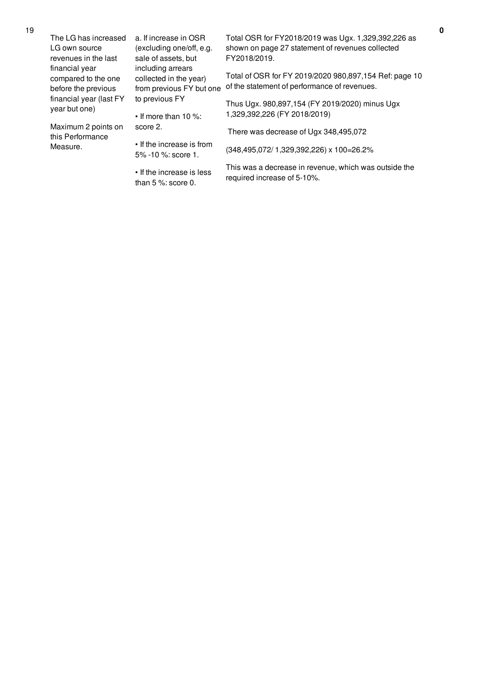|  | The LG has increased<br>LG own source                                                                    | a. If increase in OSR<br>(excluding one/off, e.g.                       | Total OSR for FY2018/2019 was Ugx. 1,329,392,226 as<br>shown on page 27 statement of revenues collected |
|--|----------------------------------------------------------------------------------------------------------|-------------------------------------------------------------------------|---------------------------------------------------------------------------------------------------------|
|  | revenues in the last                                                                                     | sale of assets, but                                                     | FY2018/2019.                                                                                            |
|  | financial year<br>compared to the one<br>before the previous<br>financial year (last FY<br>year but one) | including arrears<br>collected in the year)<br>from previous FY but one | Total of OSR for FY 2019/2020 980,897,154 Ref: page 10<br>of the statement of performance of revenues.  |
|  |                                                                                                          | to previous FY<br>$\cdot$ If more than 10 %:                            | Thus Ugx. 980,897,154 (FY 2019/2020) minus Ugx<br>1,329,392,226 (FY 2018/2019)                          |
|  | Maximum 2 points on<br>this Performance<br>Measure.                                                      | score 2.                                                                | There was decrease of Ugx 348,495,072                                                                   |
|  |                                                                                                          | • If the increase is from<br>$5\% - 10\%$ : score 1.                    | (348,495,072/1,329,392,226) x 100=26.2%                                                                 |
|  |                                                                                                          | • If the increase is less                                               | This was a decrease in revenue, which was outside the                                                   |

required increase of 5-10%.

than 5 %: score 0.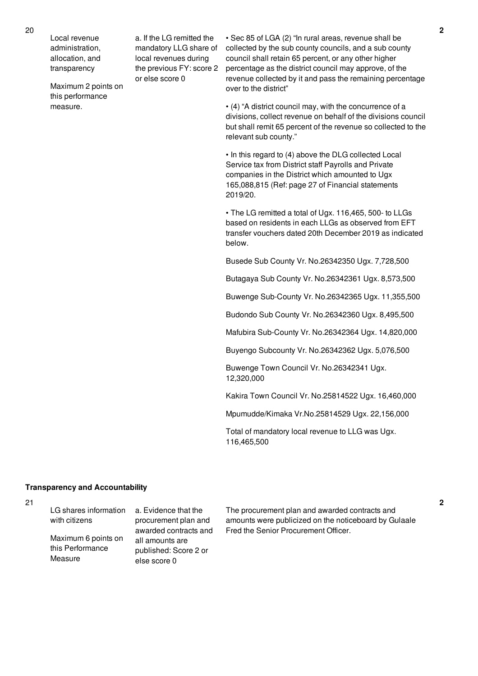Local revenue administration, allocation, and transparency

Maximum 2 points on this performance measure.

a. If the LG remitted the mandatory LLG share of local revenues during the previous FY: score 2 or else score 0

• Sec 85 of LGA (2) "In rural areas, revenue shall be collected by the sub county councils, and a sub county council shall retain 65 percent, or any other higher percentage as the district council may approve, of the revenue collected by it and pass the remaining percentage over to the district"

• (4) "A district council may, with the concurrence of a divisions, collect revenue on behalf of the divisions council but shall remit 65 percent of the revenue so collected to the relevant sub county."

• In this regard to (4) above the DLG collected Local Service tax from District staff Payrolls and Private companies in the District which amounted to Ugx 165,088,815 (Ref: page 27 of Financial statements 2019/20.

• The LG remitted a total of Ugx. 116,465, 500- to LLGs based on residents in each LLGs as observed from EFT transfer vouchers dated 20th December 2019 as indicated below.

Busede Sub County Vr. No.26342350 Ugx. 7,728,500

Butagaya Sub County Vr. No.26342361 Ugx. 8,573,500

Buwenge Sub-County Vr. No.26342365 Ugx. 11,355,500

Budondo Sub County Vr. No.26342360 Ugx. 8,495,500

Mafubira Sub-County Vr. No.26342364 Ugx. 14,820,000

Buyengo Subcounty Vr. No.26342362 Ugx. 5,076,500

Buwenge Town Council Vr. No.26342341 Ugx. 12,320,000

Kakira Town Council Vr. No.25814522 Ugx. 16,460,000

Mpumudde/Kimaka Vr.No.25814529 Ugx. 22,156,000

Total of mandatory local revenue to LLG was Ugx. 116,465,500

## **Transparency and Accountability**

| LG shares information | a. Evidence that the  | The procurement plan and awarded contracts and        |
|-----------------------|-----------------------|-------------------------------------------------------|
| with citizens         | procurement plan and  | amounts were publicized on the noticeboard by Gulaale |
|                       | awarded contracts and | Fred the Senior Procurement Officer.                  |
| Maximum 6 points on   | all amounts are       |                                                       |
| this Performance      | published: Score 2 or |                                                       |
| Measure               | else score 0          |                                                       |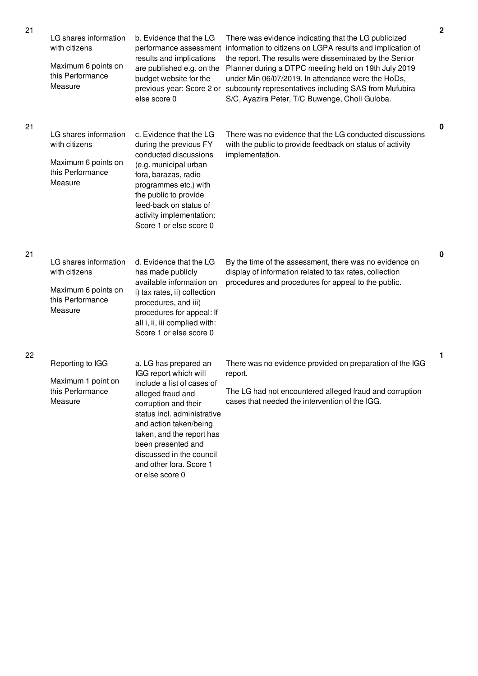| $\leq$ 1 | LG shares information<br>with citizens<br>Maximum 6 points on<br>this Performance<br>Measure | b. Evidence that the LG<br>performance assessment<br>results and implications<br>are published e.g. on the<br>budget website for the<br>previous year: Score 2 or<br>else score 0                                                                                                                               | There was evidence indicating that the LG publicized<br>information to citizens on LGPA results and implication of<br>the report. The results were disseminated by the Senior<br>Planner during a DTPC meeting held on 19th July 2019<br>under Min 06/07/2019. In attendance were the HoDs,<br>subcounty representatives including SAS from Mufubira<br>S/C, Ayazira Peter, T/C Buwenge, Choli Guloba. | ∠           |
|----------|----------------------------------------------------------------------------------------------|-----------------------------------------------------------------------------------------------------------------------------------------------------------------------------------------------------------------------------------------------------------------------------------------------------------------|--------------------------------------------------------------------------------------------------------------------------------------------------------------------------------------------------------------------------------------------------------------------------------------------------------------------------------------------------------------------------------------------------------|-------------|
| 21       | LG shares information<br>with citizens<br>Maximum 6 points on<br>this Performance<br>Measure | c. Evidence that the LG<br>during the previous FY<br>conducted discussions<br>(e.g. municipal urban<br>fora, barazas, radio<br>programmes etc.) with<br>the public to provide<br>feed-back on status of<br>activity implementation:<br>Score 1 or else score 0                                                  | There was no evidence that the LG conducted discussions<br>with the public to provide feedback on status of activity<br>implementation.                                                                                                                                                                                                                                                                | $\mathbf 0$ |
| 21       | LG shares information<br>with citizens<br>Maximum 6 points on<br>this Performance<br>Measure | d. Evidence that the LG<br>has made publicly<br>available information on<br>i) tax rates, ii) collection<br>procedures, and iii)<br>procedures for appeal: If<br>all i, ii, iii complied with:<br>Score 1 or else score 0                                                                                       | By the time of the assessment, there was no evidence on<br>display of information related to tax rates, collection<br>procedures and procedures for appeal to the public.                                                                                                                                                                                                                              | $\mathbf 0$ |
| 22       | Reporting to IGG<br>Maximum 1 point on<br>this Performance<br>Measure                        | a. LG has prepared an<br>IGG report which will<br>include a list of cases of<br>alleged fraud and<br>corruption and their<br>status incl. administrative<br>and action taken/being<br>taken, and the report has<br>been presented and<br>discussed in the council<br>and other fora. Score 1<br>or else score 0 | There was no evidence provided on preparation of the IGG<br>report.<br>The LG had not encountered alleged fraud and corruption<br>cases that needed the intervention of the IGG.                                                                                                                                                                                                                       | 1           |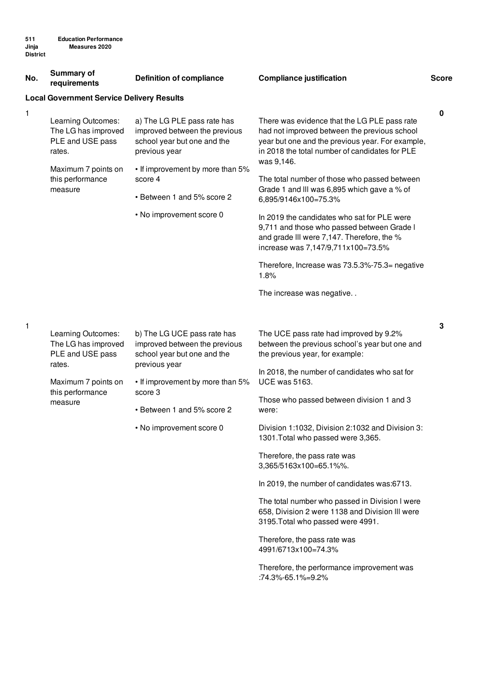| <b>District</b> |                                                                         |                                                                                                              |                                                                                                                                                                                                                  |              |
|-----------------|-------------------------------------------------------------------------|--------------------------------------------------------------------------------------------------------------|------------------------------------------------------------------------------------------------------------------------------------------------------------------------------------------------------------------|--------------|
| No.             | <b>Summary of</b><br>requirements                                       | <b>Definition of compliance</b>                                                                              | <b>Compliance justification</b>                                                                                                                                                                                  | <b>Score</b> |
|                 | <b>Local Government Service Delivery Results</b>                        |                                                                                                              |                                                                                                                                                                                                                  |              |
| 1               | Learning Outcomes:<br>The LG has improved<br>PLE and USE pass<br>rates. | a) The LG PLE pass rate has<br>improved between the previous<br>school year but one and the<br>previous year | There was evidence that the LG PLE pass rate<br>had not improved between the previous school<br>year but one and the previous year. For example,<br>in 2018 the total number of candidates for PLE<br>was 9,146. | $\pmb{0}$    |
|                 | Maximum 7 points on<br>this performance<br>measure                      | • If improvement by more than 5%<br>score 4<br>• Between 1 and 5% score 2                                    | The total number of those who passed between<br>Grade 1 and III was 6,895 which gave a % of<br>6,895/9146x100=75.3%                                                                                              |              |
|                 |                                                                         | • No improvement score 0                                                                                     | In 2019 the candidates who sat for PLE were<br>9,711 and those who passed between Grade I<br>and grade III were 7,147. Therefore, the %<br>increase was 7,147/9,711x100=73.5%                                    |              |
|                 |                                                                         |                                                                                                              | Therefore, Increase was 73.5.3%-75.3= negative<br>1.8%                                                                                                                                                           |              |
|                 |                                                                         |                                                                                                              | The increase was negative                                                                                                                                                                                        |              |
| 1               | Learning Outcomes:<br>The LG has improved                               | b) The LG UCE pass rate has<br>improved between the previous                                                 | The UCE pass rate had improved by 9.2%<br>between the previous school's year but one and                                                                                                                         | 3            |
|                 | PLE and USE pass<br>rates.                                              | school year but one and the<br>previous year                                                                 | the previous year, for example:                                                                                                                                                                                  |              |
|                 | Maximum 7 points on<br>this performance<br>measure                      | • If improvement by more than 5%<br>score 3<br>• Between 1 and 5% score 2                                    | In 2018, the number of candidates who sat for<br><b>UCE was 5163.</b>                                                                                                                                            |              |
|                 |                                                                         |                                                                                                              | Those who passed between division 1 and 3<br>were:                                                                                                                                                               |              |
|                 |                                                                         | • No improvement score 0                                                                                     | Division 1:1032, Division 2:1032 and Division 3:<br>1301. Total who passed were 3,365.                                                                                                                           |              |
|                 |                                                                         |                                                                                                              | Therefore, the pass rate was<br>3,365/5163x100=65.1%%.                                                                                                                                                           |              |
|                 |                                                                         |                                                                                                              | In 2019, the number of candidates was:6713.                                                                                                                                                                      |              |

The total number who passed in Division l were 658, Division 2 were 1138 and Division lll were 3195.Total who passed were 4991.

Therefore, the pass rate was 4991/6713x100=74.3%

Therefore, the performance improvement was :74.3%-65.1%=9.2%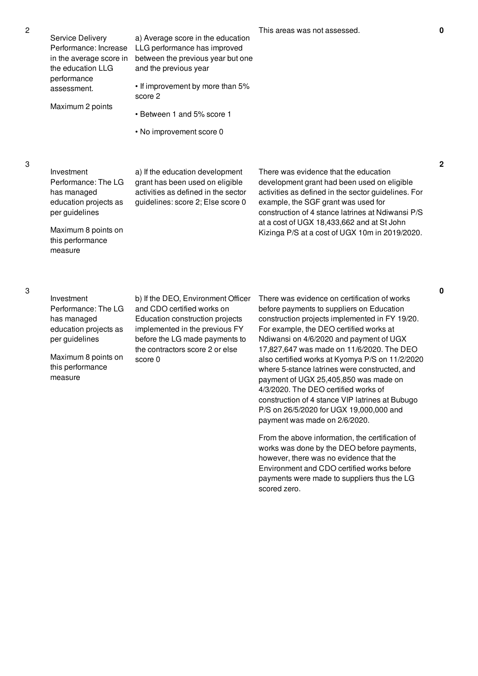**0**

Investment Performance: The LG has managed education projects as per guidelines

Service Delivery Performance: Increase in the average score in the education LLG performance assessment.

Maximum 2 points

Maximum 8 points on this performance measure

a) If the education development grant has been used on eligible activities as defined in the sector guidelines: score 2; Else score 0

a) Average score in the education LLG performance has improved between the previous year but one

• If improvement by more than 5%

• Between 1 and 5% score 1

• No improvement score 0

and the previous year

score 2

There was evidence that the education development grant had been used on eligible activities as defined in the sector guidelines. For example, the SGF grant was used for construction of 4 stance latrines at Ndiwansi P/S at a cost of UGX 18,433,662 and at St John Kizinga P/S at a cost of UGX 10m in 2019/2020.

3

Investment Performance: The LG has managed education projects as per guidelines

Maximum 8 points on this performance measure

b) If the DEO, Environment Officer and CDO certified works on Education construction projects implemented in the previous FY before the LG made payments to the contractors score 2 or else score 0

There was evidence on certification of works before payments to suppliers on Education construction projects implemented in FY 19/20. For example, the DEO certified works at Ndiwansi on 4/6/2020 and payment of UGX 17,827,647 was made on 11/6/2020. The DEO also certified works at Kyomya P/S on 11/2/2020 where 5-stance latrines were constructed, and payment of UGX 25,405,850 was made on 4/3/2020. The DEO certified works of construction of 4 stance VIP latrines at Bubugo P/S on 26/5/2020 for UGX 19,000,000 and payment was made on 2/6/2020.

From the above information, the certification of works was done by the DEO before payments, however, there was no evidence that the Environment and CDO certified works before payments were made to suppliers thus the LG scored zero.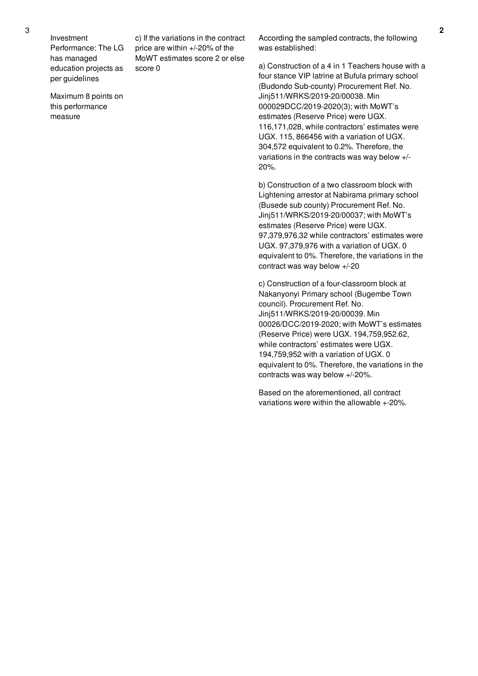Investment Performance: The LG has managed education projects as per guidelines

Maximum 8 points on this performance measure

c) If the variations in the contract price are within +/-20% of the MoWT estimates score 2 or else score 0

According the sampled contracts, the following was established:

a) Construction of a 4 in 1 Teachers house with a four stance VIP latrine at Bufula primary school (Budondo Sub-county) Procurement Ref. No. Jinj511/WRKS/2019-20/00038. Min 000029DCC/2019-2020(3); with MoWT's estimates (Reserve Price) were UGX. 116,171,028, while contractors' estimates were UGX. 115, 866456 with a variation of UGX. 304,572 equivalent to 0.2%. Therefore, the variations in the contracts was way below +/- 20%.

b) Construction of a two classroom block with Lightening arrestor at Nabirama primary school (Busede sub county) Procurement Ref. No. Jinj511/WRKS/2019-20/00037; with MoWT's estimates (Reserve Price) were UGX. 97,379,976.32 while contractors' estimates were UGX. 97,379,976 with a variation of UGX. 0 equivalent to 0%. Therefore, the variations in the contract was way below +/-20

c) Construction of a four-classroom block at Nakanyonyi Primary school (Bugembe Town council). Procurement Ref. No. Jinj511/WRKS/2019-20/00039. Min 00026/DCC/2019-2020; with MoWT's estimates (Reserve Price) were UGX. 194,759,952.62, while contractors' estimates were UGX. 194,759,952 with a variation of UGX. 0 equivalent to 0%. Therefore, the variations in the contracts was way below +/-20%.

Based on the aforementioned, all contract variations were within the allowable +-20%.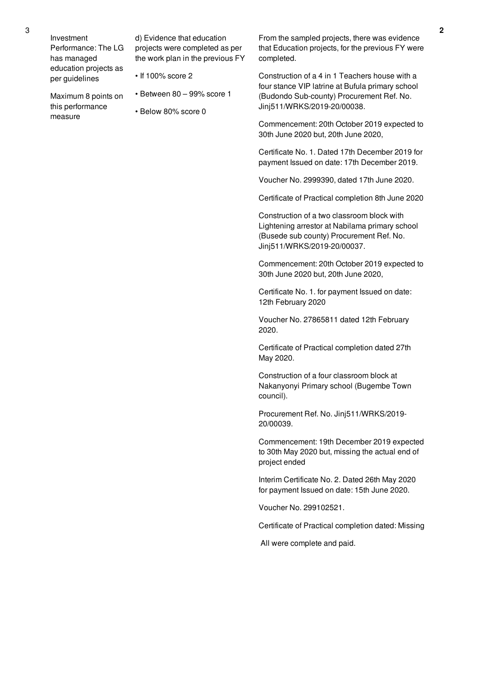Maximum 8 points on this performance

measure

d) Evidence that education projects were completed as per the work plan in the previous FY

- If 100% score 2
- Between 80 99% score 1
- Below 80% score 0

From the sampled projects, there was evidence that Education projects, for the previous FY were completed.

Construction of a 4 in 1 Teachers house with a four stance VIP latrine at Bufula primary school (Budondo Sub-county) Procurement Ref. No. Jinj511/WRKS/2019-20/00038.

Commencement: 20th October 2019 expected to 30th June 2020 but, 20th June 2020,

Certificate No. 1. Dated 17th December 2019 for payment Issued on date: 17th December 2019.

Voucher No. 2999390, dated 17th June 2020.

Certificate of Practical completion 8th June 2020

Construction of a two classroom block with Lightening arrestor at Nabilama primary school (Busede sub county) Procurement Ref. No. Jinj511/WRKS/2019-20/00037.

Commencement: 20th October 2019 expected to 30th June 2020 but, 20th June 2020,

Certificate No. 1. for payment Issued on date: 12th February 2020

Voucher No. 27865811 dated 12th February 2020.

Certificate of Practical completion dated 27th May 2020.

Construction of a four classroom block at Nakanyonyi Primary school (Bugembe Town council).

Procurement Ref. No. Jinj511/WRKS/2019- 20/00039.

Commencement: 19th December 2019 expected to 30th May 2020 but, missing the actual end of project ended

Interim Certificate No. 2. Dated 26th May 2020 for payment Issued on date: 15th June 2020.

Voucher No. 299102521.

Certificate of Practical completion dated: Missing

All were complete and paid.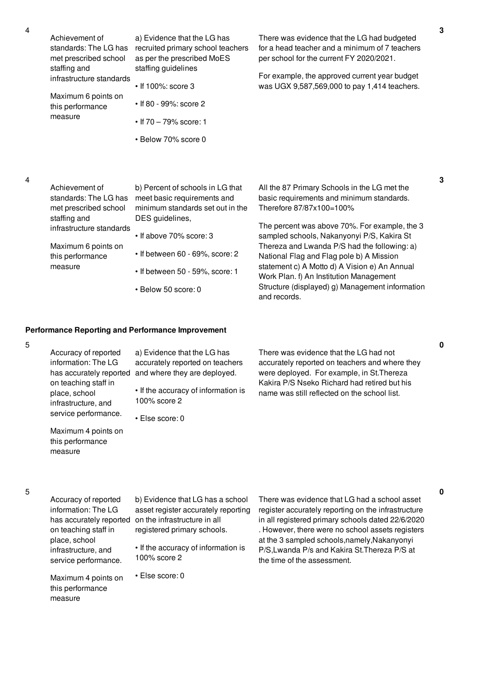|  |  | $\mathbf{v}$ |
|--|--|--------------|

| Achievement of<br>standards: The LG has<br>met prescribed school<br>staffing and | a) Evidence that the LG has<br>recruited primary school teachers<br>as per the prescribed MoES<br>staffing guidelines | There was evidence that the LG had budgeted<br>for a head teacher and a minimum of 7 teachers<br>per school for the current FY 2020/2021. |
|----------------------------------------------------------------------------------|-----------------------------------------------------------------------------------------------------------------------|-------------------------------------------------------------------------------------------------------------------------------------------|
| infrastructure standards                                                         | $\cdot$ If 100%: score 3                                                                                              | For example, the approved current year budget<br>was UGX 9,587,569,000 to pay 1,414 teachers.                                             |
| Maximum 6 points on<br>this performance                                          | • If 80 - 99%: score 2                                                                                                |                                                                                                                                           |
| measure                                                                          | • If $70 - 79\%$ score: 1                                                                                             |                                                                                                                                           |
|                                                                                  | • Below 70% score 0                                                                                                   |                                                                                                                                           |
|                                                                                  |                                                                                                                       |                                                                                                                                           |

| Achievement of<br>standards: The LG has<br>met prescribed school<br>staffing and | b) Percent of schools in LG that<br>meet basic requirements and<br>minimum standards set out in the<br>DES guidelines, | All the 87 Primary Schools in the LG met the<br>basic requirements and minimum standards.<br>Therefore 87/87x100=100% |
|----------------------------------------------------------------------------------|------------------------------------------------------------------------------------------------------------------------|-----------------------------------------------------------------------------------------------------------------------|
| infrastructure standards                                                         |                                                                                                                        | The percent was above 70%. For example, the 3                                                                         |
|                                                                                  | $\cdot$ If above 70% score: 3                                                                                          | sampled schools, Nakanyonyi P/S, Kakira St                                                                            |
| Maximum 6 points on<br>this performance                                          | $\cdot$ If between 60 - 69%, score: 2                                                                                  | Thereza and Lwanda P/S had the following: a)<br>National Flag and Flag pole b) A Mission                              |
| measure                                                                          | • If between 50 - 59%, score: 1                                                                                        | statement c) A Motto d) A Vision e) An Annual<br>Work Plan. f) An Institution Management                              |
|                                                                                  | • Below 50 score: 0                                                                                                    | Structure (displayed) g) Management information<br>and records.                                                       |

#### **Performance Reporting and Performance Improvement**

measure

#### 5 Accuracy of reported information: The LG has accurately reported and where they are deployed. on teaching staff in place, school infrastructure, and service performance. Maximum 4 points on this performance measure a) Evidence that the LG has accurately reported on teachers • If the accuracy of information is 100% score 2 • Else score: 0 There was evidence that the LG had not accurately reported on teachers and where they were deployed. For example, in St.Thereza Kakira P/S Nseko Richard had retired but his name was still reflected on the school list. 5 Accuracy of reported information: The LG has accurately reported on the infrastructure in all on teaching staff in place, school infrastructure, and service performance. Maximum 4 points on this performance b) Evidence that LG has a school asset register accurately reporting registered primary schools. • If the accuracy of information is 100% score 2 • Else score: 0 There was evidence that LG had a school asset register accurately reporting on the infrastructure in all registered primary schools dated 22/6/2020 . However, there were no school assets registers at the 3 sampled schools,namely,Nakanyonyi P/S,Lwanda P/s and Kakira St.Thereza P/S at the time of the assessment.

**3**

**0**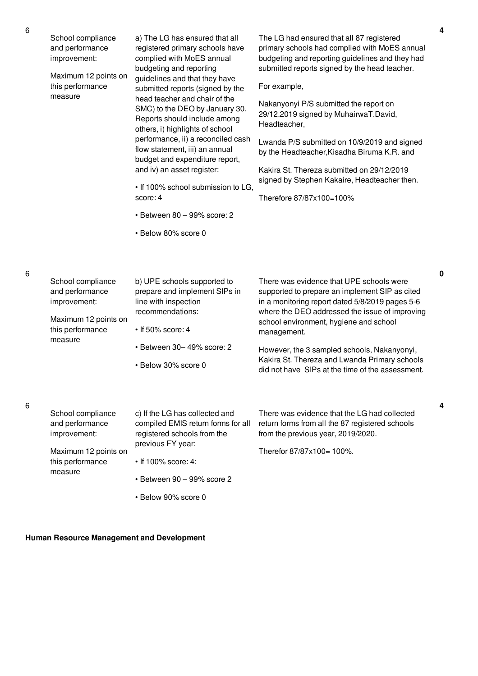| School compliance<br>and performance<br>improvement:<br>Maximum 12 points on<br>this performance<br>measure | a) The LG has ensured that all<br>registered primary schools have<br>complied with MoES annual<br>budgeting and reporting<br>guidelines and that they have<br>submitted reports (signed by the<br>head teacher and chair of the<br>SMC) to the DEO by January 30.<br>Reports should include among<br>others, i) highlights of school<br>performance, ii) a reconciled cash<br>flow statement, iii) an annual<br>budget and expenditure report,<br>and iv) an asset register:<br>. If 100% school submission to LG.<br>score: 4<br>$\cdot$ Between 80 - 99% score: 2<br>• Below 80% score 0 | The LG had ensured that all 87 registered<br>primary schools had complied with MoES annual<br>budgeting and reporting guidelines and they had<br>submitted reports signed by the head teacher.<br>For example,<br>Nakanyonyi P/S submitted the report on<br>29/12.2019 signed by MuhairwaT.David,<br>Headteacher,<br>Lwanda P/S submitted on 10/9/2019 and signed<br>by the Headteacher, Kisadha Biruma K.R. and<br>Kakira St. Thereza submitted on 29/12/2019<br>signed by Stephen Kakaire, Headteacher then.<br>Therefore 87/87x100=100% |
|-------------------------------------------------------------------------------------------------------------|--------------------------------------------------------------------------------------------------------------------------------------------------------------------------------------------------------------------------------------------------------------------------------------------------------------------------------------------------------------------------------------------------------------------------------------------------------------------------------------------------------------------------------------------------------------------------------------------|--------------------------------------------------------------------------------------------------------------------------------------------------------------------------------------------------------------------------------------------------------------------------------------------------------------------------------------------------------------------------------------------------------------------------------------------------------------------------------------------------------------------------------------------|
| School compliance<br>and performance<br>improvement:<br>Maximum 12 points on<br>this performance<br>measure | b) UPE schools supported to<br>prepare and implement SIPs in<br>line with inspection<br>recommendations:<br>$\cdot$ If 50% score: 4<br>· Between 30-49% score: 2<br>• Below 30% score 0                                                                                                                                                                                                                                                                                                                                                                                                    | There was evidence that UPE schools were<br>supported to prepare an implement SIP as cited<br>in a monitoring report dated 5/8/2019 pages 5-6<br>where the DEO addressed the issue of improving<br>school environment, hygiene and school<br>management.<br>However, the 3 sampled schools, Nakanyonyi,<br>Kakira St. Thereza and Lwanda Primary schools<br>did not have SIPs at the time of the assessment.                                                                                                                               |
| School compliance<br>and performance<br>improvement:<br>Maximum 12 points on<br>this performance<br>measure | c) If the LG has collected and<br>compiled EMIS return forms for all<br>registered schools from the<br>previous FY year:<br>• If 100% score: 4:<br>• Between 90 - 99% score 2                                                                                                                                                                                                                                                                                                                                                                                                              | There was evidence that the LG had collected<br>return forms from all the 87 registered schools<br>from the previous year, 2019/2020.<br>Therefor 87/87x100= 100%.                                                                                                                                                                                                                                                                                                                                                                         |

• Below 90% score 0

## **Human Resource Management and Development**

6

6

**0**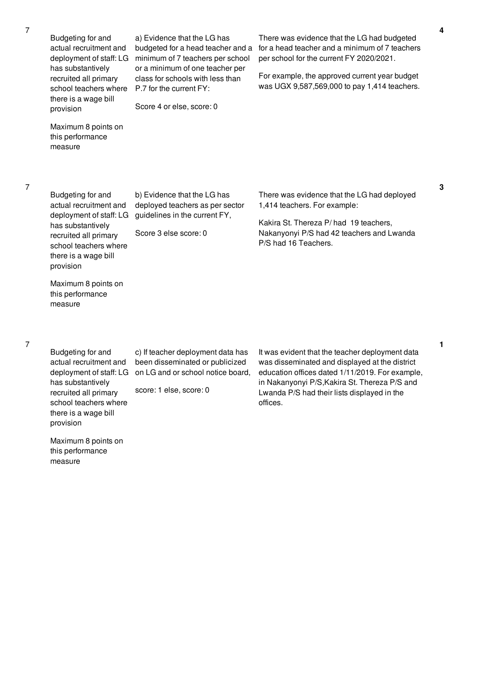| Budgeting for and<br>actual recruitment and<br>deployment of staff: LG<br>has substantively<br>recruited all primary<br>school teachers where<br>there is a wage bill<br>provision | a) Evidence that the LG has<br>budgeted for a head teacher and a<br>minimum of 7 teachers per school<br>or a minimum of one teacher per<br>class for schools with less than<br>P.7 for the current FY:<br>Score 4 or else, score: 0 | There was evidence that the LG had budgeted<br>for a head teacher and a minimum of 7 teachers<br>per school for the current FY 2020/2021.<br>For example, the approved current year budget<br>was UGX 9,587,569,000 to pay 1,414 teachers. |
|------------------------------------------------------------------------------------------------------------------------------------------------------------------------------------|-------------------------------------------------------------------------------------------------------------------------------------------------------------------------------------------------------------------------------------|--------------------------------------------------------------------------------------------------------------------------------------------------------------------------------------------------------------------------------------------|
| Maximum 8 points on<br>this performance<br>measure                                                                                                                                 |                                                                                                                                                                                                                                     |                                                                                                                                                                                                                                            |
| Budgeting for and<br>actual recruitment and<br>deployment of staff: LG<br>has substantively<br>recruited all primary<br>school teachers where<br>there is a wage bill<br>provision | b) Evidence that the LG has<br>deployed teachers as per sector<br>guidelines in the current FY,<br>Score 3 else score: 0                                                                                                            | There was evidence that the LG had deployed<br>1,414 teachers. For example:<br>Kakira St. Thereza P/had 19 teachers,<br>Nakanyonyi P/S had 42 teachers and Lwanda<br>P/S had 16 Teachers.                                                  |

Budgeting for and actual recruitment and deployment of staff: LG on LG and or school notice board, has substantively recruited all primary school teachers where there is a wage bill

Maximum 8 points on this performance

measure

c) If teacher deployment data has been disseminated or publicized

score: 1 else, score: 0

It was evident that the teacher deployment data was disseminated and displayed at the district education offices dated 1/11/2019. For example, in Nakanyonyi P/S,Kakira St. Thereza P/S and Lwanda P/S had their lists displayed in the offices.

provision Maximum 8 points on

this performance measure

**3**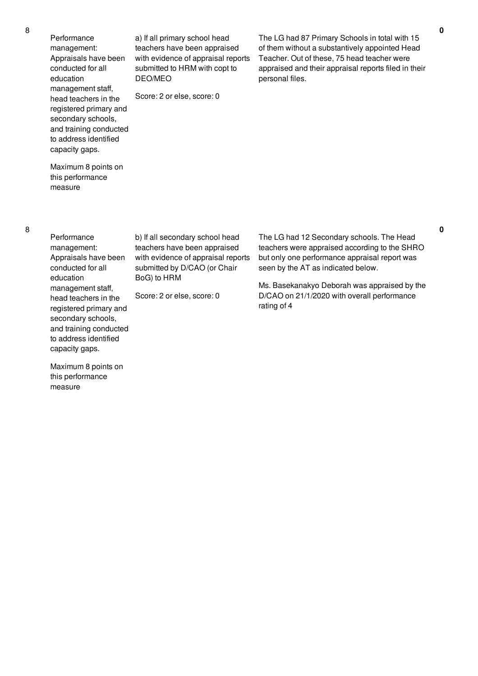Performance management: Appraisals have been conducted for all education management staff, head teachers in the registered primary and secondary schools, and training conducted to address identified capacity gaps.

a) If all primary school head teachers have been appraised with evidence of appraisal reports submitted to HRM with copt to DEO/MEO

Score: 2 or else, score: 0

The LG had 87 Primary Schools in total with 15 of them without a substantively appointed Head Teacher. Out of these, 75 head teacher were appraised and their appraisal reports filed in their personal files.

Maximum 8 points on this performance measure

**Performance** management: Appraisals have been conducted for all education management staff, head teachers in the registered primary and secondary schools, and training conducted to address identified capacity gaps.

Maximum 8 points on this performance

measure

b) If all secondary school head teachers have been appraised with evidence of appraisal reports submitted by D/CAO (or Chair BoG) to HRM

Score: 2 or else, score: 0

The LG had 12 Secondary schools. The Head teachers were appraised according to the SHRO but only one performance appraisal report was seen by the AT as indicated below.

Ms. Basekanakyo Deborah was appraised by the D/CAO on 21/1/2020 with overall performance rating of 4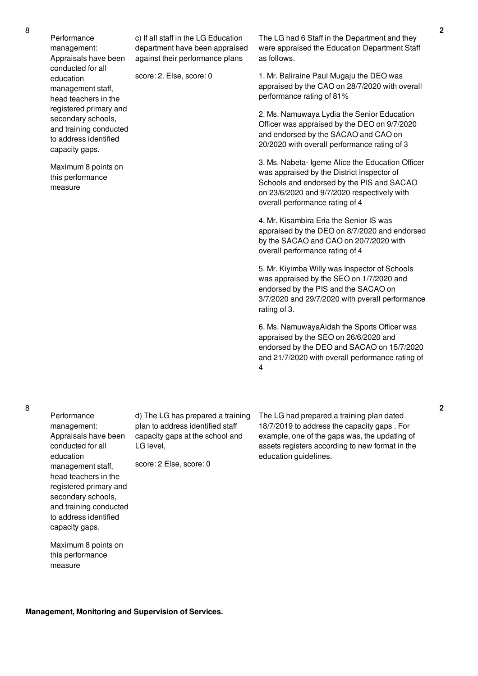Performance management: Appraisals have been conducted for all education management staff, head teachers in the registered primary and secondary schools, and training conducted to address identified capacity gaps.

Maximum 8 points on this performance measure

c) If all staff in the LG Education department have been appraised against their performance plans

score: 2. Else, score: 0

The LG had 6 Staff in the Department and they were appraised the Education Department Staff as follows.

1. Mr. Baliraine Paul Mugaju the DEO was appraised by the CAO on 28/7/2020 with overall performance rating of 81%

2. Ms. Namuwaya Lydia the Senior Education Officer was appraised by the DEO on 9/7/2020 and endorsed by the SACAO and CAO on 20/2020 with overall performance rating of 3

3. Ms. Nabeta- Igeme Alice the Education Officer was appraised by the District Inspector of Schools and endorsed by the PIS and SACAO on 23/6/2020 and 9/7/2020 respectively with overall performance rating of 4

4. Mr. Kisambira Eria the Senior IS was appraised by the DEO on 8/7/2020 and endorsed by the SACAO and CAO on 20/7/2020 with overall performance rating of 4

5. Mr. Kiyimba Willy was Inspector of Schools was appraised by the SEO on 1/7/2020 and endorsed by the PIS and the SACAO on 3/7/2020 and 29/7/2020 with pverall performance rating of 3.

6. Ms. NamuwayaAidah the Sports Officer was appraised by the SEO on 26/6/2020 and endorsed by the DEO and SACAO on 15/7/2020 and 21/7/2020 with overall performance rating of 4

Performance management: Appraisals have been conducted for all education management staff, head teachers in the registered primary and secondary schools, and training conducted to address identified capacity gaps.

d) The LG has prepared a training plan to address identified staff capacity gaps at the school and LG level,

score: 2 Else, score: 0

The LG had prepared a training plan dated 18/7/2019 to address the capacity gaps . For example, one of the gaps was, the updating of assets registers according to new format in the education guidelines.

Maximum 8 points on this performance measure

**Management, Monitoring and Supervision of Services.**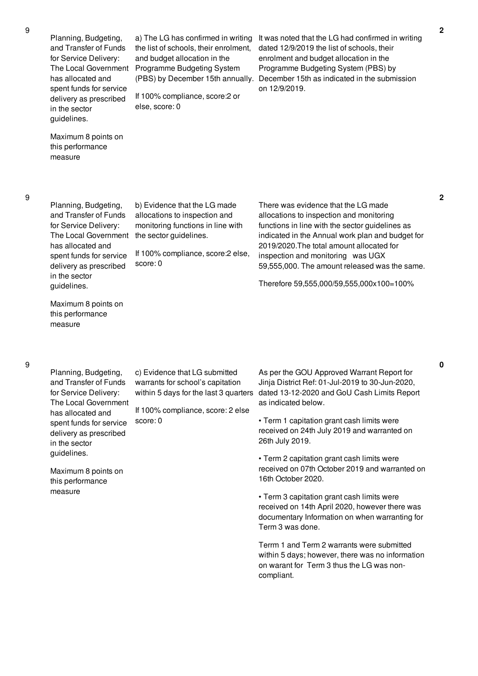Planning, Budgeting, and Transfer of Funds for Service Delivery: The Local Government has allocated and spent funds for service delivery as prescribed in the sector guidelines.

a) The LG has confirmed in writing the list of schools, their enrolment, and budget allocation in the Programme Budgeting System (PBS) by December 15th annually.

If 100% compliance, score:2 or else, score: 0

It was noted that the LG had confirmed in writing dated 12/9/2019 the list of schools, their enrolment and budget allocation in the Programme Budgeting System (PBS) by December 15th as indicated in the submission on 12/9/2019.

this performance measure

Maximum 8 points on

Planning, Budgeting, and Transfer of Funds for Service Delivery: The Local Government has allocated and spent funds for service delivery as prescribed in the sector guidelines.

Maximum 8 points on this performance measure

b) Evidence that the LG made allocations to inspection and monitoring functions in line with the sector guidelines.

If 100% compliance, score:2 else, score: 0

There was evidence that the LG made allocations to inspection and monitoring functions in line with the sector guidelines as indicated in the Annual work plan and budget for 2019/2020.The total amount allocated for inspection and monitoring was UGX 59,555,000. The amount released was the same.

Therefore 59,555,000/59,555,000x100=100%

Planning, Budgeting, and Transfer of Funds for Service Delivery: The Local Government has allocated and spent funds for service delivery as prescribed in the sector guidelines.

c) Evidence that LG submitted warrants for school's capitation

If 100% compliance, score: 2 else score: 0

Maximum 8 points on this performance measure

within 5 days for the last 3 quarters dated 13-12-2020 and GoU Cash Limits Report As per the GOU Approved Warrant Report for Jinja District Ref: 01-Jul-2019 to 30-Jun-2020, as indicated below.

> • Term 1 capitation grant cash limits were received on 24th July 2019 and warranted on 26th July 2019.

• Term 2 capitation grant cash limits were received on 07th October 2019 and warranted on 16th October 2020.

• Term 3 capitation grant cash limits were received on 14th April 2020, however there was documentary Information on when warranting for Term 3 was done.

Terrm 1 and Term 2 warrants were submitted within 5 days; however, there was no information on warant for Term 3 thus the LG was noncompliant.

**2**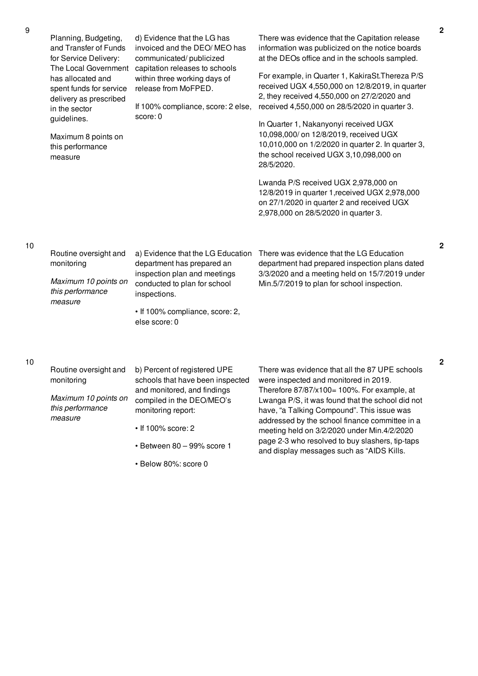|    | Planning, Budgeting,<br>and Transfer of Funds<br>for Service Delivery:<br>The Local Government<br>has allocated and<br>spent funds for service<br>delivery as prescribed<br>in the sector<br>guidelines.<br>Maximum 8 points on<br>this performance<br>measure | d) Evidence that the LG has<br>invoiced and the DEO/MEO has<br>communicated/publicized<br>capitation releases to schools<br>within three working days of<br>release from MoFPED.<br>If 100% compliance, score: 2 else,<br>score: 0 | There was evidence that the Capitation release<br>information was publicized on the notice boards<br>at the DEOs office and in the schools sampled.<br>For example, in Quarter 1, KakiraSt. Thereza P/S<br>received UGX 4,550,000 on 12/8/2019, in quarter<br>2, they received 4,550,000 on 27/2/2020 and<br>received 4,550,000 on 28/5/2020 in quarter 3.<br>In Quarter 1, Nakanyonyi received UGX<br>10,098,000/ on 12/8/2019, received UGX<br>10,010,000 on 1/2/2020 in quarter 2. In quarter 3,<br>the school received UGX 3,10,098,000 on<br>28/5/2020.<br>Lwanda P/S received UGX 2,978,000 on<br>12/8/2019 in quarter 1, received UGX 2,978,000<br>on 27/1/2020 in quarter 2 and received UGX<br>2,978,000 on 28/5/2020 in quarter 3. |
|----|----------------------------------------------------------------------------------------------------------------------------------------------------------------------------------------------------------------------------------------------------------------|------------------------------------------------------------------------------------------------------------------------------------------------------------------------------------------------------------------------------------|----------------------------------------------------------------------------------------------------------------------------------------------------------------------------------------------------------------------------------------------------------------------------------------------------------------------------------------------------------------------------------------------------------------------------------------------------------------------------------------------------------------------------------------------------------------------------------------------------------------------------------------------------------------------------------------------------------------------------------------------|
| 10 | Routine oversight and<br>monitoring<br>Maximum 10 points on<br>this performance<br>measure                                                                                                                                                                     | a) Evidence that the LG Education<br>department has prepared an<br>inspection plan and meetings<br>conducted to plan for school<br>inspections.<br>• If 100% compliance, score: 2,<br>else score: 0                                | There was evidence that the LG Education<br>department had prepared inspection plans dated<br>3/3/2020 and a meeting held on 15/7/2019 under<br>Min.5/7/2019 to plan for school inspection.                                                                                                                                                                                                                                                                                                                                                                                                                                                                                                                                                  |
| 10 | Routine oversight and<br>monitoring<br>Maximum 10 points on<br>this performance<br>measure                                                                                                                                                                     | b) Percent of registered UPE<br>schools that have been inspected<br>and monitored, and findings<br>compiled in the DEO/MEO's<br>monitoring report:<br>• If 100% score: 2<br>· Between 80 - 99% score 1                             | There was evidence that all the 87 UPE schools<br>were inspected and monitored in 2019.<br>Therefore $87/87/x100=100\%$ . For example, at<br>Lwanga P/S, it was found that the school did not<br>have, "a Talking Compound". This issue was<br>addressed by the school finance committee in a<br>meeting held on 3/2/2020 under Min.4/2/2020<br>page 2-3 who resolved to buy slashers, tip-taps<br>and display messages such as "AIDS Kills.                                                                                                                                                                                                                                                                                                 |

• Below 80%: score 0

**2**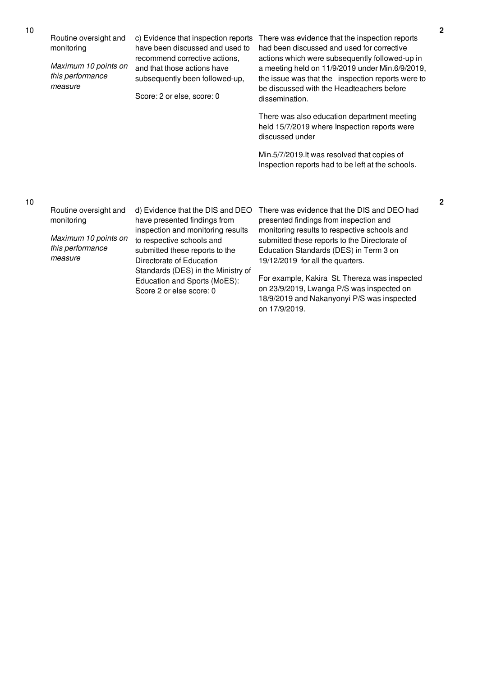| Routine oversight and<br>monitoring<br>Maximum 10 points on<br>this performance<br>measure | c) Evidence that inspection reports<br>have been discussed and used to<br>recommend corrective actions,<br>and that those actions have<br>subsequently been followed-up,<br>Score: 2 or else, score: 0                                 | There was evidence that the inspection reports<br>had been discussed and used for corrective<br>actions which were subsequently followed-up in<br>a meeting held on 11/9/2019 under Min.6/9/2019,<br>the issue was that the inspection reports were to<br>be discussed with the Headteachers before<br>dissemination. |
|--------------------------------------------------------------------------------------------|----------------------------------------------------------------------------------------------------------------------------------------------------------------------------------------------------------------------------------------|-----------------------------------------------------------------------------------------------------------------------------------------------------------------------------------------------------------------------------------------------------------------------------------------------------------------------|
|                                                                                            |                                                                                                                                                                                                                                        | There was also education department meeting<br>held 15/7/2019 where Inspection reports were<br>discussed under                                                                                                                                                                                                        |
|                                                                                            |                                                                                                                                                                                                                                        | Min.5/7/2019.It was resolved that copies of<br>Inspection reports had to be left at the schools.                                                                                                                                                                                                                      |
|                                                                                            |                                                                                                                                                                                                                                        |                                                                                                                                                                                                                                                                                                                       |
| Routine oversight and<br>monitoring<br>Maximum 10 points on<br>this performance<br>measure | d) Evidence that the DIS and DEO<br>have presented findings from<br>inspection and monitoring results<br>to respective schools and<br>submitted these reports to the<br>Directorate of Education<br>Standards (DES) in the Ministry of | There was evidence that the DIS and DEO had<br>presented findings from inspection and<br>monitoring results to respective schools and<br>submitted these reports to the Directorate of<br>Education Standards (DES) in Term 3 on<br>19/12/2019 for all the quarters.                                                  |
|                                                                                            | Education and Sports (MoES):<br>Score 2 or else score: 0                                                                                                                                                                               | For example, Kakira St. Thereza was inspected<br>on 23/9/2019, Lwanga P/S was inspected on<br>18/9/2019 and Nakanyonyi P/S was inspected                                                                                                                                                                              |

on 17/9/2019.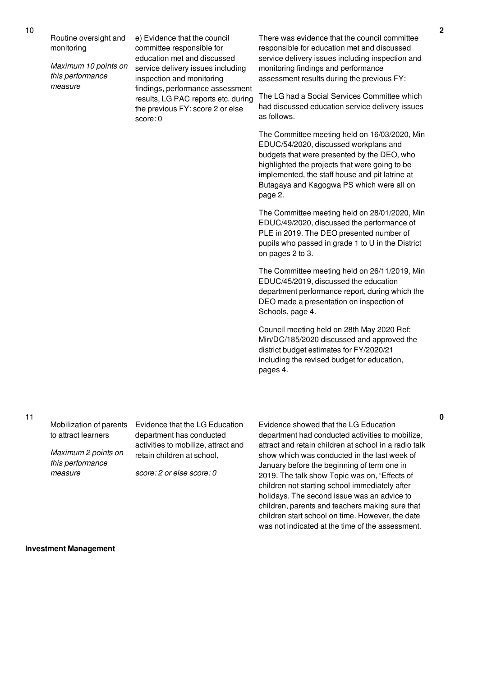Routine oversight and monitoring

*Maximum 10 points on this performance measure*

e) Evidence that the council committee responsible for education met and discussed service delivery issues including inspection and monitoring findings, performance assessment results, LG PAC reports etc. during the previous FY: score 2 or else score: 0

There was evidence that the council committee responsible for education met and discussed service delivery issues including inspection and monitoring findings and performance assessment results during the previous FY:

The LG had a Social Services Committee which had discussed education service delivery issues as follows.

The Committee meeting held on 16/03/2020, Min EDUC/54/2020, discussed workplans and budgets that were presented by the DEO, who highlighted the projects that were going to be implemented, the staff house and pit latrine at Butagaya and Kagogwa PS which were all on page 2.

The Committee meeting held on 28/01/2020, Min EDUC/49/2020, discussed the performance of PLE in 2019. The DEO presented number of pupils who passed in grade 1 to U in the District on pages 2 to 3.

The Committee meeting held on 26/11/2019, Min EDUC/45/2019, discussed the education department performance report, during which the DEO made a presentation on inspection of Schools, page 4.

Council meeting held on 28th May 2020 Ref: Min/DC/185/2020 discussed and approved the district budget estimates for FY/2020/21 including the revised budget for education, pages 4.

Mobilization of parents to attract learners

*Maximum 2 points on this performance measure*

Evidence that the LG Education department has conducted activities to mobilize, attract and retain children at school,

*score: 2 or else score: 0*

Evidence showed that the LG Education department had conducted activities to mobilize, attract and retain children at school in a radio talk show which was conducted in the last week of January before the beginning of term one in 2019. The talk show Topic was on, "Effects of children not starting school immediately after holidays. The second issue was an advice to children, parents and teachers making sure that children start school on time. However, the date was not indicated at the time of the assessment.

**Investment Management**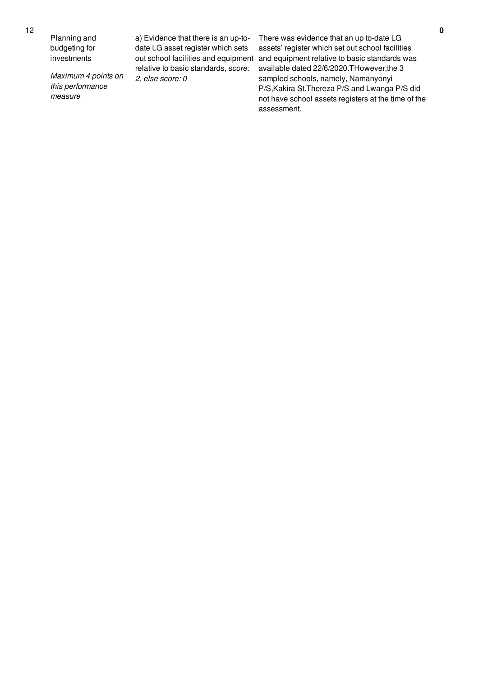Planning and budgeting for investments

*Maximum 4 points on this performance measure*

a) Evidence that there is an up-todate LG asset register which sets out school facilities and equipment relative to basic standards, *score: 2, else score: 0*

There was evidence that an up to-date LG assets' register which set out school facilities and equipment relative to basic standards was available dated 22/6/2020.THowever,the 3 sampled schools, namely, Namanyonyi P/S,Kakira St.Thereza P/S and Lwanga P/S did not have school assets registers at the time of the assessment.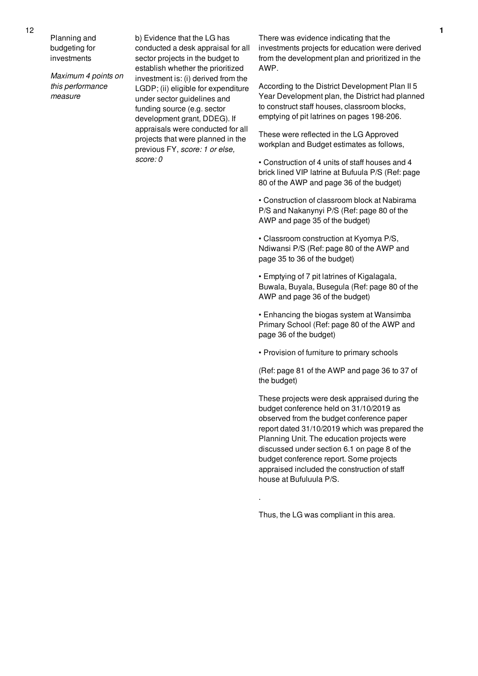Planning and budgeting for investments

*Maximum 4 points on this performance measure*

b) Evidence that the LG has conducted a desk appraisal for all sector projects in the budget to establish whether the prioritized investment is: (i) derived from the LGDP; (ii) eligible for expenditure under sector guidelines and funding source (e.g. sector development grant, DDEG). If appraisals were conducted for all projects that were planned in the previous FY, *score: 1 or else, score: 0*

There was evidence indicating that the investments projects for education were derived from the development plan and prioritized in the AWP.

According to the District Development Plan II 5 Year Development plan, the District had planned to construct staff houses, classroom blocks, emptying of pit latrines on pages 198-206.

These were reflected in the LG Approved workplan and Budget estimates as follows,

• Construction of 4 units of staff houses and 4 brick lined VIP latrine at Bufuula P/S (Ref: page 80 of the AWP and page 36 of the budget)

• Construction of classroom block at Nabirama P/S and Nakanynyi P/S (Ref: page 80 of the AWP and page 35 of the budget)

• Classroom construction at Kyomya P/S, Ndiwansi P/S (Ref: page 80 of the AWP and page 35 to 36 of the budget)

• Emptying of 7 pit latrines of Kigalagala, Buwala, Buyala, Busegula (Ref: page 80 of the AWP and page 36 of the budget)

• Enhancing the biogas system at Wansimba Primary School (Ref: page 80 of the AWP and page 36 of the budget)

• Provision of furniture to primary schools

(Ref: page 81 of the AWP and page 36 to 37 of the budget)

These projects were desk appraised during the budget conference held on 31/10/2019 as observed from the budget conference paper report dated 31/10/2019 which was prepared the Planning Unit. The education projects were discussed under section 6.1 on page 8 of the budget conference report. Some projects appraised included the construction of staff house at Bufuluula P/S.

Thus, the LG was compliant in this area.

.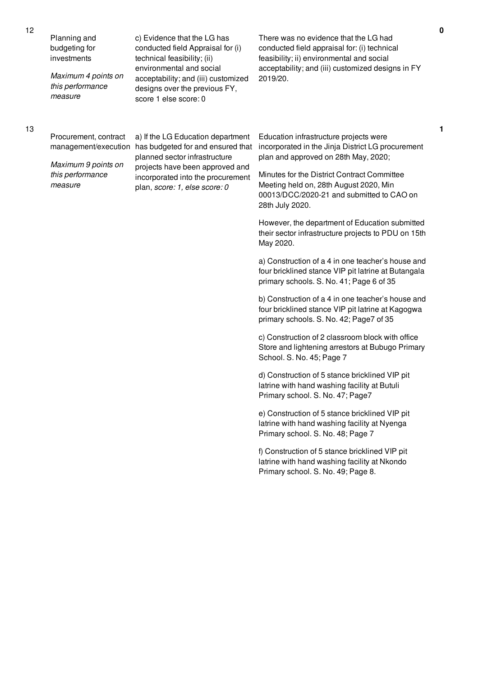| Planning and<br>budgeting for<br>investments<br>Maximum 4 points on<br>this performance<br>measure | c) Evidence that the LG has<br>conducted field Appraisal for (i)<br>technical feasibility; (ii)<br>environmental and social<br>acceptability; and (iii) customized<br>designs over the previous FY,<br>score 1 else score: 0         | There was no evidence that the LG had<br>conducted field appraisal for: (i) technical<br>feasibility; ii) environmental and social<br>acceptability; and (iii) customized designs in FY<br>2019/20. |
|----------------------------------------------------------------------------------------------------|--------------------------------------------------------------------------------------------------------------------------------------------------------------------------------------------------------------------------------------|-----------------------------------------------------------------------------------------------------------------------------------------------------------------------------------------------------|
| Procurement, contract<br>management/execution<br>Maximum 9 points on                               | a) If the LG Education department<br>has budgeted for and ensured that<br>planned sector infrastructure<br>projects have been approved and<br>this performance<br>incorporated into the procurement<br>plan, score: 1, else score: 0 | Education infrastructure projects were<br>incorporated in the Jinja District LG procurement<br>plan and approved on 28th May, 2020;<br>Minutes for the District Contract Committee                  |
| measure                                                                                            |                                                                                                                                                                                                                                      | Meeting held on, 28th August 2020, Min<br>00013/DCC/2020-21 and submitted to CAO on<br>28th July 2020.                                                                                              |
|                                                                                                    |                                                                                                                                                                                                                                      | However, the department of Education submitted<br>their sector infrastructure projects to PDU on 15th<br>May 2020.                                                                                  |
|                                                                                                    |                                                                                                                                                                                                                                      | a) Construction of a 4 in one teacher's house and<br>four bricklined stance VIP pit latrine at Butangala<br>primary schools. S. No. 41; Page 6 of 35                                                |
|                                                                                                    |                                                                                                                                                                                                                                      | b) Construction of a 4 in one teacher's house and<br>four bricklined stance VIP pit latrine at Kagogwa<br>primary schools. S. No. 42; Page7 of 35                                                   |
|                                                                                                    |                                                                                                                                                                                                                                      | c) Construction of 2 classroom block with office<br>Store and lightening arrestors at Bubugo Primary<br>School. S. No. 45; Page 7                                                                   |
|                                                                                                    |                                                                                                                                                                                                                                      | d) Construction of 5 stance bricklined VIP pit<br>latrine with hand washing facility at Butuli<br>Primary school. S. No. 47; Page7                                                                  |
|                                                                                                    |                                                                                                                                                                                                                                      | e) Construction of 5 stance bricklined VIP pit<br>latrine with hand washing facility at Nyenga<br>Primary school. S. No. 48; Page 7                                                                 |
|                                                                                                    |                                                                                                                                                                                                                                      | f) Construction of 5 stance bricklined VIP pit<br>latrine with hand washing facility at Nkondo<br>Primary school. S. No. 49; Page 8.                                                                |
|                                                                                                    |                                                                                                                                                                                                                                      |                                                                                                                                                                                                     |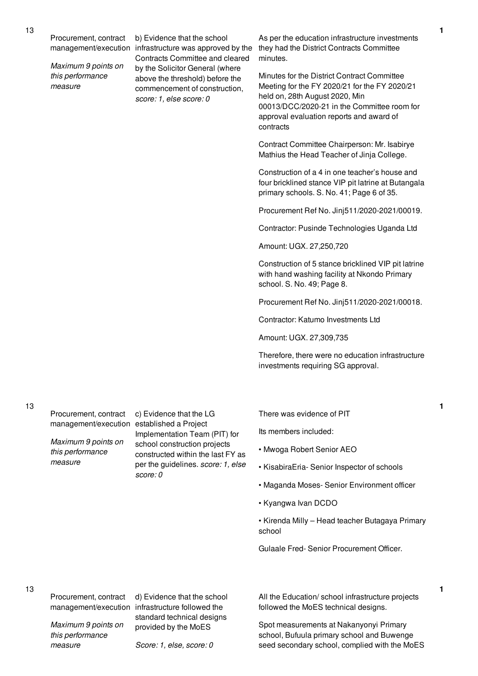Procurement, contract

*Maximum 9 points on this performance measure*

management/execution infrastructure was approved by the b) Evidence that the school Contracts Committee and cleared by the Solicitor General (where above the threshold) before the commencement of construction, *score: 1, else score: 0*

As per the education infrastructure investments they had the District Contracts Committee minutes.

Minutes for the District Contract Committee Meeting for the FY 2020/21 for the FY 2020/21 held on, 28th August 2020, Min 00013/DCC/2020-21 in the Committee room for approval evaluation reports and award of contracts

Contract Committee Chairperson: Mr. Isabirye Mathius the Head Teacher of Jinja College.

Construction of a 4 in one teacher's house and four bricklined stance VIP pit latrine at Butangala primary schools. S. No. 41; Page 6 of 35.

Procurement Ref No. Jinj511/2020-2021/00019.

Contractor: Pusinde Technologies Uganda Ltd

Amount: UGX. 27,250,720

Construction of 5 stance bricklined VIP pit latrine with hand washing facility at Nkondo Primary school. S. No. 49; Page 8.

Procurement Ref No. Jinj511/2020-2021/00018.

Contractor: Katumo Investments Ltd

Amount: UGX. 27,309,735

Therefore, there were no education infrastructure investments requiring SG approval.

13

Procurement, contract

*Maximum 9 points on this performance measure*

management/execution established a Project c) Evidence that the LG Implementation Team (PIT) for school construction projects constructed within the last FY as per the guidelines. *score: 1, else score: 0*

There was evidence of PIT

Its members included:

- Mwoga Robert Senior AEO
- KisabiraEria- Senior Inspector of schools
- Maganda Moses- Senior Environment officer
- Kyangwa Ivan DCDO

• Kirenda Milly – Head teacher Butagaya Primary school

Gulaale Fred- Senior Procurement Officer.

13

Procurement, contract

management/execution infrastructure followed the d) Evidence that the school standard technical designs provided by the MoES

*Maximum 9 points on this performance measure*

*Score: 1, else, score: 0*

All the Education/ school infrastructure projects followed the MoES technical designs.

Spot measurements at Nakanyonyi Primary school, Bufuula primary school and Buwenge seed secondary school, complied with the MoES **1**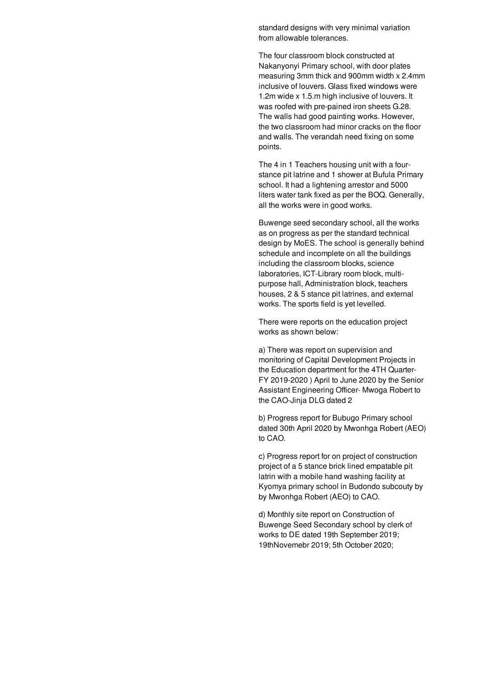standard designs with very minimal variation from allowable tolerances.

The four classroom block constructed at Nakanyonyi Primary school, with door plates measuring 3mm thick and 900mm width x 2.4mm inclusive of louvers. Glass fixed windows were 1.2m wide x 1.5.m high inclusive of louvers. It was roofed with pre-pained iron sheets G.28. The walls had good painting works. However, the two classroom had minor cracks on the floor and walls. The verandah need fixing on some points.

The 4 in 1 Teachers housing unit with a fourstance pit latrine and 1 shower at Bufula Primary school. It had a lightening arrestor and 5000 liters water tank fixed as per the BOQ. Generally, all the works were in good works.

Buwenge seed secondary school, all the works as on progress as per the standard technical design by MoES. The school is generally behind schedule and incomplete on all the buildings including the classroom blocks, science laboratories, ICT-Library room block, multipurpose hall, Administration block, teachers houses, 2 & 5 stance pit latrines, and external works. The sports field is yet levelled.

There were reports on the education project works as shown below:

a) There was report on supervision and monitoring of Capital Development Projects in the Education department for the 4TH Quarter-FY 2019-2020 ) April to June 2020 by the Senior Assistant Engineering Officer- Mwoga Robert to the CAO-Jinja DLG dated 2

b) Progress report for Bubugo Primary school dated 30th April 2020 by Mwonhga Robert (AEO) to CAO.

c) Progress report for on project of construction project of a 5 stance brick lined empatable pit latrin with a mobile hand washing facility at Kyomya primary school in Budondo subcouty by by Mwonhga Robert (AEO) to CAO.

d) Monthly site report on Construction of Buwenge Seed Secondary school by clerk of works to DE dated 19th September 2019; 19thNovemebr 2019; 5th October 2020;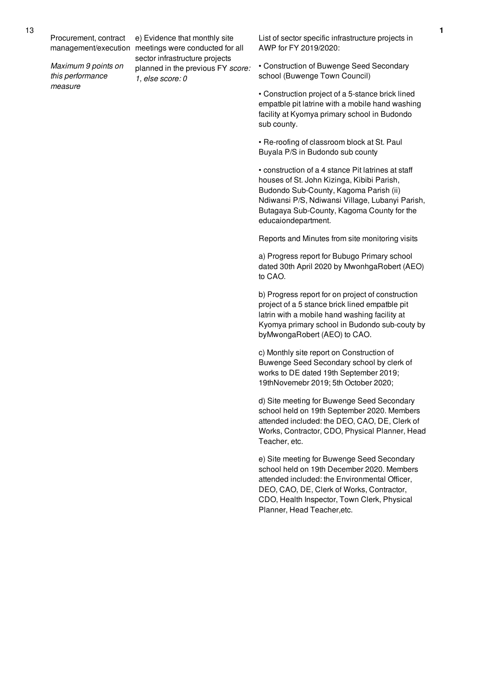Procurement, contract

*Maximum 9 points on this performance measure*

management/execution meetings were conducted for all e) Evidence that monthly site sector infrastructure projects planned in the previous FY *score: 1, else score: 0*

List of sector specific infrastructure projects in AWP for FY 2019/2020:

• Construction of Buwenge Seed Secondary school (Buwenge Town Council)

• Construction project of a 5-stance brick lined empatble pit latrine with a mobile hand washing facility at Kyomya primary school in Budondo sub county.

• Re-roofing of classroom block at St. Paul Buyala P/S in Budondo sub county

• construction of a 4 stance Pit latrines at staff houses of St. John Kizinga, Kibibi Parish, Budondo Sub-County, Kagoma Parish (ii) Ndiwansi P/S, Ndiwansi Village, Lubanyi Parish, Butagaya Sub-County, Kagoma County for the educaiondepartment.

Reports and Minutes from site monitoring visits

a) Progress report for Bubugo Primary school dated 30th April 2020 by MwonhgaRobert (AEO) to CAO.

b) Progress report for on project of construction project of a 5 stance brick lined empatble pit latrin with a mobile hand washing facility at Kyomya primary school in Budondo sub-couty by byMwongaRobert (AEO) to CAO.

c) Monthly site report on Construction of Buwenge Seed Secondary school by clerk of works to DE dated 19th September 2019; 19thNovemebr 2019; 5th October 2020;

d) Site meeting for Buwenge Seed Secondary school held on 19th September 2020. Members attended included: the DEO, CAO, DE, Clerk of Works, Contractor, CDO, Physical Planner, Head Teacher, etc.

e) Site meeting for Buwenge Seed Secondary school held on 19th December 2020. Members attended included: the Environmental Officer, DEO, CAO, DE, Clerk of Works, Contractor, CDO, Health Inspector, Town Clerk, Physical Planner, Head Teacher,etc.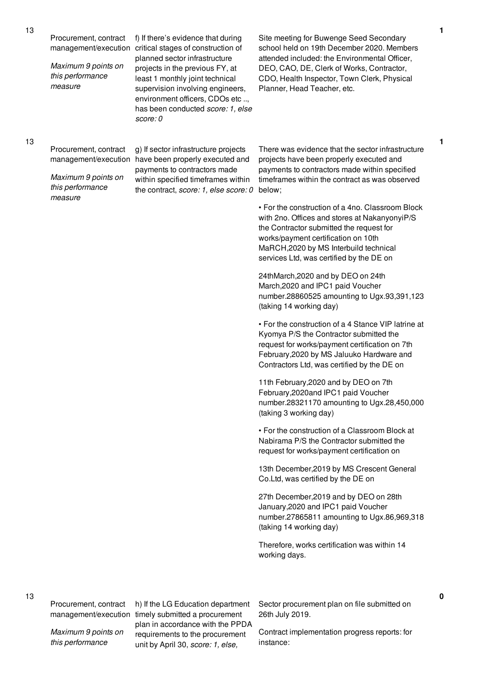Procurement, contract

*Maximum 9 points on this performance measure*

management/execution critical stages of construction of f) If there's evidence that during planned sector infrastructure projects in the previous FY, at least 1 monthly joint technical supervision involving engineers, environment officers, CDOs etc .., has been conducted *score: 1, else score: 0*

Site meeting for Buwenge Seed Secondary school held on 19th December 2020. Members attended included: the Environmental Officer, DEO, CAO, DE, Clerk of Works, Contractor, CDO, Health Inspector, Town Clerk, Physical Planner, Head Teacher, etc.

#### 13

Procurement, contract

*Maximum 9 points on this performance measure*

management/execution have been properly executed and g) If sector infrastructure projects payments to contractors made within specified timeframes within the contract, *score: 1, else score: 0* below;

There was evidence that the sector infrastructure projects have been properly executed and payments to contractors made within specified timeframes within the contract as was observed

• For the construction of a 4no. Classroom Block with 2no. Offices and stores at NakanyonyiP/S the Contractor submitted the request for works/payment certification on 10th MaRCH,2020 by MS Interbuild technical services Ltd, was certified by the DE on

24thMarch,2020 and by DEO on 24th March,2020 and IPC1 paid Voucher number.28860525 amounting to Ugx.93,391,123 (taking 14 working day)

• For the construction of a 4 Stance VIP latrine at Kyomya P/S the Contractor submitted the request for works/payment certification on 7th February,2020 by MS Jaluuko Hardware and Contractors Ltd, was certified by the DE on

11th February,2020 and by DEO on 7th February,2020and IPC1 paid Voucher number.28321170 amounting to Ugx.28,450,000 (taking 3 working day)

• For the construction of a Classroom Block at Nabirama P/S the Contractor submitted the request for works/payment certification on

13th December,2019 by MS Crescent General Co.Ltd, was certified by the DE on

27th December,2019 and by DEO on 28th January,2020 and IPC1 paid Voucher number.27865811 amounting to Ugx.86,969,318 (taking 14 working day)

Therefore, works certification was within 14 working days.

Procurement, contract

13

*Maximum 9 points on this performance*

management/execution timely submitted a procurement h) If the LG Education department plan in accordance with the PPDA requirements to the procurement unit by April 30, *score: 1, else,*

Sector procurement plan on file submitted on 26th July 2019.

Contract implementation progress reports: for instance:

# **1**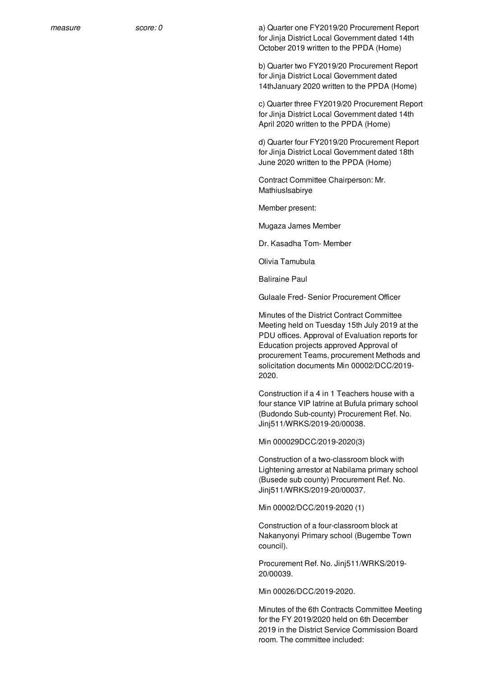*measure score: 0* a) Quarter one FY2019/20 Procurement Report for Jinja District Local Government dated 14th October 2019 written to the PPDA (Home)

> b) Quarter two FY2019/20 Procurement Report for Jinja District Local Government dated 14thJanuary 2020 written to the PPDA (Home)

c) Quarter three FY2019/20 Procurement Report for Jinja District Local Government dated 14th April 2020 written to the PPDA (Home)

d) Quarter four FY2019/20 Procurement Report for Jinja District Local Government dated 18th June 2020 written to the PPDA (Home)

Contract Committee Chairperson: Mr. MathiusIsabirye

Member present:

Mugaza James Member

Dr. Kasadha Tom- Member

Olivia Tamubula

Baliraine Paul

Gulaale Fred- Senior Procurement Officer

Minutes of the District Contract Committee Meeting held on Tuesday 15th July 2019 at the PDU offices. Approval of Evaluation reports for Education projects approved Approval of procurement Teams, procurement Methods and solicitation documents Min 00002/DCC/2019- 2020.

Construction if a 4 in 1 Teachers house with a four stance VIP latrine at Bufula primary school (Budondo Sub-county) Procurement Ref. No. Jinj511/WRKS/2019-20/00038.

Min 000029DCC/2019-2020(3)

Construction of a two-classroom block with Lightening arrestor at Nabilama primary school (Busede sub county) Procurement Ref. No. Jinj511/WRKS/2019-20/00037.

Min 00002/DCC/2019-2020 (1)

Construction of a four-classroom block at Nakanyonyi Primary school (Bugembe Town council).

Procurement Ref. No. Jinj511/WRKS/2019- 20/00039.

Min 00026/DCC/2019-2020.

Minutes of the 6th Contracts Committee Meeting for the FY 2019/2020 held on 6th December 2019 in the District Service Commission Board room. The committee included: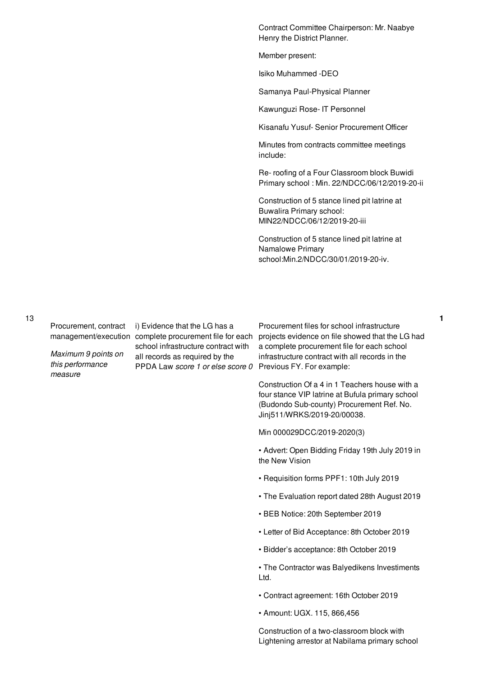Contract Committee Chairperson: Mr. Naabye Henry the District Planner.

Member present:

Isiko Muhammed -DEO

Samanya Paul-Physical Planner

Kawunguzi Rose- IT Personnel

Kisanafu Yusuf- Senior Procurement Officer

Minutes from contracts committee meetings include:

Re- roofing of a Four Classroom block Buwidi Primary school : Min. 22/NDCC/06/12/2019-20-ii

Construction of 5 stance lined pit latrine at Buwalira Primary school: MIN22/NDCC/06/12/2019-20-iii

Construction of 5 stance lined pit latrine at Namalowe Primary school:Min.2/NDCC/30/01/2019-20-iv.

13

Procurement, contract

*Maximum 9 points on this performance measure*

i) Evidence that the LG has a school infrastructure contract with all records as required by the PPDA Law *score 1 or else score 0* Previous FY. For example:

management/execution complete procurement file for each projects evidence on file showed that the LG had Procurement files for school infrastructure a complete procurement file for each school infrastructure contract with all records in the

> Construction Of a 4 in 1 Teachers house with a four stance VIP latrine at Bufula primary school (Budondo Sub-county) Procurement Ref. No. Jinj511/WRKS/2019-20/00038.

Min 000029DCC/2019-2020(3)

• Advert: Open Bidding Friday 19th July 2019 in the New Vision

- Requisition forms PPF1: 10th July 2019
- The Evaluation report dated 28th August 2019
- BEB Notice: 20th September 2019
- Letter of Bid Acceptance: 8th October 2019
- Bidder's acceptance: 8th October 2019

• The Contractor was Balyedikens Investiments Ltd.

- Contract agreement: 16th October 2019
- Amount: UGX. 115, 866,456

Construction of a two-classroom block with Lightening arrestor at Nabilama primary school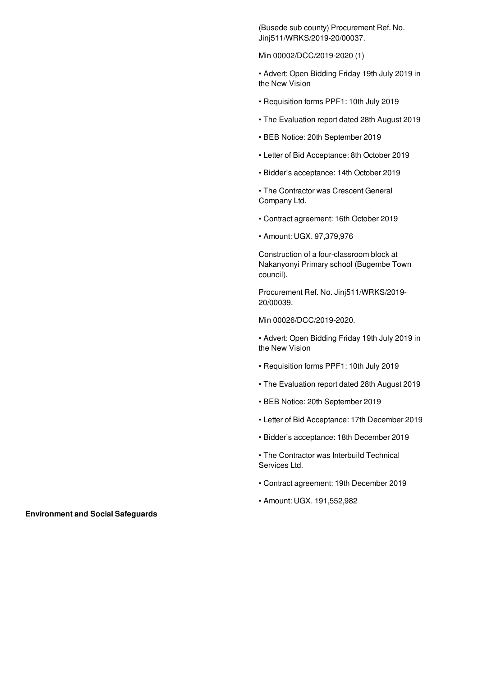(Busede sub county) Procurement Ref. No. Jinj511/WRKS/2019-20/00037.

Min 00002/DCC/2019-2020 (1)

• Advert: Open Bidding Friday 19th July 2019 in the New Vision

- Requisition forms PPF1: 10th July 2019
- The Evaluation report dated 28th August 2019
- BEB Notice: 20th September 2019
- Letter of Bid Acceptance: 8th October 2019
- Bidder's acceptance: 14th October 2019

• The Contractor was Crescent General Company Ltd.

- Contract agreement: 16th October 2019
- Amount: UGX. 97,379,976

Construction of a four-classroom block at Nakanyonyi Primary school (Bugembe Town council).

Procurement Ref. No. Jinj511/WRKS/2019- 20/00039.

Min 00026/DCC/2019-2020.

• Advert: Open Bidding Friday 19th July 2019 in the New Vision

- Requisition forms PPF1: 10th July 2019
- The Evaluation report dated 28th August 2019
- BEB Notice: 20th September 2019
- Letter of Bid Acceptance: 17th December 2019
- Bidder's acceptance: 18th December 2019
- The Contractor was Interbuild Technical Services Ltd.
- Contract agreement: 19th December 2019
- Amount: UGX. 191,552,982

**Environment and Social Safeguards**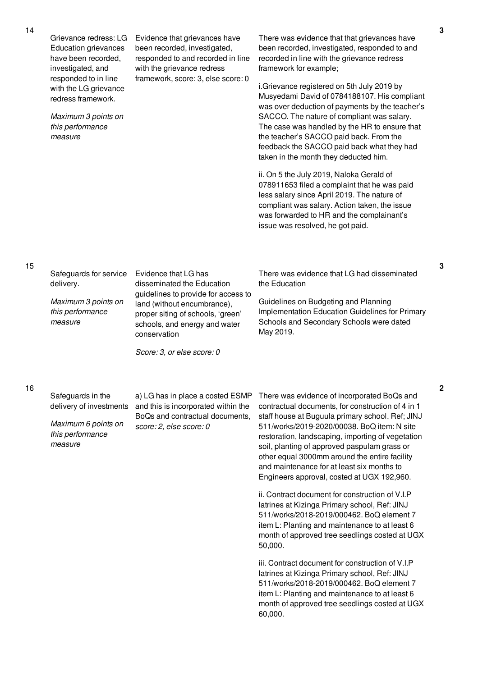Grievance redress: LG Education grievances have been recorded, investigated, and responded to in line with the LG grievance redress framework.

*Maximum 3 points on this performance measure*

Evidence that grievances have been recorded, investigated, responded to and recorded in line with the grievance redress framework, score: 3, else score: 0

There was evidence that that grievances have been recorded, investigated, responded to and recorded in line with the grievance redress framework for example;

i.Grievance registered on 5th July 2019 by Musyedami David of 0784188107. His compliant was over deduction of payments by the teacher's SACCO. The nature of compliant was salary. The case was handled by the HR to ensure that the teacher's SACCO paid back. From the feedback the SACCO paid back what they had taken in the month they deducted him.

ii. On 5 the July 2019, Naloka Gerald of 078911653 filed a complaint that he was paid less salary since April 2019. The nature of compliant was salary. Action taken, the issue was forwarded to HR and the complainant's issue was resolved, he got paid.

### 15

Safeguards for service Evidence that LG has delivery.

*Maximum 3 points on this performance measure*

disseminated the Education guidelines to provide for access to land (without encumbrance), proper siting of schools, 'green' schools, and energy and water conservation

*Score: 3, or else score: 0*

There was evidence that LG had disseminated the Education

Guidelines on Budgeting and Planning Implementation Education Guidelines for Primary Schools and Secondary Schools were dated May 2019.

Safeguards in the delivery of investments

*Maximum 6 points on this performance measure*

a) LG has in place a costed ESMP and this is incorporated within the BoQs and contractual documents, *score: 2, else score: 0*

There was evidence of incorporated BoQs and contractual documents, for construction of 4 in 1 staff house at Buguula primary school. Ref; JINJ 511/works/2019-2020/00038. BoQ item: N site restoration, landscaping, importing of vegetation soil, planting of approved paspulam grass or other equal 3000mm around the entire facility and maintenance for at least six months to Engineers approval, costed at UGX 192,960.

ii. Contract document for construction of V.I.P latrines at Kizinga Primary school, Ref: JINJ 511/works/2018-2019/000462. BoQ element 7 item L: Planting and maintenance to at least 6 month of approved tree seedlings costed at UGX 50,000.

iii. Contract document for construction of V.I.P latrines at Kizinga Primary school, Ref: JINJ 511/works/2018-2019/000462. BoQ element 7 item L: Planting and maintenance to at least 6 month of approved tree seedlings costed at UGX 60,000.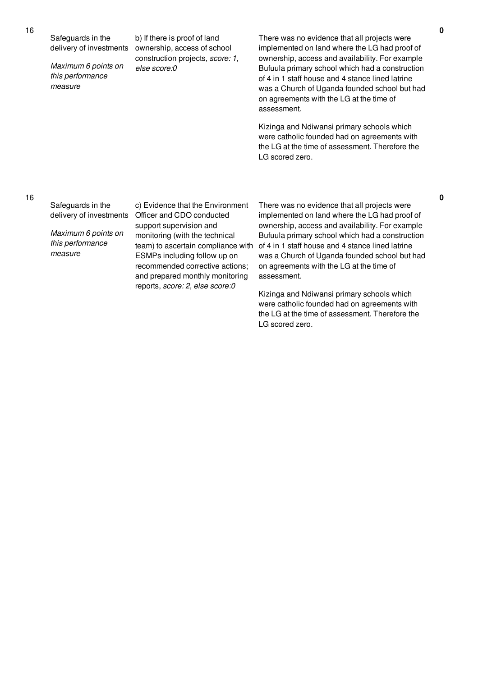Safeguards in the delivery of investments *Maximum 6 points on this performance measure* b) If there is proof of land ownership, access of school construction projects, *score: 1, else score:0* There was no evidence that all projects were implemented on land where the LG had proof of ownership, access and availability. For example Bufuula primary school which had a construction of 4 in 1 staff house and 4 stance lined latrine was a Church of Uganda founded school but had on agreements with the LG at the time of assessment. Kizinga and Ndiwansi primary schools which were catholic founded had on agreements with the LG at the time of assessment. Therefore the LG scored zero.

### 16

Safeguards in the delivery of investments

*Maximum 6 points on this performance measure*

c) Evidence that the Environment Officer and CDO conducted support supervision and monitoring (with the technical team) to ascertain compliance with ESMPs including follow up on recommended corrective actions; and prepared monthly monitoring reports, *score: 2, else score:0*

There was no evidence that all projects were implemented on land where the LG had proof of ownership, access and availability. For example Bufuula primary school which had a construction of 4 in 1 staff house and 4 stance lined latrine was a Church of Uganda founded school but had on agreements with the LG at the time of assessment.

Kizinga and Ndiwansi primary schools which were catholic founded had on agreements with the LG at the time of assessment. Therefore the LG scored zero.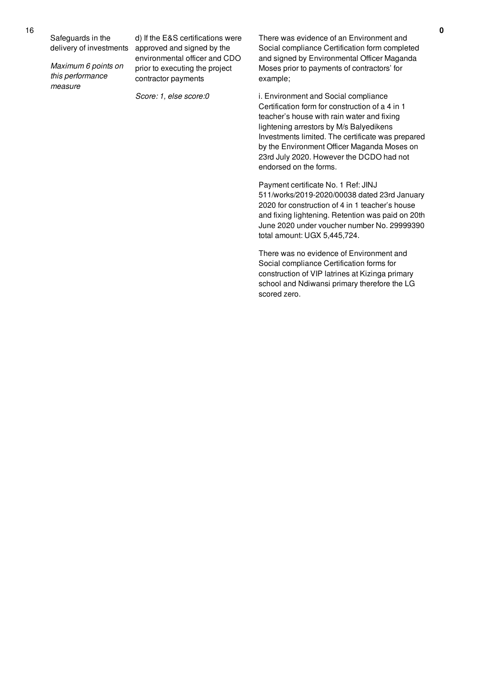Safeguards in the delivery of investments

*Maximum 6 points on this performance measure*

d) If the E&S certifications were approved and signed by the environmental officer and CDO prior to executing the project contractor payments

*Score: 1, else score:0*

There was evidence of an Environment and Social compliance Certification form completed and signed by Environmental Officer Maganda Moses prior to payments of contractors' for example;

i. Environment and Social compliance Certification form for construction of a 4 in 1 teacher's house with rain water and fixing lightening arrestors by M/s Balyedikens Investments limited. The certificate was prepared by the Environment Officer Maganda Moses on 23rd July 2020. However the DCDO had not endorsed on the forms.

Payment certificate No. 1 Ref: JINJ 511/works/2019-2020/00038 dated 23rd January 2020 for construction of 4 in 1 teacher's house and fixing lightening. Retention was paid on 20th June 2020 under voucher number No. 29999390 total amount: UGX 5,445,724.

There was no evidence of Environment and Social compliance Certification forms for construction of VIP latrines at Kizinga primary school and Ndiwansi primary therefore the LG scored zero.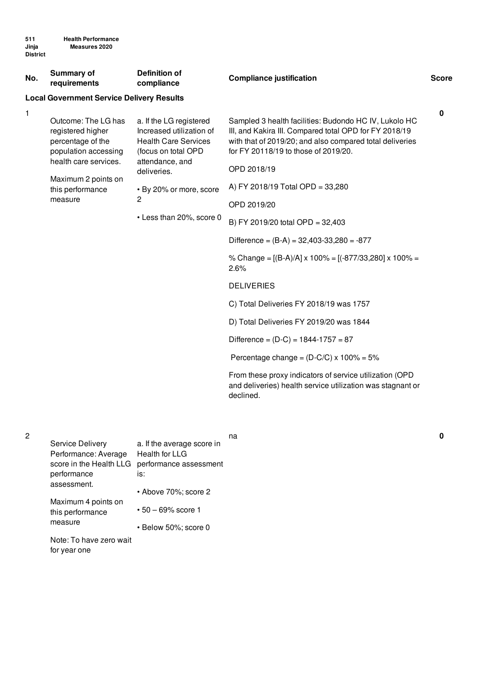| No. | Summary of<br>requirements                                                                                                                                           | <b>Definition of</b><br>compliance                                                                                                                                                                                 | <b>Compliance justification</b>                                                                                                                                                                                                                                                                                                                                                                                                                                              | <b>Score</b> |
|-----|----------------------------------------------------------------------------------------------------------------------------------------------------------------------|--------------------------------------------------------------------------------------------------------------------------------------------------------------------------------------------------------------------|------------------------------------------------------------------------------------------------------------------------------------------------------------------------------------------------------------------------------------------------------------------------------------------------------------------------------------------------------------------------------------------------------------------------------------------------------------------------------|--------------|
|     | <b>Local Government Service Delivery Results</b>                                                                                                                     |                                                                                                                                                                                                                    |                                                                                                                                                                                                                                                                                                                                                                                                                                                                              |              |
| 1   | Outcome: The LG has<br>registered higher<br>percentage of the<br>population accessing<br>health care services.<br>Maximum 2 points on<br>this performance<br>measure | a. If the LG registered<br>Increased utilization of<br><b>Health Care Services</b><br>(focus on total OPD<br>attendance, and<br>deliveries.<br>• By 20% or more, score<br>$\mathbf{2}$<br>• Less than 20%, score 0 | Sampled 3 health facilities: Budondo HC IV, Lukolo HC<br>III, and Kakira III. Compared total OPD for FY 2018/19<br>with that of 2019/20; and also compared total deliveries<br>for FY 20118/19 to those of 2019/20.<br>OPD 2018/19<br>A) FY 2018/19 Total OPD = 33,280<br>OPD 2019/20<br>B) FY 2019/20 total OPD = 32,403<br>Difference = $(B-A) = 32,403-33,280 = -877$<br>% Change = $[(B-A)/A] \times 100\% = [(-877/33,280] \times 100\% =$<br>2.6%<br><b>DELIVERIES</b> | $\mathbf 0$  |
|     |                                                                                                                                                                      |                                                                                                                                                                                                                    | C) Total Deliveries FY 2018/19 was 1757                                                                                                                                                                                                                                                                                                                                                                                                                                      |              |
|     |                                                                                                                                                                      |                                                                                                                                                                                                                    | D) Total Deliveries FY 2019/20 was 1844                                                                                                                                                                                                                                                                                                                                                                                                                                      |              |
|     |                                                                                                                                                                      |                                                                                                                                                                                                                    | Difference = $(D-C)$ = 1844-1757 = 87                                                                                                                                                                                                                                                                                                                                                                                                                                        |              |
|     |                                                                                                                                                                      |                                                                                                                                                                                                                    | Percentage change = $(D-C/C) \times 100\% = 5\%$                                                                                                                                                                                                                                                                                                                                                                                                                             |              |
|     |                                                                                                                                                                      |                                                                                                                                                                                                                    | From these proxy indicators of service utilization (OPD<br>and deliveries) health service utilization was stagnant or                                                                                                                                                                                                                                                                                                                                                        |              |

na **0**

declined.

| <b>Service Delivery</b> | a. If the average score in |
|-------------------------|----------------------------|
| Performance: Average    | Health for LLG             |
| score in the Health LLG | performance assessment     |
| performance             | is:                        |
| assessment.             | • Above 70%; score 2       |
| Maximum 4 points on     |                            |
| this performance        | $\cdot$ 50 – 69% score 1   |
| measure                 | • Below 50%; score 0       |
| Note: To have zero wait |                            |

Note: To have zero wait for year one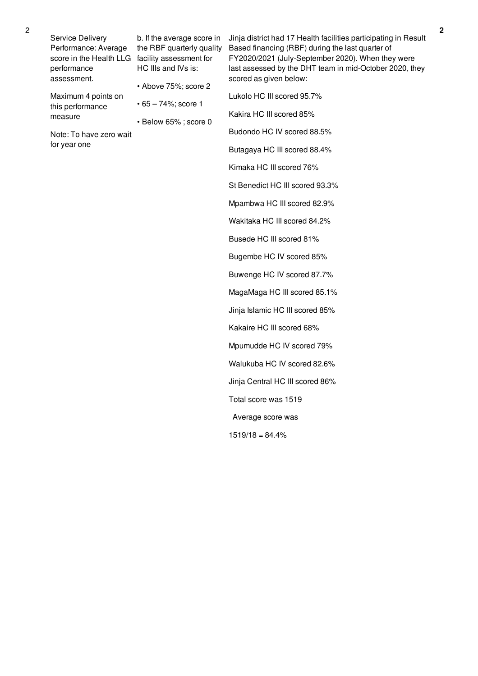Service Delivery Performance: Average score in the Health LLG facility assessment for performance assessment. Maximum 4 points on this performance measure Note: To have zero wait for year one b. If the average score in the RBF quarterly quality HC IIIs and IVs is: • Above 75%; score 2 • 65 – 74%; score 1 • Below 65% ; score 0 Jinja district had 17 Health facilities participating in Result Based financing (RBF) during the last quarter of FY2020/2021 (July-September 2020). When they were last assessed by the DHT team in mid-October 2020, they scored as given below: Lukolo HC III scored 95.7% Kakira HC III scored 85% Budondo HC IV scored 88.5% Butagaya HC III scored 88.4%

Kimaka HC III scored 76% St Benedict HC III scored 93.3% Mpambwa HC III scored 82.9% Wakitaka HC III scored 84.2% Busede HC III scored 81% Bugembe HC IV scored 85% Buwenge HC IV scored 87.7% MagaMaga HC III scored 85.1% Jinja Islamic HC III scored 85% Kakaire HC III scored 68% Mpumudde HC IV scored 79% Walukuba HC IV scored 82.6% Jinja Central HC III scored 86% Total score was 1519 Average score was  $1519/18 = 84.4%$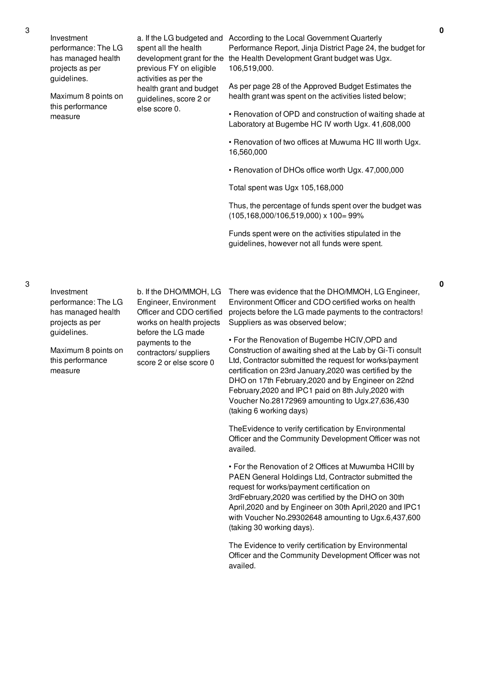Investment performance: The LG has managed health projects as per guidelines.

Maximum 8 points on this performance measure

spent all the health previous FY on eligible activities as per the health grant and budget guidelines, score 2 or else score 0.

a. If the LG budgeted and According to the Local Government Quarterly development grant for the the Health Development Grant budget was Ugx. Performance Report, Jinja District Page 24, the budget for 106,519,000.

> As per page 28 of the Approved Budget Estimates the health grant was spent on the activities listed below;

• Renovation of OPD and construction of waiting shade at Laboratory at Bugembe HC IV worth Ugx. 41,608,000

• Renovation of two offices at Muwuma HC III worth Ugx. 16,560,000

• Renovation of DHOs office worth Ugx. 47,000,000

Total spent was Ugx 105,168,000

Thus, the percentage of funds spent over the budget was (105,168,000/106,519,000) x 100= 99%

Funds spent were on the activities stipulated in the guidelines, however not all funds were spent.

3

Investment performance: The LG has managed health projects as per guidelines.

Maximum 8 points on this performance measure

b. If the DHO/MMOH, LG Engineer, Environment Officer and CDO certified works on health projects before the LG made payments to the contractors/ suppliers score 2 or else score 0

There was evidence that the DHO/MMOH, LG Engineer, Environment Officer and CDO certified works on health projects before the LG made payments to the contractors! Suppliers as was observed below;

• For the Renovation of Bugembe HCIV,OPD and Construction of awaiting shed at the Lab by Gi-Ti consult Ltd, Contractor submitted the request for works/payment certification on 23rd January,2020 was certified by the DHO on 17th February,2020 and by Engineer on 22nd February,2020 and IPC1 paid on 8th July,2020 with Voucher No.28172969 amounting to Ugx.27,636,430 (taking 6 working days)

TheEvidence to verify certification by Environmental Officer and the Community Development Officer was not availed.

• For the Renovation of 2 Offices at Muwumba HCIII by PAEN General Holdings Ltd, Contractor submitted the request for works/payment certification on 3rdFebruary,2020 was certified by the DHO on 30th April,2020 and by Engineer on 30th April,2020 and IPC1 with Voucher No.29302648 amounting to Ugx.6,437,600 (taking 30 working days).

The Evidence to verify certification by Environmental Officer and the Community Development Officer was not availed.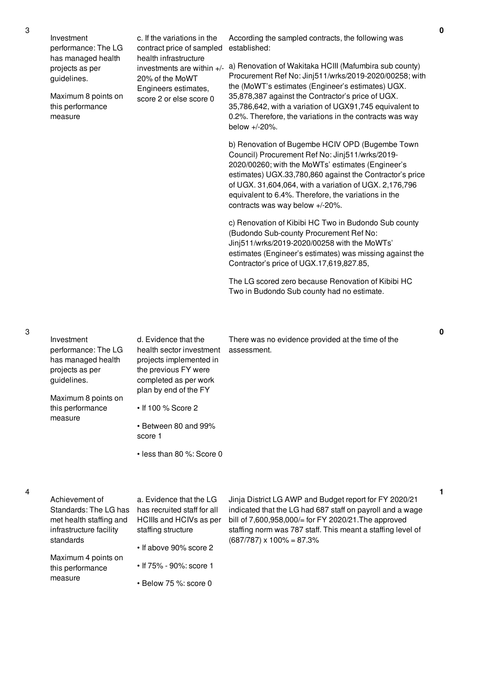| Investment<br>performance: The LG<br>has managed health | c. If the variations in the<br>contract price of sampled<br>health infrastructure                  | According the sampled contracts, the following was<br>established:                                                                                                                                                                                                                                                                                                       |
|---------------------------------------------------------|----------------------------------------------------------------------------------------------------|--------------------------------------------------------------------------------------------------------------------------------------------------------------------------------------------------------------------------------------------------------------------------------------------------------------------------------------------------------------------------|
| projects as per<br>guidelines.                          | investments are within $+/-$<br>20% of the MoWT<br>Engineers estimates,<br>score 2 or else score 0 | a) Renovation of Wakitaka HCIII (Mafumbira sub county)<br>Procurement Ref No: Jinj511/wrks/2019-2020/00258; with<br>the (MoWT's estimates (Engineer's estimates) UGX.                                                                                                                                                                                                    |
| Maximum 8 points on<br>this performance<br>measure      |                                                                                                    | 35,878,387 against the Contractor's price of UGX.<br>35,786,642, with a variation of UGX91,745 equivalent to<br>0.2%. Therefore, the variations in the contracts was way<br>below $+/-20\%$ .                                                                                                                                                                            |
|                                                         |                                                                                                    | b) Renovation of Bugembe HCIV OPD (Bugembe Town<br>Council) Procurement Ref No: Jinj511/wrks/2019-<br>2020/00260; with the MoWTs' estimates (Engineer's<br>estimates) UGX.33,780,860 against the Contractor's price<br>of UGX. 31,604,064, with a variation of UGX. 2,176,796<br>equivalent to 6.4%. Therefore, the variations in the<br>contracts was way below +/-20%. |
|                                                         |                                                                                                    | c) Renovation of Kibibi HC Two in Budondo Sub county<br>(Budondo Sub-county Procurement Ref No:<br>Jinj511/wrks/2019-2020/00258 with the MoWTs'<br>estimates (Engineer's estimates) was missing against the<br>Contractor's price of UGX.17,619,827.85,                                                                                                                  |
|                                                         |                                                                                                    | The LG scored zero because Renovation of Kibibi HC<br>Two in Budondo Sub county had no estimate.                                                                                                                                                                                                                                                                         |

| Investment<br>performance: The LG<br>has managed health<br>projects as per<br>guidelines.<br>Maximum 8 points on<br>this performance<br>measure | d. Evidence that the<br>health sector investment<br>projects implemented in<br>the previous FY were<br>completed as per work<br>plan by end of the FY<br>• If 100 % Score 2<br>• Between 80 and 99%<br>score 1<br>$\cdot$ less than 80 %: Score 0 | There was no evidence provided at the time of the<br>assessment.                                                                                                                                                                                                                |   |
|-------------------------------------------------------------------------------------------------------------------------------------------------|---------------------------------------------------------------------------------------------------------------------------------------------------------------------------------------------------------------------------------------------------|---------------------------------------------------------------------------------------------------------------------------------------------------------------------------------------------------------------------------------------------------------------------------------|---|
| Achievement of<br>Standards: The LG has<br>met health staffing and<br>infrastructure facility<br>standards                                      | a. Evidence that the LG<br>has recruited staff for all<br>HCIIIs and HCIVs as per<br>staffing structure<br>• If above 90% score 2                                                                                                                 | Jinja District LG AWP and Budget report for FY 2020/21<br>indicated that the LG had 687 staff on payroll and a wage<br>bill of 7,600,958,000/= for FY 2020/21. The approved<br>staffing norm was 787 staff. This meant a staffing level of<br>$(687/787) \times 100\% = 87.3\%$ | 1 |
| Maximum 4 points on<br>this performance<br>measure                                                                                              | • If 75% - 90%: score 1<br>$\cdot$ Below 75 %: score 0                                                                                                                                                                                            |                                                                                                                                                                                                                                                                                 |   |

4

**0**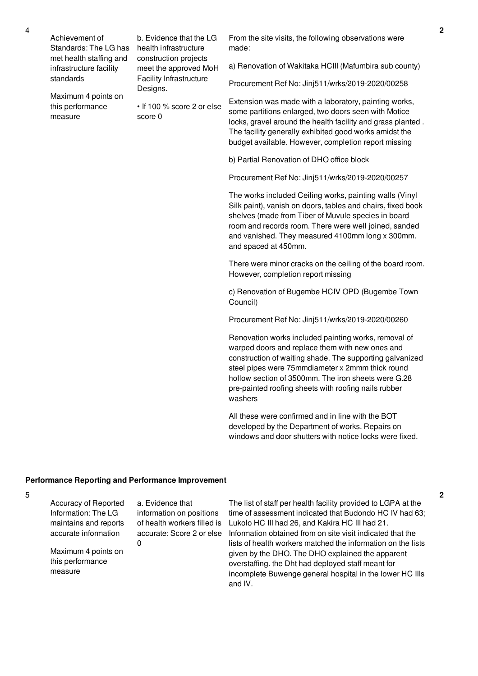Achievement of Standards: The LG has met health staffing and infrastructure facility standards

Maximum 4 points on this performance measure

b. Evidence that the LG health infrastructure construction projects meet the approved MoH Facility Infrastructure Designs.

• If 100 % score 2 or else score 0

From the site visits, the following observations were made:

a) Renovation of Wakitaka HCIII (Mafumbira sub county)

Procurement Ref No: Jinj511/wrks/2019-2020/00258

Extension was made with a laboratory, painting works, some partitions enlarged, two doors seen with Motice locks, gravel around the health facility and grass planted . The facility generally exhibited good works amidst the budget available. However, completion report missing

b) Partial Renovation of DHO office block

Procurement Ref No: Jinj511/wrks/2019-2020/00257

The works included Ceiling works, painting walls (Vinyl Silk paint), vanish on doors, tables and chairs, fixed book shelves (made from Tiber of Muvule species in board room and records room. There were well joined, sanded and vanished. They measured 4100mm long x 300mm. and spaced at 450mm.

There were minor cracks on the ceiling of the board room. However, completion report missing

c) Renovation of Bugembe HCIV OPD (Bugembe Town Council)

Procurement Ref No: Jinj511/wrks/2019-2020/00260

Renovation works included painting works, removal of warped doors and replace them with new ones and construction of waiting shade. The supporting galvanized steel pipes were 75mmdiameter x 2mmm thick round hollow section of 3500mm. The iron sheets were G.28 pre-painted roofing sheets with roofing nails rubber washers

All these were confirmed and in line with the BOT developed by the Department of works. Repairs on windows and door shutters with notice locks were fixed.

#### **Performance Reporting and Performance Improvement**

 $\Omega$ 

5

Accuracy of Reported Information: The LG maintains and reports accurate information

Maximum 4 points on this performance measure

a. Evidence that information on positions of health workers filled is accurate: Score 2 or else

The list of staff per health facility provided to LGPA at the time of assessment indicated that Budondo HC IV had 63; Lukolo HC III had 26, and Kakira HC III had 21. Information obtained from on site visit indicated that the lists of health workers matched the information on the lists given by the DHO. The DHO explained the apparent overstaffing. the Dht had deployed staff meant for incomplete Buwenge general hospital in the lower HC IIIs and IV.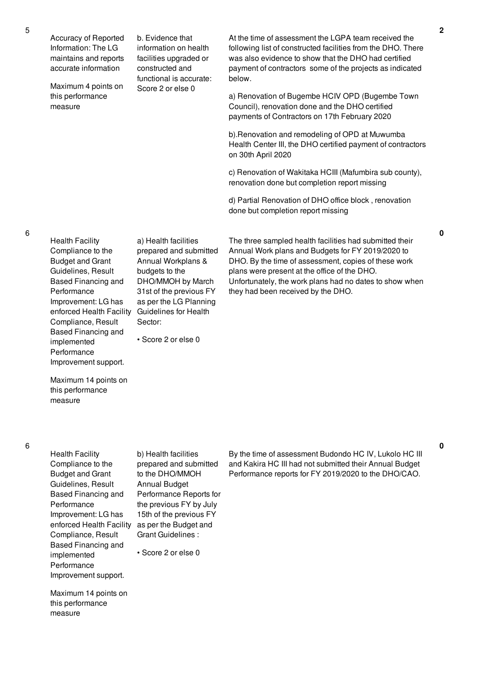| Accuracy of Reported<br>Information: The LG<br>maintains and reports<br>accurate information | b. Evidence that<br>information on health<br>facilities upgraded or<br>constructed and<br>functional is accurate: | At the time of assessment the LGPA team received the<br>following list of constructed facilities from the DHO. There<br>was also evidence to show that the DHO had certified<br>payment of contractors some of the projects as indicated<br>below. |
|----------------------------------------------------------------------------------------------|-------------------------------------------------------------------------------------------------------------------|----------------------------------------------------------------------------------------------------------------------------------------------------------------------------------------------------------------------------------------------------|
| Maximum 4 points on<br>this performance<br>measure                                           | Score 2 or else 0                                                                                                 | a) Renovation of Bugembe HCIV OPD (Bugembe Town<br>Council), renovation done and the DHO certified<br>payments of Contractors on 17th February 2020                                                                                                |
|                                                                                              |                                                                                                                   | b). Renovation and remodeling of OPD at Muwumba<br>Health Center III, the DHO certified payment of contractors<br>on 30th April 2020                                                                                                               |
|                                                                                              |                                                                                                                   | c) Renovation of Wakitaka HCIII (Mafumbira sub county),<br>renovation done but completion report missing                                                                                                                                           |

d) Partial Renovation of DHO office block , renovation done but completion report missing

The three sampled health facilities had submitted their Annual Work plans and Budgets for FY 2019/2020 to DHO. By the time of assessment, copies of these work plans were present at the office of the DHO. Unfortunately, the work plans had no dates to show when they had been received by the DHO.

Improvement: LG has Compliance, Result Based Financing and implemented Performance

Health Facility Compliance to the Budget and Grant Guidelines, Result Based Financing and

**Performance** 

enforced Health Facility Guidelines for Health a) Health facilities prepared and submitted Annual Workplans & budgets to the DHO/MMOH by March 31st of the previous FY as per the LG Planning Sector:

• Score 2 or else 0

Maximum 14 points on this performance measure

Improvement support.

Health Facility Compliance to the Budget and Grant Guidelines, Result Based Financing and Performance Improvement: LG has enforced Health Facility as per the Budget and Compliance, Result Based Financing and implemented **Performance** Improvement support.

b) Health facilities prepared and submitted to the DHO/MMOH Annual Budget Performance Reports for the previous FY by July 15th of the previous FY Grant Guidelines :

• Score 2 or else 0

Maximum 14 points on this performance measure

By the time of assessment Budondo HC IV, Lukolo HC III and Kakira HC III had not submitted their Annual Budget Performance reports for FY 2019/2020 to the DHO/CAO.

6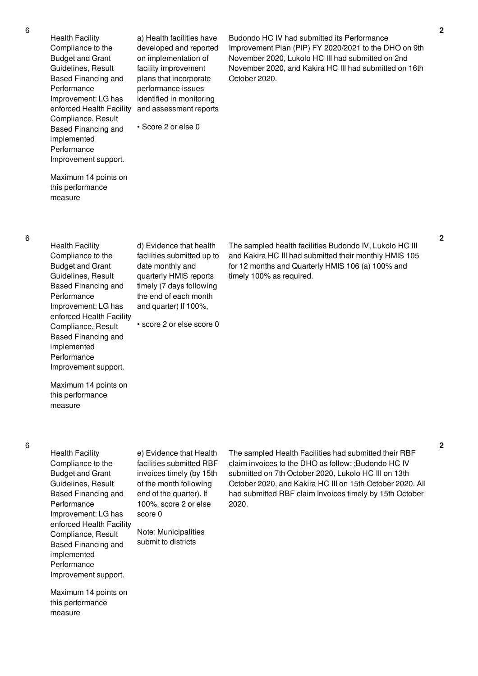Health Facility Compliance to the Budget and Grant Guidelines, Result Based Financing and Performance Improvement: LG has enforced Health Facility Compliance, Result Based Financing and implemented Performance Improvement support.

a) Health facilities have developed and reported on implementation of facility improvement plans that incorporate performance issues identified in monitoring and assessment reports

• Score 2 or else 0

Budondo HC IV had submitted its Performance Improvement Plan (PIP) FY 2020/2021 to the DHO on 9th November 2020, Lukolo HC III had submitted on 2nd November 2020, and Kakira HC III had submitted on 16th October 2020.

Maximum 14 points on this performance

measure

Health Facility Compliance to the Budget and Grant Guidelines, Result Based Financing and Performance Improvement: LG has enforced Health Facility Compliance, Result Based Financing and implemented Performance Improvement support.

Maximum 14 points on this performance

measure

d) Evidence that health facilities submitted up to date monthly and quarterly HMIS reports timely (7 days following the end of each month and quarter) If 100%,

• score 2 or else score 0

The sampled health facilities Budondo IV, Lukolo HC III and Kakira HC III had submitted their monthly HMIS 105 for 12 months and Quarterly HMIS 106 (a) 100% and timely 100% as required.

6

Health Facility Compliance to the Budget and Grant Guidelines, Result Based Financing and Performance Improvement: LG has enforced Health Facility Compliance, Result Based Financing and implemented Performance Improvement support.

Maximum 14 points on this performance

measure

e) Evidence that Health facilities submitted RBF invoices timely (by 15th of the month following end of the quarter). If 100%, score 2 or else score 0

Note: Municipalities submit to districts

The sampled Health Facilities had submitted their RBF claim invoices to the DHO as follow: ;Budondo HC IV submitted on 7th October 2020, Lukolo HC III on 13th October 2020, and Kakira HC III on 15th October 2020. All had submitted RBF claim Invoices timely by 15th October 2020.

**2**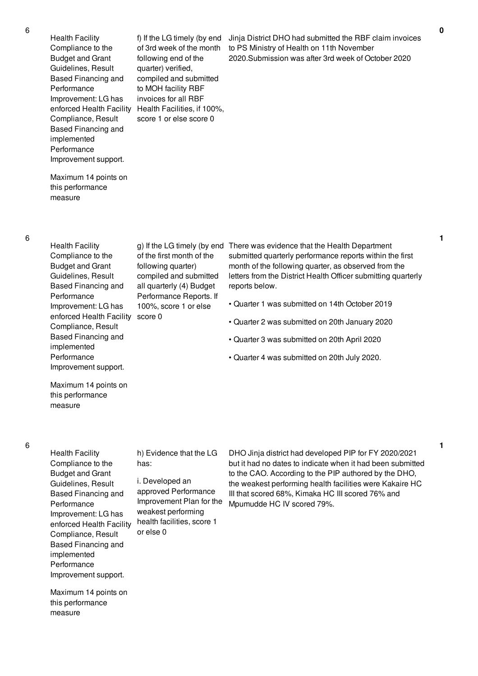Health Facility Compliance to the Budget and Grant Guidelines, Result Based Financing and Performance Improvement: LG has Compliance, Result Based Financing and implemented Performance Improvement support.

enforced Health Facility Health Facilities, if 100%, f) If the LG timely (by end of 3rd week of the month following end of the quarter) verified, compiled and submitted to MOH facility RBF invoices for all RBF score 1 or else score 0

Jinja District DHO had submitted the RBF claim invoices to PS Ministry of Health on 11th November 2020.Submission was after 3rd week of October 2020

Maximum 14 points on this performance measure

6

Health Facility Compliance to the Budget and Grant Guidelines, Result Based Financing and Performance Improvement: LG has enforced Health Facility score 0 Compliance, Result Based Financing and implemented Performance Improvement support.

of the first month of the following quarter) compiled and submitted all quarterly (4) Budget Performance Reports. If 100%, score 1 or else

g) If the LG timely (by end There was evidence that the Health Department submitted quarterly performance reports within the first month of the following quarter, as observed from the letters from the District Health Officer submitting quarterly reports below.

- Quarter 1 was submitted on 14th October 2019
- Quarter 2 was submitted on 20th January 2020
- Quarter 3 was submitted on 20th April 2020
- Quarter 4 was submitted on 20th July 2020.

Maximum 14 points on this performance measure

6

Health Facility Compliance to the Budget and Grant Guidelines, Result Based Financing and Performance Improvement: LG has enforced Health Facility Compliance, Result Based Financing and implemented Performance Improvement support.

Maximum 14 points on this performance measure

h) Evidence that the LG has:

i. Developed an approved Performance Improvement Plan for the weakest performing health facilities, score 1 or else 0

DHO Jinja district had developed PIP for FY 2020/2021 but it had no dates to indicate when it had been submitted to the CAO. According to the PIP authored by the DHO, the weakest performing health facilities were Kakaire HC III that scored 68%, Kimaka HC III scored 76% and Mpumudde HC IV scored 79%.

**1**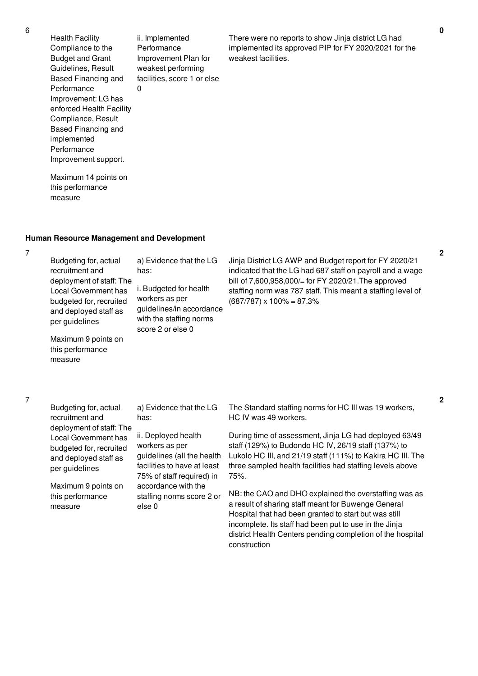Health Facility Compliance to the Budget and Grant Guidelines, Result Based Financing and Performance Improvement: LG has enforced Health Facility Compliance, Result Based Financing and implemented Performance Improvement support. 0

ii. Implemented Performance Improvement Plan for weakest performing facilities, score 1 or else

There were no reports to show Jinja district LG had implemented its approved PIP for FY 2020/2021 for the weakest facilities.

district Health Centers pending completion of the hospital

Maximum 14 points on this performance measure

## **Human Resource Management and Development**

7

Budgeting for, actual recruitment and deployment of staff: The Local Government has budgeted for, recruited and deployed staff as per guidelines Maximum 9 points on this performance measure a) Evidence that the LG has: i. Budgeted for health workers as per guidelines/in accordance with the staffing norms score 2 or else 0 Jinja District LG AWP and Budget report for FY 2020/21 indicated that the LG had 687 staff on payroll and a wage bill of 7,600,958,000/= for FY 2020/21.The approved staffing norm was 787 staff. This meant a staffing level of  $(687/787) \times 100\% = 87.3\%$ 

7

| Budgeting for, actual                                                                      | a) Evidence that the LG                                                                                                                                                                       | The Standard staffing norms for HC III was 19 workers,                                                                                                                                                                                     |
|--------------------------------------------------------------------------------------------|-----------------------------------------------------------------------------------------------------------------------------------------------------------------------------------------------|--------------------------------------------------------------------------------------------------------------------------------------------------------------------------------------------------------------------------------------------|
| recruitment and<br>deployment of staff: The                                                | has:                                                                                                                                                                                          | HC IV was 49 workers.                                                                                                                                                                                                                      |
| Local Government has<br>budgeted for, recruited<br>and deployed staff as<br>per guidelines | ii. Deployed health<br>workers as per<br>guidelines (all the health<br>facilities to have at least<br>75% of staff required) in<br>accordance with the<br>staffing norms score 2 or<br>else 0 | During time of assessment, Jinja LG had deployed 63/49<br>staff (129%) to Budondo HC IV, 26/19 staff (137%) to<br>Lukolo HC III, and 21/19 staff (111%) to Kakira HC III. The<br>three sampled health facilities had staffing levels above |
| Maximum 9 points on<br>this performance<br>measure                                         |                                                                                                                                                                                               | 75%.<br>NB: the CAO and DHO explained the overstaffing was as<br>a result of sharing staff meant for Buwenge General<br>Hospital that had been granted to start but was still<br>incomplete. Its staff had been put to use in the Jinja    |

construction

## **0**

**2**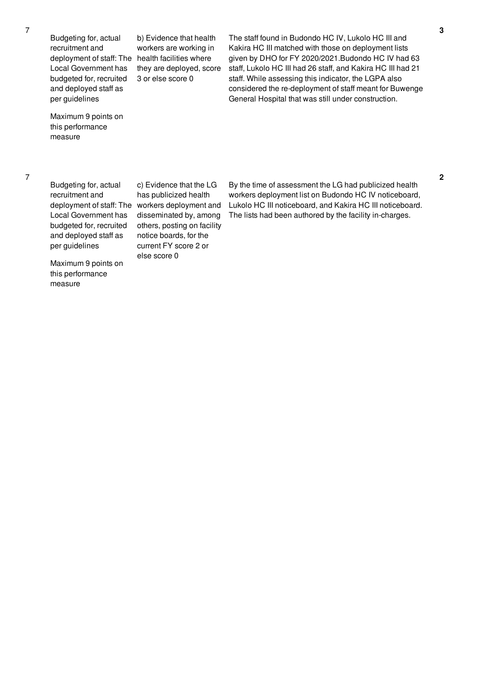Budgeting for, actual recruitment and deployment of staff: The health facilities where Local Government has budgeted for, recruited and deployed staff as per guidelines

b) Evidence that health workers are working in they are deployed, score 3 or else score 0

The staff found in Budondo HC IV, Lukolo HC III and Kakira HC III matched with those on deployment lists given by DHO for FY 2020/2021.Budondo HC IV had 63 staff, Lukolo HC III had 26 staff, and Kakira HC III had 21 staff. While assessing this indicator, the LGPA also considered the re-deployment of staff meant for Buwenge General Hospital that was still under construction.

Maximum 9 points on this performance measure

7

Budgeting for, actual recruitment and Local Government has budgeted for, recruited and deployed staff as per guidelines

deployment of staff: The workers deployment and c) Evidence that the LG has publicized health disseminated by, among others, posting on facility notice boards, for the current FY score 2 or else score 0

By the time of assessment the LG had publicized health workers deployment list on Budondo HC IV noticeboard, Lukolo HC III noticeboard, and Kakira HC III noticeboard. The lists had been authored by the facility in-charges.

**2**

Maximum 9 points on this performance measure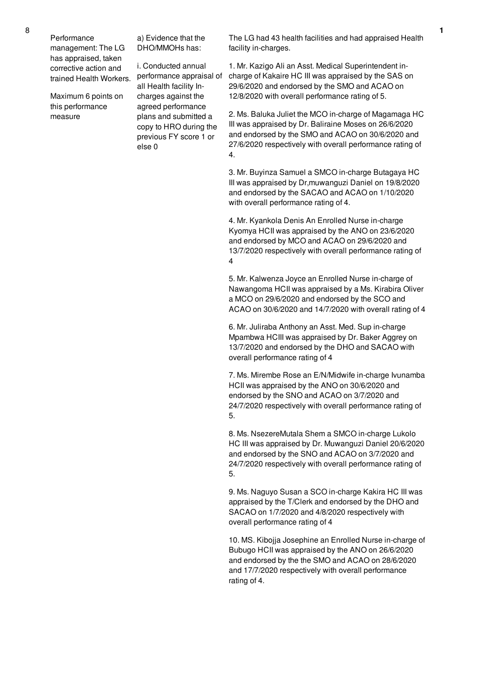Performance management: The LG has appraised, taken corrective action and trained Health Workers.

Maximum 6 points on this performance measure

a) Evidence that the DHO/MMOHs has:

i. Conducted annual performance appraisal of all Health facility Incharges against the agreed performance plans and submitted a copy to HRO during the previous FY score 1 or else 0

The LG had 43 health facilities and had appraised Health facility in-charges.

1. Mr. Kazigo Ali an Asst. Medical Superintendent incharge of Kakaire HC III was appraised by the SAS on 29/6/2020 and endorsed by the SMO and ACAO on 12/8/2020 with overall performance rating of 5.

2. Ms. Baluka Juliet the MCO in-charge of Magamaga HC III was appraised by Dr. Baliraine Moses on 26/6/2020 and endorsed by the SMO and ACAO on 30/6/2020 and 27/6/2020 respectively with overall performance rating of 4.

3. Mr. Buyinza Samuel a SMCO in-charge Butagaya HC III was appraised by Dr,muwanguzi Daniel on 19/8/2020 and endorsed by the SACAO and ACAO on 1/10/2020 with overall performance rating of 4.

4. Mr. Kyankola Denis An Enrolled Nurse in-charge Kyomya HCII was appraised by the ANO on 23/6/2020 and endorsed by MCO and ACAO on 29/6/2020 and 13/7/2020 respectively with overall performance rating of 4

5. Mr. Kalwenza Joyce an Enrolled Nurse in-charge of Nawangoma HCII was appraised by a Ms. Kirabira Oliver a MCO on 29/6/2020 and endorsed by the SCO and ACAO on 30/6/2020 and 14/7/2020 with overall rating of 4

6. Mr. Juliraba Anthony an Asst. Med. Sup in-charge Mpambwa HCIII was appraised by Dr. Baker Aggrey on 13/7/2020 and endorsed by the DHO and SACAO with overall performance rating of 4

7. Ms. Mirembe Rose an E/N/Midwife in-charge Ivunamba HCII was appraised by the ANO on 30/6/2020 and endorsed by the SNO and ACAO on 3/7/2020 and 24/7/2020 respectively with overall performance rating of 5.

8. Ms. NsezereMutala Shem a SMCO in-charge Lukolo HC III was appraised by Dr. Muwanguzi Daniel 20/6/2020 and endorsed by the SNO and ACAO on 3/7/2020 and 24/7/2020 respectively with overall performance rating of 5.

9. Ms. Naguyo Susan a SCO in-charge Kakira HC III was appraised by the T/Clerk and endorsed by the DHO and SACAO on 1/7/2020 and 4/8/2020 respectively with overall performance rating of 4

10. MS. Kibojja Josephine an Enrolled Nurse in-charge of Bubugo HCII was appraised by the ANO on 26/6/2020 and endorsed by the the SMO and ACAO on 28/6/2020 and 17/7/2020 respectively with overall performance rating of 4.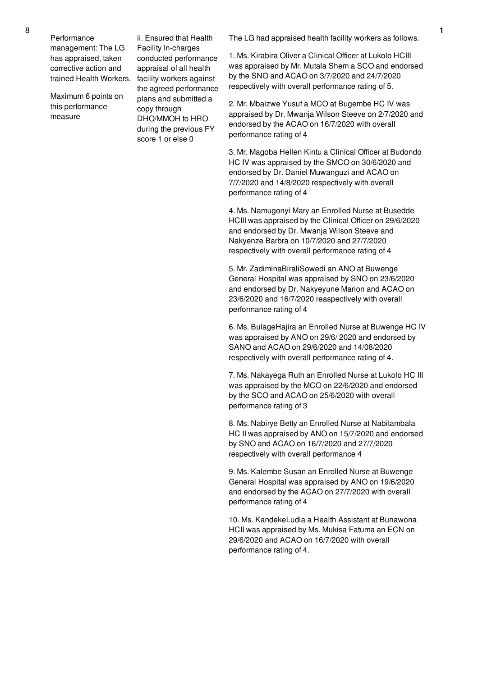Maximum 6 points on this performance measure

trained Health Workers. facility workers against ii. Ensured that Health Facility In-charges conducted performance appraisal of all health the agreed performance plans and submitted a copy through DHO/MMOH to HRO during the previous FY score 1 or else 0

The LG had appraised health facility workers as follows.

1. Ms. Kirabira Oliver a Clinical Officer at Lukolo HCIII was appraised by Mr. Mutala Shem a SCO and endorsed by the SNO and ACAO on 3/7/2020 and 24/7/2020 respectively with overall performance rating of 5.

2. Mr. Mbaizwe Yusuf a MCO at Bugembe HC IV was appraised by Dr. Mwanja Wilson Steeve on 2/7/2020 and endorsed by the ACAO on 16/7/2020 with overall performance rating of 4

3. Mr. Magoba Hellen Kintu a Clinical Officer at Budondo HC IV was appraised by the SMCO on 30/6/2020 and endorsed by Dr. Daniel Muwanguzi and ACAO on 7/7/2020 and 14/8/2020 respectively with overall performance rating of 4

4. Ms. Namugonyi Mary an Enrolled Nurse at Busedde HCIII was appraised by the Clinical Officer on 29/6/2020 and endorsed by Dr. Mwanja Wilson Steeve and Nakyenze Barbra on 10/7/2020 and 27/7/2020 respectively with overall performance rating of 4

5. Mr. ZadiminaBiraliSowedi an ANO at Buwenge General Hospital was appraised by SNO on 23/6/2020 and endorsed by Dr. Nakyeyune Marion and ACAO on 23/6/2020 and 16/7/2020 reaspectively with overall performance rating of 4

6. Ms. BulageHajira an Enrolled Nurse at Buwenge HC IV was appraised by ANO on 29/6/ 2020 and endorsed by SANO and ACAO on 29/6/2020 and 14/08/2020 respectively with overall performance rating of 4.

7. Ms. Nakayega Ruth an Enrolled Nurse at Lukolo HC III was appraised by the MCO on 22/6/2020 and endorsed by the SCO and ACAO on 25/6/2020 with overall performance rating of 3

8. Ms. Nabirye Betty an Enrolled Nurse at Nabitambala HC II was appraised by ANO on 15/7/2020 and endorsed by SNO and ACAO on 16/7/2020 and 27/7/2020 respectively with overall performance 4

9. Ms. Kalembe Susan an Enrolled Nurse at Buwenge General Hospital was appraised by ANO on 19/6/2020 and endorsed by the ACAO on 27/7/2020 with overall performance rating of 4

10. Ms. KandekeLudia a Health Assistant at Bunawona HCII was appraised by Ms. Mukisa Fatuma an ECN on 29/6/2020 and ACAO on 16/7/2020 with overall performance rating of 4.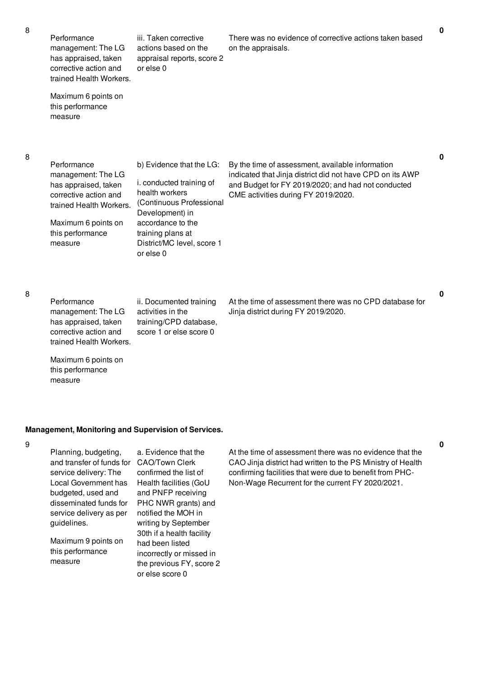Performance management: The LG has appraised, taken corrective action and trained Health Workers. Maximum 6 points on this performance measure iii. Taken corrective actions based on the appraisal reports, score 2 or else 0 There was no evidence of corrective actions taken based on the appraisals. Performance management: The LG has appraised, taken corrective action and trained Health Workers. Maximum 6 points on this performance measure b) Evidence that the LG: i. conducted training of health workers (Continuous Professional Development) in accordance to the training plans at District/MC level, score 1 or else 0 By the time of assessment, available information indicated that Jinja district did not have CPD on its AWP and Budget for FY 2019/2020; and had not conducted CME activities during FY 2019/2020. **0**

8

Performance management: The LG has appraised, taken corrective action and trained Health Workers. ii. Documented training activities in the training/CPD database, score 1 or else score 0

At the time of assessment there was no CPD database for Jinja district during FY 2019/2020.

Maximum 6 points on this performance measure

#### **Management, Monitoring and Supervision of Services.**

9

Planning, budgeting, and transfer of funds for CAO/Town Clerk service delivery: The Local Government has budgeted, used and disseminated funds for service delivery as per guidelines. Maximum 9 points on a. Evidence that the had been listed

this performance measure

confirmed the list of Health facilities (GoU and PNFP receiving PHC NWR grants) and notified the MOH in writing by September 30th if a health facility incorrectly or missed in the previous FY, score 2 or else score 0

At the time of assessment there was no evidence that the CAO Jinja district had written to the PS Ministry of Health confirming facilities that were due to benefit from PHC-Non-Wage Recurrent for the current FY 2020/2021.

**0**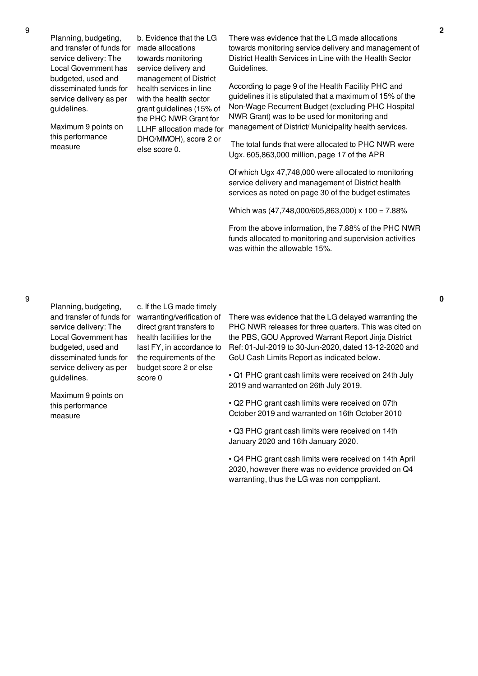Planning, budgeting, and transfer of funds for made allocations service delivery: The Local Government has budgeted, used and disseminated funds for service delivery as per guidelines.

Maximum 9 points on this performance measure

b. Evidence that the LG towards monitoring service delivery and management of District health services in line with the health sector grant guidelines (15% of the PHC NWR Grant for LLHF allocation made for DHO/MMOH), score 2 or else score 0.

There was evidence that the LG made allocations towards monitoring service delivery and management of District Health Services in Line with the Health Sector Guidelines.

According to page 9 of the Health Facility PHC and guidelines it is stipulated that a maximum of 15% of the Non-Wage Recurrent Budget (excluding PHC Hospital NWR Grant) was to be used for monitoring and management of District/ Municipality health services.

The total funds that were allocated to PHC NWR were Ugx. 605,863,000 million, page 17 of the APR

Of which Ugx 47,748,000 were allocated to monitoring service delivery and management of District health services as noted on page 30 of the budget estimates

Which was (47,748,000/605,863,000) x 100 = 7.88%

From the above information, the 7.88% of the PHC NWR funds allocated to monitoring and supervision activities was within the allowable 15%.

Planning, budgeting, and transfer of funds for service delivery: The Local Government has budgeted, used and disseminated funds for service delivery as per guidelines.

Maximum 9 points on this performance measure

c. If the LG made timely warranting/verification of direct grant transfers to health facilities for the last FY, in accordance to the requirements of the budget score 2 or else score 0

There was evidence that the LG delayed warranting the PHC NWR releases for three quarters. This was cited on the PBS, GOU Approved Warrant Report Jinja District Ref: 01-Jul-2019 to 30-Jun-2020, dated 13-12-2020 and GoU Cash Limits Report as indicated below.

• Q1 PHC grant cash limits were received on 24th July 2019 and warranted on 26th July 2019.

• Q2 PHC grant cash limits were received on 07th October 2019 and warranted on 16th October 2010

• Q3 PHC grant cash limits were received on 14th January 2020 and 16th January 2020.

• Q4 PHC grant cash limits were received on 14th April 2020, however there was no evidence provided on Q4 warranting, thus the LG was non comppliant.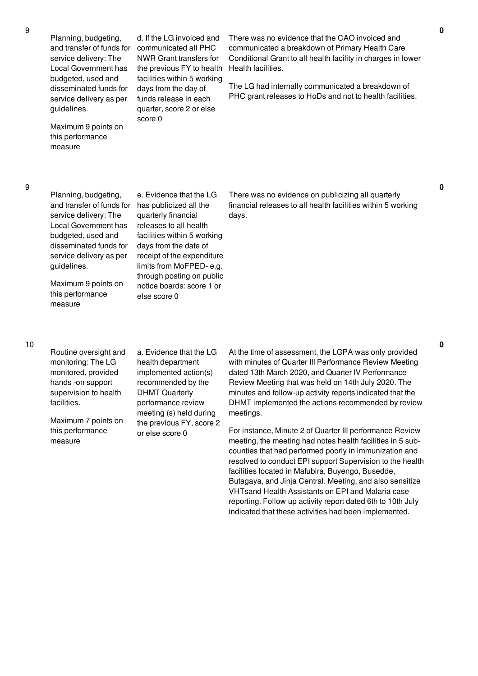Planning, budgeting, and transfer of funds for service delivery: The Local Government has budgeted, used and disseminated funds for service delivery as per guidelines.

Maximum 9 points on this performance measure

d. If the LG invoiced and communicated all PHC NWR Grant transfers for the previous FY to health facilities within 5 working days from the day of funds release in each quarter, score 2 or else score 0

There was no evidence that the CAO invoiced and communicated a breakdown of Primary Health Care Conditional Grant to all health facility in charges in lower Health facilities.

The LG had internally communicated a breakdown of PHC grant releases to HoDs and not to health facilities.

9

Planning, budgeting, and transfer of funds for service delivery: The Local Government has budgeted, used and disseminated funds for service delivery as per guidelines.

Maximum 9 points on this performance measure

e. Evidence that the LG has publicized all the quarterly financial releases to all health facilities within 5 working days from the date of receipt of the expenditure limits from MoFPED- e.g. through posting on public notice boards: score 1 or else score 0

There was no evidence on publicizing all quarterly financial releases to all health facilities within 5 working days.

Routine oversight and monitoring: The LG monitored, provided hands -on support supervision to health facilities.

Maximum 7 points on this performance measure

a. Evidence that the LG health department implemented action(s) recommended by the DHMT Quarterly performance review meeting (s) held during the previous FY, score 2 or else score 0

At the time of assessment, the LGPA was only provided with minutes of Quarter III Performance Review Meeting dated 13th March 2020, and Quarter IV Performance Review Meeting that was held on 14th July 2020. The minutes and follow-up activity reports indicated that the DHMT implemented the actions recommended by review meetings.

For instance, Minute 2 of Quarter III performance Review meeting, the meeting had notes health facilities in 5 subcounties that had performed poorly in immunization and resolved to conduct EPI support Supervision to the health facilities located in Mafubira, Buyengo, Busedde, Butagaya, and Jinja Central. Meeting, and also sensitize VHTsand Health Assistants on EPI and Malaria case reporting. Follow up activity report dated 6th to 10th July indicated that these activities had been implemented.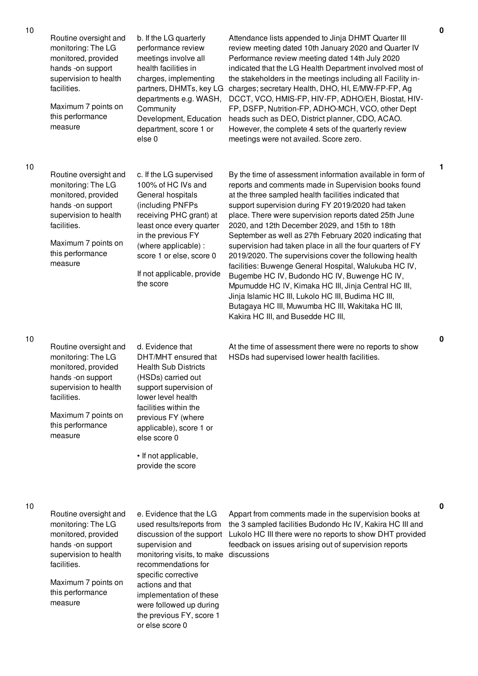| 10 | Routine oversight and<br>monitoring: The LG<br>monitored, provided<br>hands -on support<br>supervision to health<br>facilities.<br>Maximum 7 points on<br>this performance<br>measure | b. If the LG quarterly<br>performance review<br>meetings involve all<br>health facilities in<br>charges, implementing<br>partners, DHMTs, key LG<br>departments e.g. WASH,<br>Community<br>Development, Education<br>department, score 1 or<br>else <sub>0</sub>  | Attendance lists appended to Jinja DHMT Quarter III<br>review meeting dated 10th January 2020 and Quarter IV<br>Performance review meeting dated 14th July 2020<br>indicated that the LG Health Department involved most of<br>the stakeholders in the meetings including all Facility in-<br>charges; secretary Health, DHO, HI, E/MW-FP-FP, Ag<br>DCCT, VCO, HMIS-FP, HIV-FP, ADHO/EH, Biostat, HIV-<br>FP, DSFP, Nutrition-FP, ADHO-MCH, VCO, other Dept<br>heads such as DEO, District planner, CDO, ACAO.<br>However, the complete 4 sets of the quarterly review<br>meetings were not availed. Score zero.                                                                                                                                                                                                                                  |
|----|---------------------------------------------------------------------------------------------------------------------------------------------------------------------------------------|-------------------------------------------------------------------------------------------------------------------------------------------------------------------------------------------------------------------------------------------------------------------|---------------------------------------------------------------------------------------------------------------------------------------------------------------------------------------------------------------------------------------------------------------------------------------------------------------------------------------------------------------------------------------------------------------------------------------------------------------------------------------------------------------------------------------------------------------------------------------------------------------------------------------------------------------------------------------------------------------------------------------------------------------------------------------------------------------------------------------------------|
| 10 | Routine oversight and<br>monitoring: The LG<br>monitored, provided<br>hands -on support<br>supervision to health<br>facilities.<br>Maximum 7 points on<br>this performance<br>measure | c. If the LG supervised<br>100% of HC IVs and<br>General hospitals<br>(including PNFPs<br>receiving PHC grant) at<br>least once every quarter<br>in the previous FY<br>(where applicable):<br>score 1 or else, score 0<br>If not applicable, provide<br>the score | By the time of assessment information available in form of<br>reports and comments made in Supervision books found<br>at the three sampled health facilities indicated that<br>support supervision during FY 2019/2020 had taken<br>place. There were supervision reports dated 25th June<br>2020, and 12th December 2029, and 15th to 18th<br>September as well as 27th February 2020 indicating that<br>supervision had taken place in all the four quarters of FY<br>2019/2020. The supervisions cover the following health<br>facilities: Buwenge General Hospital, Walukuba HC IV,<br>Bugembe HC IV, Budondo HC IV, Buwenge HC IV,<br>Mpumudde HC IV, Kimaka HC III, Jinja Central HC III,<br>Jinja Islamic HC III, Lukolo HC III, Budima HC III,<br>Butagaya HC III, Muwumba HC III, Wakitaka HC III,<br>Kakira HC III, and Busedde HC III, |
| 10 | Routine oversight and<br>monitoring: The LG<br>monitored, provided<br>hands -on support<br>supervision to health<br>facilities.<br>Maximum 7 points on<br>this performance<br>measure | d. Evidence that<br>DHT/MHT ensured that<br><b>Health Sub Districts</b><br>(HSDs) carried out<br>support supervision of<br>lower level health<br>facilities within the<br>previous FY (where<br>applicable), score 1 or<br>else score 0<br>• If not applicable,   | At the time of assessment there were no reports to show<br>HSDs had supervised lower health facilities.                                                                                                                                                                                                                                                                                                                                                                                                                                                                                                                                                                                                                                                                                                                                           |

Routine oversight and monitoring: The LG monitored, provided hands -on support supervision to health facilities.

Maximum 7 points on this performance measure

e. Evidence that the LG used results/reports from discussion of the support supervision and monitoring visits, to make discussions recommendations for specific corrective actions and that implementation of these were followed up during the previous FY, score 1 or else score 0

provide the score

Appart from comments made in the supervision books at the 3 sampled facilities Budondo Hc IV, Kakira HC III and Lukolo HC III there were no reports to show DHT provided feedback on issues arising out of supervision reports

**1**

**0**

**0**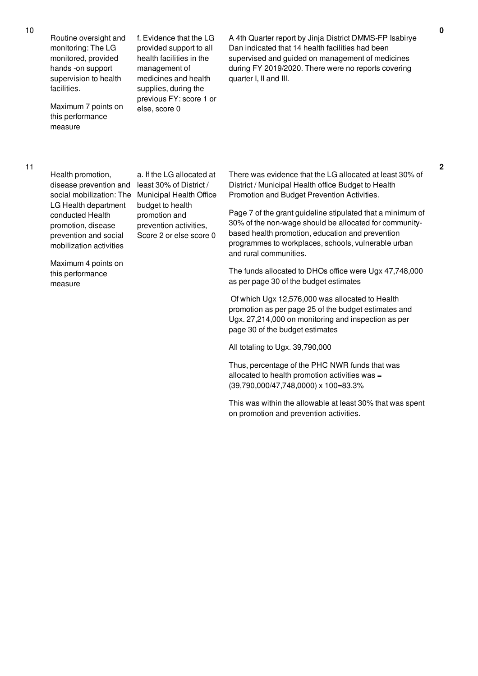Routine oversight and monitoring: The LG monitored, provided hands -on support supervision to health facilities.

Maximum 7 points on this performance measure

f. Evidence that the LG provided support to all health facilities in the management of medicines and health supplies, during the previous FY: score 1 or else, score 0

A 4th Quarter report by Jinja District DMMS-FP Isabirye Dan indicated that 14 health facilities had been supervised and guided on management of medicines during FY 2019/2020. There were no reports covering quarter I, II and III.

11

Health promotion, disease prevention and LG Health department conducted Health promotion, disease prevention and social mobilization activities

social mobilization: The Municipal Health Office a. If the LG allocated at least 30% of District / budget to health promotion and prevention activities, Score 2 or else score 0

Maximum 4 points on this performance measure

There was evidence that the LG allocated at least 30% of District / Municipal Health office Budget to Health Promotion and Budget Prevention Activities.

Page 7 of the grant guideline stipulated that a minimum of 30% of the non-wage should be allocated for communitybased health promotion, education and prevention programmes to workplaces, schools, vulnerable urban and rural communities.

The funds allocated to DHOs office were Ugx 47,748,000 as per page 30 of the budget estimates

Of which Ugx 12,576,000 was allocated to Health promotion as per page 25 of the budget estimates and Ugx. 27,214,000 on monitoring and inspection as per page 30 of the budget estimates

All totaling to Ugx. 39,790,000

Thus, percentage of the PHC NWR funds that was allocated to health promotion activities was = (39,790,000/47,748,0000) x 100=83.3%

This was within the allowable at least 30% that was spent on promotion and prevention activities.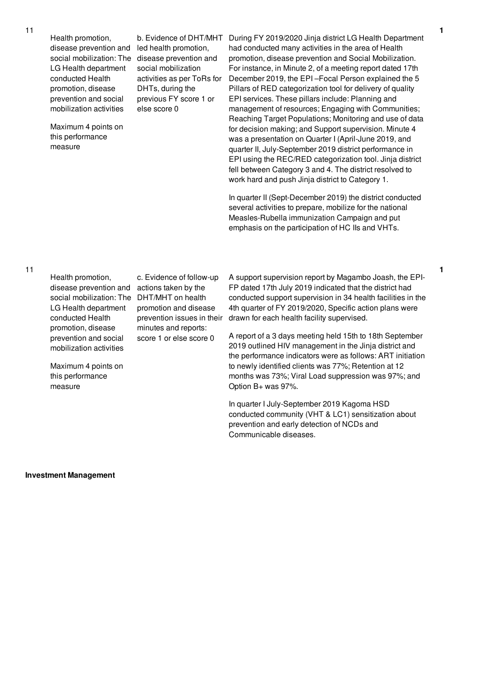Health promotion, disease prevention and LG Health department conducted Health promotion, disease prevention and social mobilization activities

Maximum 4 points on this performance measure

social mobilization: The disease prevention and b. Evidence of DHT/MHT led health promotion, social mobilization activities as per ToRs for DHTs, during the previous FY score 1 or else score 0

During FY 2019/2020 Jinja district LG Health Department had conducted many activities in the area of Health promotion, disease prevention and Social Mobilization. For instance, in Minute 2, of a meeting report dated 17th December 2019, the EPI –Focal Person explained the 5 Pillars of RED categorization tool for delivery of quality EPI services. These pillars include: Planning and management of resources; Engaging with Communities; Reaching Target Populations; Monitoring and use of data for decision making; and Support supervision. Minute 4 was a presentation on Quarter I (April-June 2019, and quarter II, July-September 2019 district performance in EPI using the REC/RED categorization tool. Jinja district fell between Category 3 and 4. The district resolved to work hard and push Jinja district to Category 1.

**1**

**1**

In quarter II (Sept-December 2019) the district conducted several activities to prepare, mobilize for the national Measles-Rubella immunization Campaign and put emphasis on the participation of HC IIs and VHTs.

Health promotion, disease prevention and actions taken by the social mobilization: The DHT/MHT on health LG Health department conducted Health promotion, disease prevention and social mobilization activities

c. Evidence of follow-up promotion and disease prevention issues in their minutes and reports: score 1 or else score 0

Maximum 4 points on this performance measure

A support supervision report by Magambo Joash, the EPI-FP dated 17th July 2019 indicated that the district had conducted support supervision in 34 health facilities in the 4th quarter of FY 2019/2020, Specific action plans were drawn for each health facility supervised.

A report of a 3 days meeting held 15th to 18th September 2019 outlined HIV management in the Jinja district and the performance indicators were as follows: ART initiation to newly identified clients was 77%; Retention at 12 months was 73%; Viral Load suppression was 97%; and Option B+ was 97%.

In quarter I July-September 2019 Kagoma HSD conducted community (VHT & LC1) sensitization about prevention and early detection of NCDs and Communicable diseases.

**Investment Management**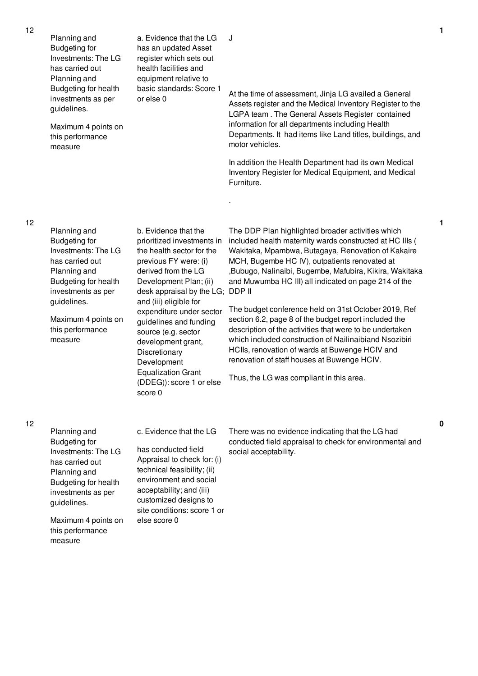| 12 | Planning and<br><b>Budgeting for</b><br>Investments: The LG<br>has carried out<br>Planning and<br>Budgeting for health<br>investments as per<br>guidelines.<br>Maximum 4 points on<br>this performance<br>measure | a. Evidence that the LG<br>has an updated Asset<br>register which sets out<br>health facilities and<br>equipment relative to<br>basic standards: Score 1<br>or else 0                                                                                                                                                                                                                                                          | J<br>At the time of assessment, Jinja LG availed a General<br>Assets register and the Medical Inventory Register to the<br>LGPA team. The General Assets Register contained<br>information for all departments including Health<br>Departments. It had items like Land titles, buildings, and<br>motor vehicles.<br>In addition the Health Department had its own Medical<br>Inventory Register for Medical Equipment, and Medical<br>Furniture.                                                                                                                                                                                                                                                                            |
|----|-------------------------------------------------------------------------------------------------------------------------------------------------------------------------------------------------------------------|--------------------------------------------------------------------------------------------------------------------------------------------------------------------------------------------------------------------------------------------------------------------------------------------------------------------------------------------------------------------------------------------------------------------------------|-----------------------------------------------------------------------------------------------------------------------------------------------------------------------------------------------------------------------------------------------------------------------------------------------------------------------------------------------------------------------------------------------------------------------------------------------------------------------------------------------------------------------------------------------------------------------------------------------------------------------------------------------------------------------------------------------------------------------------|
| 12 | Planning and<br><b>Budgeting for</b><br>Investments: The LG<br>has carried out<br>Planning and<br>Budgeting for health<br>investments as per<br>guidelines.<br>Maximum 4 points on<br>this performance<br>measure | b. Evidence that the<br>prioritized investments in<br>the health sector for the<br>previous FY were: (i)<br>derived from the LG<br>Development Plan; (ii)<br>desk appraisal by the LG; DDP II<br>and (iii) eligible for<br>expenditure under sector<br>guidelines and funding<br>source (e.g. sector<br>development grant,<br>Discretionary<br>Development<br><b>Equalization Grant</b><br>(DDEG)): score 1 or else<br>score 0 | The DDP Plan highlighted broader activities which<br>included health maternity wards constructed at HC IIIs (<br>Wakitaka, Mpambwa, Butagaya, Renovation of Kakaire<br>MCH, Bugembe HC IV), outpatients renovated at<br>,Bubugo, Nalinaibi, Bugembe, Mafubira, Kikira, Wakitaka<br>and Muwumba HC III) all indicated on page 214 of the<br>The budget conference held on 31st October 2019, Ref<br>section 6.2, page 8 of the budget report included the<br>description of the activities that were to be undertaken<br>which included construction of Nailinaibiand Nsozibiri<br>HCIIs, renovation of wards at Buwenge HCIV and<br>renovation of staff houses at Buwenge HCIV.<br>Thus, the LG was compliant in this area. |
| 12 | Planning and<br><b>Budgeting for</b><br>Investments: The LG<br>has carried out<br>Planning and<br>Budgeting for health<br>investments as per<br>guidelines.<br>Maximum 4 points on<br>this performance<br>measure | c. Evidence that the LG<br>has conducted field<br>Appraisal to check for: (i)<br>technical feasibility; (ii)<br>environment and social<br>acceptability; and (iii)<br>customized designs to<br>site conditions: score 1 or<br>else score 0                                                                                                                                                                                     | There was no evidence indicating that the LG had<br>conducted field appraisal to check for environmental and<br>social acceptability.                                                                                                                                                                                                                                                                                                                                                                                                                                                                                                                                                                                       |

**1**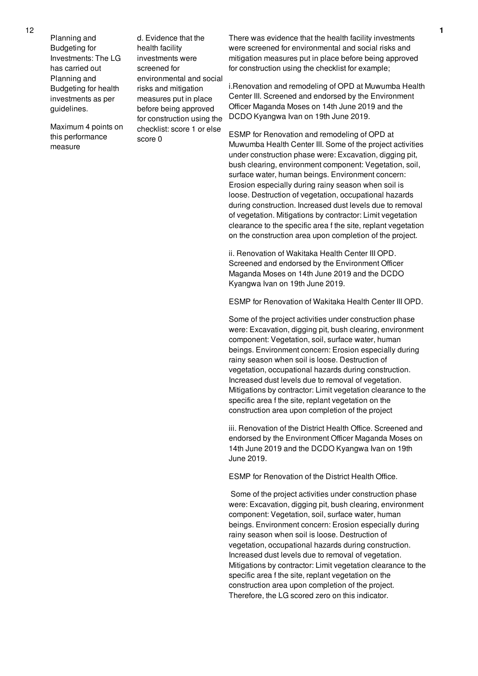Planning and Budgeting for Investments: The LG has carried out Planning and Budgeting for health investments as per guidelines.

Maximum 4 points on this performance measure

d. Evidence that the health facility investments were screened for environmental and social risks and mitigation measures put in place before being approved for construction using the checklist: score 1 or else score 0

There was evidence that the health facility investments were screened for environmental and social risks and mitigation measures put in place before being approved for construction using the checklist for example;

i.Renovation and remodeling of OPD at Muwumba Health Center III. Screened and endorsed by the Environment Officer Maganda Moses on 14th June 2019 and the DCDO Kyangwa Ivan on 19th June 2019.

ESMP for Renovation and remodeling of OPD at Muwumba Health Center III. Some of the project activities under construction phase were: Excavation, digging pit, bush clearing, environment component: Vegetation, soil, surface water, human beings. Environment concern: Erosion especially during rainy season when soil is loose. Destruction of vegetation, occupational hazards during construction. Increased dust levels due to removal of vegetation. Mitigations by contractor: Limit vegetation clearance to the specific area f the site, replant vegetation on the construction area upon completion of the project.

ii. Renovation of Wakitaka Health Center III OPD. Screened and endorsed by the Environment Officer Maganda Moses on 14th June 2019 and the DCDO Kyangwa Ivan on 19th June 2019.

ESMP for Renovation of Wakitaka Health Center III OPD.

Some of the project activities under construction phase were: Excavation, digging pit, bush clearing, environment component: Vegetation, soil, surface water, human beings. Environment concern: Erosion especially during rainy season when soil is loose. Destruction of vegetation, occupational hazards during construction. Increased dust levels due to removal of vegetation. Mitigations by contractor: Limit vegetation clearance to the specific area f the site, replant vegetation on the construction area upon completion of the project

iii. Renovation of the District Health Office. Screened and endorsed by the Environment Officer Maganda Moses on 14th June 2019 and the DCDO Kyangwa Ivan on 19th June 2019.

ESMP for Renovation of the District Health Office.

Some of the project activities under construction phase were: Excavation, digging pit, bush clearing, environment component: Vegetation, soil, surface water, human beings. Environment concern: Erosion especially during rainy season when soil is loose. Destruction of vegetation, occupational hazards during construction. Increased dust levels due to removal of vegetation. Mitigations by contractor: Limit vegetation clearance to the specific area f the site, replant vegetation on the construction area upon completion of the project. Therefore, the LG scored zero on this indicator.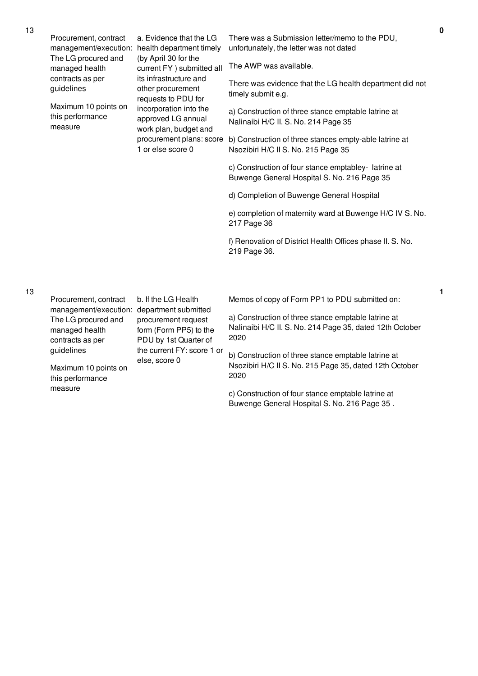|  | Procurement, contract<br>management/execution:            | a. Evidence that the LG<br>health department timely<br>(by April 30 for the<br>current FY ) submitted all<br>its infrastructure and<br>other procurement<br>requests to PDU for<br>incorporation into the<br>approved LG annual<br>work plan, budget and<br>procurement plans: score<br>1 or else score 0 | There was a Submission letter/memo to the PDU,<br>unfortunately, the letter was not dated                               |
|--|-----------------------------------------------------------|-----------------------------------------------------------------------------------------------------------------------------------------------------------------------------------------------------------------------------------------------------------------------------------------------------------|-------------------------------------------------------------------------------------------------------------------------|
|  | The LG procured and<br>managed health                     |                                                                                                                                                                                                                                                                                                           | The AWP was available.                                                                                                  |
|  | contracts as per<br>guidelines                            |                                                                                                                                                                                                                                                                                                           | There was evidence that the LG health department did not<br>timely submit e.g.                                          |
|  | Maximum 10 points on<br>this performance<br>measure       |                                                                                                                                                                                                                                                                                                           | a) Construction of three stance emptable latrine at<br>Nalinaibi H/C II. S. No. 214 Page 35                             |
|  |                                                           |                                                                                                                                                                                                                                                                                                           | b) Construction of three stances empty-able latrine at<br>Nsozibiri H/C II S. No. 215 Page 35                           |
|  |                                                           |                                                                                                                                                                                                                                                                                                           | c) Construction of four stance emptabley-latrine at<br>Buwenge General Hospital S. No. 216 Page 35                      |
|  |                                                           |                                                                                                                                                                                                                                                                                                           | d) Completion of Buwenge General Hospital                                                                               |
|  |                                                           |                                                                                                                                                                                                                                                                                                           | e) completion of maternity ward at Buwenge H/C IV S. No.<br>217 Page 36                                                 |
|  |                                                           |                                                                                                                                                                                                                                                                                                           | f) Renovation of District Health Offices phase II. S. No.<br>219 Page 36.                                               |
|  |                                                           |                                                                                                                                                                                                                                                                                                           |                                                                                                                         |
|  | Procurement, contract<br>management/execution:            | b. If the LG Health<br>department submitted                                                                                                                                                                                                                                                               | Memos of copy of Form PP1 to PDU submitted on:                                                                          |
|  | The LG procured and<br>managed health<br>contracts as per | procurement request<br>form (Form PP5) to the<br>PDU by 1st Quarter of<br>the current FY: score 1 or<br>else, score 0                                                                                                                                                                                     | a) Construction of three stance emptable latrine at<br>Nalinaibi H/C II. S. No. 214 Page 35, dated 12th October<br>2020 |
|  | guidelines<br>Maximum 10 points on                        |                                                                                                                                                                                                                                                                                                           | b) Construction of three stance emptable latrine at<br>Nsozibiri H/C II S. No. 215 Page 35, dated 12th October          |

mum 10 points on this performance measure

2020 c) Construction of four stance emptable latrine at Buwenge General Hospital S. No. 216 Page 35 .

13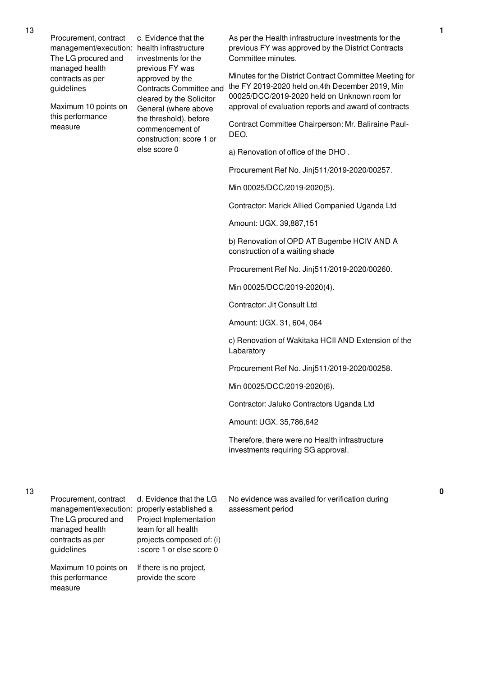Procurement, contract management/execution: health infrastructure The LG procured and managed health contracts as per guidelines

Maximum 10 points on this performance measure

c. Evidence that the investments for the previous FY was approved by the Contracts Committee and cleared by the Solicitor General (where above the threshold), before commencement of construction: score 1 or else score 0

As per the Health infrastructure investments for the previous FY was approved by the District Contracts Committee minutes.

Minutes for the District Contract Committee Meeting for the FY 2019-2020 held on,4th December 2019, Min 00025/DCC/2019-2020 held on Unknown room for approval of evaluation reports and award of contracts

Contract Committee Chairperson: Mr. Baliraine Paul-DEO.

a) Renovation of office of the DHO .

Procurement Ref No. Jinj511/2019-2020/00257.

Min 00025/DCC/2019-2020(5).

Contractor: Marick Allied Companied Uganda Ltd

Amount: UGX. 39,887,151

b) Renovation of OPD AT Bugembe HCIV AND A construction of a waiting shade

Procurement Ref No. Jinj511/2019-2020/00260.

Min 00025/DCC/2019-2020(4).

Contractor: Jit Consult Ltd

Amount: UGX. 31, 604, 064

c) Renovation of Wakitaka HCII AND Extension of the Labaratory

Procurement Ref No. Jinj511/2019-2020/00258.

Min 00025/DCC/2019-2020(6).

Contractor: Jaluko Contractors Uganda Ltd

Amount: UGX. 35,786,642

Therefore, there were no Health infrastructure investments requiring SG approval.

measure

| Project Implementation<br>team for all health<br>projects composed of: (i)<br>: score 1 or else score 0 |
|---------------------------------------------------------------------------------------------------------|
| If there is no project,<br>provide the score                                                            |
|                                                                                                         |

provide the score

No evidence was availed for verification during assessment period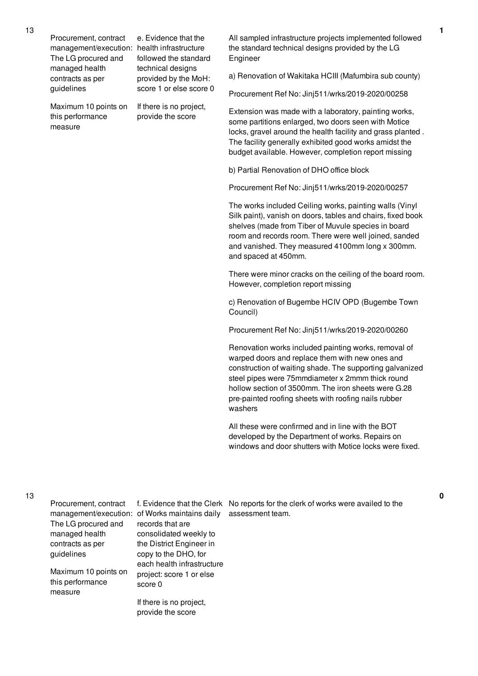| Procurement, contract |
|-----------------------|
| managannant/awaautiny |

The LG procured and managed health contracts as per guidelines

management/execution: health infrastructure e. Evidence that the followed the standard technical designs provided by the MoH: score 1 or else score 0

> If there is no project, provide the score

Maximum 10 points on this performance measure

All sampled infrastructure projects implemented followed the standard technical designs provided by the LG Engineer

a) Renovation of Wakitaka HCIII (Mafumbira sub county)

Procurement Ref No: Jinj511/wrks/2019-2020/00258

Extension was made with a laboratory, painting works, some partitions enlarged, two doors seen with Motice locks, gravel around the health facility and grass planted . The facility generally exhibited good works amidst the budget available. However, completion report missing

b) Partial Renovation of DHO office block

Procurement Ref No: Jinj511/wrks/2019-2020/00257

The works included Ceiling works, painting walls (Vinyl Silk paint), vanish on doors, tables and chairs, fixed book shelves (made from Tiber of Muvule species in board room and records room. There were well joined, sanded and vanished. They measured 4100mm long x 300mm. and spaced at 450mm.

There were minor cracks on the ceiling of the board room. However, completion report missing

c) Renovation of Bugembe HCIV OPD (Bugembe Town Council)

Procurement Ref No: Jinj511/wrks/2019-2020/00260

Renovation works included painting works, removal of warped doors and replace them with new ones and construction of waiting shade. The supporting galvanized steel pipes were 75mmdiameter x 2mmm thick round hollow section of 3500mm. The iron sheets were G.28 pre-painted roofing sheets with roofing nails rubber washers

All these were confirmed and in line with the BOT developed by the Department of works. Repairs on windows and door shutters with Motice locks were fixed.

| Procurement, contract<br>The LG procured and<br>managed health | management/execution: of Works maintains daily<br>records that are<br>consolidated weekly to | f. Evidence that the Clerk No reports for the clerk of works were availed to the<br>assessment team. |
|----------------------------------------------------------------|----------------------------------------------------------------------------------------------|------------------------------------------------------------------------------------------------------|
| contracts as per                                               | the District Engineer in                                                                     |                                                                                                      |
| guidelines                                                     | copy to the DHO, for<br>each health infrastructure                                           |                                                                                                      |
| Maximum 10 points on                                           | project: score 1 or else                                                                     |                                                                                                      |
| this performance<br>measure                                    | score 0                                                                                      |                                                                                                      |
|                                                                | If there is no project,                                                                      |                                                                                                      |
|                                                                | provide the score                                                                            |                                                                                                      |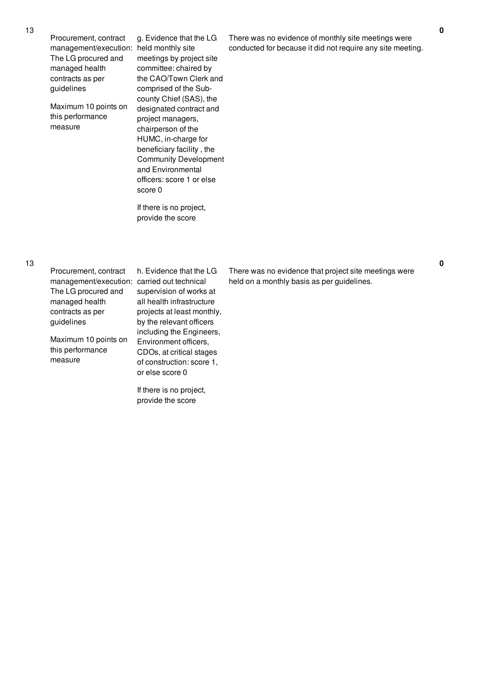| g. Evidence that the LG<br>held monthly site<br>meetings by project site<br>committee: chaired by<br>the CAO/Town Clerk and<br>comprised of the Sub-<br>county Chief (SAS), the<br>designated contract and<br>project managers,<br>chairperson of the<br>HUMC, in-charge for<br>beneficiary facility, the<br><b>Community Development</b><br>and Environmental<br>officers: score 1 or else | Th<br>COI         |
|---------------------------------------------------------------------------------------------------------------------------------------------------------------------------------------------------------------------------------------------------------------------------------------------------------------------------------------------------------------------------------------------|-------------------|
| score 0<br>If there is no project,                                                                                                                                                                                                                                                                                                                                                          |                   |
|                                                                                                                                                                                                                                                                                                                                                                                             | provide the score |

ere was no evidence of monthly site meetings were nducted for because it did not require any site meeting.

Procurement, contract management/execution: carried out technical The LG procured and managed health contracts as per guidelines

Maximum 10 points on this performance measure

h. Evidence that the LG supervision of works at all health infrastructure projects at least monthly, by the relevant officers including the Engineers, Environment officers, CDOs, at critical stages of construction: score 1, or else score 0

If there is no project, provide the score

There was no evidence that project site meetings were held on a monthly basis as per guidelines.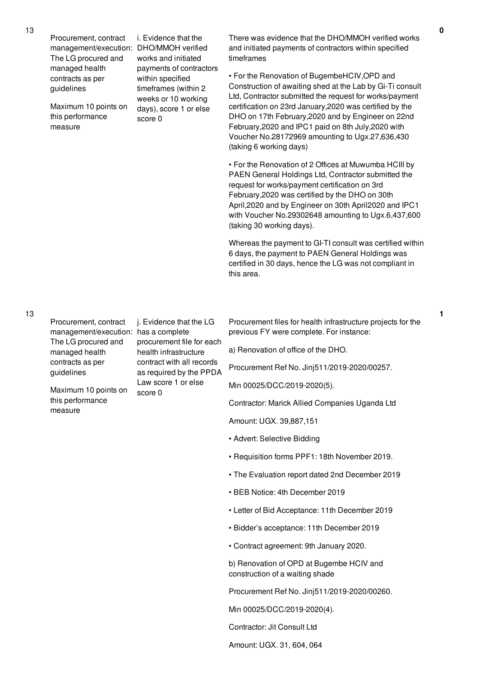Procurement, contract management/execution: DHO/MMOH verified The LG procured and managed health contracts as per guidelines

Maximum 10 points on this performance measure

i. Evidence that the works and initiated payments of contractors within specified timeframes (within 2 weeks or 10 working days), score 1 or else score 0

There was evidence that the DHO/MMOH verified works and initiated payments of contractors within specified timeframes

• For the Renovation of BugembeHCIV,OPD and Construction of awaiting shed at the Lab by Gi-Ti consult Ltd, Contractor submitted the request for works/payment certification on 23rd January,2020 was certified by the DHO on 17th February,2020 and by Engineer on 22nd February,2020 and IPC1 paid on 8th July,2020 with Voucher No.28172969 amounting to Ugx.27,636,430 (taking 6 working days)

• For the Renovation of 2 Offices at Muwumba HCIII by PAEN General Holdings Ltd, Contractor submitted the request for works/payment certification on 3rd February,2020 was certified by the DHO on 30th April,2020 and by Engineer on 30th April2020 and IPC1 with Voucher No.29302648 amounting to Ugx.6,437,600 (taking 30 working days).

Whereas the payment to GI-TI consult was certified within 6 days, the payment to PAEN General Holdings was certified in 30 days, hence the LG was not compliant in this area.

## 13

Procurement, contract management/execution: has a complete The LG procured and managed health contracts as per guidelines

Maximum 10 points on this performance measure

j. Evidence that the LG procurement file for each health infrastructure contract with all records as required by the PPDA Law score 1 or else score 0

Procurement files for health infrastructure projects for the previous FY were complete. For instance:

a) Renovation of office of the DHO.

Procurement Ref No. Jinj511/2019-2020/00257.

Min 00025/DCC/2019-2020(5).

Contractor: Marick Allied Companies Uganda Ltd

Amount: UGX. 39,887,151

- Advert: Selective Bidding
- Requisition forms PPF1: 18th November 2019.
- The Evaluation report dated 2nd December 2019
- BEB Notice: 4th December 2019
- Letter of Bid Acceptance: 11th December 2019
- Bidder's acceptance: 11th December 2019
- Contract agreement: 9th January 2020.

b) Renovation of OPD at Bugembe HCIV and construction of a waiting shade

Procurement Ref No. Jinj511/2019-2020/00260.

Min 00025/DCC/2019-2020(4).

Contractor: Jit Consult Ltd

Amount: UGX. 31, 604, 064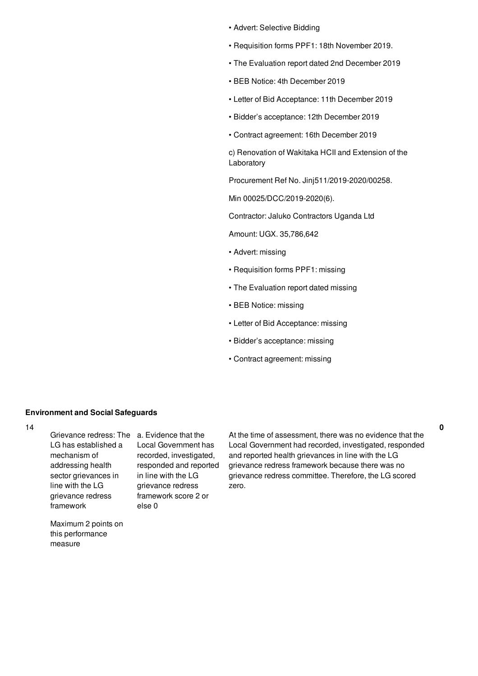- Advert: Selective Bidding
- Requisition forms PPF1: 18th November 2019.
- The Evaluation report dated 2nd December 2019
- BEB Notice: 4th December 2019
- Letter of Bid Acceptance: 11th December 2019
- Bidder's acceptance: 12th December 2019
- Contract agreement: 16th December 2019

c) Renovation of Wakitaka HCII and Extension of the Laboratory

Procurement Ref No. Jinj511/2019-2020/00258.

Min 00025/DCC/2019-2020(6).

Contractor: Jaluko Contractors Uganda Ltd

Amount: UGX. 35,786,642

- Advert: missing
- Requisition forms PPF1: missing
- The Evaluation report dated missing
- BEB Notice: missing
- Letter of Bid Acceptance: missing
- Bidder's acceptance: missing
- Contract agreement: missing

## **Environment and Social Safeguards**

14

Grievance redress: The a. Evidence that the LG has established a mechanism of addressing health sector grievances in line with the LG grievance redress framework

Maximum 2 points on this performance

measure

Local Government has recorded, investigated, responded and reported in line with the LG grievance redress framework score 2 or else 0

At the time of assessment, there was no evidence that the Local Government had recorded, investigated, responded and reported health grievances in line with the LG grievance redress framework because there was no grievance redress committee. Therefore, the LG scored zero.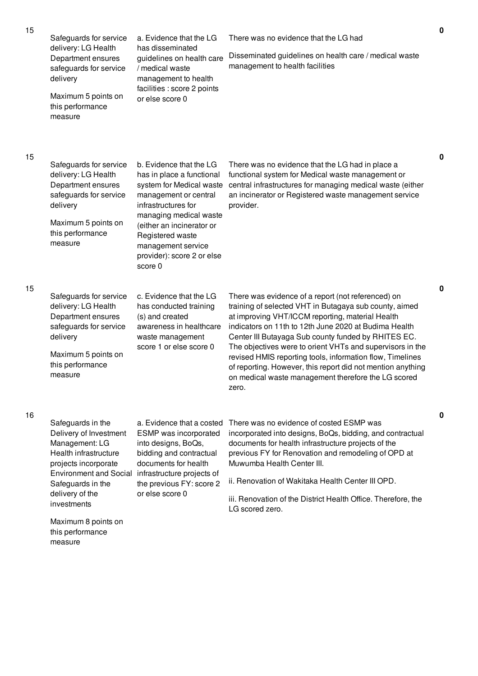| 15 | Safeguards for service<br>delivery: LG Health<br>Department ensures<br>safeguards for service<br>delivery<br>Maximum 5 points on<br>this performance<br>measure                                                                                   | a. Evidence that the LG<br>has disseminated<br>guidelines on health care<br>/ medical waste<br>management to health<br>facilities : score 2 points<br>or else score 0                                                                                                      | There was no evidence that the LG had<br>Disseminated guidelines on health care / medical waste<br>management to health facilities                                                                                                                                                                                                                                                                                                                                                                                                        |
|----|---------------------------------------------------------------------------------------------------------------------------------------------------------------------------------------------------------------------------------------------------|----------------------------------------------------------------------------------------------------------------------------------------------------------------------------------------------------------------------------------------------------------------------------|-------------------------------------------------------------------------------------------------------------------------------------------------------------------------------------------------------------------------------------------------------------------------------------------------------------------------------------------------------------------------------------------------------------------------------------------------------------------------------------------------------------------------------------------|
| 15 | Safeguards for service<br>delivery: LG Health<br>Department ensures<br>safeguards for service<br>delivery<br>Maximum 5 points on<br>this performance<br>measure                                                                                   | b. Evidence that the LG<br>has in place a functional<br>system for Medical waste<br>management or central<br>infrastructures for<br>managing medical waste<br>(either an incinerator or<br>Registered waste<br>management service<br>provider): score 2 or else<br>score 0 | There was no evidence that the LG had in place a<br>functional system for Medical waste management or<br>central infrastructures for managing medical waste (either<br>an incinerator or Registered waste management service<br>provider.                                                                                                                                                                                                                                                                                                 |
| 15 | Safeguards for service<br>delivery: LG Health<br>Department ensures<br>safeguards for service<br>delivery<br>Maximum 5 points on<br>this performance<br>measure                                                                                   | c. Evidence that the LG<br>has conducted training<br>(s) and created<br>awareness in healthcare<br>waste management<br>score 1 or else score 0                                                                                                                             | There was evidence of a report (not referenced) on<br>training of selected VHT in Butagaya sub county, aimed<br>at improving VHT/ICCM reporting, material Health<br>indicators on 11th to 12th June 2020 at Budima Health<br>Center III Butayaga Sub county funded by RHITES EC.<br>The objectives were to orient VHTs and supervisors in the<br>revised HMIS reporting tools, information flow, Timelines<br>of reporting. However, this report did not mention anything<br>on medical waste management therefore the LG scored<br>zero. |
| 16 | Safeguards in the<br>Delivery of Investment<br>Management: LG<br>Health infrastructure<br>projects incorporate<br><b>Environment and Social</b><br>Safeguards in the<br>delivery of the<br>investments<br>Maximum 8 points on<br>this performance | a. Evidence that a costed<br>ESMP was incorporated<br>into designs, BoQs,<br>bidding and contractual<br>documents for health<br>infrastructure projects of<br>the previous FY: score 2<br>or else score 0                                                                  | There was no evidence of costed ESMP was<br>incorporated into designs, BoQs, bidding, and contractual<br>documents for health infrastructure projects of the<br>previous FY for Renovation and remodeling of OPD at<br>Muwumba Health Center III.<br>ii. Renovation of Wakitaka Health Center III OPD.<br>iii. Renovation of the District Health Office. Therefore, the<br>LG scored zero.                                                                                                                                                |

measure

**0**

**0**

**0**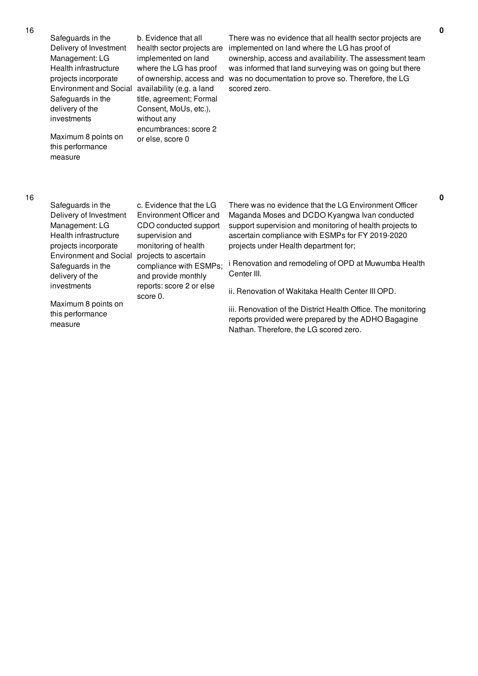Safeguards in the Delivery of Investment Management: LG Health infrastructure projects incorporate Environment and Social availability (e.g. a land Safeguards in the delivery of the investments

Maximum 8 points on this performance measure

b. Evidence that all implemented on land where the LG has proof of ownership, access and title, agreement; Formal Consent, MoUs, etc.), without any encumbrances: score 2 or else, score 0

health sector projects are implemented on land where the LG has proof of There was no evidence that all health sector projects are ownership, access and availability. The assessment team was informed that land surveying was on going but there was no documentation to prove so. Therefore, the LG scored zero.

## 16

| Safeguards in the<br>Delivery of Investment<br>Management: LG | c. Evidence that the LG<br>Environment Officer and<br>CDO conducted support | There was no evidence that the LG Environment Officer<br>Maganda Moses and DCDO Kyangwa Ivan conducted<br>support supervision and monitoring of health projects to |
|---------------------------------------------------------------|-----------------------------------------------------------------------------|--------------------------------------------------------------------------------------------------------------------------------------------------------------------|
| Health infrastructure<br>projects incorporate                 | supervision and<br>monitoring of health                                     | ascertain compliance with ESMPs for FY 2019-2020<br>projects under Health department for;                                                                          |
| <b>Environment and Social</b>                                 | projects to ascertain                                                       |                                                                                                                                                                    |
| Safeguards in the<br>delivery of the                          | compliance with ESMPs;<br>and provide monthly                               | i Renovation and remodeling of OPD at Muwumba Healt<br>Center III.                                                                                                 |
| investments                                                   | reports: score 2 or else<br>score 0.                                        | ii. Renovation of Wakitaka Health Center III OPD.                                                                                                                  |
| Maximum 8 points on<br>this performance                       |                                                                             | iii. Renovation of the District Health Office. The monitorin<br>reports provided were prepared by the ADHO Bagagine                                                |

measure

iii. Renovation of the District Health Office. The monitoring reports provided were prepared by the ADHO Bagagine Nathan. Therefore, the LG scored zero.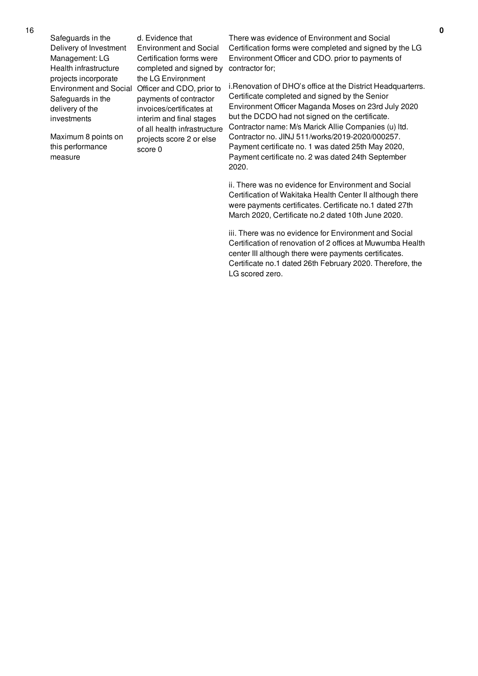Safeguards in the Delivery of Investment Management: LG Health infrastructure projects incorporate Safeguards in the delivery of the investments

Maximum 8 points on this performance measure

Environment and Social Officer and CDO, prior to d. Evidence that Environment and Social Certification forms were completed and signed by the LG Environment payments of contractor invoices/certificates at interim and final stages of all health infrastructure projects score 2 or else score 0

There was evidence of Environment and Social Certification forms were completed and signed by the LG Environment Officer and CDO. prior to payments of contractor for;

i.Renovation of DHO's office at the District Headquarterrs. Certificate completed and signed by the Senior Environment Officer Maganda Moses on 23rd July 2020 but the DCDO had not signed on the certificate. Contractor name: M/s Marick Allie Companies (u) ltd. Contractor no. JINJ 511/works/2019-2020/000257. Payment certificate no. 1 was dated 25th May 2020, Payment certificate no. 2 was dated 24th September 2020.

ii. There was no evidence for Environment and Social Certification of Wakitaka Health Center II although there were payments certificates. Certificate no.1 dated 27th March 2020, Certificate no.2 dated 10th June 2020.

iii. There was no evidence for Environment and Social Certification of renovation of 2 offices at Muwumba Health center III although there were payments certificates. Certificate no.1 dated 26th February 2020. Therefore, the LG scored zero.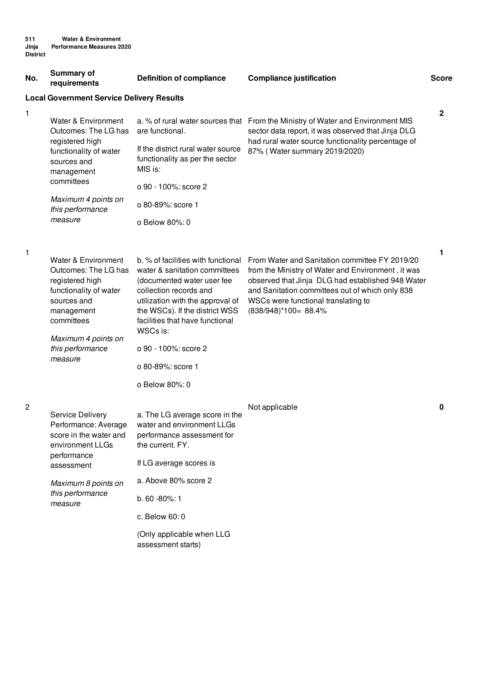| No.                                              | <b>Summary of</b><br>requirements                                                                                                                                                         | <b>Definition of compliance</b>                                                                                                                                                                                                                                                                                 | <b>Compliance justification</b>                                                                                                                                                                                                                                             | <b>Score</b> |  |
|--------------------------------------------------|-------------------------------------------------------------------------------------------------------------------------------------------------------------------------------------------|-----------------------------------------------------------------------------------------------------------------------------------------------------------------------------------------------------------------------------------------------------------------------------------------------------------------|-----------------------------------------------------------------------------------------------------------------------------------------------------------------------------------------------------------------------------------------------------------------------------|--------------|--|
| <b>Local Government Service Delivery Results</b> |                                                                                                                                                                                           |                                                                                                                                                                                                                                                                                                                 |                                                                                                                                                                                                                                                                             |              |  |
| 1                                                | Water & Environment<br>Outcomes: The LG has<br>registered high<br>functionality of water<br>sources and<br>management<br>committees                                                       | are functional.<br>If the district rural water source<br>functionality as per the sector<br>MIS is:<br>o 90 - 100%: score 2                                                                                                                                                                                     | a. % of rural water sources that From the Ministry of Water and Environment MIS<br>sector data report, it was observed that Jinja DLG<br>had rural water source functionality percentage of<br>87% (Water summary 2019/2020)                                                | 2            |  |
|                                                  | Maximum 4 points on<br>this performance                                                                                                                                                   | o 80-89%: score 1                                                                                                                                                                                                                                                                                               |                                                                                                                                                                                                                                                                             |              |  |
|                                                  | measure                                                                                                                                                                                   | o Below 80%: 0                                                                                                                                                                                                                                                                                                  |                                                                                                                                                                                                                                                                             |              |  |
| 1                                                | Water & Environment<br>Outcomes: The LG has<br>registered high<br>functionality of water<br>sources and<br>management<br>committees<br>Maximum 4 points on<br>this performance<br>measure | b. % of facilities with functional<br>water & sanitation committees<br>(documented water user fee<br>collection records and<br>utilization with the approval of<br>the WSCs). If the district WSS<br>facilities that have functional<br>WSCs is:<br>o 90 - 100%: score 2<br>o 80-89%: score 1<br>o Below 80%: 0 | From Water and Sanitation committee FY 2019/20<br>from the Ministry of Water and Environment, it was<br>observed that Jinja DLG had established 948 Water<br>and Sanitation committees out of which only 838<br>WSCs were functional translating to<br>(838/948)*100= 88.4% | 1            |  |
| $\overline{2}$                                   | <b>Service Delivery</b><br>Performance: Average<br>score in the water and<br>environment LLGs<br>performance<br>assessment                                                                | a. The LG average score in the<br>water and environment LLGs<br>performance assessment for<br>the current. FY.<br>If LG average scores is                                                                                                                                                                       | Not applicable                                                                                                                                                                                                                                                              | 0            |  |
|                                                  | Maximum 8 points on<br>this performance<br>measure                                                                                                                                        | a. Above 80% score 2                                                                                                                                                                                                                                                                                            |                                                                                                                                                                                                                                                                             |              |  |
|                                                  |                                                                                                                                                                                           | b. 60 - 80%: 1                                                                                                                                                                                                                                                                                                  |                                                                                                                                                                                                                                                                             |              |  |
|                                                  |                                                                                                                                                                                           | c. Below 60: 0                                                                                                                                                                                                                                                                                                  |                                                                                                                                                                                                                                                                             |              |  |
|                                                  |                                                                                                                                                                                           | (Only applicable when LLG<br>assessment starts)                                                                                                                                                                                                                                                                 |                                                                                                                                                                                                                                                                             |              |  |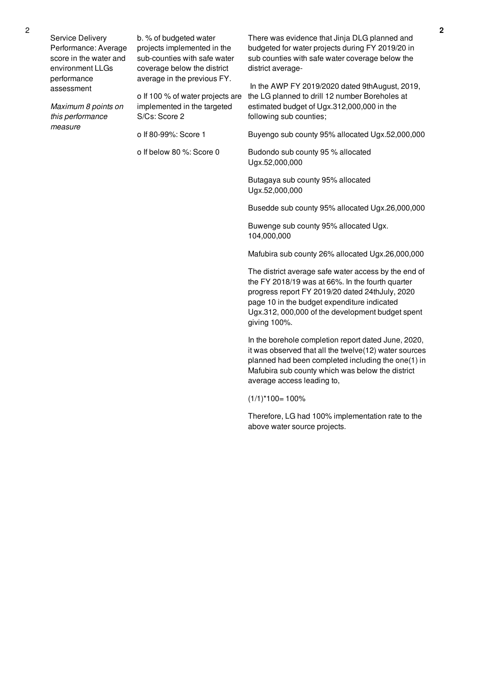Service Delivery Performance: Average score in the water and environment LLGs performance assessment

*Maximum 8 points on this performance measure*

b. % of budgeted water projects implemented in the sub-counties with safe water coverage below the district average in the previous FY.

o If 100 % of water projects are implemented in the targeted S/Cs: Score 2

o If 80-99%: Score 1

o If below 80 %: Score 0

There was evidence that Jinja DLG planned and budgeted for water projects during FY 2019/20 in sub counties with safe water coverage below the district average-

In the AWP FY 2019/2020 dated 9thAugust, 2019, the LG planned to drill 12 number Boreholes at estimated budget of Ugx.312,000,000 in the following sub counties;

Buyengo sub county 95% allocated Ugx.52,000,000

Budondo sub county 95 % allocated Ugx.52,000,000

Butagaya sub county 95% allocated Ugx.52,000,000

Busedde sub county 95% allocated Ugx.26,000,000

Buwenge sub county 95% allocated Ugx. 104,000,000

Mafubira sub county 26% allocated Ugx.26,000,000

The district average safe water access by the end of the FY 2018/19 was at 66%. In the fourth quarter progress report FY 2019/20 dated 24thJuly, 2020 page 10 in the budget expenditure indicated Ugx.312, 000,000 of the development budget spent giving 100%.

In the borehole completion report dated June, 2020, it was observed that all the twelve(12) water sources planned had been completed including the one(1) in Mafubira sub county which was below the district average access leading to,

 $(1/1)^*100=100%$ 

Therefore, LG had 100% implementation rate to the above water source projects.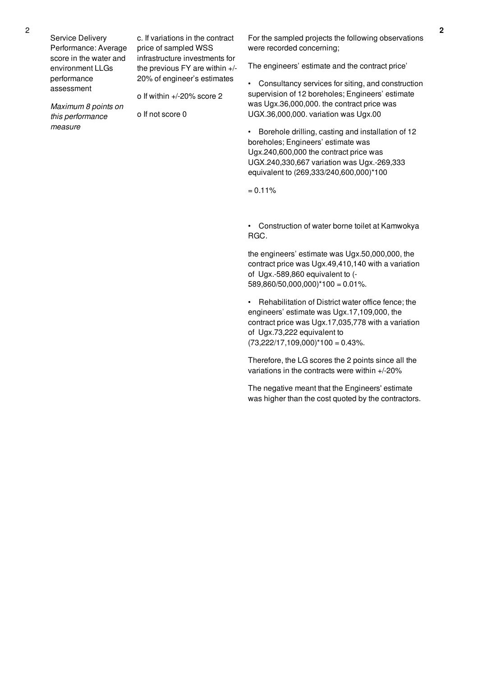Service Delivery Performance: Average score in the water and environment LLGs performance assessment

*Maximum 8 points on this performance*

*measure*

c. If variations in the contract price of sampled WSS infrastructure investments for the previous FY are within +/- 20% of engineer's estimates

o If within +/-20% score 2

o If not score 0

For the sampled projects the following observations were recorded concerning;

The engineers' estimate and the contract price'

• Consultancy services for siting, and construction supervision of 12 boreholes; Engineers' estimate was Ugx.36,000,000. the contract price was UGX.36,000,000. variation was Ugx.00

• Borehole drilling, casting and installation of 12 boreholes; Engineers' estimate was Ugx.240,600,000 the contract price was UGX.240,330,667 variation was Ugx.-269,333 equivalent to (269,333/240,600,000)\*100

 $= 0.11\%$ 

• Construction of water borne toilet at Kamwokya RGC.

the engineers' estimate was Ugx.50,000,000, the contract price was Ugx.49,410,140 with a variation of Ugx.-589,860 equivalent to (-  $589,860/50,000,000$ <sup>\*</sup>100 = 0.01%.

• Rehabilitation of District water office fence; the engineers' estimate was Ugx.17,109,000, the contract price was Ugx.17,035,778 with a variation of Ugx.73,222 equivalent to  $(73,222/17,109,000)^*100 = 0.43%$ .

Therefore, the LG scores the 2 points since all the variations in the contracts were within +/-20%

The negative meant that the Engineers' estimate was higher than the cost quoted by the contractors.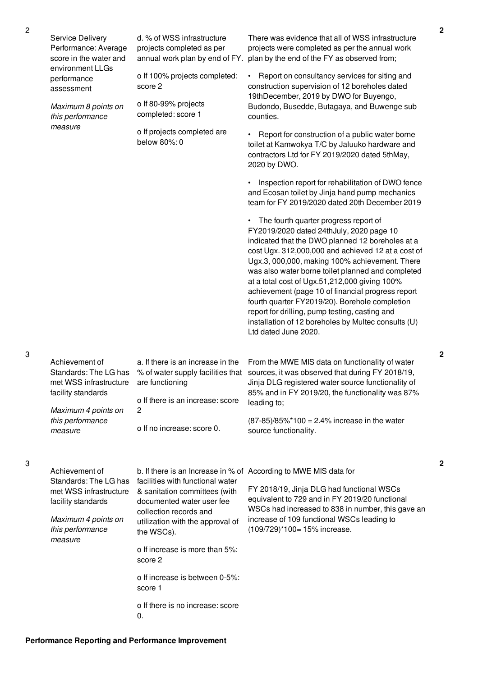| <b>Service Delivery</b><br>Performance: Average<br>score in the water and<br>environment LLGs                                                 | d. % of WSS infrastructure<br>projects completed as per<br>annual work plan by end of FY.                                                                                                                                                                 | There was evidence that all of WSS infrastructure<br>projects were completed as per the annual work<br>plan by the end of the FY as observed from;                                                                                                                                                                                                                                                                                                                                                                                                                                            |
|-----------------------------------------------------------------------------------------------------------------------------------------------|-----------------------------------------------------------------------------------------------------------------------------------------------------------------------------------------------------------------------------------------------------------|-----------------------------------------------------------------------------------------------------------------------------------------------------------------------------------------------------------------------------------------------------------------------------------------------------------------------------------------------------------------------------------------------------------------------------------------------------------------------------------------------------------------------------------------------------------------------------------------------|
| performance<br>assessment                                                                                                                     | o If 100% projects completed:<br>score 2                                                                                                                                                                                                                  | Report on consultancy services for siting and<br>construction supervision of 12 boreholes dated<br>19thDecember, 2019 by DWO for Buyengo,                                                                                                                                                                                                                                                                                                                                                                                                                                                     |
| Maximum 8 points on<br>this performance<br>measure                                                                                            | o If 80-99% projects<br>completed: score 1                                                                                                                                                                                                                | Budondo, Busedde, Butagaya, and Buwenge sub<br>counties.                                                                                                                                                                                                                                                                                                                                                                                                                                                                                                                                      |
|                                                                                                                                               | o If projects completed are<br>below 80%: 0                                                                                                                                                                                                               | Report for construction of a public water borne<br>toilet at Kamwokya T/C by Jaluuko hardware and<br>contractors Ltd for FY 2019/2020 dated 5thMay,<br>2020 by DWO.                                                                                                                                                                                                                                                                                                                                                                                                                           |
|                                                                                                                                               |                                                                                                                                                                                                                                                           | Inspection report for rehabilitation of DWO fence<br>and Ecosan toilet by Jinja hand pump mechanics<br>team for FY 2019/2020 dated 20th December 2019                                                                                                                                                                                                                                                                                                                                                                                                                                         |
|                                                                                                                                               |                                                                                                                                                                                                                                                           | • The fourth quarter progress report of<br>FY2019/2020 dated 24thJuly, 2020 page 10<br>indicated that the DWO planned 12 boreholes at a<br>cost Ugx. 312,000,000 and achieved 12 at a cost of<br>Ugx.3, 000,000, making 100% achievement. There<br>was also water borne toilet planned and completed<br>at a total cost of Ugx.51,212,000 giving 100%<br>achievement (page 10 of financial progress report<br>fourth quarter FY2019/20). Borehole completion<br>report for drilling, pump testing, casting and<br>installation of 12 boreholes by Multec consults (U)<br>Ltd dated June 2020. |
| Achievement of<br>Standards: The LG has<br>met WSS infrastructure<br>facility standards                                                       | a. If there is an increase in the<br>% of water supply facilities that<br>are functioning<br>o If there is an increase: score                                                                                                                             | From the MWE MIS data on functionality of water<br>sources, it was observed that during FY 2018/19,<br>Jinja DLG registered water source functionality of<br>85% and in FY 2019/20, the functionality was 87%<br>leading to;                                                                                                                                                                                                                                                                                                                                                                  |
| Maximum 4 points on<br>this performance<br>measure                                                                                            | 2<br>o If no increase: score 0.                                                                                                                                                                                                                           | $(87-85)/85\%$ *100 = 2.4% increase in the water<br>source functionality.                                                                                                                                                                                                                                                                                                                                                                                                                                                                                                                     |
| Achievement of<br>Standards: The LG has<br>met WSS infrastructure<br>facility standards<br>Maximum 4 points on<br>this performance<br>measure | facilities with functional water<br>& sanitation committees (with<br>documented water user fee<br>collection records and<br>utilization with the approval of<br>the WSCs).<br>o If increase is more than 5%:<br>score 2<br>o If increase is between 0-5%: | b. If there is an Increase in % of According to MWE MIS data for<br>FY 2018/19, Jinja DLG had functional WSCs<br>equivalent to 729 and in FY 2019/20 functional<br>WSCs had increased to 838 in number, this gave an<br>increase of 109 functional WSCs leading to<br>(109/729)*100= 15% increase.                                                                                                                                                                                                                                                                                            |
|                                                                                                                                               | score 1<br>o If there is no increase: score<br>0.                                                                                                                                                                                                         |                                                                                                                                                                                                                                                                                                                                                                                                                                                                                                                                                                                               |

3

3

**2**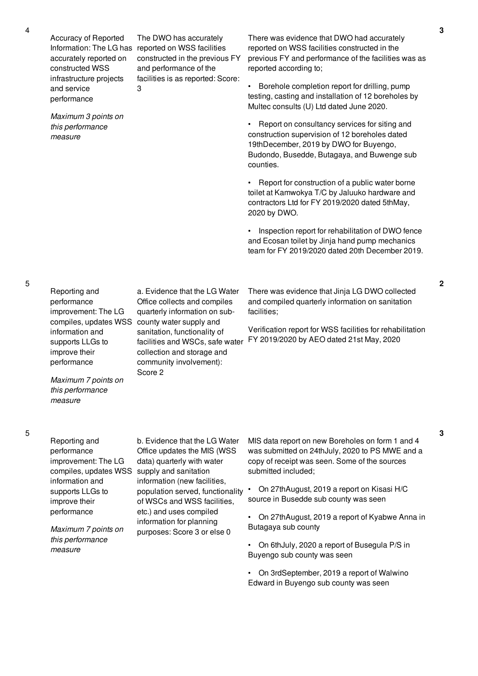Accuracy of Reported Information: The LG has reported on WSS facilities accurately reported on constructed WSS infrastructure projects and service performance

*Maximum 3 points on this performance measure*

There was evidence that DWO had accurately reported on WSS facilities constructed in the previous FY and performance of the facilities was as reported according to;

• Borehole completion report for drilling, pump testing, casting and installation of 12 boreholes by Multec consults (U) Ltd dated June 2020.

• Report on consultancy services for siting and construction supervision of 12 boreholes dated 19thDecember, 2019 by DWO for Buyengo, Budondo, Busedde, Butagaya, and Buwenge sub counties.

• Report for construction of a public water borne toilet at Kamwokya T/C by Jaluuko hardware and contractors Ltd for FY 2019/2020 dated 5thMay, 2020 by DWO.

• Inspection report for rehabilitation of DWO fence and Ecosan toilet by Jinja hand pump mechanics team for FY 2019/2020 dated 20th December 2019.

Reporting and performance improvement: The LG compiles, updates WSS county water supply and information and supports LLGs to a. Evidence that the LG Water Office collects and compiles quarterly information on subsanitation, functionality of facilities and WSCs, safe water

Score 2

collection and storage and community involvement):

The DWO has accurately

and performance of the facilities is as reported: Score:

3

constructed in the previous FY

There was evidence that Jinja LG DWO collected and compiled quarterly information on sanitation facilities;

Verification report for WSS facilities for rehabilitation FY 2019/2020 by AEO dated 21st May, 2020

5

Reporting and performance improvement: The LG compiles, updates WSS supply and sanitation information and supports LLGs to improve their performance *Maximum 7 points on this performance measure* b. Evidence that the LG Water Office updates the MIS (WSS data) quarterly with water information (new facilities, population served, functionality of WSCs and WSS facilities, etc.) and uses compiled information for planning purposes: Score 3 or else 0 submitted included; Butagaya sub county

MIS data report on new Boreholes on form 1 and 4 was submitted on 24thJuly, 2020 to PS MWE and a copy of receipt was seen. Some of the sources

• On 27thAugust, 2019 a report on Kisasi H/C source in Busedde sub county was seen

• On 27thAugust, 2019 a report of Kyabwe Anna in

• On 6thJuly, 2020 a report of Busegula P/S in Buyengo sub county was seen

• On 3rdSeptember, 2019 a report of Walwino Edward in Buyengo sub county was seen

**3**

**2**

**3**

5

improve their performance

*Maximum 7 points on this performance measure*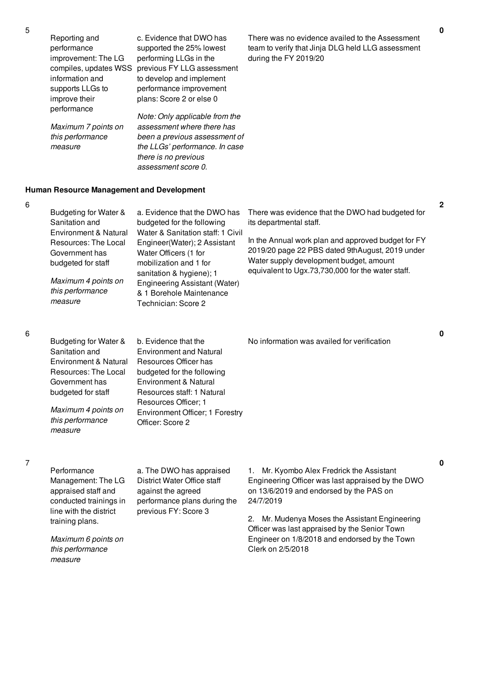| Reporting and       | c. Evidence that DWO has                         | There v |
|---------------------|--------------------------------------------------|---------|
| performance         | supported the 25% lowest                         | team to |
| improvement: The LG | performing LLGs in the                           | during  |
|                     | compiles, updates WSS previous FY LLG assessment |         |
| information and     | to develop and implement                         |         |
| supports LLGs to    | performance improvement                          |         |
| improve their       | plans: Score 2 or else 0                         |         |

performance *Maximum 7 points on this performance Note: Only applicable from the assessment where there has been a previous assessment of the LLGs' performance. In case there is no previous assessment score 0.*

was no evidence availed to the Assessment verify that Jinja DLG held LLG assessment the FY 2019/20

# **Human Resource Management and Development**

*measure*

| Budgeting for Water &<br>Sanitation and<br>Environment & Natural<br>Resources: The Local<br>Government has<br>budgeted for staff<br>Maximum 4 points on<br>this performance<br>measure | a. Evidence that the DWO has<br>budgeted for the following<br>Water & Sanitation staff: 1 Civil<br>Engineer(Water); 2 Assistant<br>Water Officers (1 for<br>mobilization and 1 for<br>sanitation & hygiene); 1<br>Engineering Assistant (Water)<br>& 1 Borehole Maintenance<br>Technician: Score 2 | There was evidence that the DWO had budgeted for<br>its departmental staff.<br>In the Annual work plan and approved budget for FY<br>2019/20 page 22 PBS dated 9thAugust, 2019 under<br>Water supply development budget, amount<br>equivalent to Ugx.73,730,000 for the water staff. |
|----------------------------------------------------------------------------------------------------------------------------------------------------------------------------------------|----------------------------------------------------------------------------------------------------------------------------------------------------------------------------------------------------------------------------------------------------------------------------------------------------|--------------------------------------------------------------------------------------------------------------------------------------------------------------------------------------------------------------------------------------------------------------------------------------|
| Budgeting for Water &<br>Sanitation and<br>Environment & Natural<br>Resources: The Local<br>Government has<br>budgeted for staff<br>Maximum 4 points on<br>this performance<br>measure | b. Evidence that the<br><b>Environment and Natural</b><br>Resources Officer has<br>budgeted for the following<br>Environment & Natural<br>Resources staff: 1 Natural<br>Resources Officer; 1<br>Environment Officer; 1 Forestry<br>Officer: Score 2                                                | No information was availed for verification                                                                                                                                                                                                                                          |

**Performance** Management: The LG appraised staff and conducted trainings in line with the district training plans.

*Maximum 6 points on this performance measure*

a. The DWO has appraised District Water Office staff against the agreed performance plans during the previous FY: Score 3

1. Mr. Kyombo Alex Fredrick the Assistant Engineering Officer was last appraised by the DWO on 13/6/2019 and endorsed by the PAS on 24/7/2019

2. Mr. Mudenya Moses the Assistant Engineering Officer was last appraised by the Senior Town Engineer on 1/8/2018 and endorsed by the Town Clerk on 2/5/2018

5

6

6

**0**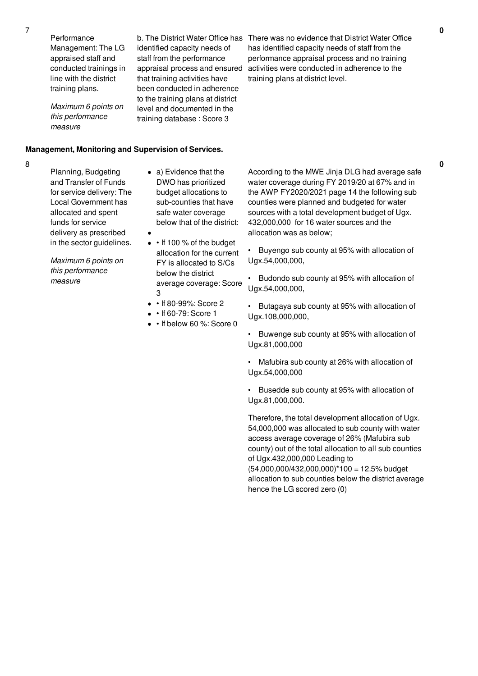**Performance** Management: The LG appraised staff and conducted trainings in line with the district training plans.

*Maximum 6 points on this performance measure*

**Management, Monitoring and Supervision of Services.**

#### 8

Planning, Budgeting and Transfer of Funds for service delivery: The Local Government has allocated and spent funds for service delivery as prescribed in the sector guidelines.

*Maximum 6 points on this performance measure*

a) Evidence that the DWO has prioritized budget allocations to sub-counties that have safe water coverage below that of the district:

b. The District Water Office has identified capacity needs of staff from the performance appraisal process and ensured that training activities have been conducted in adherence to the training plans at district level and documented in the training database : Score 3

> • If 100 % of the budget allocation for the current FY is allocated to S/Cs below the district

average coverage: Score 3

- • If 80-99%: Score 2
- $\cdot$  If 60-79: Score 1
- If below 60 %: Score 0

There was no evidence that District Water Office has identified capacity needs of staff from the performance appraisal process and no training activities were conducted in adherence to the training plans at district level.

According to the MWE Jinja DLG had average safe water coverage during FY 2019/20 at 67% and in the AWP FY2020/2021 page 14 the following sub counties were planned and budgeted for water sources with a total development budget of Ugx. 432,000,000 for 16 water sources and the allocation was as below;

• Buyengo sub county at 95% with allocation of Ugx.54,000,000,

• Budondo sub county at 95% with allocation of Ugx.54,000,000,

• Butagaya sub county at 95% with allocation of Ugx.108,000,000,

• Buwenge sub county at 95% with allocation of Ugx.81,000,000

• Mafubira sub county at 26% with allocation of Ugx.54,000,000

• Busedde sub county at 95% with allocation of Ugx.81,000,000.

Therefore, the total development allocation of Ugx. 54,000,000 was allocated to sub county with water access average coverage of 26% (Mafubira sub county) out of the total allocation to all sub counties of Ugx.432,000,000 Leading to (54,000,000/432,000,000)\*100 = 12.5% budget allocation to sub counties below the district average hence the LG scored zero (0)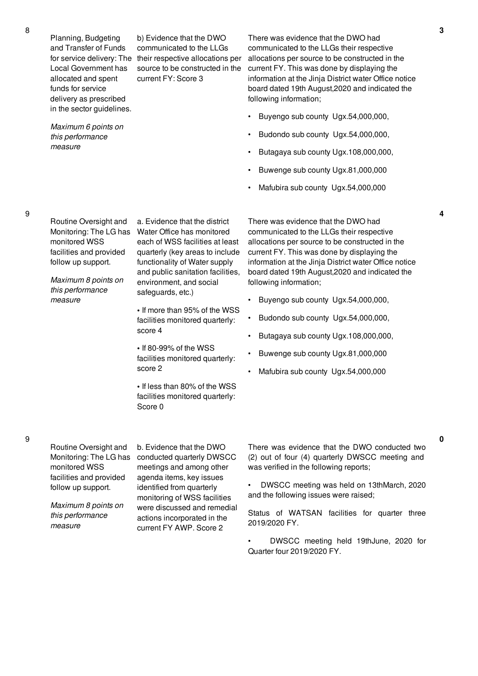Planning, Budgeting and Transfer of Funds Local Government has allocated and spent funds for service delivery as prescribed in the sector guidelines.

*Maximum 6 points on this performance measure*

facilities and provided follow up support. *Maximum 8 points on*

monitored WSS

*this performance measure*

Monitoring: The LG has Water Office has monitored

for service delivery: The their respective allocations per b) Evidence that the DWO communicated to the LLGs source to be constructed in the current FY: Score 3

a. Evidence that the district

safeguards, etc.)

score 4

score 2

Score 0

each of WSS facilities at least quarterly (key areas to include functionality of Water supply and public sanitation facilities, environment, and social

**•** If more than 95% of the WSS facilities monitored quarterly:

**•** If less than 80% of the WSS facilities monitored quarterly:

**•** If 80-99% of the WSS facilities monitored quarterly: There was evidence that the DWO had communicated to the LLGs their respective allocations per source to be constructed in the current FY. This was done by displaying the information at the Jinja District water Office notice board dated 19th August,2020 and indicated the following information;

- Buyengo sub county Ugx.54,000,000,
- Budondo sub county Ugx.54,000,000,
- Butagaya sub county Ugx.108,000,000,
- Buwenge sub county Ugx.81,000,000
- Mafubira sub county Ugx.54,000,000

There was evidence that the DWO had communicated to the LLGs their respective allocations per source to be constructed in the current FY. This was done by displaying the information at the Jinja District water Office notice board dated 19th August,2020 and indicated the following information;

- Buyengo sub county Ugx.54,000,000,
- Budondo sub county Ugx.54,000,000,
- Butagaya sub county Ugx.108,000,000,
- Buwenge sub county Ugx.81,000,000
- Mafubira sub county Ugx.54,000,000

Routine Oversight and Monitoring: The LG has monitored WSS facilities and provided follow up support.

*Maximum 8 points on this performance measure*

b. Evidence that the DWO conducted quarterly DWSCC meetings and among other agenda items, key issues identified from quarterly monitoring of WSS facilities were discussed and remedial actions incorporated in the current FY AWP. Score 2

There was evidence that the DWO conducted two (2) out of four (4) quarterly DWSCC meeting and was verified in the following reports;

• DWSCC meeting was held on 13thMarch, 2020 and the following issues were raised;

Status of WATSAN facilities for quarter three 2019/2020 FY.

• DWSCC meeting held 19thJune, 2020 for Quarter four 2019/2020 FY.

**4**

**0**

Routine Oversight and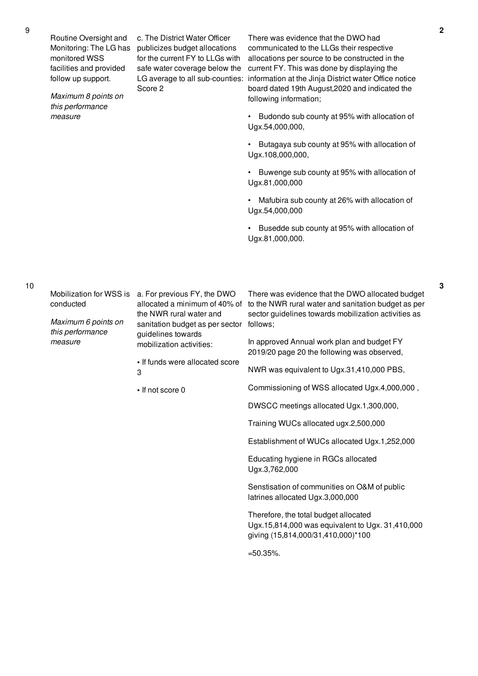Routine Oversight and Monitoring: The LG has monitored WSS facilities and provided follow up support.

*Maximum 8 points on this performance measure*

c. The District Water Officer publicizes budget allocations for the current FY to LLGs with safe water coverage below the LG average to all sub-counties: Score 2

There was evidence that the DWO had communicated to the LLGs their respective allocations per source to be constructed in the current FY. This was done by displaying the information at the Jinja District water Office notice board dated 19th August,2020 and indicated the following information;

• Budondo sub county at 95% with allocation of Ugx.54,000,000,

• Butagaya sub county at 95% with allocation of Ugx.108,000,000,

• Buwenge sub county at 95% with allocation of Ugx.81,000,000

• Mafubira sub county at 26% with allocation of Ugx.54,000,000

• Busedde sub county at 95% with allocation of Ugx.81,000,000.

10

conducted

*Maximum 6 points on this performance measure*

Mobilization for WSS is a. For previous FY, the DWO allocated a minimum of 40% of the NWR rural water and sanitation budget as per sector guidelines towards mobilization activities:

> **•** If funds were allocated score 3

**•** If not score 0

There was evidence that the DWO allocated budget to the NWR rural water and sanitation budget as per sector guidelines towards mobilization activities as follows;

In approved Annual work plan and budget FY 2019/20 page 20 the following was observed,

NWR was equivalent to Ugx.31,410,000 PBS,

Commissioning of WSS allocated Ugx.4,000,000 ,

DWSCC meetings allocated Ugx.1,300,000,

Training WUCs allocated ugx.2,500,000

Establishment of WUCs allocated Ugx.1,252,000

Educating hygiene in RGCs allocated Ugx.3,762,000

Senstisation of communities on O&M of public latrines allocated Ugx.3,000,000

Therefore, the total budget allocated Ugx.15,814,000 was equivalent to Ugx. 31,410,000 giving (15,814,000/31,410,000)\*100

 $=50.35\%$ .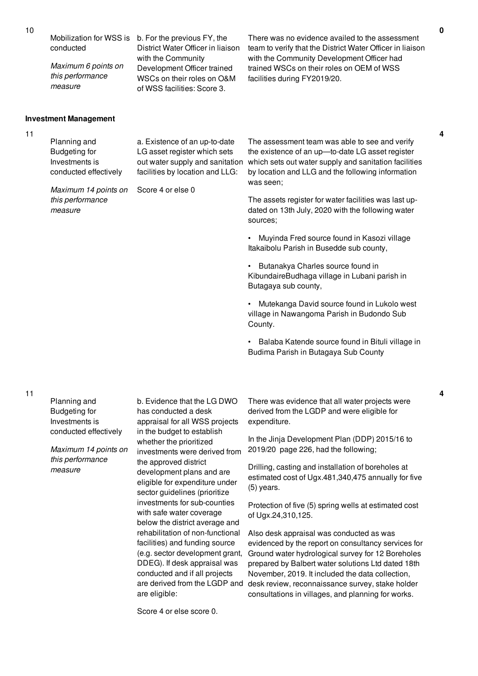conducted

*Maximum 6 points on this performance measure*

*Maximum 14 points on* Score 4 or else 0

# Mobilization for WSS is b. For the previous FY, the District Water Officer in liaison with the Community Development Officer trained WSCs on their roles on O&M of WSS facilities: Score 3.

There was no evidence availed to the assessment team to verify that the District Water Officer in liaison with the Community Development Officer had trained WSCs on their roles on OEM of WSS facilities during FY2019/20.

## **Investment Management**

*this performance*

*measure*

11

| Planning and          | a. Existence of an up-to-date   | The assessment team was able to see and verify                                        |
|-----------------------|---------------------------------|---------------------------------------------------------------------------------------|
| Budgeting for         | LG asset register which sets    | the existence of an up-to-date LG asset register                                      |
| Investments is        |                                 | out water supply and sanitation which sets out water supply and sanitation facilities |
| conducted effectively | facilities by location and LLG: | by location and LLG and the following information                                     |
|                       |                                 | was seen:                                                                             |

The assets register for water facilities was last updated on 13th July, 2020 with the following water sources;

• Muyinda Fred source found in Kasozi village Itakaibolu Parish in Busedde sub county,

• Butanakya Charles source found in KibundaireBudhaga village in Lubani parish in Butagaya sub county,

• Mutekanga David source found in Lukolo west village in Nawangoma Parish in Budondo Sub County.

• Balaba Katende source found in Bituli village in Budima Parish in Butagaya Sub County

b. Evidence that the LG DWO There was evidence that all water projects were derived from the LGDP and were eligible for expenditure.

> In the Jinja Development Plan (DDP) 2015/16 to 2019/20 page 226, had the following;

Drilling, casting and installation of boreholes at estimated cost of Ugx.481,340,475 annually for five (5) years.

Protection of five (5) spring wells at estimated cost of Ugx.24,310,125.

Also desk appraisal was conducted as was evidenced by the report on consultancy services for Ground water hydrological survey for 12 Boreholes prepared by Balbert water solutions Ltd dated 18th November, 2019. It included the data collection, desk review, reconnaissance survey, stake holder consultations in villages, and planning for works.

11

Planning and Budgeting for Investments is conducted effectively

*Maximum 14 points on this performance measure*

has conducted a desk appraisal for all WSS projects in the budget to establish whether the prioritized investments were derived from the approved district development plans and are eligible for expenditure under sector guidelines (prioritize investments for sub-counties with safe water coverage below the district average and rehabilitation of non-functional facilities) and funding source (e.g. sector development grant, DDEG). If desk appraisal was conducted and if all projects are derived from the LGDP and are eligible:

Score 4 or else score 0.

**4**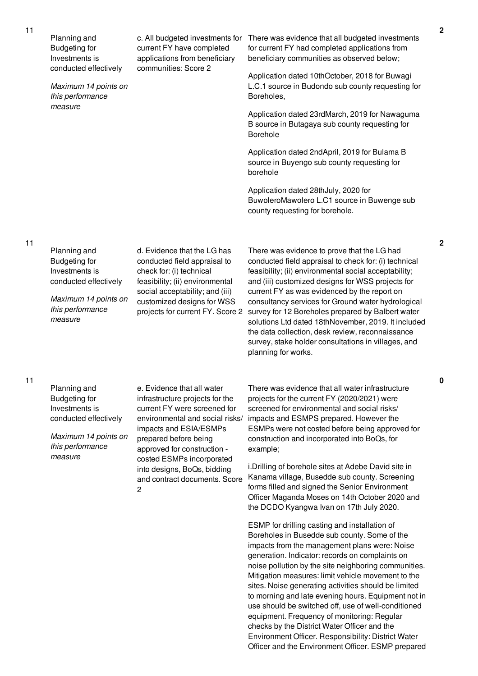| 11 | Planning and<br><b>Budgeting for</b><br>Investments is<br>conducted effectively<br>Maximum 14 points on | c. All budgeted investments for<br>current FY have completed<br>applications from beneficiary<br>communities: Score 2                                                            | There was evidence that all budgeted investments<br>for current FY had completed applications from<br>beneficiary communities as observed below;<br>Application dated 10thOctober, 2018 for Buwagi<br>L.C.1 source in Budondo sub county requesting for                                                                                                                 |  |
|----|---------------------------------------------------------------------------------------------------------|----------------------------------------------------------------------------------------------------------------------------------------------------------------------------------|-------------------------------------------------------------------------------------------------------------------------------------------------------------------------------------------------------------------------------------------------------------------------------------------------------------------------------------------------------------------------|--|
|    | this performance<br>measure                                                                             |                                                                                                                                                                                  | Boreholes,                                                                                                                                                                                                                                                                                                                                                              |  |
|    |                                                                                                         |                                                                                                                                                                                  | Application dated 23rdMarch, 2019 for Nawaguma<br>B source in Butagaya sub county requesting for<br><b>Borehole</b>                                                                                                                                                                                                                                                     |  |
|    |                                                                                                         |                                                                                                                                                                                  | Application dated 2ndApril, 2019 for Bulama B<br>source in Buyengo sub county requesting for<br>borehole                                                                                                                                                                                                                                                                |  |
|    |                                                                                                         |                                                                                                                                                                                  | Application dated 28thJuly, 2020 for<br>BuwoleroMawolero L.C1 source in Buwenge sub<br>county requesting for borehole.                                                                                                                                                                                                                                                  |  |
| 11 | Planning and<br><b>Budgeting for</b><br>Investments is<br>conducted effectively                         | d. Evidence that the LG has<br>conducted field appraisal to<br>check for: (i) technical<br>feasibility; (ii) environmental                                                       | There was evidence to prove that the LG had<br>conducted field appraisal to check for: (i) technical<br>feasibility; (ii) environmental social acceptability;<br>and (iii) customized designs for WSS projects for                                                                                                                                                      |  |
|    | Maximum 14 points on<br>this performance<br>measure                                                     | social acceptability; and (iii)<br>customized designs for WSS<br>projects for current FY. Score 2                                                                                | current FY as was evidenced by the report on<br>consultancy services for Ground water hydrological<br>survey for 12 Boreholes prepared by Balbert water<br>solutions Ltd dated 18thNovember, 2019. It included<br>the data collection, desk review, reconnaissance<br>survey, stake holder consultations in villages, and<br>planning for works.                        |  |
| 11 | Planning and<br><b>Budgeting for</b><br>Investments is<br>conducted effectively                         | e. Evidence that all water<br>infrastructure projects for the<br>current FY were screened for<br>environmental and social risks/                                                 | There was evidence that all water infrastructure<br>projects for the current FY (2020/2021) were<br>screened for environmental and social risks/<br>impacts and ESMPS prepared. However the                                                                                                                                                                             |  |
|    | Maximum 14 points on<br>this performance<br>measure                                                     | impacts and ESIA/ESMPs<br>prepared before being<br>approved for construction -<br>costed ESMPs incorporated<br>into designs, BoQs, bidding<br>and contract documents. Score<br>2 | ESMPs were not costed before being approved for<br>construction and incorporated into BoQs, for<br>example;                                                                                                                                                                                                                                                             |  |
|    |                                                                                                         |                                                                                                                                                                                  | i. Drilling of borehole sites at Adebe David site in<br>Kanama village, Busedde sub county. Screening<br>forms filled and signed the Senior Environment<br>Officer Maganda Moses on 14th October 2020 and<br>the DCDO Kyangwa Ivan on 17th July 2020.                                                                                                                   |  |
|    |                                                                                                         |                                                                                                                                                                                  | ESMP for drilling casting and installation of<br>Boreholes in Busedde sub county. Some of the<br>impacts from the management plans were: Noise<br>generation. Indicator: records on complaints on<br>noise pollution by the site neighboring communities.<br>Mitigation measures: limit vehicle movement to the<br>sites. Noise generating activities should be limited |  |

to morning and late evening hours. Equipment not in use should be switched off, use of well-conditioned equipment. Frequency of monitoring: Regular checks by the District Water Officer and the Environment Officer. Responsibility: District Water Officer and the Environment Officer. ESMP prepared **2**

**2**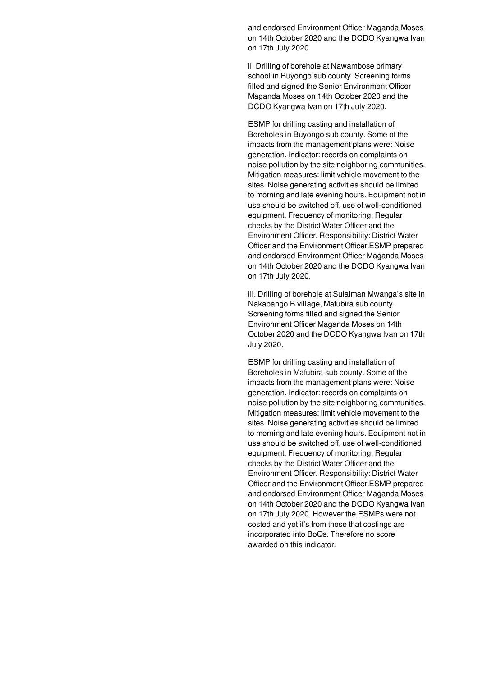and endorsed Environment Officer Maganda Moses on 14th October 2020 and the DCDO Kyangwa Ivan on 17th July 2020.

ii. Drilling of borehole at Nawambose primary school in Buyongo sub county. Screening forms filled and signed the Senior Environment Officer Maganda Moses on 14th October 2020 and the DCDO Kyangwa Ivan on 17th July 2020.

ESMP for drilling casting and installation of Boreholes in Buyongo sub county. Some of the impacts from the management plans were: Noise generation. Indicator: records on complaints on noise pollution by the site neighboring communities. Mitigation measures: limit vehicle movement to the sites. Noise generating activities should be limited to morning and late evening hours. Equipment not in use should be switched off, use of well-conditioned equipment. Frequency of monitoring: Regular checks by the District Water Officer and the Environment Officer. Responsibility: District Water Officer and the Environment Officer.ESMP prepared and endorsed Environment Officer Maganda Moses on 14th October 2020 and the DCDO Kyangwa Ivan on 17th July 2020.

iii. Drilling of borehole at Sulaiman Mwanga's site in Nakabango B village, Mafubira sub county. Screening forms filled and signed the Senior Environment Officer Maganda Moses on 14th October 2020 and the DCDO Kyangwa Ivan on 17th July 2020.

ESMP for drilling casting and installation of Boreholes in Mafubira sub county. Some of the impacts from the management plans were: Noise generation. Indicator: records on complaints on noise pollution by the site neighboring communities. Mitigation measures: limit vehicle movement to the sites. Noise generating activities should be limited to morning and late evening hours. Equipment not in use should be switched off, use of well-conditioned equipment. Frequency of monitoring: Regular checks by the District Water Officer and the Environment Officer. Responsibility: District Water Officer and the Environment Officer.ESMP prepared and endorsed Environment Officer Maganda Moses on 14th October 2020 and the DCDO Kyangwa Ivan on 17th July 2020. However the ESMPs were not costed and yet it's from these that costings are incorporated into BoQs. Therefore no score awarded on this indicator.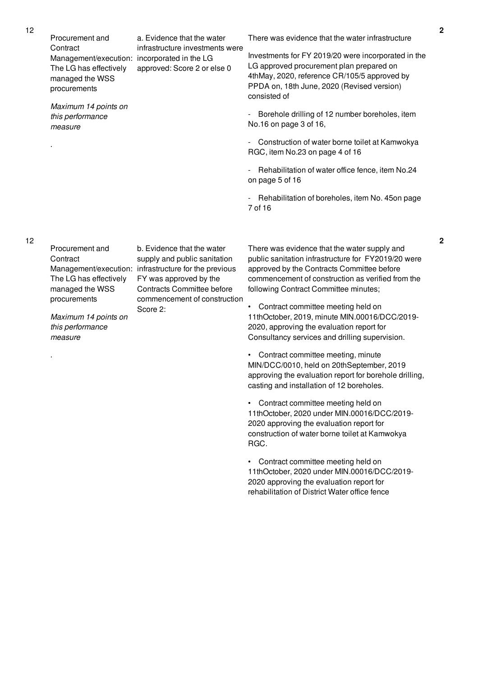Procurement and **Contract** Management/execution: incorporated in the LG The LG has effectively managed the WSS procurements

*Maximum 14 points on this performance measure*

.

.

There was evidence that the water infrastructure

Investments for FY 2019/20 were incorporated in the LG approved procurement plan prepared on 4thMay, 2020, reference CR/105/5 approved by PPDA on, 18th June, 2020 (Revised version) consisted of

- Borehole drilling of 12 number boreholes, item No.16 on page 3 of 16,

- Construction of water borne toilet at Kamwokya RGC, item No.23 on page 4 of 16

- Rehabilitation of water office fence, item No.24 on page 5 of 16

- Rehabilitation of boreholes, item No. 45on page 7 of 16

Procurement and **Contract** The LG has effectively managed the WSS procurements

*Maximum 14 points on this performance measure*

Management/execution: infrastructure for the previous b. Evidence that the water supply and public sanitation FY was approved by the Contracts Committee before commencement of construction Score 2:

a. Evidence that the water infrastructure investments were

approved: Score 2 or else 0

There was evidence that the water supply and public sanitation infrastructure for FY2019/20 were approved by the Contracts Committee before commencement of construction as verified from the following Contract Committee minutes;

• Contract committee meeting held on 11thOctober, 2019, minute MIN.00016/DCC/2019- 2020, approving the evaluation report for Consultancy services and drilling supervision.

• Contract committee meeting, minute MIN/DCC/0010, held on 20thSeptember, 2019 approving the evaluation report for borehole drilling, casting and installation of 12 boreholes.

• Contract committee meeting held on 11thOctober, 2020 under MIN.00016/DCC/2019- 2020 approving the evaluation report for construction of water borne toilet at Kamwokya RGC.

• Contract committee meeting held on 11thOctober, 2020 under MIN.00016/DCC/2019- 2020 approving the evaluation report for rehabilitation of District Water office fence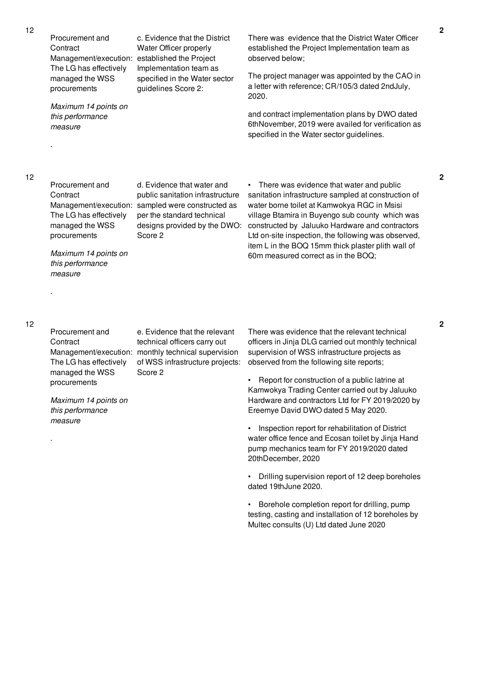Procurement and **Contract** Management/execution: established the Project The LG has effectively managed the WSS procurements

*Maximum 14 points on this performance measure*

There was evidence that the District Water Officer established the Project Implementation team as observed below;

The project manager was appointed by the CAO in a letter with reference; CR/105/3 dated 2ndJuly, 2020.

and contract implementation plans by DWO dated 6thNovember, 2019 were availed for verification as specified in the Water sector guidelines.

12

.

.

.

Procurement and **Contract** The LG has effectively managed the WSS procurements

Management/execution: sampled were constructed as d. Evidence that water and public sanitation infrastructure per the standard technical designs provided by the DWO: Score 2

c. Evidence that the District Water Officer properly

Implementation team as specified in the Water sector

guidelines Score 2:

sanitation infrastructure sampled at construction of water borne toilet at Kamwokya RGC in Msisi village Btamira in Buyengo sub county which was constructed by Jaluuko Hardware and contractors Ltd on-site inspection, the following was observed, item L in the BOQ 15mm thick plaster plith wall of 60m measured correct as in the BOQ;

• There was evidence that water and public

*Maximum 14 points on this performance measure*

## 12

Procurement and **Contract** The LG has effectively managed the WSS procurements

Management/execution: monthly technical supervision e. Evidence that the relevant technical officers carry out of WSS infrastructure projects: Score 2

*Maximum 14 points on this performance measure*

There was evidence that the relevant technical officers in Jinja DLG carried out monthly technical supervision of WSS infrastructure projects as observed from the following site reports;

• Report for construction of a public latrine at Kamwokya Trading Center carried out by Jaluuko Hardware and contractors Ltd for FY 2019/2020 by Ereemye David DWO dated 5 May 2020.

• Inspection report for rehabilitation of District water office fence and Ecosan toilet by Jinja Hand pump mechanics team for FY 2019/2020 dated 20thDecember, 2020

• Drilling supervision report of 12 deep boreholes dated 19thJune 2020.

• Borehole completion report for drilling, pump testing, casting and installation of 12 boreholes by Multec consults (U) Ltd dated June 2020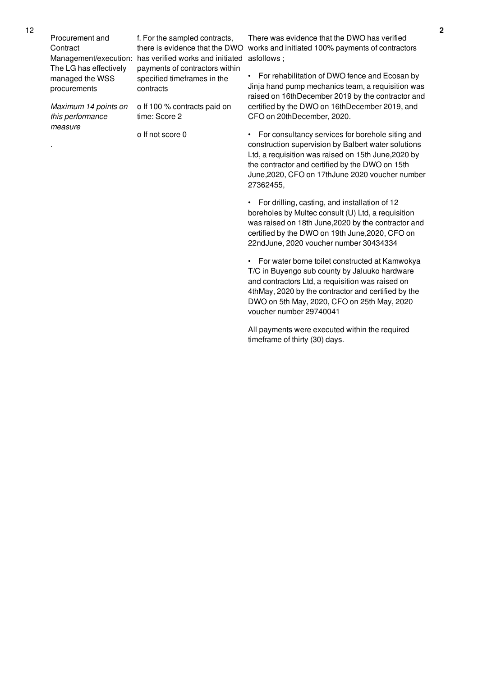Procurement and **Contract** The LG has effectively managed the WSS procurements

*Maximum 14 points on this performance measure*

.

Management/execution: has verified works and initiated asfollows; f. For the sampled contracts, payments of contractors within specified timeframes in the contracts

> o If 100 % contracts paid on time: Score 2

o If not score 0

there is evidence that the DWO works and initiated 100% payments of contractors There was evidence that the DWO has verified

> • For rehabilitation of DWO fence and Ecosan by Jinja hand pump mechanics team, a requisition was raised on 16thDecember 2019 by the contractor and certified by the DWO on 16thDecember 2019, and CFO on 20thDecember, 2020.

> • For consultancy services for borehole siting and construction supervision by Balbert water solutions Ltd, a requisition was raised on 15th June,2020 by the contractor and certified by the DWO on 15th June,2020, CFO on 17thJune 2020 voucher number 27362455,

> • For drilling, casting, and installation of 12 boreholes by Multec consult (U) Ltd, a requisition was raised on 18th June,2020 by the contractor and certified by the DWO on 19th June,2020, CFO on 22ndJune, 2020 voucher number 30434334

• For water borne toilet constructed at Kamwokya T/C in Buyengo sub county by Jaluuko hardware and contractors Ltd, a requisition was raised on 4thMay, 2020 by the contractor and certified by the DWO on 5th May, 2020, CFO on 25th May, 2020 voucher number 29740041

All payments were executed within the required timeframe of thirty (30) days.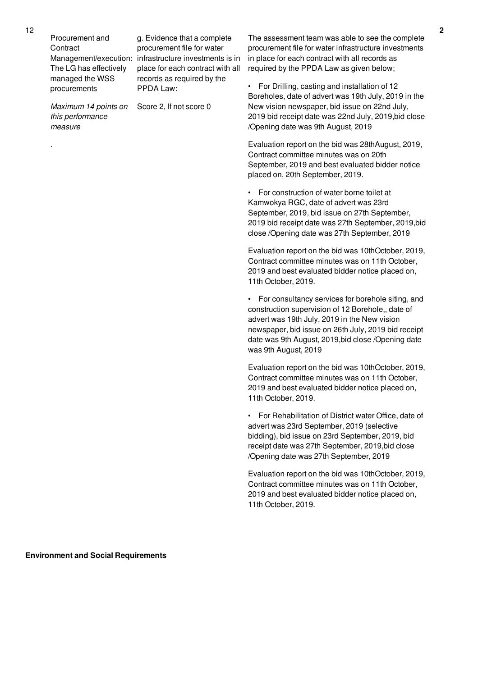Procurement and **Contract** The LG has effectively managed the WSS procurements

Management/execution: infrastructure investments is in g. Evidence that a complete procurement file for water place for each contract with all records as required by the PPDA Law:

Score 2, If not score 0

*Maximum 14 points on this performance measure*

The assessment team was able to see the complete procurement file for water infrastructure investments in place for each contract with all records as required by the PPDA Law as given below;

• For Drilling, casting and installation of 12 Boreholes, date of advert was 19th July, 2019 in the New vision newspaper, bid issue on 22nd July, 2019 bid receipt date was 22nd July, 2019,bid close /Opening date was 9th August, 2019

Evaluation report on the bid was 28thAugust, 2019, Contract committee minutes was on 20th September, 2019 and best evaluated bidder notice placed on, 20th September, 2019.

• For construction of water borne toilet at Kamwokya RGC, date of advert was 23rd September, 2019, bid issue on 27th September, 2019 bid receipt date was 27th September, 2019,bid close /Opening date was 27th September, 2019

Evaluation report on the bid was 10thOctober, 2019, Contract committee minutes was on 11th October, 2019 and best evaluated bidder notice placed on, 11th October, 2019.

• For consultancy services for borehole siting, and construction supervision of 12 Borehole,, date of advert was 19th July, 2019 in the New vision newspaper, bid issue on 26th July, 2019 bid receipt date was 9th August, 2019,bid close /Opening date was 9th August, 2019

Evaluation report on the bid was 10thOctober, 2019, Contract committee minutes was on 11th October, 2019 and best evaluated bidder notice placed on, 11th October, 2019.

• For Rehabilitation of District water Office, date of advert was 23rd September, 2019 (selective bidding), bid issue on 23rd September, 2019, bid receipt date was 27th September, 2019,bid close /Opening date was 27th September, 2019

Evaluation report on the bid was 10thOctober, 2019, Contract committee minutes was on 11th October, 2019 and best evaluated bidder notice placed on, 11th October, 2019.

.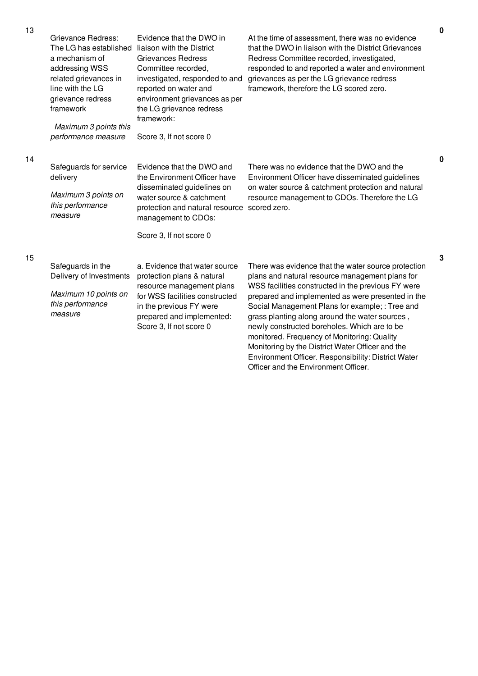| 13 | Grievance Redress:                                                                                                                        | Evidence that the DWO in                                                                                                                                                                                            | At the time of assessment, there was no evidence                                                                                                                                                                                                      |
|----|-------------------------------------------------------------------------------------------------------------------------------------------|---------------------------------------------------------------------------------------------------------------------------------------------------------------------------------------------------------------------|-------------------------------------------------------------------------------------------------------------------------------------------------------------------------------------------------------------------------------------------------------|
|    | The LG has established<br>a mechanism of<br>addressing WSS<br>related grievances in<br>line with the LG<br>grievance redress<br>framework | liaison with the District<br><b>Grievances Redress</b><br>Committee recorded,<br>investigated, responded to and<br>reported on water and<br>environment grievances as per<br>the LG grievance redress<br>framework: | that the DWO in liaison with the District Grievances<br>Redress Committee recorded, investigated,<br>responded to and reported a water and environment<br>grievances as per the LG grievance redress<br>framework, therefore the LG scored zero.      |
|    | Maximum 3 points this<br>performance measure                                                                                              | Score 3, If not score 0                                                                                                                                                                                             |                                                                                                                                                                                                                                                       |
| 14 |                                                                                                                                           |                                                                                                                                                                                                                     |                                                                                                                                                                                                                                                       |
|    | Safeguards for service<br>delivery                                                                                                        | Evidence that the DWO and<br>the Environment Officer have<br>disseminated guidelines on                                                                                                                             | There was no evidence that the DWO and the<br>Environment Officer have disseminated guidelines<br>on water source & catchment protection and natural                                                                                                  |
|    | Maximum 3 points on<br>this performance<br>measure                                                                                        | water source & catchment<br>protection and natural resource<br>management to CDOs:                                                                                                                                  | resource management to CDOs. Therefore the LG<br>scored zero.                                                                                                                                                                                         |
|    |                                                                                                                                           | Score 3, If not score 0                                                                                                                                                                                             |                                                                                                                                                                                                                                                       |
| 15 |                                                                                                                                           |                                                                                                                                                                                                                     |                                                                                                                                                                                                                                                       |
|    | Safeguards in the<br>Delivery of Investments                                                                                              | a. Evidence that water source<br>protection plans & natural                                                                                                                                                         | There was evidence that the water source protection<br>plans and natural resource management plans for<br>WSS facilities constructed in the previous FY were                                                                                          |
|    | Maximum 10 points on<br>this performance<br>measure                                                                                       | resource management plans<br>for WSS facilities constructed<br>in the previous FY were<br>prepared and implemented:<br>Score 3, If not score 0                                                                      | prepared and implemented as were presented in the<br>Social Management Plans for example; : Tree and<br>grass planting along around the water sources,<br>newly constructed boreholes. Which are to be<br>monitored. Frequency of Monitoring: Quality |

Monitoring by the District Water Officer and the Environment Officer. Responsibility: District Water

Officer and the Environment Officer.

**0**

**0**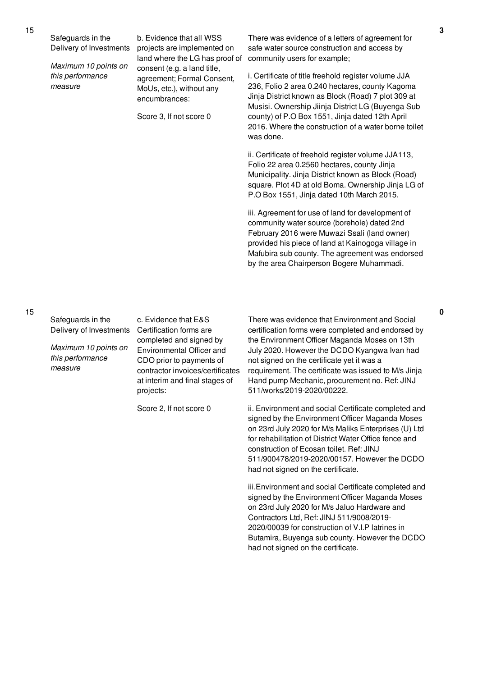Safeguards in the Delivery of Investments

*Maximum 10 points on this performance measure*

b. Evidence that all WSS projects are implemented on land where the LG has proof of consent (e.g. a land title, agreement; Formal Consent, MoUs, etc.), without any encumbrances:

Score 3, If not score 0

There was evidence of a letters of agreement for safe water source construction and access by community users for example;

i. Certificate of title freehold register volume JJA 236, Folio 2 area 0.240 hectares, county Kagoma Jinja District known as Block (Road) 7 plot 309 at Musisi. Ownership Jiinja District LG (Buyenga Sub county) of P.O Box 1551, Jinja dated 12th April 2016. Where the construction of a water borne toilet was done.

ii. Certificate of freehold register volume JJA113, Folio 22 area 0.2560 hectares, county Jinja Municipality. Jinja District known as Block (Road) square. Plot 4D at old Boma. Ownership Jinja LG of P.O Box 1551, Jinja dated 10th March 2015.

iii. Agreement for use of land for development of community water source (borehole) dated 2nd February 2016 were Muwazi Ssali (land owner) provided his piece of land at Kainogoga village in Mafubira sub county. The agreement was endorsed by the area Chairperson Bogere Muhammadi.

Safeguards in the Delivery of Investments

*Maximum 10 points on this performance measure*

c. Evidence that E&S Certification forms are completed and signed by Environmental Officer and CDO prior to payments of contractor invoices/certificates at interim and final stages of projects:

Score 2, If not score 0

There was evidence that Environment and Social certification forms were completed and endorsed by the Environment Officer Maganda Moses on 13th July 2020. However the DCDO Kyangwa Ivan had not signed on the certificate yet it was a requirement. The certificate was issued to M/s Jinja Hand pump Mechanic, procurement no. Ref: JINJ 511/works/2019-2020/00222.

ii. Environment and social Certificate completed and signed by the Environment Officer Maganda Moses on 23rd July 2020 for M/s Maliks Enterprises (U) Ltd for rehabilitation of District Water Office fence and construction of Ecosan toilet. Ref: JINJ 511/900478/2019-2020/00157. However the DCDO had not signed on the certificate.

iii.Environment and social Certificate completed and signed by the Environment Officer Maganda Moses on 23rd July 2020 for M/s Jaluo Hardware and Contractors Ltd, Ref: JINJ 511/9008/2019- 2020/00039 for construction of V.I.P latrines in Butamira, Buyenga sub county. However the DCDO had not signed on the certificate.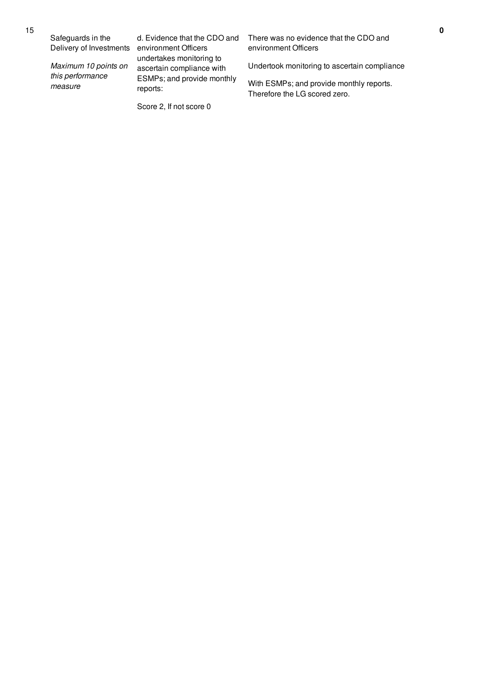Safeguards in the Delivery of Investments

*Maximum 10 points on this performance measure*

d. Evidence that the CDO and environment Officers undertakes monitoring to ascertain compliance with ESMPs; and provide monthly reports:

Score 2, If not score 0

There was no evidence that the CDO and environment Officers

Undertook monitoring to ascertain compliance

With ESMPs; and provide monthly reports. Therefore the LG scored zero.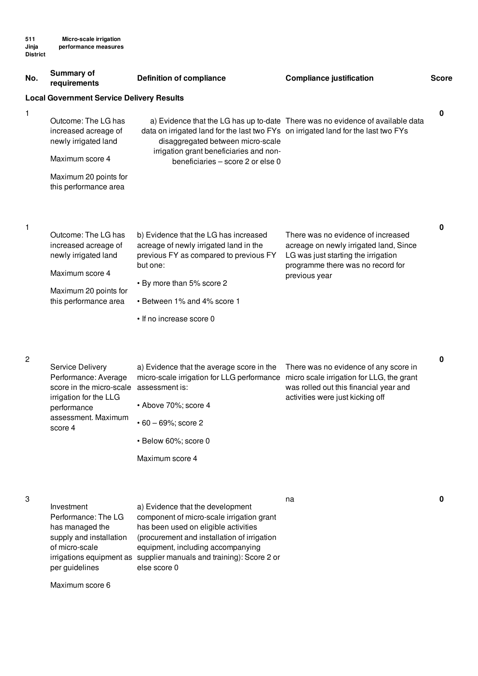| No.            | <b>Summary of</b><br>requirements                                                                                                               | <b>Definition of compliance</b>                                                                                                                                                                                                                                         | <b>Compliance justification</b>                                                                                                                                           | <b>Score</b> |
|----------------|-------------------------------------------------------------------------------------------------------------------------------------------------|-------------------------------------------------------------------------------------------------------------------------------------------------------------------------------------------------------------------------------------------------------------------------|---------------------------------------------------------------------------------------------------------------------------------------------------------------------------|--------------|
|                | <b>Local Government Service Delivery Results</b>                                                                                                |                                                                                                                                                                                                                                                                         |                                                                                                                                                                           |              |
| 1              | Outcome: The LG has<br>increased acreage of<br>newly irrigated land<br>Maximum score 4<br>Maximum 20 points for<br>this performance area        | data on irrigated land for the last two FYs on irrigated land for the last two FYs<br>disaggregated between micro-scale<br>irrigation grant beneficiaries and non-<br>beneficiaries - score 2 or else 0                                                                 | a) Evidence that the LG has up to-date There was no evidence of available data                                                                                            | $\mathbf 0$  |
| $\mathbf{1}$   | Outcome: The LG has<br>increased acreage of<br>newly irrigated land<br>Maximum score 4<br>Maximum 20 points for<br>this performance area        | b) Evidence that the LG has increased<br>acreage of newly irrigated land in the<br>previous FY as compared to previous FY<br>but one:<br>• By more than 5% score 2<br>• Between 1% and 4% score 1<br>• If no increase score 0                                           | There was no evidence of increased<br>acreage on newly irrigated land, Since<br>LG was just starting the irrigation<br>programme there was no record for<br>previous year | $\mathbf 0$  |
| $\overline{c}$ | Service Delivery<br>Performance: Average<br>score in the micro-scale<br>irrigation for the LLG<br>performance<br>assessment. Maximum<br>score 4 | a) Evidence that the average score in the<br>micro-scale irrigation for LLG performance micro scale irrigation for LLG, the grant<br>assessment is:<br>• Above 70%; score 4<br>$\cdot$ 60 - 69%; score 2<br>· Below 60%; score 0<br>Maximum score 4                     | There was no evidence of any score in<br>was rolled out this financial year and<br>activities were just kicking off                                                       | $\bf{0}$     |
| 3              | Investment<br>Performance: The LG<br>has managed the<br>supply and installation<br>of micro-scale<br>irrigations equipment as<br>per guidelines | a) Evidence that the development<br>component of micro-scale irrigation grant<br>has been used on eligible activities<br>(procurement and installation of irrigation<br>equipment, including accompanying<br>supplier manuals and training): Score 2 or<br>else score 0 | na                                                                                                                                                                        | 0            |

Maximum score 6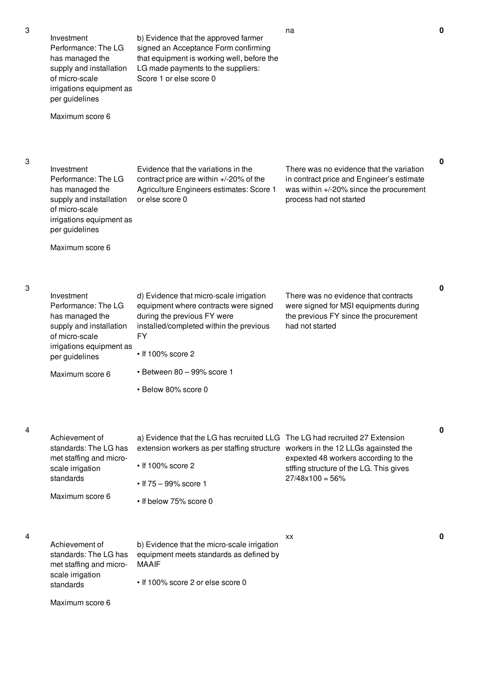has managed the supply and installation

irrigations equipment as

of micro-scale

per guidelines

Maximum score 6

b) Evidence that the approved farmer signed an Acceptance Form confirming that equipment is working well, before the LG made payments to the suppliers: Score 1 or else score 0

3

3

4

4

3

| Investment<br>Performance: The LG<br>has managed the<br>supply and installation<br>of micro-scale<br>irrigations equipment as<br>per guidelines<br>Maximum score 6 | Evidence that the variations in the<br>contract price are within +/-20% of the<br>Agriculture Engineers estimates: Score 1<br>or else score 0                                                                                                          | There was no evidence that the variation<br>in contract price and Engineer's estimate<br>was within $+/-20\%$ since the procurement<br>process had not started | $\mathbf 0$ |
|--------------------------------------------------------------------------------------------------------------------------------------------------------------------|--------------------------------------------------------------------------------------------------------------------------------------------------------------------------------------------------------------------------------------------------------|----------------------------------------------------------------------------------------------------------------------------------------------------------------|-------------|
| Investment<br>Performance: The LG<br>has managed the<br>supply and installation<br>of micro-scale<br>irrigations equipment as<br>per guidelines<br>Maximum score 6 | d) Evidence that micro-scale irrigation<br>equipment where contracts were signed<br>during the previous FY were<br>installed/completed within the previous<br>FY<br>$\cdot$ If 100% score 2<br>$\cdot$ Between 80 - 99% score 1<br>• Below 80% score 0 | There was no evidence that contracts<br>were signed for MSI equipments during<br>the previous FY since the procurement<br>had not started                      | 0           |
| Achievement of<br>standards: The LG has<br>met staffing and micro-<br>scale irrigation<br>standards<br>Maximum score 6                                             | a) Evidence that the LG has recruited LLG The LG had recruited 27 Extension<br>extension workers as per staffing structure workers in the 12 LLGs againsted the<br>$\cdot$ If 100% score 2<br>• If $75 - 99\%$ score 1<br>• If below 75% score 0       | expexted 48 workers according to the<br>stffing structure of the LG. This gives<br>$27/48x100 = 56%$                                                           | 0           |
| Achievement of<br>standards: The LG has<br>met staffing and micro-<br>scale irrigation<br>standards<br>Maximum score 6                                             | b) Evidence that the micro-scale irrigation<br>equipment meets standards as defined by<br><b>MAAIF</b><br>• If 100% score 2 or else score 0                                                                                                            | XX                                                                                                                                                             | 0           |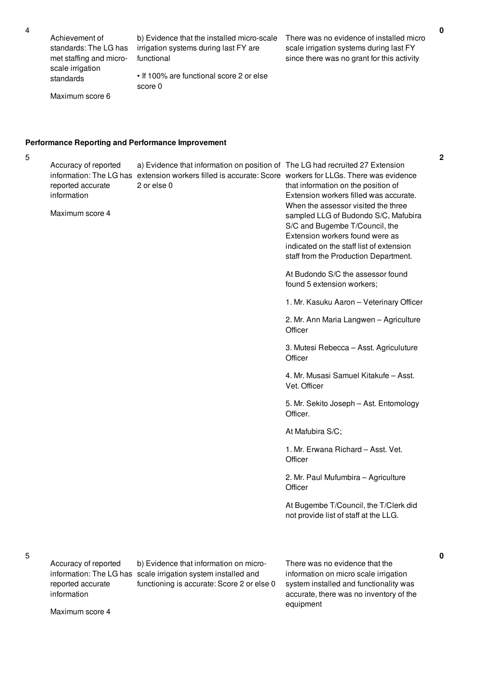Achievement of standards: The LG has met staffing and microscale irrigation standards

b) Evidence that the installed micro-scale irrigation systems during last FY are functional

• If 100% are functional score 2 or else score 0

There was no evidence of installed micro scale irrigation systems during last FY since there was no grant for this activity

Maximum score 6

#### **Performance Reporting and Performance Improvement**

5

Accuracy of reported information: The LG has extension workers filled is accurate: Score workers for LLGs. There was evidence reported accurate information Maximum score 4 a) Evidence that information on position of The LG had recruited 27 Extension 2 or else 0 that information on the position of Extension workers filled was accurate. When the assessor visited the three sampled LLG of Budondo S/C, Mafubira S/C and Bugembe T/Council, the Extension workers found were as indicated on the staff list of extension staff from the Production Department. At Budondo S/C the assessor found found 5 extension workers; 1. Mr. Kasuku Aaron – Veterinary Officer 2. Mr. Ann Maria Langwen – Agriculture **Officer** 3. Mutesi Rebecca – Asst. Agriculuture **Officer** 4. Mr. Musasi Samuel Kitakufe – Asst. Vet. Officer 5. Mr. Sekito Joseph – Ast. Entomology Officer.

At Mafubira S/C;

1. Mr. Erwana Richard – Asst. Vet. **Officer** 

2. Mr. Paul Mufumbira – Agriculture **Officer** 

At Bugembe T/Council, the T/Clerk did not provide list of staff at the LLG.

Accuracy of reported reported accurate information

Maximum score 4

information: The LG has scale irrigation system installed and b) Evidence that information on microfunctioning is accurate: Score 2 or else 0 There was no evidence that the information on micro scale irrigation system installed and functionality was accurate, there was no inventory of the equipment

**0**

**2**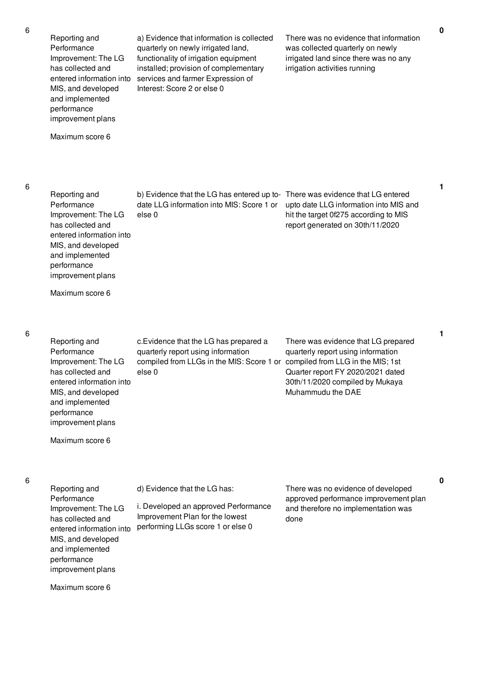Reporting and Performance Improvement: The LG has collected and MIS, and developed and implemented performance improvement plans

Maximum score 6

entered information into services and farmer Expression of a) Evidence that information is collected quarterly on newly irrigated land, functionality of irrigation equipment installed; provision of complementary Interest: Score 2 or else 0

There was no evidence that information was collected quarterly on newly irrigated land since there was no any irrigation activities running

There was evidence that LG entered upto date LLG information into MIS and hit the target 0f275 according to MIS report generated on 30th/11/2020

6

| Reporting and            | b) Evidence that the LG has entered up to- |
|--------------------------|--------------------------------------------|
| Performance              | date LLG information into MIS: Score 1 or  |
| Improvement: The LG      | else 0                                     |
| has collected and        |                                            |
| entered information into |                                            |
| MIS, and developed       |                                            |
| and implemented          |                                            |
| performance              |                                            |
| improvement plans        |                                            |

Maximum score 6

6

| Reporting and<br>Performance<br>Improvement: The LG<br>has collected and<br>entered information into<br>MIS, and developed<br>and implemented<br>performance<br>improvement plans | c. Evidence that the LG has prepared a<br>quarterly report using information<br>compiled from LLGs in the MIS: Score 1 or<br>else 0 | There was evidence that LG prepared<br>quarterly report using information<br>compiled from LLG in the MIS; 1st<br>Quarter report FY 2020/2021 dated<br>30th/11/2020 compiled by Mukaya<br>Muhammudu the DAE |
|-----------------------------------------------------------------------------------------------------------------------------------------------------------------------------------|-------------------------------------------------------------------------------------------------------------------------------------|-------------------------------------------------------------------------------------------------------------------------------------------------------------------------------------------------------------|
|                                                                                                                                                                                   |                                                                                                                                     |                                                                                                                                                                                                             |

Maximum score 6

6

| Reporting and                                                                                                                                                    | d) Evidence that the LG has:                                                                                 | There was no evidence of developed                                                   |
|------------------------------------------------------------------------------------------------------------------------------------------------------------------|--------------------------------------------------------------------------------------------------------------|--------------------------------------------------------------------------------------|
| Performance<br>Improvement: The LG<br>has collected and<br>entered information into<br>MIS, and developed<br>and implemented<br>performance<br>improvement plans | i. Developed an approved Performance<br>Improvement Plan for the lowest<br>performing LLGs score 1 or else 0 | approved performance improvement plan<br>and therefore no implementation was<br>done |
| Maximum score 6                                                                                                                                                  |                                                                                                              |                                                                                      |

**1**

**1**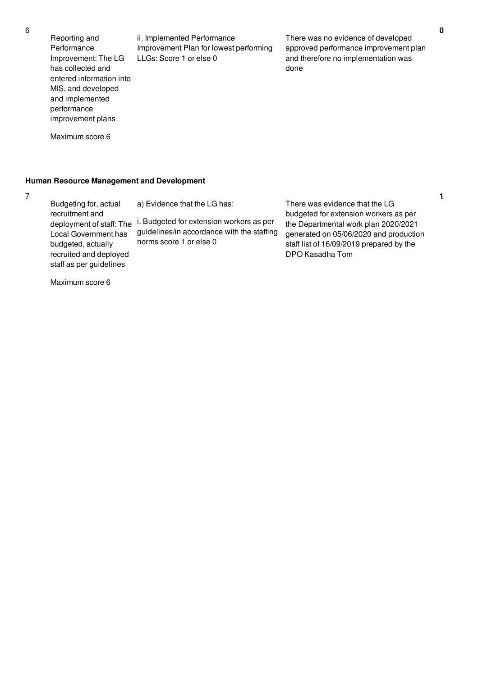Reporting and Performance Improvement: The LG has collected and entered information into MIS, and developed and implemented performance improvement plans

Maximum score 6

ii. Implemented Performance Improvement Plan for lowest performing LLGs: Score 1 or else 0

There was no evidence of developed approved performance improvement plan and therefore no implementation was done

**Human Resource Management and Development**

7

Budgeting for, actual recruitment and deployment of staff: The i. Budgeted for extension workers as per Local Government has budgeted, actually recruited and deployed staff as per guidelines a) Evidence that the LG has: guidelines/in accordance with the staffing norms score 1 or else 0 There was evidence that the LG budgeted for extension workers as per the Departmental work plan 2020/2021 generated on 05/06/2020 and production staff list of 16/09/2019 prepared by the DPO Kasadha Tom

Maximum score 6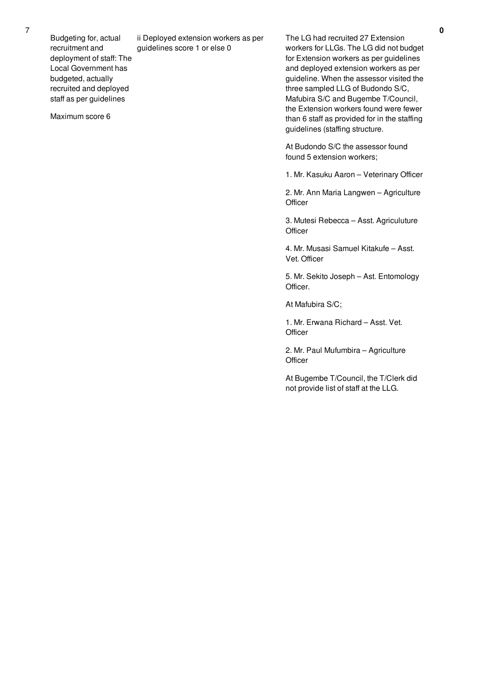Budgeting for, actual recruitment and deployment of staff: The Local Government has budgeted, actually recruited and deployed staff as per guidelines

Maximum score 6

ii Deployed extension workers as per guidelines score 1 or else 0

The LG had recruited 27 Extension workers for LLGs. The LG did not budget for Extension workers as per guidelines and deployed extension workers as per guideline. When the assessor visited the three sampled LLG of Budondo S/C, Mafubira S/C and Bugembe T/Council, the Extension workers found were fewer than 6 staff as provided for in the staffing guidelines (staffing structure.

At Budondo S/C the assessor found found 5 extension workers;

1. Mr. Kasuku Aaron – Veterinary Officer

2. Mr. Ann Maria Langwen – Agriculture **Officer** 

3. Mutesi Rebecca – Asst. Agriculuture **Officer** 

4. Mr. Musasi Samuel Kitakufe – Asst. Vet. Officer

5. Mr. Sekito Joseph – Ast. Entomology Officer.

At Mafubira S/C;

1. Mr. Erwana Richard – Asst. Vet. **Officer** 

2. Mr. Paul Mufumbira – Agriculture **Officer** 

At Bugembe T/Council, the T/Clerk did not provide list of staff at the LLG.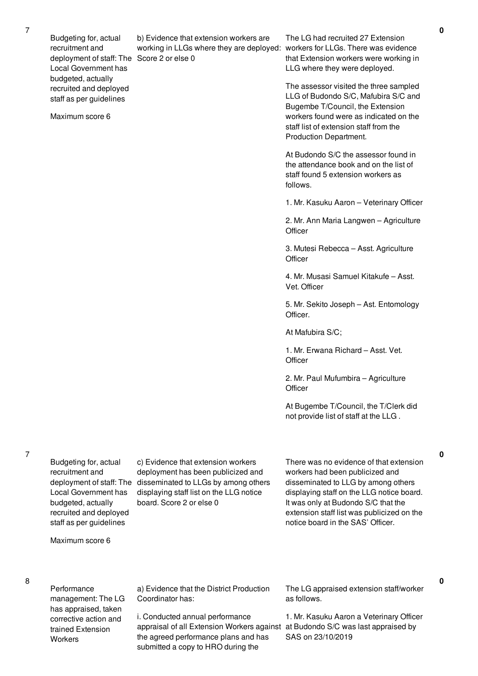Budgeting for, actual recruitment and deployment of staff: The Score 2 or else 0 Local Government has budgeted, actually recruited and deployed staff as per guidelines

Maximum score 6

b) Evidence that extension workers are working in LLGs where they are deployed: workers for LLGs. There was evidence

The LG had recruited 27 Extension that Extension workers were working in LLG where they were deployed.

The assessor visited the three sampled LLG of Budondo S/C, Mafubira S/C and Bugembe T/Council, the Extension workers found were as indicated on the staff list of extension staff from the Production Department.

At Budondo S/C the assessor found in the attendance book and on the list of staff found 5 extension workers as follows.

1. Mr. Kasuku Aaron – Veterinary Officer

2. Mr. Ann Maria Langwen – Agriculture **Officer** 

3. Mutesi Rebecca – Asst. Agriculture **Officer** 

4. Mr. Musasi Samuel Kitakufe – Asst. Vet. Officer

5. Mr. Sekito Joseph – Ast. Entomology Officer.

At Mafubira S/C;

1. Mr. Erwana Richard – Asst. Vet. **Officer** 

2. Mr. Paul Mufumbira – Agriculture **Officer** 

At Bugembe T/Council, the T/Clerk did not provide list of staff at the LLG .

Budgeting for, actual recruitment and Local Government has budgeted, actually recruited and deployed staff as per guidelines

Maximum score 6

8

7

Performance management: The LG has appraised, taken corrective action and trained Extension **Workers** 

deployment of staff: The disseminated to LLGs by among others c) Evidence that extension workers deployment has been publicized and displaying staff list on the LLG notice board. Score 2 or else 0

There was no evidence of that extension workers had been publicized and disseminated to LLG by among others displaying staff on the LLG notice board. It was only at Budondo S/C that the extension staff list was publicized on the notice board in the SAS' Officer.

a) Evidence that the District Production Coordinator has:

i. Conducted annual performance appraisal of all Extension Workers against the agreed performance plans and has submitted a copy to HRO during the

The LG appraised extension staff/worker as follows.

1. Mr. Kasuku Aaron a Veterinary Officer at Budondo S/C was last appraised by SAS on 23/10/2019

**0**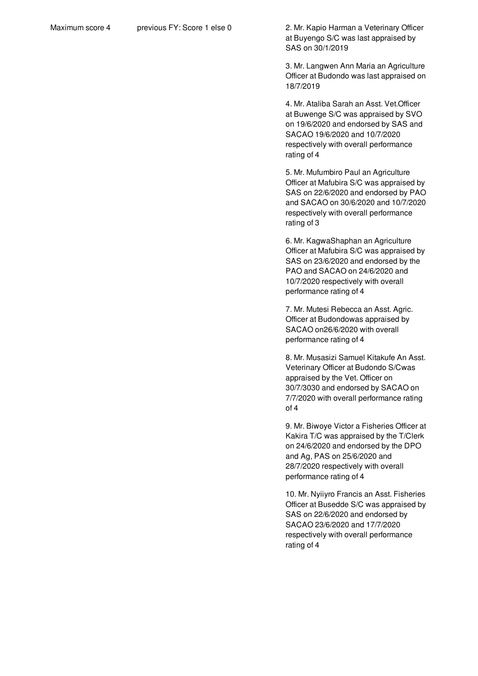Maximum score 4 previous FY: Score 1 else 0 2. Mr. Kapio Harman a Veterinary Officer at Buyengo S/C was last appraised by SAS on 30/1/2019

> 3. Mr. Langwen Ann Maria an Agriculture Officer at Budondo was last appraised on 18/7/2019

4. Mr. Ataliba Sarah an Asst. Vet.Officer at Buwenge S/C was appraised by SVO on 19/6/2020 and endorsed by SAS and SACAO 19/6/2020 and 10/7/2020 respectively with overall performance rating of 4

5. Mr. Mufumbiro Paul an Agriculture Officer at Mafubira S/C was appraised by SAS on 22/6/2020 and endorsed by PAO and SACAO on 30/6/2020 and 10/7/2020 respectively with overall performance rating of 3

6. Mr. KagwaShaphan an Agriculture Officer at Mafubira S/C was appraised by SAS on 23/6/2020 and endorsed by the PAO and SACAO on 24/6/2020 and 10/7/2020 respectively with overall performance rating of 4

7. Mr. Mutesi Rebecca an Asst. Agric. Officer at Budondowas appraised by SACAO on26/6/2020 with overall performance rating of 4

8. Mr. Musasizi Samuel Kitakufe An Asst. Veterinary Officer at Budondo S/Cwas appraised by the Vet. Officer on 30/7/3030 and endorsed by SACAO on 7/7/2020 with overall performance rating of 4

9. Mr. Biwoye Victor a Fisheries Officer at Kakira T/C was appraised by the T/Clerk on 24/6/2020 and endorsed by the DPO and Ag, PAS on 25/6/2020 and 28/7/2020 respectively with overall performance rating of 4

10. Mr. Nyiiyro Francis an Asst. Fisheries Officer at Busedde S/C was appraised by SAS on 22/6/2020 and endorsed by SACAO 23/6/2020 and 17/7/2020 respectively with overall performance rating of 4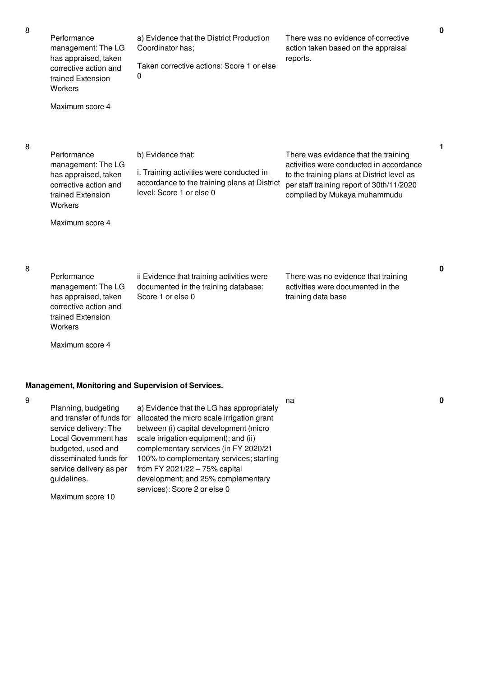| 8 | Performance<br>management: The LG<br>has appraised, taken<br>corrective action and<br>trained Extension<br>Workers<br>Maximum score 4                                                       | a) Evidence that the District Production<br>Coordinator has;<br>Taken corrective actions: Score 1 or else<br>0                                                                                                                                                                                                                                                                                 | There was no evidence of corrective<br>action taken based on the appraisal<br>reports.                                                                                                                     | 0 |
|---|---------------------------------------------------------------------------------------------------------------------------------------------------------------------------------------------|------------------------------------------------------------------------------------------------------------------------------------------------------------------------------------------------------------------------------------------------------------------------------------------------------------------------------------------------------------------------------------------------|------------------------------------------------------------------------------------------------------------------------------------------------------------------------------------------------------------|---|
| 8 | Performance<br>management: The LG<br>has appraised, taken<br>corrective action and<br>trained Extension<br>Workers                                                                          | b) Evidence that:<br>i. Training activities were conducted in<br>accordance to the training plans at District<br>level: Score 1 or else 0                                                                                                                                                                                                                                                      | There was evidence that the training<br>activities were conducted in accordance<br>to the training plans at District level as<br>per staff training report of 30th/11/2020<br>compiled by Mukaya muhammudu | 1 |
| 8 | Maximum score 4<br>Performance<br>management: The LG<br>has appraised, taken<br>corrective action and<br>trained Extension<br>Workers<br>Maximum score 4                                    | ii Evidence that training activities were<br>documented in the training database:<br>Score 1 or else 0                                                                                                                                                                                                                                                                                         | There was no evidence that training<br>activities were documented in the<br>training data base                                                                                                             | 0 |
| 9 | Planning, budgeting<br>and transfer of funds for<br>service delivery: The<br>Local Government has<br>budgeted, used and<br>disseminated funds for<br>service delivery as per<br>guidelines. | Management, Monitoring and Supervision of Services.<br>a) Evidence that the LG has appropriately<br>allocated the micro scale irrigation grant<br>between (i) capital development (micro<br>scale irrigation equipment); and (ii)<br>complementary services (in FY 2020/21<br>100% to complementary services; starting<br>from FY 2021/22 $-75%$ capital<br>development; and 25% complementary | na                                                                                                                                                                                                         | 0 |

services): Score 2 or else 0

Maximum score 10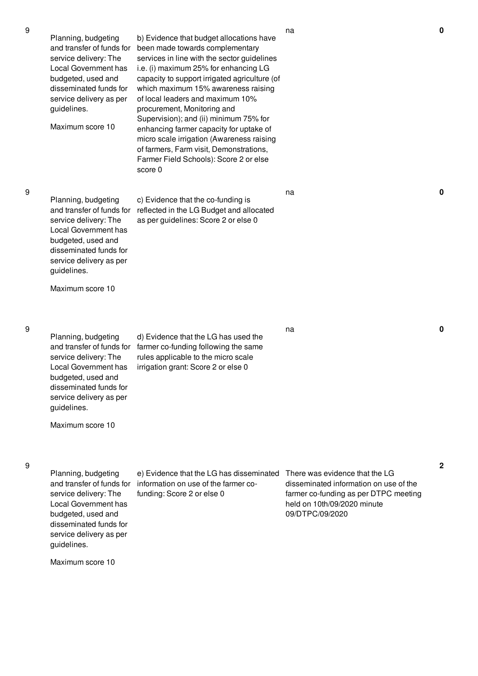na **0**

na **0**

9

Planning, budgeting and transfer of funds for service delivery: The Local Government has budgeted, used and disseminated funds for service delivery as per guidelines. c) Evidence that the co-funding is reflected in the LG Budget and allocated as per guidelines: Score 2 or else 0

Planning, budgeting

service delivery: The Local Government has budgeted, used and disseminated funds for service delivery as per

Maximum score 10

guidelines.

and transfer of funds for been made towards complementary

score 0

b) Evidence that budget allocations have

services in line with the sector guidelines i.e. (i) maximum 25% for enhancing LG capacity to support irrigated agriculture (of which maximum 15% awareness raising of local leaders and maximum 10% procurement, Monitoring and

Supervision); and (ii) minimum 75% for enhancing farmer capacity for uptake of micro scale irrigation (Awareness raising of farmers, Farm visit, Demonstrations, Farmer Field Schools): Score 2 or else

Maximum score 10

9

Planning, budgeting and transfer of funds for service delivery: The Local Government has budgeted, used and disseminated funds for service delivery as per guidelines. d) Evidence that the LG has used the farmer co-funding following the same rules applicable to the micro scale irrigation grant: Score 2 or else 0

Maximum score 10

#### 9

Planning, budgeting and transfer of funds for information on use of the farmer coservice delivery: The Local Government has budgeted, used and disseminated funds for service delivery as per guidelines. e) Evidence that the LG has disseminated funding: Score 2 or else 0 There was evidence that the LG disseminated information on use of the farmer co-funding as per DTPC meeting held on 10th/09/2020 minute 09/DTPC/09/2020

Maximum score 10

na **0**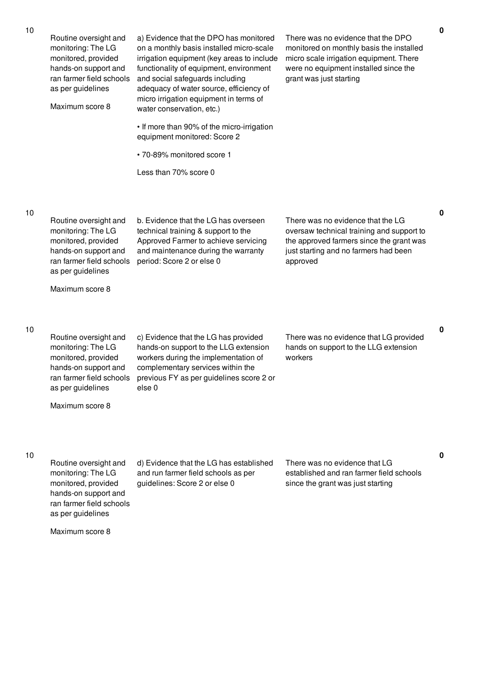| Routine oversight and<br>monitoring: The LG<br>monitored, provided<br>hands-on support and<br>ran farmer field schools<br>as per guidelines<br>Maximum score 8 | a) Evidence that the DPO has monitored<br>on a monthly basis installed micro-scale<br>irrigation equipment (key areas to include<br>functionality of equipment, environment<br>and social safeguards including<br>adequacy of water source, efficiency of<br>micro irrigation equipment in terms of<br>water conservation, etc.)<br>• If more than 90% of the micro-irrigation<br>equipment monitored: Score 2<br>· 70-89% monitored score 1<br>Less than 70% score 0 | There was no evidence that the DPO<br>monitored on monthly basis the installed<br>micro scale irrigation equipment. There<br>were no equipment installed since the<br>grant was just starting |
|----------------------------------------------------------------------------------------------------------------------------------------------------------------|-----------------------------------------------------------------------------------------------------------------------------------------------------------------------------------------------------------------------------------------------------------------------------------------------------------------------------------------------------------------------------------------------------------------------------------------------------------------------|-----------------------------------------------------------------------------------------------------------------------------------------------------------------------------------------------|
| Routine oversight and<br>monitoring: The LG<br>monitored, provided<br>hands-on support and<br>ran farmer field schools<br>as per guidelines<br>Maximum score 8 | b. Evidence that the LG has overseen<br>technical training & support to the<br>Approved Farmer to achieve servicing<br>and maintenance during the warranty<br>period: Score 2 or else 0                                                                                                                                                                                                                                                                               | There was no evidence that the LG<br>oversaw technical training and support to<br>the approved farmers since the grant was<br>just starting and no farmers had been<br>approved               |
| Routine oversight and<br>monitoring: The LG<br>monitored, provided<br>hands-on support and<br>ran farmer field schools<br>as per guidelines<br>Maximum score 8 | c) Evidence that the LG has provided<br>hands-on support to the LLG extension<br>workers during the implementation of<br>complementary services within the<br>previous FY as per guidelines score 2 or<br>else 0                                                                                                                                                                                                                                                      | There was no evidence that LG provided<br>hands on support to the LLG extension<br>workers                                                                                                    |

Routine oversight and monitoring: The LG monitored, provided hands-on support and ran farmer field schools as per guidelines

d) Evidence that the LG has established and run farmer field schools as per guidelines: Score 2 or else 0

There was no evidence that LG established and ran farmer field schools since the grant was just starting

Maximum score 8

10

10

**0**

**0**

**0**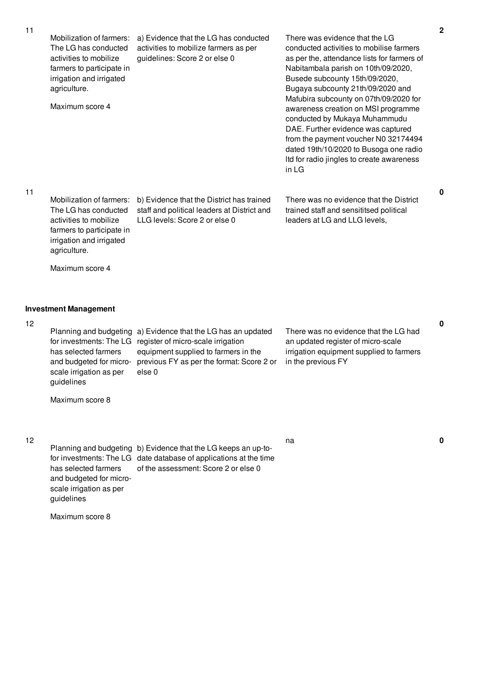| 11 | Mobilization of farmers:<br>The LG has conducted<br>activities to mobilize<br>farmers to participate in<br>irrigation and irrigated<br>agriculture.<br>Maximum score 4 | a) Evidence that the LG has conducted<br>activities to mobilize farmers as per<br>guidelines: Score 2 or else 0                                                                        | There was evidence that the LG<br>conducted activities to mobilise farmers<br>as per the, attendance lists for farmers of<br>Nabitambala parish on 10th/09/2020,<br>Busede subcounty 15th/09/2020,<br>Bugaya subcounty 21th/09/2020 and<br>Mafubira subcounty on 07th/09/2020 for<br>awareness creation on MSI programme<br>conducted by Mukaya Muhammudu<br>DAE. Further evidence was captured<br>from the payment voucher N0 32174494<br>dated 19th/10/2020 to Busoga one radio<br>Itd for radio jingles to create awareness<br>in LG | $\overline{\mathbf{c}}$ |
|----|------------------------------------------------------------------------------------------------------------------------------------------------------------------------|----------------------------------------------------------------------------------------------------------------------------------------------------------------------------------------|-----------------------------------------------------------------------------------------------------------------------------------------------------------------------------------------------------------------------------------------------------------------------------------------------------------------------------------------------------------------------------------------------------------------------------------------------------------------------------------------------------------------------------------------|-------------------------|
| 11 | Mobilization of farmers:<br>The LG has conducted<br>activities to mobilize<br>farmers to participate in<br>irrigation and irrigated<br>agriculture.                    | b) Evidence that the District has trained<br>staff and political leaders at District and<br>LLG levels: Score 2 or else 0                                                              | There was no evidence that the District<br>trained staff and sensititsed political<br>leaders at LG and LLG levels,                                                                                                                                                                                                                                                                                                                                                                                                                     | 0                       |
|    | Maximum score 4                                                                                                                                                        |                                                                                                                                                                                        |                                                                                                                                                                                                                                                                                                                                                                                                                                                                                                                                         |                         |
|    | <b>Investment Management</b>                                                                                                                                           |                                                                                                                                                                                        |                                                                                                                                                                                                                                                                                                                                                                                                                                                                                                                                         |                         |
| 12 | Planning and budgeting<br>for investments: The LG<br>has selected farmers<br>and budgeted for micro-<br>scale irrigation as per<br>guidelines                          | a) Evidence that the LG has an updated<br>register of micro-scale irrigation<br>equipment supplied to farmers in the<br>previous FY as per the format: Score 2 or<br>else <sub>0</sub> | There was no evidence that the LG had<br>an updated register of micro-scale<br>irrigation equipment supplied to farmers<br>in the previous FY                                                                                                                                                                                                                                                                                                                                                                                           | 0                       |
|    | Maximum score 8                                                                                                                                                        |                                                                                                                                                                                        |                                                                                                                                                                                                                                                                                                                                                                                                                                                                                                                                         |                         |
| 12 | has selected farmers<br>and budgeted for micro-<br>scale irrigation as per<br>guidelines                                                                               | Planning and budgeting b) Evidence that the LG keeps an up-to-<br>for investments: The LG date database of applications at the time<br>of the assessment: Score 2 or else 0            | na                                                                                                                                                                                                                                                                                                                                                                                                                                                                                                                                      |                         |

Maximum score 8

**0**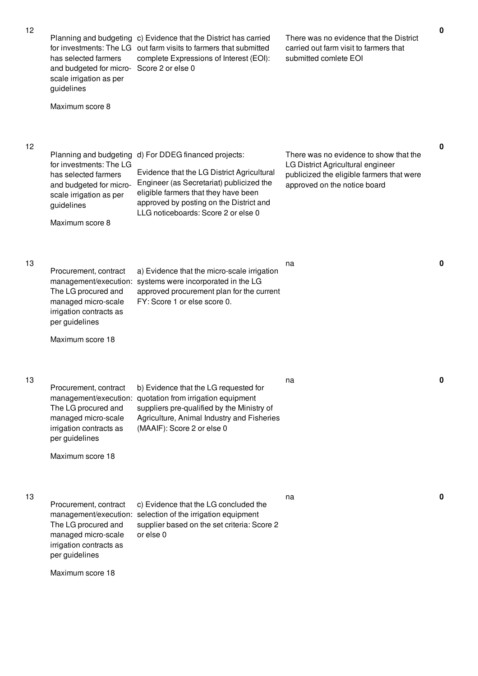| 12 | Planning and budgeting<br>has selected farmers<br>and budgeted for micro-<br>scale irrigation as per<br>guidelines<br>Maximum score 8                            | c) Evidence that the District has carried<br>for investments: The LG out farm visits to farmers that submitted<br>complete Expressions of Interest (EOI):<br>Score 2 or else 0                                                                     | There was no evidence that the District<br>carried out farm visit to farmers that<br>submitted comlete EOI                                               | $\mathbf 0$ |
|----|------------------------------------------------------------------------------------------------------------------------------------------------------------------|----------------------------------------------------------------------------------------------------------------------------------------------------------------------------------------------------------------------------------------------------|----------------------------------------------------------------------------------------------------------------------------------------------------------|-------------|
| 12 | Planning and budgeting<br>for investments: The LG<br>has selected farmers<br>and budgeted for micro-<br>scale irrigation as per<br>guidelines<br>Maximum score 8 | d) For DDEG financed projects:<br>Evidence that the LG District Agricultural<br>Engineer (as Secretariat) publicized the<br>eligible farmers that they have been<br>approved by posting on the District and<br>LLG noticeboards: Score 2 or else 0 | There was no evidence to show that the<br>LG District Agricultural engineer<br>publicized the eligible farmers that were<br>approved on the notice board | $\mathbf 0$ |
| 13 | Procurement, contract<br>management/execution:<br>The LG procured and<br>managed micro-scale<br>irrigation contracts as<br>per guidelines<br>Maximum score 18    | a) Evidence that the micro-scale irrigation<br>systems were incorporated in the LG<br>approved procurement plan for the current<br>FY: Score 1 or else score 0.                                                                                    | na                                                                                                                                                       | 0           |
| 13 | Procurement, contract<br>The LG procured and<br>managed micro-scale<br>irrigation contracts as<br>per guidelines<br>Maximum score 18                             | b) Evidence that the LG requested for<br>management/execution: quotation from irrigation equipment<br>suppliers pre-qualified by the Ministry of<br>Agriculture, Animal Industry and Fisheries<br>(MAAIF): Score 2 or else 0                       | na                                                                                                                                                       | 0           |
| 13 | Procurement, contract<br>The LG procured and<br>managed micro-scale<br>irrigation contracts as<br>per guidelines<br>Maximum score 18                             | c) Evidence that the LG concluded the<br>management/execution: selection of the irrigation equipment<br>supplier based on the set criteria: Score 2<br>or else 0                                                                                   | na                                                                                                                                                       | $\mathbf 0$ |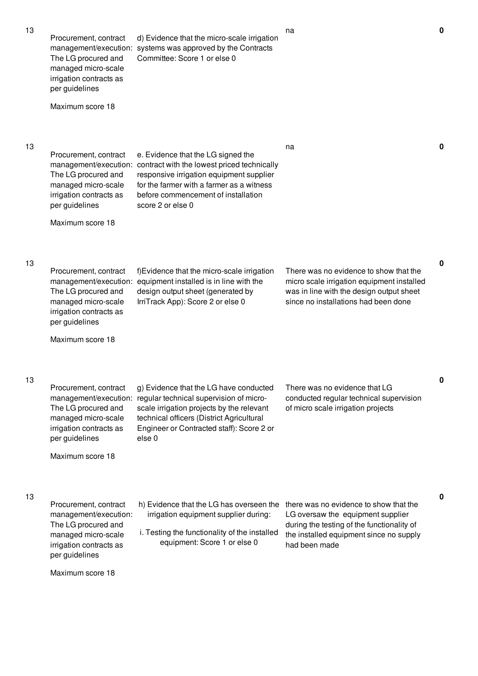|    | Procurement, contract<br>The LG procured and<br>managed micro-scale<br>irrigation contracts as<br>per guidelines<br>Maximum score 18                          | d) Evidence that the micro-scale irrigation<br>management/execution: systems was approved by the Contracts<br>Committee: Score 1 or else 0                                                                                                                          |                                                                                                                                                                                       |             |
|----|---------------------------------------------------------------------------------------------------------------------------------------------------------------|---------------------------------------------------------------------------------------------------------------------------------------------------------------------------------------------------------------------------------------------------------------------|---------------------------------------------------------------------------------------------------------------------------------------------------------------------------------------|-------------|
| 13 | Procurement, contract<br>The LG procured and<br>managed micro-scale<br>irrigation contracts as<br>per guidelines<br>Maximum score 18                          | e. Evidence that the LG signed the<br>management/execution: contract with the lowest priced technically<br>responsive irrigation equipment supplier<br>for the farmer with a farmer as a witness<br>before commencement of installation<br>score 2 or else 0        | na                                                                                                                                                                                    | $\mathbf 0$ |
| 13 | Procurement, contract<br>The LG procured and<br>managed micro-scale<br>irrigation contracts as<br>per guidelines<br>Maximum score 18                          | f)Evidence that the micro-scale irrigation<br>management/execution: equipment installed is in line with the<br>design output sheet (generated by<br>IrriTrack App): Score 2 or else 0                                                                               | There was no evidence to show that the<br>micro scale irrigation equipment installed<br>was in line with the design output sheet<br>since no installations had been done              | $\mathbf 0$ |
| 13 | Procurement, contract<br>The LG procured and<br>managed micro-scale<br>irrigation contracts as<br>per guidelines<br>Maximum score 18                          | g) Evidence that the LG have conducted<br>management/execution: regular technical supervision of micro-<br>scale irrigation projects by the relevant<br>technical officers (District Agricultural<br>Engineer or Contracted staff): Score 2 or<br>else <sub>0</sub> | There was no evidence that LG<br>conducted regular technical supervision<br>of micro scale irrigation projects                                                                        | $\bf{0}$    |
| 13 | Procurement, contract<br>management/execution:<br>The LG procured and<br>managed micro-scale<br>irrigation contracts as<br>per guidelines<br>Maximum score 18 | h) Evidence that the LG has overseen the<br>irrigation equipment supplier during:<br>i. Testing the functionality of the installed<br>equipment: Score 1 or else 0                                                                                                  | there was no evidence to show that the<br>LG oversaw the equipment supplier<br>during the testing of the functionality of<br>the installed equipment since no supply<br>had been made | 0           |
|    |                                                                                                                                                               |                                                                                                                                                                                                                                                                     |                                                                                                                                                                                       |             |

na **0**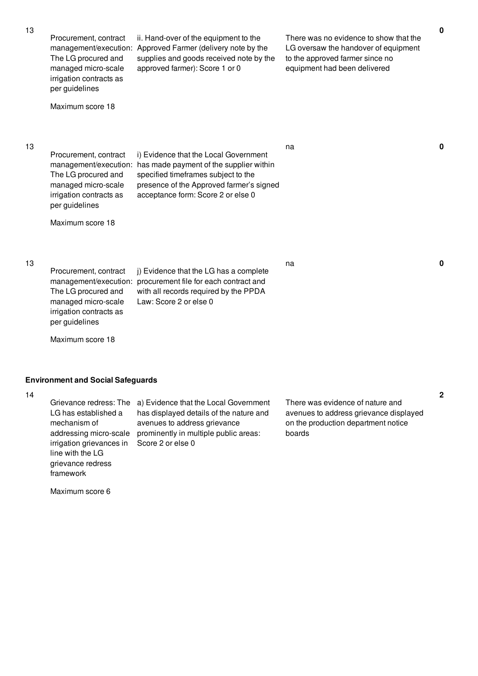| 13 | Procurement, contract<br>management/execution:<br>The LG procured and<br>managed micro-scale<br>irrigation contracts as<br>per guidelines<br>Maximum score 18 | ii. Hand-over of the equipment to the<br>Approved Farmer (delivery note by the<br>supplies and goods received note by the<br>approved farmer): Score 1 or 0                                               | There was no evidence to show that the<br>LG oversaw the handover of equipment<br>to the approved farmer since no<br>equipment had been delivered | $\mathbf 0$    |
|----|---------------------------------------------------------------------------------------------------------------------------------------------------------------|-----------------------------------------------------------------------------------------------------------------------------------------------------------------------------------------------------------|---------------------------------------------------------------------------------------------------------------------------------------------------|----------------|
| 13 | Procurement, contract<br>management/execution:<br>The LG procured and<br>managed micro-scale<br>irrigation contracts as<br>per guidelines                     | i) Evidence that the Local Government<br>has made payment of the supplier within<br>specified timeframes subject to the<br>presence of the Approved farmer's signed<br>acceptance form: Score 2 or else 0 | na                                                                                                                                                | 0              |
|    | Maximum score 18                                                                                                                                              |                                                                                                                                                                                                           |                                                                                                                                                   |                |
| 13 | Procurement, contract<br>management/execution:<br>The LG procured and<br>managed micro-scale<br>irrigation contracts as<br>per guidelines                     | j) Evidence that the LG has a complete<br>procurement file for each contract and<br>with all records required by the PPDA<br>Law: Score 2 or else 0                                                       | na                                                                                                                                                | $\mathbf 0$    |
|    | Maximum score 18                                                                                                                                              |                                                                                                                                                                                                           |                                                                                                                                                   |                |
| 14 | <b>Environment and Social Safeguards</b>                                                                                                                      |                                                                                                                                                                                                           |                                                                                                                                                   | $\overline{2}$ |
|    |                                                                                                                                                               | Grievance redress: The a) Evidence that the Local Government                                                                                                                                              | There was evidence of nature and                                                                                                                  |                |

LG has established a mechanism of irrigation grievances in line with the LG grievance redress framework

addressing micro-scale prominently in multiple public areas: a) Evidence that the Local Government has displayed details of the nature and avenues to address grievance Score 2 or else 0

There was evidence of nature and avenues to address grievance displayed on the production department notice boards

Maximum score 6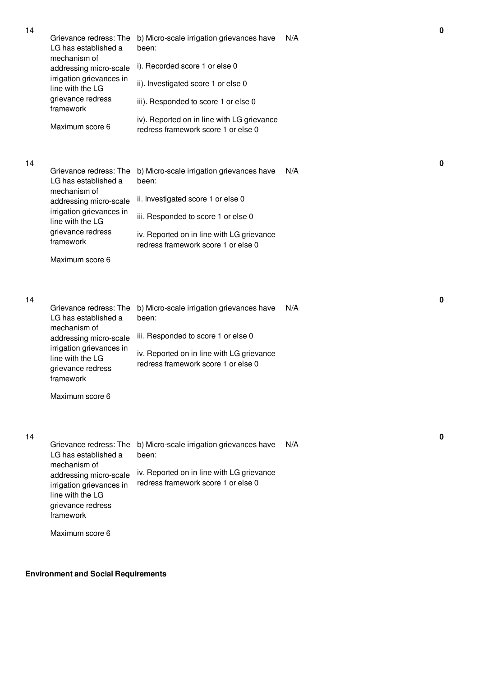|    | Grievance redress: The<br>LG has established a                                                              | b) Micro-scale irrigation grievances have<br>been:                                | N/A |
|----|-------------------------------------------------------------------------------------------------------------|-----------------------------------------------------------------------------------|-----|
|    | mechanism of<br>addressing micro-scale                                                                      | i). Recorded score 1 or else 0                                                    |     |
|    | irrigation grievances in<br>line with the LG                                                                | ii). Investigated score 1 or else 0                                               |     |
|    | grievance redress<br>framework                                                                              | iii). Responded to score 1 or else 0                                              |     |
|    | Maximum score 6                                                                                             | iv). Reported on in line with LG grievance<br>redress framework score 1 or else 0 |     |
| 14 |                                                                                                             |                                                                                   |     |
|    | Grievance redress: The<br>LG has established a<br>mechanism of                                              | b) Micro-scale irrigation grievances have<br>been:                                | N/A |
|    | addressing micro-scale                                                                                      | ii. Investigated score 1 or else 0                                                |     |
|    | irrigation grievances in<br>line with the LG                                                                | iii. Responded to score 1 or else 0                                               |     |
|    | grievance redress<br>framework                                                                              | iv. Reported on in line with LG grievance<br>redress framework score 1 or else 0  |     |
|    | Maximum score 6                                                                                             |                                                                                   |     |
|    |                                                                                                             |                                                                                   |     |
| 14 | Grievance redress: The<br>LG has established a                                                              | b) Micro-scale irrigation grievances have<br>been:                                | N/A |
|    | mechanism of<br>addressing micro-scale                                                                      | iii. Responded to score 1 or else 0                                               |     |
|    | irrigation grievances in<br>line with the LG<br>grievance redress<br>framework                              | iv. Reported on in line with LG grievance<br>redress framework score 1 or else 0  |     |
|    | Maximum score 6                                                                                             |                                                                                   |     |
|    |                                                                                                             |                                                                                   |     |
| 14 | Grievance redress: The<br>LG has established a                                                              | b) Micro-scale irrigation grievances have<br>been:                                | N/A |
|    | mechanism of<br>addressing micro-scale<br>irrigation grievances in<br>line with the LG<br>grievance redress | iv. Reported on in line with LG grievance<br>redress framework score 1 or else 0  |     |

**0**

**0**

**0**

Maximum score 6

framework

**Environment and Social Requirements**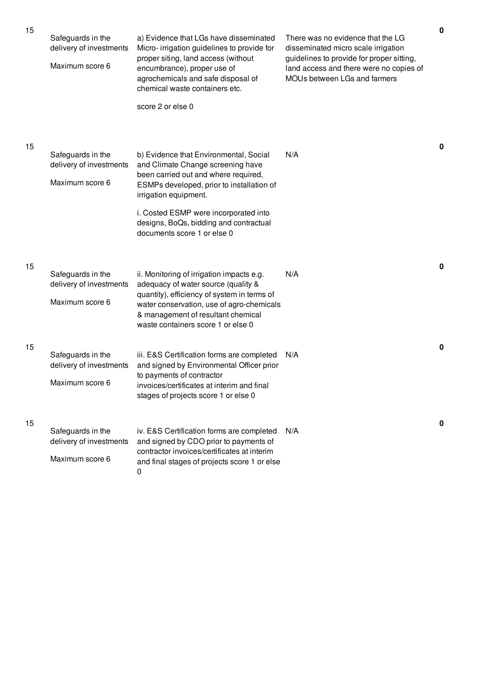| 15 | Safeguards in the<br>delivery of investments<br>Maximum score 6 | a) Evidence that LGs have disseminated<br>Micro-irrigation guidelines to provide for<br>proper siting, land access (without<br>encumbrance), proper use of<br>agrochemicals and safe disposal of<br>chemical waste containers etc.<br>score 2 or else 0                                                     | There was no evidence that the LG<br>disseminated micro scale irrigation<br>guidelines to provide for proper sitting,<br>land access and there were no copies of<br>MOUs between LGs and farmers | $\pmb{0}$   |
|----|-----------------------------------------------------------------|-------------------------------------------------------------------------------------------------------------------------------------------------------------------------------------------------------------------------------------------------------------------------------------------------------------|--------------------------------------------------------------------------------------------------------------------------------------------------------------------------------------------------|-------------|
| 15 | Safeguards in the<br>delivery of investments<br>Maximum score 6 | b) Evidence that Environmental, Social<br>and Climate Change screening have<br>been carried out and where required,<br>ESMPs developed, prior to installation of<br>irrigation equipment.<br>i. Costed ESMP were incorporated into<br>designs, BoQs, bidding and contractual<br>documents score 1 or else 0 | N/A                                                                                                                                                                                              | 0           |
| 15 | Safeguards in the<br>delivery of investments<br>Maximum score 6 | ii. Monitoring of irrigation impacts e.g.<br>adequacy of water source (quality &<br>quantity), efficiency of system in terms of<br>water conservation, use of agro-chemicals<br>& management of resultant chemical<br>waste containers score 1 or else 0                                                    | N/A                                                                                                                                                                                              | $\mathbf 0$ |
| 15 | Safeguards in the<br>delivery of investments<br>Maximum score 6 | iii. E&S Certification forms are completed<br>and signed by Environmental Officer prior<br>to payments of contractor<br>invoices/certificates at interim and final<br>stages of projects score 1 or else 0                                                                                                  | N/A                                                                                                                                                                                              | 0           |
| 15 | Safeguards in the<br>delivery of investments<br>Maximum score 6 | iv. E&S Certification forms are completed<br>and signed by CDO prior to payments of<br>contractor invoices/certificates at interim<br>and final stages of projects score 1 or else<br>0                                                                                                                     | N/A                                                                                                                                                                                              | 0           |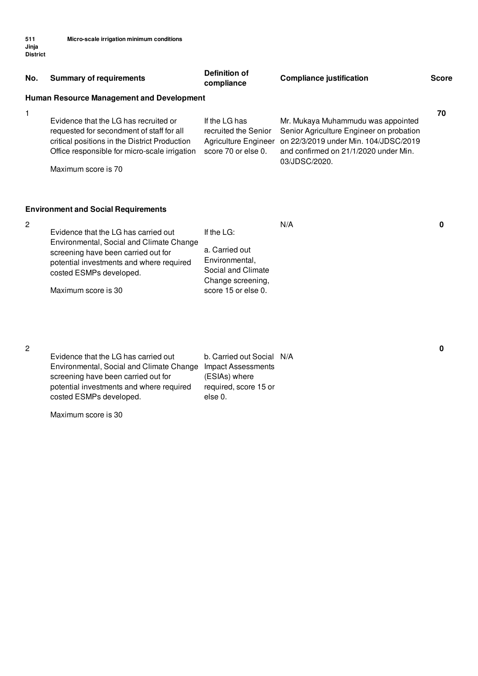| No. | <b>Summary of requirements</b>                                                                                                                                                                                        | <b>Definition of</b><br>compliance                                                                                  | <b>Compliance justification</b>                                                                                                                                                                        | <b>Score</b> |
|-----|-----------------------------------------------------------------------------------------------------------------------------------------------------------------------------------------------------------------------|---------------------------------------------------------------------------------------------------------------------|--------------------------------------------------------------------------------------------------------------------------------------------------------------------------------------------------------|--------------|
|     | <b>Human Resource Management and Development</b>                                                                                                                                                                      |                                                                                                                     |                                                                                                                                                                                                        |              |
| 1   | Evidence that the LG has recruited or<br>requested for secondment of staff for all<br>critical positions in the District Production<br>Office responsible for micro-scale irrigation<br>Maximum score is 70           | If the LG has<br>recruited the Senior<br>score 70 or else 0.                                                        | Mr. Mukaya Muhammudu was appointed<br>Senior Agriculture Engineer on probation<br>Agriculture Engineer on 22/3/2019 under Min. 104/JDSC/2019<br>and confirmed on 21/1/2020 under Min.<br>03/JDSC/2020. | 70           |
|     | <b>Environment and Social Requirements</b>                                                                                                                                                                            |                                                                                                                     |                                                                                                                                                                                                        |              |
| 2   | Evidence that the LG has carried out<br>Environmental, Social and Climate Change<br>screening have been carried out for<br>potential investments and where required<br>costed ESMPs developed.<br>Maximum score is 30 | If the $LG$ :<br>a. Carried out<br>Environmental,<br>Social and Climate<br>Change screening,<br>score 15 or else 0. | N/A                                                                                                                                                                                                    | O            |

| Evidence that the LG has carried out                        | b. Carried out Social N/A |  |
|-------------------------------------------------------------|---------------------------|--|
| Environmental, Social and Climate Change Impact Assessments |                           |  |
| screening have been carried out for                         | (ESIAs) where             |  |
| potential investments and where required                    | required, score 15 or     |  |
| costed ESMPs developed.                                     | else 0.                   |  |
|                                                             |                           |  |

Maximum score is 30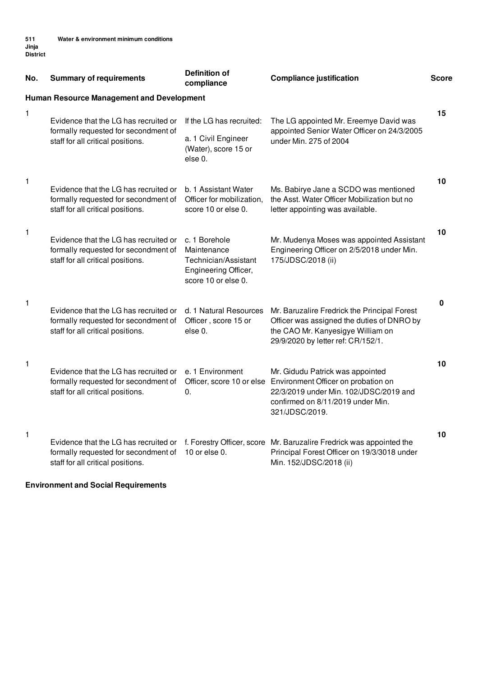| No. | <b>Summary of requirements</b>                                                                                     | <b>Definition of</b><br>compliance                                                                  | <b>Compliance justification</b>                                                                                                                                          | <b>Score</b> |
|-----|--------------------------------------------------------------------------------------------------------------------|-----------------------------------------------------------------------------------------------------|--------------------------------------------------------------------------------------------------------------------------------------------------------------------------|--------------|
|     | <b>Human Resource Management and Development</b>                                                                   |                                                                                                     |                                                                                                                                                                          |              |
| 1   | Evidence that the LG has recruited or<br>formally requested for secondment of                                      | If the LG has recruited:                                                                            | The LG appointed Mr. Ereemye David was<br>appointed Senior Water Officer on 24/3/2005                                                                                    | 15           |
|     | staff for all critical positions.                                                                                  | a. 1 Civil Engineer<br>(Water), score 15 or<br>else 0.                                              | under Min. 275 of 2004                                                                                                                                                   |              |
| 1   | Evidence that the LG has recruited or<br>formally requested for secondment of<br>staff for all critical positions. | b. 1 Assistant Water<br>Officer for mobilization,<br>score 10 or else 0.                            | Ms. Babirye Jane a SCDO was mentioned<br>the Asst. Water Officer Mobilization but no<br>letter appointing was available.                                                 | 10           |
| 1   | Evidence that the LG has recruited or<br>formally requested for secondment of<br>staff for all critical positions. | c. 1 Borehole<br>Maintenance<br>Technician/Assistant<br>Engineering Officer,<br>score 10 or else 0. | Mr. Mudenya Moses was appointed Assistant<br>Engineering Officer on 2/5/2018 under Min.<br>175/JDSC/2018 (ii)                                                            | 10           |
| 1   | Evidence that the LG has recruited or<br>formally requested for secondment of<br>staff for all critical positions. | d. 1 Natural Resources<br>Officer, score 15 or<br>else 0.                                           | Mr. Baruzalire Fredrick the Principal Forest<br>Officer was assigned the duties of DNRO by<br>the CAO Mr. Kanyesigye William on<br>29/9/2020 by letter ref: CR/152/1.    | 0            |
| 1   | Evidence that the LG has recruited or<br>formally requested for secondment of<br>staff for all critical positions. | e. 1 Environment<br>Officer, score 10 or else<br>0.                                                 | Mr. Gidudu Patrick was appointed<br>Environment Officer on probation on<br>22/3/2019 under Min. 102/JDSC/2019 and<br>confirmed on 8/11/2019 under Min.<br>321/JDSC/2019. | 10           |
| 1   | Evidence that the LG has recruited or<br>formally requested for secondment of<br>staff for all critical positions. | 10 or else 0.                                                                                       | f. Forestry Officer, score Mr. Baruzalire Fredrick was appointed the<br>Principal Forest Officer on 19/3/3018 under<br>Min. 152/JDSC/2018 (ii)                           | 10           |

# **Environment and Social Requirements**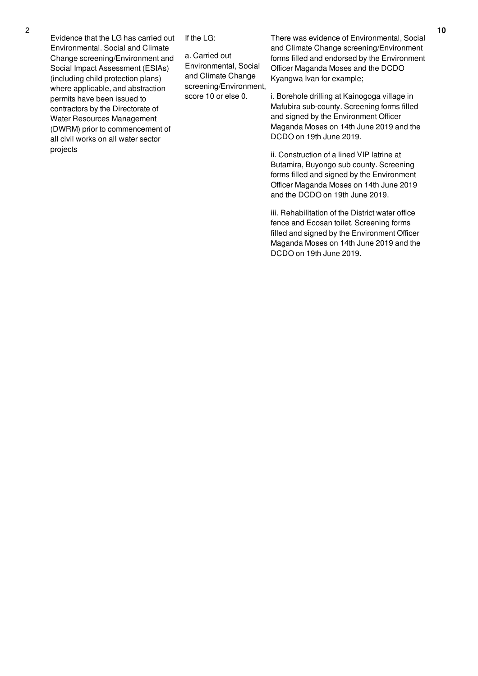Evidence that the LG has carried out Environmental. Social and Climate Change screening/Environment and Social Impact Assessment (ESIAs) (including child protection plans) where applicable, and abstraction permits have been issued to contractors by the Directorate of Water Resources Management (DWRM) prior to commencement of all civil works on all water sector projects

If the LG:

a. Carried out Environmental, Social and Climate Change screening/Environment, score 10 or else 0.

There was evidence of Environmental, Social and Climate Change screening/Environment forms filled and endorsed by the Environment Officer Maganda Moses and the DCDO Kyangwa Ivan for example;

i. Borehole drilling at Kainogoga village in Mafubira sub-county. Screening forms filled and signed by the Environment Officer Maganda Moses on 14th June 2019 and the DCDO on 19th June 2019.

ii. Construction of a lined VIP latrine at Butamira, Buyongo sub county. Screening forms filled and signed by the Environment Officer Maganda Moses on 14th June 2019 and the DCDO on 19th June 2019.

iii. Rehabilitation of the District water office fence and Ecosan toilet. Screening forms filled and signed by the Environment Officer Maganda Moses on 14th June 2019 and the DCDO on 19th June 2019.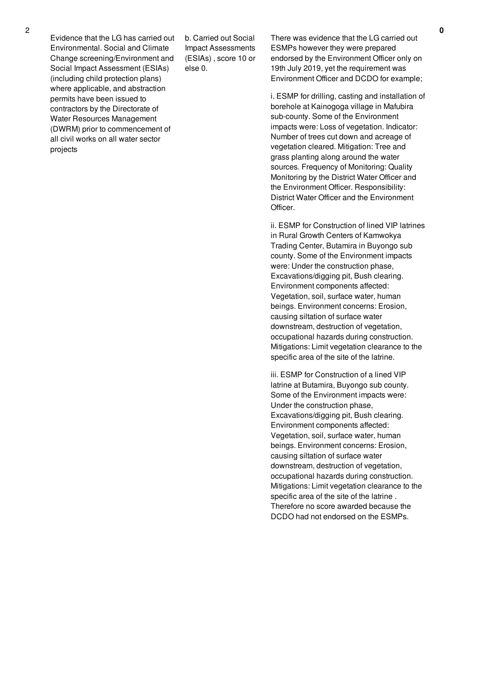Evidence that the LG has carried out Environmental. Social and Climate Change screening/Environment and Social Impact Assessment (ESIAs) (including child protection plans) where applicable, and abstraction permits have been issued to contractors by the Directorate of Water Resources Management (DWRM) prior to commencement of all civil works on all water sector projects

b. Carried out Social Impact Assessments (ESIAs) , score 10 or else 0.

There was evidence that the LG carried out ESMPs however they were prepared endorsed by the Environment Officer only on 19th July 2019, yet the requirement was Environment Officer and DCDO for example;

i. ESMP for drilling, casting and installation of borehole at Kainogoga village in Mafubira sub-county. Some of the Environment impacts were: Loss of vegetation. Indicator: Number of trees cut down and acreage of vegetation cleared. Mitigation: Tree and grass planting along around the water sources. Frequency of Monitoring: Quality Monitoring by the District Water Officer and the Environment Officer. Responsibility: District Water Officer and the Environment Officer.

ii. ESMP for Construction of lined VIP latrines in Rural Growth Centers of Kamwokya Trading Center, Butamira in Buyongo sub county. Some of the Environment impacts were: Under the construction phase, Excavations/digging pit, Bush clearing. Environment components affected: Vegetation, soil, surface water, human beings. Environment concerns: Erosion, causing siltation of surface water downstream, destruction of vegetation, occupational hazards during construction. Mitigations: Limit vegetation clearance to the specific area of the site of the latrine.

iii. ESMP for Construction of a lined VIP latrine at Butamira, Buyongo sub county. Some of the Environment impacts were: Under the construction phase, Excavations/digging pit, Bush clearing. Environment components affected: Vegetation, soil, surface water, human beings. Environment concerns: Erosion, causing siltation of surface water downstream, destruction of vegetation, occupational hazards during construction. Mitigations: Limit vegetation clearance to the specific area of the site of the latrine . Therefore no score awarded because the DCDO had not endorsed on the ESMPs.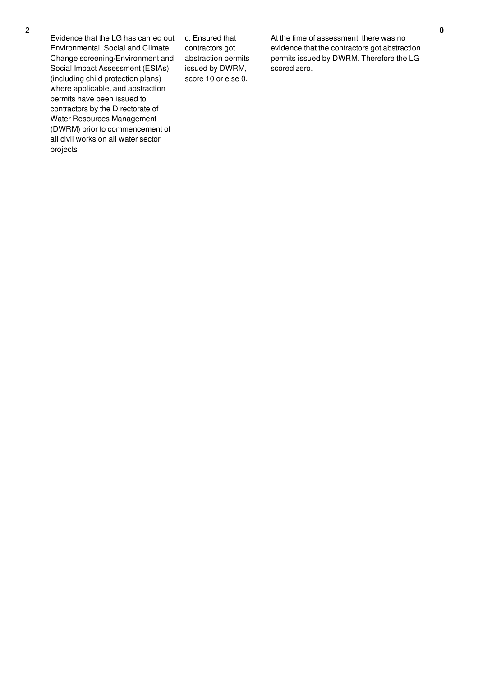Evidence that the LG has carried out Environmental. Social and Climate Change screening/Environment and Social Impact Assessment (ESIAs) (including child protection plans) where applicable, and abstraction permits have been issued to contractors by the Directorate of Water Resources Management (DWRM) prior to commencement of all civil works on all water sector projects

c. Ensured that contractors got abstraction permits issued by DWRM, score 10 or else 0.

At the time of assessment, there was no evidence that the contractors got abstraction permits issued by DWRM. Therefore the LG scored zero.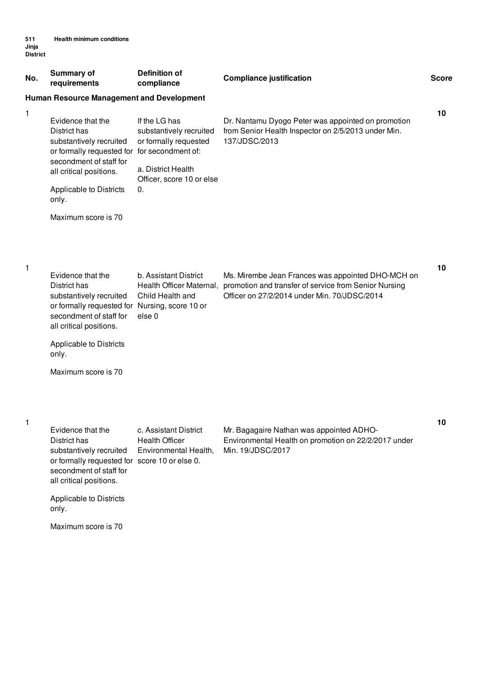| No.          | <b>Summary of</b><br>requirements                                                                                                                                                                                               | <b>Definition of</b><br>compliance                                                                                         | <b>Compliance justification</b>                                                                                                                            | <b>Score</b> |
|--------------|---------------------------------------------------------------------------------------------------------------------------------------------------------------------------------------------------------------------------------|----------------------------------------------------------------------------------------------------------------------------|------------------------------------------------------------------------------------------------------------------------------------------------------------|--------------|
|              | Human Resource Management and Development                                                                                                                                                                                       |                                                                                                                            |                                                                                                                                                            |              |
| 1            | Evidence that the<br>District has<br>substantively recruited<br>or formally requested for for secondment of:<br>secondment of staff for<br>all critical positions.<br>Applicable to Districts                                   | If the LG has<br>substantively recruited<br>or formally requested<br>a. District Health<br>Officer, score 10 or else<br>0. | Dr. Nantamu Dyogo Peter was appointed on promotion<br>from Senior Health Inspector on 2/5/2013 under Min.<br>137/JDSC/2013                                 | 10           |
|              | only.                                                                                                                                                                                                                           |                                                                                                                            |                                                                                                                                                            |              |
|              | Maximum score is 70                                                                                                                                                                                                             |                                                                                                                            |                                                                                                                                                            |              |
| 1            | Evidence that the<br>District has<br>substantively recruited<br>or formally requested for Nursing, score 10 or<br>secondment of staff for<br>all critical positions.<br>Applicable to Districts<br>only.<br>Maximum score is 70 | b. Assistant District<br>Health Officer Maternal,<br>Child Health and<br>else <sub>0</sub>                                 | Ms. Mirembe Jean Frances was appointed DHO-MCH on<br>promotion and transfer of service from Senior Nursing<br>Officer on 27/2/2014 under Min. 70/JDSC/2014 | 10           |
| $\mathbf{1}$ | Evidence that the<br>District has<br>substantively recruited<br>or formally requested for score 10 or else 0.<br>secondment of staff for<br>all critical positions.<br>Applicable to Districts<br>only.                         | c. Assistant District<br><b>Health Officer</b><br>Environmental Health,                                                    | Mr. Bagagaire Nathan was appointed ADHO-<br>Environmental Health on promotion on 22/2/2017 under<br>Min. 19/JDSC/2017                                      | 10           |
|              | Maximum score is 70                                                                                                                                                                                                             |                                                                                                                            |                                                                                                                                                            |              |
|              |                                                                                                                                                                                                                                 |                                                                                                                            |                                                                                                                                                            |              |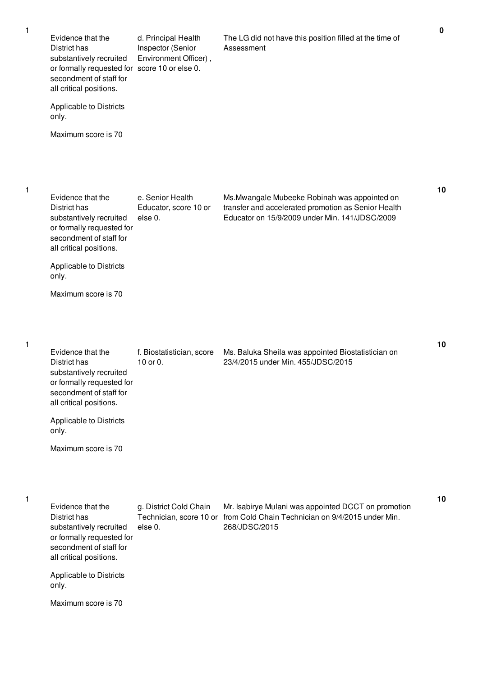| Evidence that the<br>District has<br>substantively recruited<br>or formally requested for score 10 or else 0.<br>secondment of staff for<br>all critical positions. | d. Principal Health<br>Inspector (Senior<br>Environment Officer), | The LG did not have this position filled at the time of<br>Assessment                                                                                  |
|---------------------------------------------------------------------------------------------------------------------------------------------------------------------|-------------------------------------------------------------------|--------------------------------------------------------------------------------------------------------------------------------------------------------|
| Applicable to Districts<br>only.                                                                                                                                    |                                                                   |                                                                                                                                                        |
| Maximum score is 70                                                                                                                                                 |                                                                   |                                                                                                                                                        |
|                                                                                                                                                                     |                                                                   |                                                                                                                                                        |
| Evidence that the<br>District has<br>substantively recruited<br>or formally requested for<br>secondment of staff for<br>all critical positions.                     | e. Senior Health<br>Educator, score 10 or<br>else 0.              | Ms. Mwangale Mubeeke Robinah was appointed on<br>transfer and accelerated promotion as Senior Health<br>Educator on 15/9/2009 under Min. 141/JDSC/2009 |
| Applicable to Districts<br>only.                                                                                                                                    |                                                                   |                                                                                                                                                        |
| Maximum score is 70                                                                                                                                                 |                                                                   |                                                                                                                                                        |
|                                                                                                                                                                     |                                                                   |                                                                                                                                                        |
| Evidence that the<br>District has<br>substantively recruited<br>or formally requested for<br>secondment of staff for<br>all critical positions.                     | f. Biostatistician, score<br>10 or 0.                             | Ms. Baluka Sheila was appointed Biostatistician on<br>23/4/2015 under Min. 455/JDSC/2015                                                               |
| Applicable to Districts<br>only.                                                                                                                                    |                                                                   |                                                                                                                                                        |
| Maximum score is 70                                                                                                                                                 |                                                                   |                                                                                                                                                        |
|                                                                                                                                                                     |                                                                   |                                                                                                                                                        |
| Evidence that the<br>District has<br>substantively recruited<br>or formally requested for<br>secondment of staff for<br>all critical positions.                     | g. District Cold Chain<br>else 0.                                 | Mr. Isabirye Mulani was appointed DCCT on promotion<br>Technician, score 10 or from Cold Chain Technician on 9/4/2015 under Min.<br>268/JDSC/2015      |
| Applicable to Districts<br>only.                                                                                                                                    |                                                                   |                                                                                                                                                        |
| Maximum score is 70                                                                                                                                                 |                                                                   |                                                                                                                                                        |

1

1

1

**0**

**10**

**10**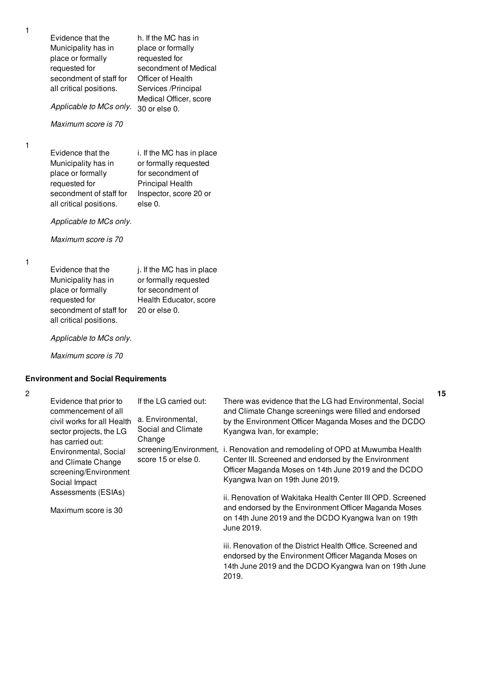Evidence that the Municipality has in place or formally requested for secondment of staff for all critical positions.

h. If the MC has in place or formally requested for secondment of Medical Officer of Health Services /Principal Medical Officer, score

*Applicable to MCs only.* 30 or else 0.

*Maximum score is 70*

1

1

Evidence that the Municipality has in place or formally requested for secondment of staff for all critical positions.

i. If the MC has in place or formally requested for secondment of Principal Health Inspector, score 20 or else 0.

MC has in place

*Applicable to MCs only.*

*Maximum score is 70*

1

| Evidence that the       | j. If the MC has in place |
|-------------------------|---------------------------|
| Municipality has in     | or formally requested     |
| place or formally       | for secondment of         |
| requested for           | Health Educator, score    |
| secondment of staff for | 20 or else 0.             |
| all critical positions. |                           |

*Applicable to MCs only.*

*Maximum score is 70*

### **Environment and Social Requirements**

## 2

| Evidence that prior to<br>commencement of all<br>civil works for all Health<br>sector projects, the LG<br>has carried out: | If the LG carried out:<br>a. Environmental,<br>Social and Climate<br>Change | There was evidence that the LG had Environmental, Social<br>and Climate Change screenings were filled and endorsed<br>by the Environment Officer Maganda Moses and the DCDO<br>Kyangwa Ivan, for example; |
|----------------------------------------------------------------------------------------------------------------------------|-----------------------------------------------------------------------------|-----------------------------------------------------------------------------------------------------------------------------------------------------------------------------------------------------------|
| Environmental, Social<br>and Climate Change<br>screening/Environment<br>Social Impact                                      | screening/Environment,<br>score 15 or else 0.                               | i. Renovation and remodeling of OPD at Muwumba Health<br>Center III. Screened and endorsed by the Environment<br>Officer Maganda Moses on 14th June 2019 and the DCDO<br>Kyangwa Ivan on 19th June 2019.  |
| Assessments (ESIAs)<br>Maximum score is 30                                                                                 |                                                                             | ii. Renovation of Wakitaka Health Center III OPD. Screened<br>and endorsed by the Environment Officer Maganda Moses<br>on 14th June 2019 and the DCDO Kyangwa Ivan on 19th<br>June 2019.                  |
|                                                                                                                            |                                                                             | iii. Renovation of the District Health Office. Screened and<br>endorsed by the Environment Officer Maganda Moses on<br>$+44h$ line 0010 and the DCDO Kienause line and 0th line                           |

14th June 2019 and the DCDO Kyangwa Ivan on 19th June 2019.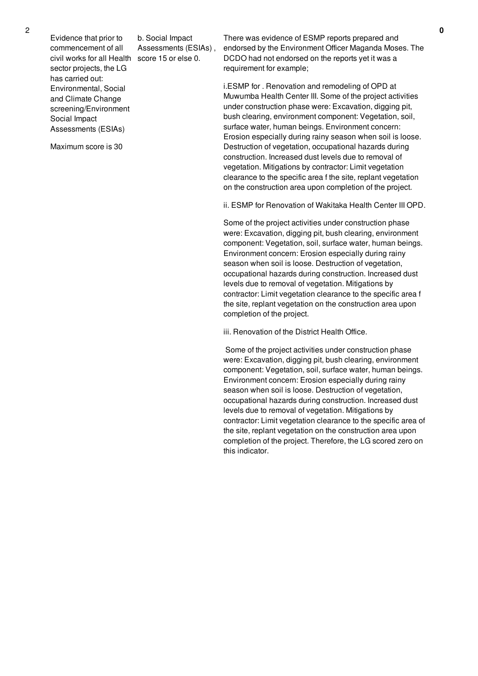Evidence that prior to commencement of all civil works for all Health score 15 or else 0. sector projects, the LG has carried out: Environmental, Social and Climate Change screening/Environment Social Impact Assessments (ESIAs)

Maximum score is 30

b. Social Impact Assessments (ESIAs) , There was evidence of ESMP reports prepared and endorsed by the Environment Officer Maganda Moses. The DCDO had not endorsed on the reports yet it was a requirement for example;

i.ESMP for . Renovation and remodeling of OPD at Muwumba Health Center III. Some of the project activities under construction phase were: Excavation, digging pit, bush clearing, environment component: Vegetation, soil, surface water, human beings. Environment concern: Erosion especially during rainy season when soil is loose. Destruction of vegetation, occupational hazards during construction. Increased dust levels due to removal of vegetation. Mitigations by contractor: Limit vegetation clearance to the specific area f the site, replant vegetation on the construction area upon completion of the project.

ii. ESMP for Renovation of Wakitaka Health Center III OPD.

Some of the project activities under construction phase were: Excavation, digging pit, bush clearing, environment component: Vegetation, soil, surface water, human beings. Environment concern: Erosion especially during rainy season when soil is loose. Destruction of vegetation, occupational hazards during construction. Increased dust levels due to removal of vegetation. Mitigations by contractor: Limit vegetation clearance to the specific area f the site, replant vegetation on the construction area upon completion of the project.

iii. Renovation of the District Health Office.

Some of the project activities under construction phase were: Excavation, digging pit, bush clearing, environment component: Vegetation, soil, surface water, human beings. Environment concern: Erosion especially during rainy season when soil is loose. Destruction of vegetation, occupational hazards during construction. Increased dust levels due to removal of vegetation. Mitigations by contractor: Limit vegetation clearance to the specific area of the site, replant vegetation on the construction area upon completion of the project. Therefore, the LG scored zero on this indicator.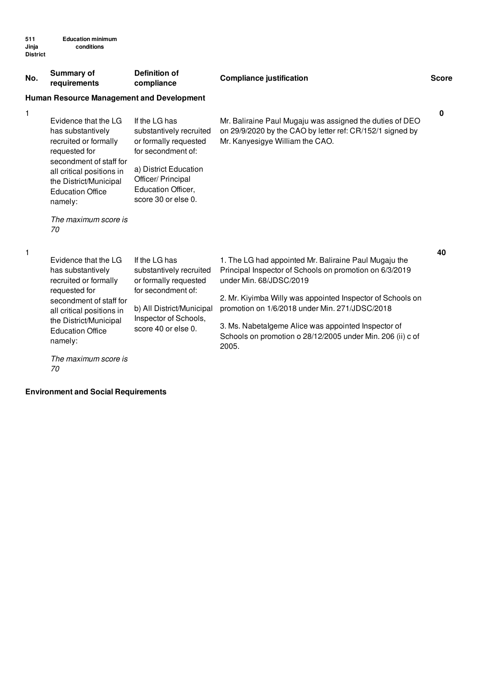| No. | <b>Summary of</b><br>requirements                                                                                                                                                                                                         | <b>Definition of</b><br>compliance                                                                                                                                                  | <b>Compliance justification</b>                                                                                                                                                                                                                                                                                                                                                           | <b>Score</b> |  |  |  |  |
|-----|-------------------------------------------------------------------------------------------------------------------------------------------------------------------------------------------------------------------------------------------|-------------------------------------------------------------------------------------------------------------------------------------------------------------------------------------|-------------------------------------------------------------------------------------------------------------------------------------------------------------------------------------------------------------------------------------------------------------------------------------------------------------------------------------------------------------------------------------------|--------------|--|--|--|--|
|     | <b>Human Resource Management and Development</b>                                                                                                                                                                                          |                                                                                                                                                                                     |                                                                                                                                                                                                                                                                                                                                                                                           |              |  |  |  |  |
| 1   | Evidence that the LG<br>has substantively<br>recruited or formally<br>requested for<br>secondment of staff for<br>all critical positions in<br>the District/Municipal<br><b>Education Office</b><br>namely:<br>The maximum score is<br>70 | If the LG has<br>substantively recruited<br>or formally requested<br>for secondment of:<br>a) District Education<br>Officer/ Principal<br>Education Officer,<br>score 30 or else 0. | Mr. Baliraine Paul Mugaju was assigned the duties of DEO<br>on 29/9/2020 by the CAO by letter ref: CR/152/1 signed by<br>Mr. Kanyesigye William the CAO.                                                                                                                                                                                                                                  | 0            |  |  |  |  |
| 1   | Evidence that the LG<br>has substantively<br>recruited or formally<br>requested for<br>secondment of staff for<br>all critical positions in<br>the District/Municipal<br><b>Education Office</b><br>namely:<br>The maximum score is       | If the LG has<br>substantively recruited<br>or formally requested<br>for secondment of:<br>b) All District/Municipal<br>Inspector of Schools,<br>score 40 or else 0.                | 1. The LG had appointed Mr. Baliraine Paul Mugaju the<br>Principal Inspector of Schools on promotion on 6/3/2019<br>under Min. 68/JDSC/2019<br>2. Mr. Kiyimba Willy was appointed Inspector of Schools on<br>promotion on 1/6/2018 under Min. 271/JDSC/2018<br>3. Ms. Nabetalgeme Alice was appointed Inspector of<br>Schools on promotion o 28/12/2005 under Min. 206 (ii) c of<br>2005. | 40           |  |  |  |  |
|     |                                                                                                                                                                                                                                           |                                                                                                                                                                                     |                                                                                                                                                                                                                                                                                                                                                                                           |              |  |  |  |  |

**Environment and Social Requirements**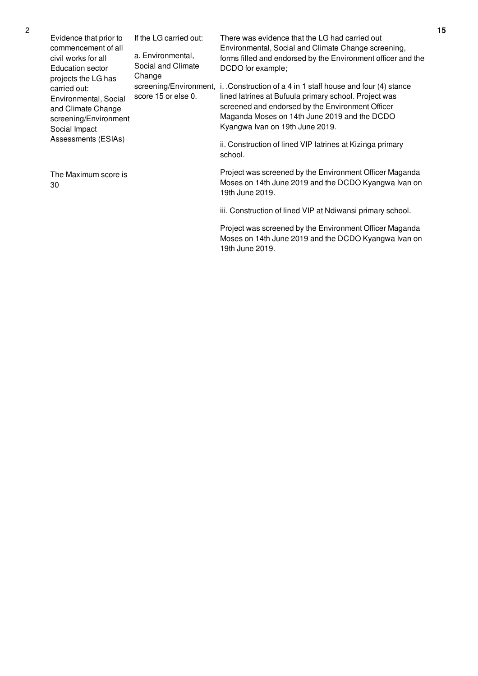| Evidence that prior to<br>commencement of all<br>civil works for all<br>Education sector<br>projects the LG has<br>carried out:<br>Environmental, Social<br>and Climate Change<br>screening/Environment<br>Social Impact<br>Assessments (ESIAs) | If the LG carried out:<br>a. Environmental,<br>Social and Climate<br>Change<br>score 15 or else 0. | There was evidence that the LG had carried out<br>Environmental, Social and Climate Change screening,<br>forms filled and endorsed by the Environment officer and the<br>DCDO for example;<br>screening/Environment, i. . Construction of a 4 in 1 staff house and four (4) stance<br>lined latrines at Bufuula primary school. Project was<br>screened and endorsed by the Environment Officer<br>Maganda Moses on 14th June 2019 and the DCDO<br>Kyangwa Ivan on 19th June 2019.<br>ii. Construction of lined VIP latrines at Kizinga primary<br>school. |
|-------------------------------------------------------------------------------------------------------------------------------------------------------------------------------------------------------------------------------------------------|----------------------------------------------------------------------------------------------------|------------------------------------------------------------------------------------------------------------------------------------------------------------------------------------------------------------------------------------------------------------------------------------------------------------------------------------------------------------------------------------------------------------------------------------------------------------------------------------------------------------------------------------------------------------|
| The Maximum score is<br>30                                                                                                                                                                                                                      |                                                                                                    | Project was screened by the Environment Officer Maganda<br>Moses on 14th June 2019 and the DCDO Kyangwa Ivan on<br>19th June 2019.                                                                                                                                                                                                                                                                                                                                                                                                                         |

iii. Construction of lined VIP at Ndiwansi primary school.

Project was screened by the Environment Officer Maganda Moses on 14th June 2019 and the DCDO Kyangwa Ivan on 19th June 2019.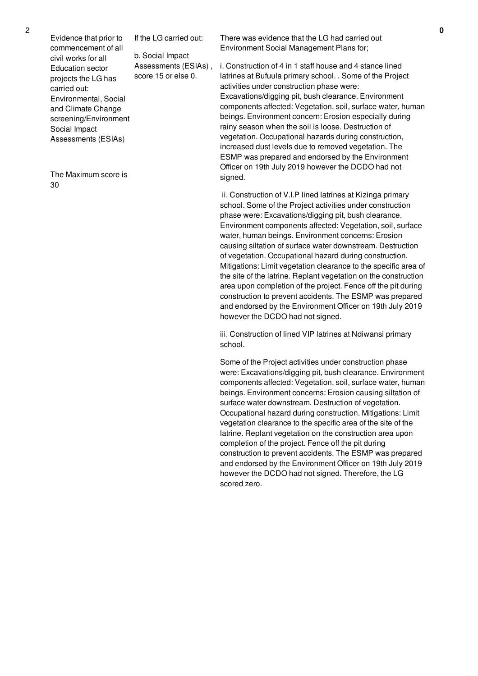Evidence that prior to commencement of all civil works for all Education sector projects the LG has carried out: Environmental, Social and Climate Change screening/Environment Social Impact Assessments (ESIAs) If the LG carried out: b. Social Impact Assessments (ESIAs) , score 15 or else 0.

The Maximum score is 30

There was evidence that the LG had carried out Environment Social Management Plans for;

i. Construction of 4 in 1 staff house and 4 stance lined latrines at Bufuula primary school. . Some of the Project activities under construction phase were: Excavations/digging pit, bush clearance. Environment components affected: Vegetation, soil, surface water, human beings. Environment concern: Erosion especially during rainy season when the soil is loose. Destruction of vegetation. Occupational hazards during construction, increased dust levels due to removed vegetation. The ESMP was prepared and endorsed by the Environment Officer on 19th July 2019 however the DCDO had not signed.

ii. Construction of V.I.P lined latrines at Kizinga primary school. Some of the Project activities under construction phase were: Excavations/digging pit, bush clearance. Environment components affected: Vegetation, soil, surface water, human beings. Environment concerns: Erosion causing siltation of surface water downstream. Destruction of vegetation. Occupational hazard during construction. Mitigations: Limit vegetation clearance to the specific area of the site of the latrine. Replant vegetation on the construction area upon completion of the project. Fence off the pit during construction to prevent accidents. The ESMP was prepared and endorsed by the Environment Officer on 19th July 2019 however the DCDO had not signed.

iii. Construction of lined VIP latrines at Ndiwansi primary school.

Some of the Project activities under construction phase were: Excavations/digging pit, bush clearance. Environment components affected: Vegetation, soil, surface water, human beings. Environment concerns: Erosion causing siltation of surface water downstream. Destruction of vegetation. Occupational hazard during construction. Mitigations: Limit vegetation clearance to the specific area of the site of the latrine. Replant vegetation on the construction area upon completion of the project. Fence off the pit during construction to prevent accidents. The ESMP was prepared and endorsed by the Environment Officer on 19th July 2019 however the DCDO had not signed. Therefore, the LG scored zero.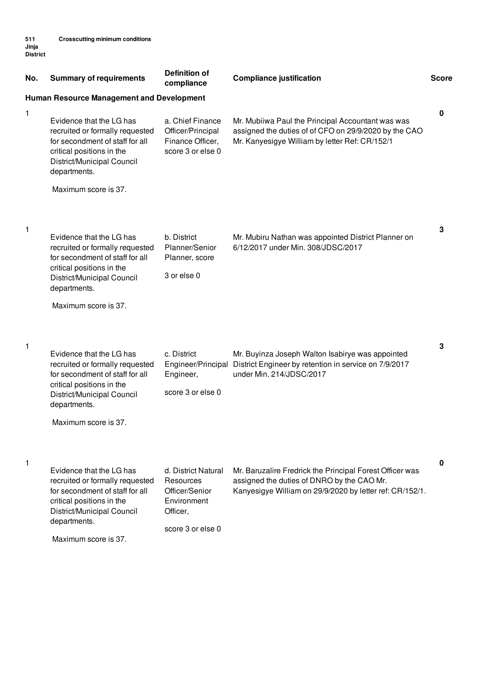| No. | <b>Summary of requirements</b>                                                                                                                                            | <b>Definition of</b><br>compliance                                             | <b>Compliance justification</b>                                                                                                                                    | <b>Score</b> |
|-----|---------------------------------------------------------------------------------------------------------------------------------------------------------------------------|--------------------------------------------------------------------------------|--------------------------------------------------------------------------------------------------------------------------------------------------------------------|--------------|
|     | <b>Human Resource Management and Development</b>                                                                                                                          |                                                                                |                                                                                                                                                                    |              |
| 1   | Evidence that the LG has<br>recruited or formally requested<br>for secondment of staff for all<br>critical positions in the<br>District/Municipal Council<br>departments. | a. Chief Finance<br>Officer/Principal<br>Finance Officer,<br>score 3 or else 0 | Mr. Mubiiwa Paul the Principal Accountant was was<br>assigned the duties of of CFO on 29/9/2020 by the CAO<br>Mr. Kanyesigye William by letter Ref: CR/152/1       | 0            |
|     | Maximum score is 37.                                                                                                                                                      |                                                                                |                                                                                                                                                                    |              |
| 1   | Evidence that the LG has<br>recruited or formally requested<br>for secondment of staff for all<br>critical positions in the<br>District/Municipal Council<br>departments. | b. District<br>Planner/Senior<br>Planner, score<br>3 or else 0                 | Mr. Mubiru Nathan was appointed District Planner on<br>6/12/2017 under Min. 308/JDSC/2017                                                                          | 3            |
|     | Maximum score is 37.                                                                                                                                                      |                                                                                |                                                                                                                                                                    |              |
| 1   | Evidence that the LG has<br>recruited or formally requested<br>for secondment of staff for all<br>critical positions in the<br>District/Municipal Council<br>departments. | c. District<br>Engineer/Principal<br>Engineer,<br>score 3 or else 0            | Mr. Buyinza Joseph Walton Isabirye was appointed<br>District Engineer by retention in service on 7/9/2017<br>under Min. 214/JDSC/2017                              | 3            |
|     | Maximum score is 37.                                                                                                                                                      |                                                                                |                                                                                                                                                                    |              |
| 1   | Evidence that the LG has<br>recruited or formally requested<br>for secondment of staff for all<br>critical positions in the<br>District/Municipal Council<br>departments. | d. District Natural<br>Resources<br>Officer/Senior<br>Environment<br>Officer,  | Mr. Baruzalire Fredrick the Principal Forest Officer was<br>assigned the duties of DNRO by the CAO Mr.<br>Kanyesigye William on 29/9/2020 by letter ref: CR/152/1. | 0            |
|     |                                                                                                                                                                           | score 3 or else 0                                                              |                                                                                                                                                                    |              |

Maximum score is 37.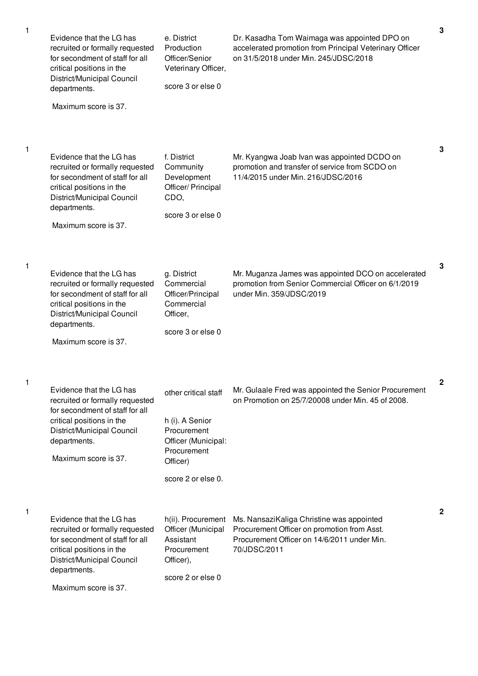| 1 | Evidence that the LG has<br>recruited or formally requested<br>for secondment of staff for all<br>critical positions in the<br>District/Municipal Council<br>departments.<br>Maximum score is 37. | e. District<br>Production<br>Officer/Senior<br>Veterinary Officer,<br>score 3 or else 0                                        | Dr. Kasadha Tom Waimaga was appointed DPO on<br>accelerated promotion from Principal Veterinary Officer<br>on 31/5/2018 under Min. 245/JDSC/2018        | 3            |
|---|---------------------------------------------------------------------------------------------------------------------------------------------------------------------------------------------------|--------------------------------------------------------------------------------------------------------------------------------|---------------------------------------------------------------------------------------------------------------------------------------------------------|--------------|
| 1 | Evidence that the LG has<br>recruited or formally requested<br>for secondment of staff for all<br>critical positions in the<br>District/Municipal Council<br>departments.<br>Maximum score is 37. | f. District<br>Community<br>Development<br>Officer/ Principal<br>CDO,<br>score 3 or else 0                                     | Mr. Kyangwa Joab Ivan was appointed DCDO on<br>promotion and transfer of service from SCDO on<br>11/4/2015 under Min. 216/JDSC/2016                     | 3            |
| 1 | Evidence that the LG has<br>recruited or formally requested<br>for secondment of staff for all<br>critical positions in the<br>District/Municipal Council<br>departments.<br>Maximum score is 37. | g. District<br>Commercial<br>Officer/Principal<br>Commercial<br>Officer,<br>score 3 or else 0                                  | Mr. Muganza James was appointed DCO on accelerated<br>promotion from Senior Commercial Officer on 6/1/2019<br>under Min. 359/JDSC/2019                  | 3            |
|   | Evidence that the LG has<br>recruited or formally requested<br>for secondment of staff for all<br>critical positions in the<br>District/Municipal Council<br>departments.<br>Maximum score is 37. | other critical staff<br>h (i). A Senior<br>Procurement<br>Officer (Municipal:<br>Procurement<br>Officer)<br>score 2 or else 0. | Mr. Gulaale Fred was appointed the Senior Procurement<br>on Promotion on 25/7/20008 under Min. 45 of 2008.                                              | 2            |
| 1 | Evidence that the LG has<br>recruited or formally requested<br>for secondment of staff for all<br>critical positions in the<br>District/Municipal Council<br>departments.<br>Maximum score is 37. | h(ii). Procurement<br>Officer (Municipal<br>Assistant<br>Procurement<br>Officer),<br>score 2 or else 0                         | Ms. NansaziKaliga Christine was appointed<br>Procurement Officer on promotion from Asst.<br>Procurement Officer on 14/6/2011 under Min.<br>70/JDSC/2011 | $\mathbf{2}$ |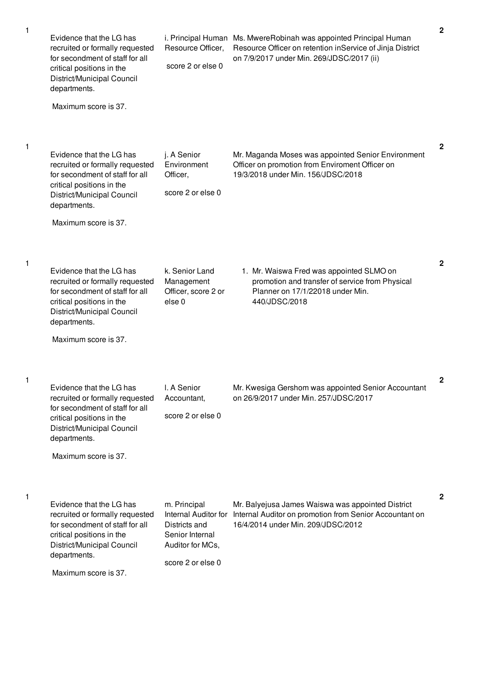| 1 | Evidence that the LG has<br>recruited or formally requested<br>for secondment of staff for all<br>critical positions in the<br>District/Municipal Council<br>departments.<br>Maximum score is 37. | Resource Officer,<br>score 2 or else 0                                                                            | i. Principal Human Ms. MwereRobinah was appointed Principal Human<br>Resource Officer on retention inService of Jinja District<br>on 7/9/2017 under Min. 269/JDSC/2017 (ii) | $\mathbf{2}$ |
|---|---------------------------------------------------------------------------------------------------------------------------------------------------------------------------------------------------|-------------------------------------------------------------------------------------------------------------------|-----------------------------------------------------------------------------------------------------------------------------------------------------------------------------|--------------|
| 1 | Evidence that the LG has<br>recruited or formally requested<br>for secondment of staff for all<br>critical positions in the<br>District/Municipal Council<br>departments.<br>Maximum score is 37. | j. A Senior<br>Environment<br>Officer,<br>score 2 or else 0                                                       | Mr. Maganda Moses was appointed Senior Environment<br>Officer on promotion from Enviroment Officer on<br>19/3/2018 under Min. 156/JDSC/2018                                 | 2            |
| 1 | Evidence that the LG has<br>recruited or formally requested<br>for secondment of staff for all<br>critical positions in the<br>District/Municipal Council<br>departments.<br>Maximum score is 37. | k. Senior Land<br>Management<br>Officer, score 2 or<br>else <sub>0</sub>                                          | 1. Mr. Waiswa Fred was appointed SLMO on<br>promotion and transfer of service from Physical<br>Planner on 17/1/22018 under Min.<br>440/JDSC/2018                            | $\mathbf{2}$ |
| 1 | Evidence that the LG has<br>recruited or formally requested<br>for secondment of staff for all<br>critical positions in the<br>District/Municipal Council<br>departments.<br>Maximum score is 37. | I. A Senior<br>Accountant,<br>score 2 or else 0                                                                   | Mr. Kwesiga Gershom was appointed Senior Accountant<br>on 26/9/2017 under Min. 257/JDSC/2017                                                                                | 2            |
| 1 | Evidence that the LG has<br>recruited or formally requested<br>for secondment of staff for all<br>critical positions in the<br>District/Municipal Council<br>departments.<br>Maximum score is 37. | m. Principal<br>Internal Auditor for<br>Districts and<br>Senior Internal<br>Auditor for MCs,<br>score 2 or else 0 | Mr. Balyejusa James Waiswa was appointed District<br>Internal Auditor on promotion from Senior Accountant on<br>16/4/2014 under Min. 209/JDSC/2012                          | $\mathbf{2}$ |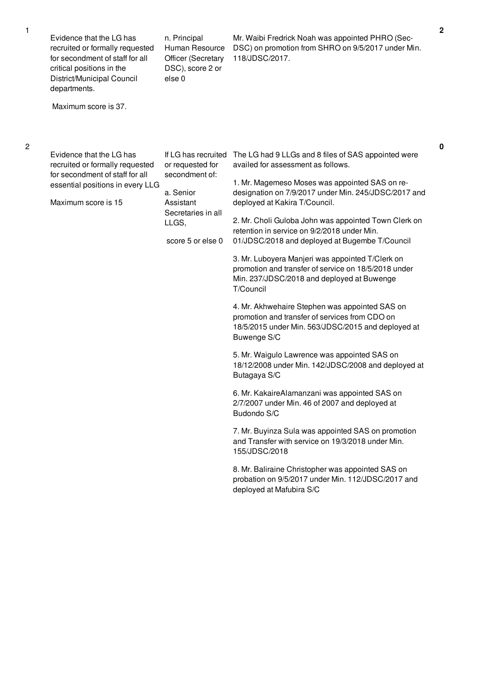| Maximum score is 37.<br>Evidence that the LG has<br>If LG has recruited<br>The LG had 9 LLGs and 8 files of SAS appointed were<br>or requested for<br>availed for assessment as follows.<br>recruited or formally requested<br>for secondment of staff for all<br>secondment of:<br>1. Mr. Magemeso Moses was appointed SAS on re-<br>essential positions in every LLG<br>a. Senior<br>Maximum score is 15<br>Assistant<br>deployed at Kakira T/Council.<br>Secretaries in all<br>2. Mr. Choli Guloba John was appointed Town Clerk on<br>LLGS,<br>retention in service on 9/2/2018 under Min.<br>score 5 or else 0<br>01/JDSC/2018 and deployed at Bugembe T/Council<br>3. Mr. Luboyera Manjeri was appointed T/Clerk on<br>promotion and transfer of service on 18/5/2018 under<br>Min. 237/JDSC/2018 and deployed at Buwenge<br>T/Council<br>4. Mr. Akhwehaire Stephen was appointed SAS on<br>promotion and transfer of services from CDO on<br>18/5/2015 under Min. 563/JDSC/2015 and deployed at<br>Buwenge S/C<br>5. Mr. Waigulo Lawrence was appointed SAS on<br>18/12/2008 under Min. 142/JDSC/2008 and deployed at<br>Butagaya S/C<br>6. Mr. KakaireAlamanzani was appointed SAS on<br>2/7/2007 under Min. 46 of 2007 and deployed at<br>Budondo S/C<br>7. Mr. Buyinza Sula was appointed SAS on promotion<br>and Transfer with service on 19/3/2018 under Min.<br>155/JDSC/2018<br>8. Mr. Baliraine Christopher was appointed SAS on<br>probation on 9/5/2017 under Min. 112/JDSC/2017 and | Evidence that the LG has<br>recruited or formally requested<br>for secondment of staff for all<br>critical positions in the<br>District/Municipal Council<br>departments. | n. Principal<br>Human Resource<br><b>Officer (Secretary</b><br>DSC), score 2 or<br>else 0 | Mr. Waibi Fredrick Noah was appointed PHRO (Sec-<br>DSC) on promotion from SHRO on 9/5/2017 under Min.<br>118/JDSC/2017. |
|-------------------------------------------------------------------------------------------------------------------------------------------------------------------------------------------------------------------------------------------------------------------------------------------------------------------------------------------------------------------------------------------------------------------------------------------------------------------------------------------------------------------------------------------------------------------------------------------------------------------------------------------------------------------------------------------------------------------------------------------------------------------------------------------------------------------------------------------------------------------------------------------------------------------------------------------------------------------------------------------------------------------------------------------------------------------------------------------------------------------------------------------------------------------------------------------------------------------------------------------------------------------------------------------------------------------------------------------------------------------------------------------------------------------------------------------------------------------------------------------------------|---------------------------------------------------------------------------------------------------------------------------------------------------------------------------|-------------------------------------------------------------------------------------------|--------------------------------------------------------------------------------------------------------------------------|
|                                                                                                                                                                                                                                                                                                                                                                                                                                                                                                                                                                                                                                                                                                                                                                                                                                                                                                                                                                                                                                                                                                                                                                                                                                                                                                                                                                                                                                                                                                       |                                                                                                                                                                           |                                                                                           |                                                                                                                          |
| deployed at Mafubira S/C                                                                                                                                                                                                                                                                                                                                                                                                                                                                                                                                                                                                                                                                                                                                                                                                                                                                                                                                                                                                                                                                                                                                                                                                                                                                                                                                                                                                                                                                              |                                                                                                                                                                           |                                                                                           | designation on 7/9/2017 under Min. 245/JDSC/2017 and                                                                     |

2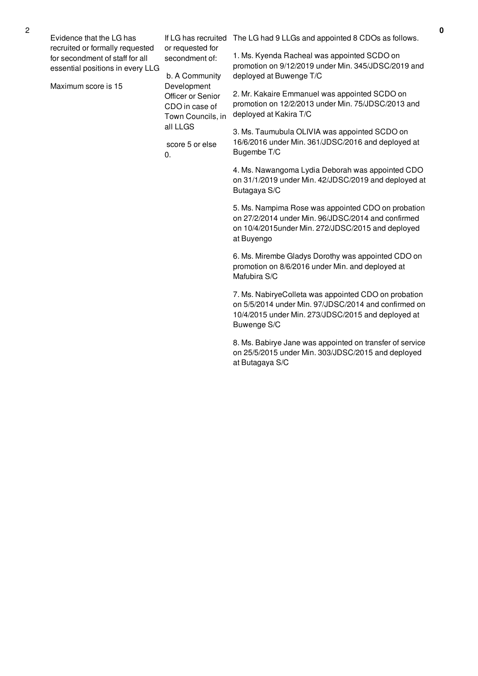| Evidence that the LG has         |
|----------------------------------|
| recruited or formally requested  |
| for secondment of staff for all  |
| essential positions in every LLG |

Maximum score is 15

or requested for secondment of:

b. A Community Development Officer or Senior CDO in case of all LLGS

score 5 or else  $0<sub>l</sub>$ 

If LG has recruited The LG had 9 LLGs and appointed 8 CDOs as follows.

1. Ms. Kyenda Racheal was appointed SCDO on promotion on 9/12/2019 under Min. 345/JDSC/2019 and deployed at Buwenge T/C

Town Councils, in deployed at Kakira T/C 2. Mr. Kakaire Emmanuel was appointed SCDO on promotion on 12/2/2013 under Min. 75/JDSC/2013 and

> 3. Ms. Taumubula OLIVIA was appointed SCDO on 16/6/2016 under Min. 361/JDSC/2016 and deployed at Bugembe T/C

4. Ms. Nawangoma Lydia Deborah was appointed CDO on 31/1/2019 under Min. 42/JDSC/2019 and deployed at Butagaya S/C

5. Ms. Nampima Rose was appointed CDO on probation on 27/2/2014 under Min. 96/JDSC/2014 and confirmed on 10/4/2015under Min. 272/JDSC/2015 and deployed at Buyengo

6. Ms. Mirembe Gladys Dorothy was appointed CDO on promotion on 8/6/2016 under Min. and deployed at Mafubira S/C

7. Ms. NabiryeColleta was appointed CDO on probation on 5/5/2014 under Min. 97/JDSC/2014 and confirmed on 10/4/2015 under Min. 273/JDSC/2015 and deployed at Buwenge S/C

8. Ms. Babirye Jane was appointed on transfer of service on 25/5/2015 under Min. 303/JDSC/2015 and deployed at Butagaya S/C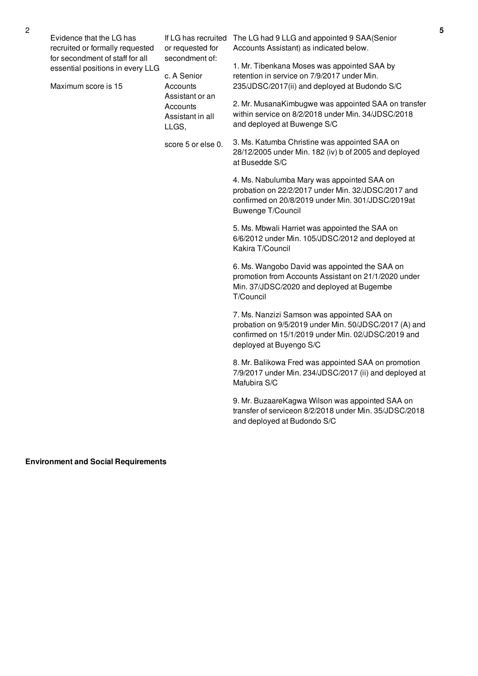| Evidence that the LG has<br>If LG has recruited The LG had 9 LLG and appointed 9 SAA(Senior<br>recruited or formally requested<br>Accounts Assistant) as indicated below.<br>or requested for<br>for secondment of staff for all<br>secondment of:<br>1. Mr. Tibenkana Moses was appointed SAA by<br>essential positions in every LLG<br>retention in service on 7/9/2017 under Min.<br>c. A Senior<br>Maximum score is 15<br>235/JDSC/2017(ii) and deployed at Budondo S/C<br>Accounts<br>Assistant or an<br>2. Mr. MusanaKimbugwe was appointed SAA on transfer<br>Accounts<br>within service on 8/2/2018 under Min. 34/JDSC/2018<br>Assistant in all<br>and deployed at Buwenge S/C<br>LLGS,<br>3. Ms. Katumba Christine was appointed SAA on<br>score 5 or else 0.<br>28/12/2005 under Min. 182 (iv) b of 2005 and deployed<br>at Busedde S/C<br>4. Ms. Nabulumba Mary was appointed SAA on<br>probation on 22/2/2017 under Min. 32/JDSC/2017 and<br>confirmed on 20/8/2019 under Min. 301/JDSC/2019at<br>Buwenge T/Council<br>5. Ms. Mbwali Harriet was appointed the SAA on<br>6/6/2012 under Min. 105/JDSC/2012 and deployed at<br>Kakira T/Council<br>6. Ms. Wangobo David was appointed the SAA on<br>promotion from Accounts Assistant on 21/1/2020 under<br>Min. 37/JDSC/2020 and deployed at Bugembe<br>T/Council<br>7. Ms. Nanzizi Samson was appointed SAA on<br>probation on 9/5/2019 under Min. 50/JDSC/2017 (A) and<br>confirmed on 15/1/2019 under Min. 02/JDSC/2019 and<br>deployed at Buyengo S/C<br>8. Mr. Balikowa Fred was appointed SAA on promotion<br>7/9/2017 under Min. 234/JDSC/2017 (ii) and deployed at<br>Mafubira S/C<br>9. Mr. BuzaareKagwa Wilson was appointed SAA on<br>transfer of serviceon 8/2/2018 under Min. 35/JDSC/2018<br>and deployed at Budondo S/C |  |  |
|----------------------------------------------------------------------------------------------------------------------------------------------------------------------------------------------------------------------------------------------------------------------------------------------------------------------------------------------------------------------------------------------------------------------------------------------------------------------------------------------------------------------------------------------------------------------------------------------------------------------------------------------------------------------------------------------------------------------------------------------------------------------------------------------------------------------------------------------------------------------------------------------------------------------------------------------------------------------------------------------------------------------------------------------------------------------------------------------------------------------------------------------------------------------------------------------------------------------------------------------------------------------------------------------------------------------------------------------------------------------------------------------------------------------------------------------------------------------------------------------------------------------------------------------------------------------------------------------------------------------------------------------------------------------------------------------------------------------------------------------------------------------------------------------------|--|--|
|                                                                                                                                                                                                                                                                                                                                                                                                                                                                                                                                                                                                                                                                                                                                                                                                                                                                                                                                                                                                                                                                                                                                                                                                                                                                                                                                                                                                                                                                                                                                                                                                                                                                                                                                                                                                    |  |  |

**Environment and Social Requirements**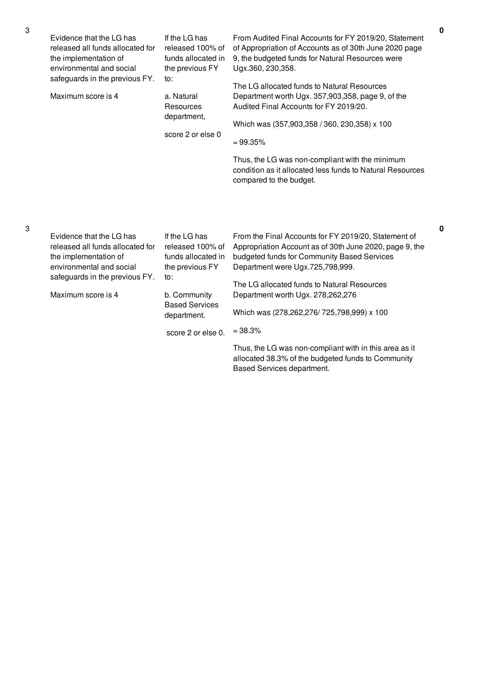| Evidence that the LG has<br>released all funds allocated for<br>the implementation of<br>environmental and social<br>safeguards in the previous FY.<br>Maximum score is 4 | If the LG has<br>released 100% of<br>funds allocated in<br>the previous FY<br>to:<br>a. Natural<br>Resources<br>department,<br>score 2 or else 0                | From Audited Final Accounts for FY 2019/20, Statement<br>of Appropriation of Accounts as of 30th June 2020 page<br>9, the budgeted funds for Natural Resources were<br>Ugx.360, 230, 358.<br>The LG allocated funds to Natural Resources<br>Department worth Ugx. 357,903,358, page 9, of the<br>Audited Final Accounts for FY 2019/20.<br>Which was (357,903,358 / 360, 230,358) x 100<br>$= 99.35%$<br>Thus, the LG was non-compliant with the minimum<br>condition as it allocated less funds to Natural Resources<br>compared to the budget. |
|---------------------------------------------------------------------------------------------------------------------------------------------------------------------------|-----------------------------------------------------------------------------------------------------------------------------------------------------------------|--------------------------------------------------------------------------------------------------------------------------------------------------------------------------------------------------------------------------------------------------------------------------------------------------------------------------------------------------------------------------------------------------------------------------------------------------------------------------------------------------------------------------------------------------|
| Evidence that the LG has<br>released all funds allocated for<br>the implementation of<br>environmental and social<br>safeguards in the previous FY.<br>Maximum score is 4 | If the LG has<br>released 100% of<br>funds allocated in<br>the previous FY<br>to:<br>b. Community<br><b>Based Services</b><br>department.<br>score 2 or else 0. | From the Final Accounts for FY 2019/20, Statement of<br>Appropriation Account as of 30th June 2020, page 9, the<br>budgeted funds for Community Based Services<br>Department were Ugx.725,798,999.<br>The LG allocated funds to Natural Resources<br>Department worth Ugx. 278,262,276<br>Which was (278,262,276/725,798,999) x 100<br>$= 38.3%$<br>Thus, the LG was non-compliant with in this area as it<br>allocated 38.3% of the budgeted funds to Community                                                                                 |

Based Services department.

3

**0**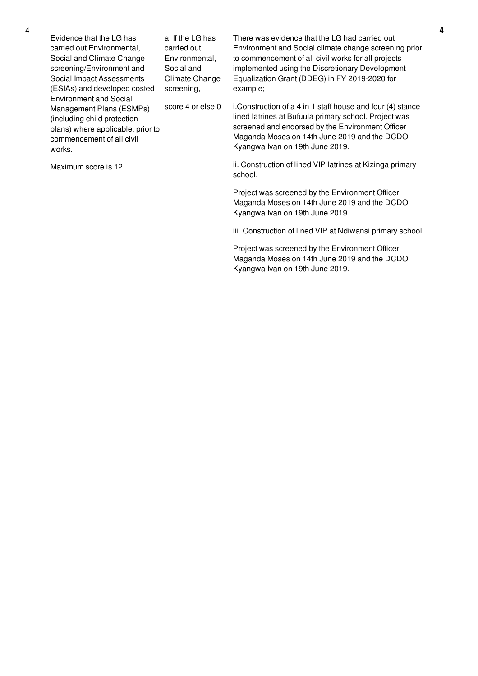Evidence that the LG has carried out Environmental, Social and Climate Change screening/Environment and Social Impact Assessments (ESIAs) and developed costed Environment and Social Management Plans (ESMPs) (including child protection plans) where applicable, prior to commencement of all civil works. a. If the LG has carried out Environmental, Social and Climate Change screening, score 4 or else 0

Maximum score is 12

There was evidence that the LG had carried out Environment and Social climate change screening prior to commencement of all civil works for all projects implemented using the Discretionary Development Equalization Grant (DDEG) in FY 2019-2020 for example;

i.Construction of a 4 in 1 staff house and four (4) stance lined latrines at Bufuula primary school. Project was screened and endorsed by the Environment Officer Maganda Moses on 14th June 2019 and the DCDO Kyangwa Ivan on 19th June 2019.

ii. Construction of lined VIP latrines at Kizinga primary school.

Project was screened by the Environment Officer Maganda Moses on 14th June 2019 and the DCDO Kyangwa Ivan on 19th June 2019.

iii. Construction of lined VIP at Ndiwansi primary school.

Project was screened by the Environment Officer Maganda Moses on 14th June 2019 and the DCDO Kyangwa Ivan on 19th June 2019.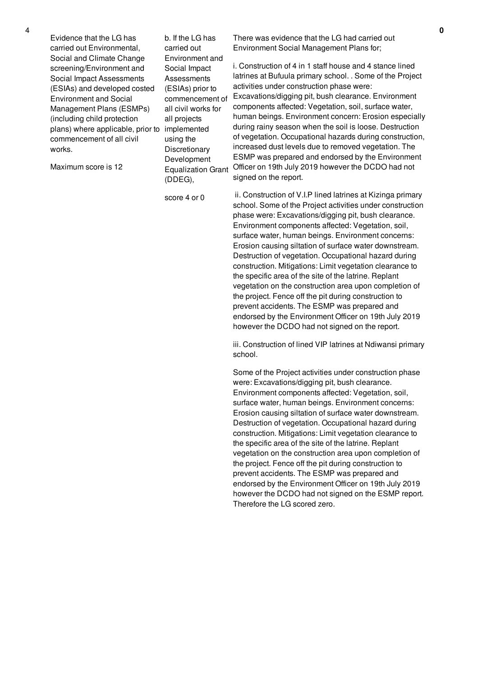Evidence that the LG has carried out Environmental, Social and Climate Change screening/Environment and Social Impact Assessments (ESIAs) and developed costed Environment and Social Management Plans (ESMPs) (including child protection plans) where applicable, prior to implemented commencement of all civil works.

Maximum score is 12

b. If the LG has carried out Environment and Social Impact **Assessments** (ESIAs) prior to commencement of all civil works for all projects using the **Discretionary** Development Equalization Grant (DDEG),

score 4 or 0

There was evidence that the LG had carried out Environment Social Management Plans for;

i. Construction of 4 in 1 staff house and 4 stance lined latrines at Bufuula primary school. . Some of the Project activities under construction phase were: Excavations/digging pit, bush clearance. Environment components affected: Vegetation, soil, surface water, human beings. Environment concern: Erosion especially during rainy season when the soil is loose. Destruction of vegetation. Occupational hazards during construction, increased dust levels due to removed vegetation. The ESMP was prepared and endorsed by the Environment Officer on 19th July 2019 however the DCDO had not signed on the report.

ii. Construction of V.I.P lined latrines at Kizinga primary school. Some of the Project activities under construction phase were: Excavations/digging pit, bush clearance. Environment components affected: Vegetation, soil, surface water, human beings. Environment concerns: Erosion causing siltation of surface water downstream. Destruction of vegetation. Occupational hazard during construction. Mitigations: Limit vegetation clearance to the specific area of the site of the latrine. Replant vegetation on the construction area upon completion of the project. Fence off the pit during construction to prevent accidents. The ESMP was prepared and endorsed by the Environment Officer on 19th July 2019 however the DCDO had not signed on the report.

iii. Construction of lined VIP latrines at Ndiwansi primary school.

Some of the Project activities under construction phase were: Excavations/digging pit, bush clearance. Environment components affected: Vegetation, soil, surface water, human beings. Environment concerns: Erosion causing siltation of surface water downstream. Destruction of vegetation. Occupational hazard during construction. Mitigations: Limit vegetation clearance to the specific area of the site of the latrine. Replant vegetation on the construction area upon completion of the project. Fence off the pit during construction to prevent accidents. The ESMP was prepared and endorsed by the Environment Officer on 19th July 2019 however the DCDO had not signed on the ESMP report. Therefore the LG scored zero.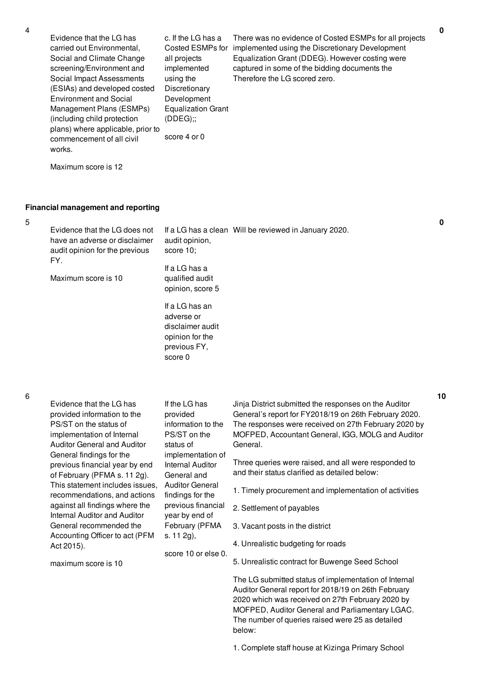5

6

| 4 | Evidence that the LG has<br>carried out Environmental,<br>Social and Climate Change<br>screening/Environment and<br>Social Impact Assessments<br>(ESIAs) and developed costed<br><b>Environment and Social</b><br>Management Plans (ESMPs)<br>(including child protection<br>plans) where applicable, prior to<br>commencement of all civil<br>works.<br>Maximum score is 12                                                                                                               | c. If the LG has a<br>Costed ESMPs for<br>all projects<br>implemented<br>using the<br>Discretionary<br>Development<br><b>Equalization Grant</b><br>(DDEG);<br>score 4 or 0                                                                                                        | There was no evidence of Costed ESMPs for all projects<br>implemented using the Discretionary Development<br>Equalization Grant (DDEG). However costing were<br>captured in some of the bidding documents the<br>Therefore the LG scored zero.                                                                                                   | 0  |
|---|--------------------------------------------------------------------------------------------------------------------------------------------------------------------------------------------------------------------------------------------------------------------------------------------------------------------------------------------------------------------------------------------------------------------------------------------------------------------------------------------|-----------------------------------------------------------------------------------------------------------------------------------------------------------------------------------------------------------------------------------------------------------------------------------|--------------------------------------------------------------------------------------------------------------------------------------------------------------------------------------------------------------------------------------------------------------------------------------------------------------------------------------------------|----|
| 5 | <b>Financial management and reporting</b><br>Evidence that the LG does not<br>have an adverse or disclaimer<br>audit opinion for the previous                                                                                                                                                                                                                                                                                                                                              | audit opinion,<br>score 10;                                                                                                                                                                                                                                                       | If a LG has a clean Will be reviewed in January 2020.                                                                                                                                                                                                                                                                                            | 0  |
|   | FY.<br>Maximum score is 10                                                                                                                                                                                                                                                                                                                                                                                                                                                                 | If a LG has a<br>qualified audit<br>opinion, score 5                                                                                                                                                                                                                              |                                                                                                                                                                                                                                                                                                                                                  |    |
|   |                                                                                                                                                                                                                                                                                                                                                                                                                                                                                            | If a LG has an<br>adverse or<br>disclaimer audit<br>opinion for the<br>previous FY,<br>score 0                                                                                                                                                                                    |                                                                                                                                                                                                                                                                                                                                                  |    |
| 6 | Evidence that the LG has<br>provided information to the<br>PS/ST on the status of<br>implementation of Internal<br><b>Auditor General and Auditor</b><br>General findings for the<br>previous financial year by end<br>of February (PFMA s. 11 2g).<br>This statement includes issues,<br>recommendations, and actions<br>against all findings where the<br>Internal Auditor and Auditor<br>General recommended the<br>Accounting Officer to act (PFM<br>Act 2015).<br>maximum score is 10 | If the LG has<br>provided<br>information to the<br>PS/ST on the<br>status of<br>implementation of<br>Internal Auditor<br>General and<br><b>Auditor General</b><br>findings for the<br>previous financial<br>year by end of<br>February (PFMA<br>s. 11 2g),<br>score 10 or else 0. | Jinja District submitted the responses on the Auditor<br>General's report for FY2018/19 on 26th February 2020.<br>The responses were received on 27th February 2020 by<br>MOFPED, Accountant General, IGG, MOLG and Auditor<br>General.<br>Three queries were raised, and all were responded to<br>and their status clarified as detailed below: | 10 |
|   |                                                                                                                                                                                                                                                                                                                                                                                                                                                                                            |                                                                                                                                                                                                                                                                                   | 1. Timely procurement and implementation of activities                                                                                                                                                                                                                                                                                           |    |
|   |                                                                                                                                                                                                                                                                                                                                                                                                                                                                                            |                                                                                                                                                                                                                                                                                   | 2. Settlement of payables                                                                                                                                                                                                                                                                                                                        |    |
|   |                                                                                                                                                                                                                                                                                                                                                                                                                                                                                            |                                                                                                                                                                                                                                                                                   | 3. Vacant posts in the district                                                                                                                                                                                                                                                                                                                  |    |
|   |                                                                                                                                                                                                                                                                                                                                                                                                                                                                                            |                                                                                                                                                                                                                                                                                   | 4. Unrealistic budgeting for roads                                                                                                                                                                                                                                                                                                               |    |
|   |                                                                                                                                                                                                                                                                                                                                                                                                                                                                                            |                                                                                                                                                                                                                                                                                   | 5. Unrealistic contract for Buwenge Seed School                                                                                                                                                                                                                                                                                                  |    |
|   |                                                                                                                                                                                                                                                                                                                                                                                                                                                                                            |                                                                                                                                                                                                                                                                                   | The LG submitted status of implementation of Internal<br>Auditor General report for 2018/19 on 26th February<br>2020 which was received on 27th February 2020 by<br>MOFPED, Auditor General and Parliamentary LGAC.<br>The number of queries raised were 25 as detailed<br>below:                                                                |    |

**0**

1. Complete staff house at Kizinga Primary School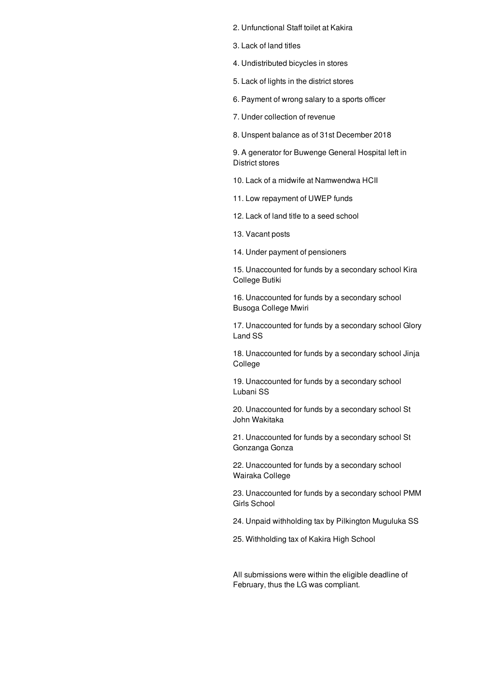- 2. Unfunctional Staff toilet at Kakira
- 3. Lack of land titles
- 4. Undistributed bicycles in stores
- 5. Lack of lights in the district stores
- 6. Payment of wrong salary to a sports officer
- 7. Under collection of revenue
- 8. Unspent balance as of 31st December 2018

9. A generator for Buwenge General Hospital left in District stores

- 10. Lack of a midwife at Namwendwa HCII
- 11. Low repayment of UWEP funds
- 12. Lack of land title to a seed school
- 13. Vacant posts
- 14. Under payment of pensioners

15. Unaccounted for funds by a secondary school Kira College Butiki

16. Unaccounted for funds by a secondary school Busoga College Mwiri

17. Unaccounted for funds by a secondary school Glory Land SS

18. Unaccounted for funds by a secondary school Jinja College

19. Unaccounted for funds by a secondary school Lubani SS

20. Unaccounted for funds by a secondary school St John Wakitaka

21. Unaccounted for funds by a secondary school St Gonzanga Gonza

22. Unaccounted for funds by a secondary school Wairaka College

23. Unaccounted for funds by a secondary school PMM Girls School

24. Unpaid withholding tax by Pilkington Muguluka SS

25. Withholding tax of Kakira High School

All submissions were within the eligible deadline of February, thus the LG was compliant.